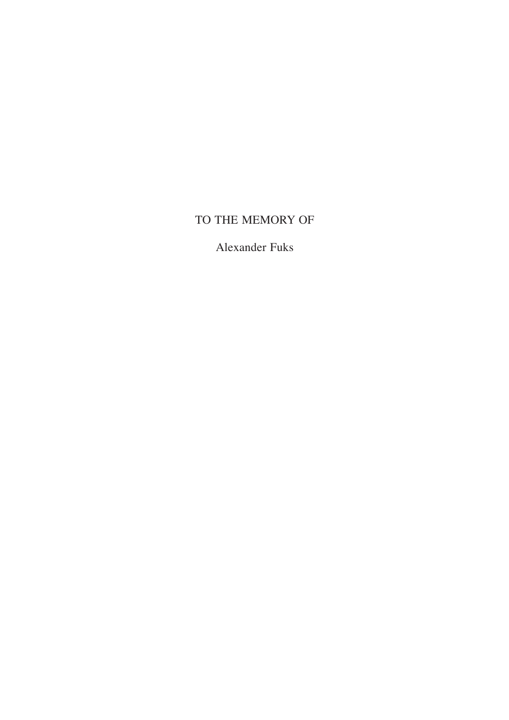# TO THE MEMORY OF

Alexander Fuks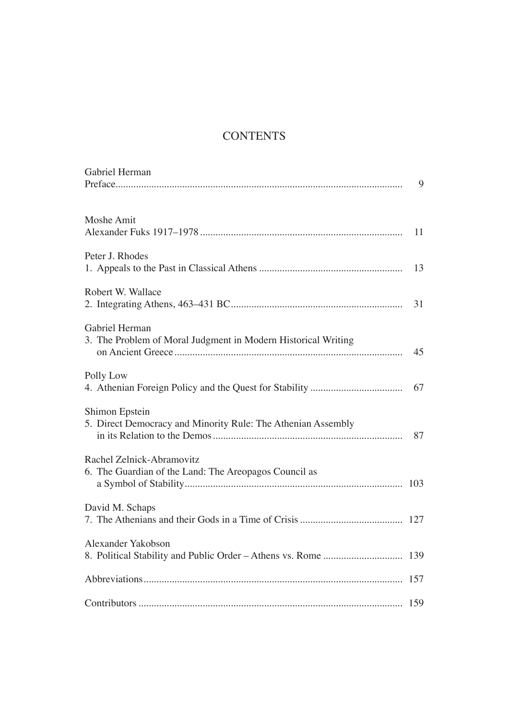## **CONTENTS**

| Gabriel Herman                                                                     | 9  |
|------------------------------------------------------------------------------------|----|
| Moshe Amit                                                                         |    |
| Peter J. Rhodes                                                                    | 13 |
| Robert W. Wallace                                                                  | 31 |
| Gabriel Herman<br>3. The Problem of Moral Judgment in Modern Historical Writing    | 45 |
| Polly Low                                                                          | 67 |
| Shimon Epstein<br>5. Direct Democracy and Minority Rule: The Athenian Assembly     | 87 |
| Rachel Zelnick-Abramovitz<br>6. The Guardian of the Land: The Areopagos Council as |    |
| David M. Schaps                                                                    |    |
| Alexander Yakobson                                                                 |    |
|                                                                                    |    |
|                                                                                    |    |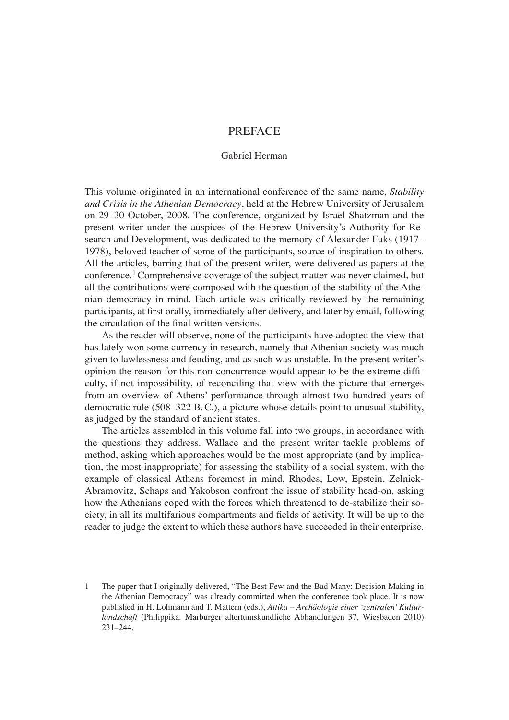### PREFACE

#### Gabriel Herman

This volume originated in an international conference of the same name, *Stability and Crisis in the Athenian Democracy*, held at the Hebrew University of Jerusalem on 29–30 October, 2008. The conference, organized by Israel Shatzman and the present writer under the auspices of the Hebrew University's Authority for Research and Development, was dedicated to the memory of Alexander Fuks (1917– 1978), beloved teacher of some of the participants, source of inspiration to others. All the articles, barring that of the present writer, were delivered as papers at the conference.1 Comprehensive coverage of the subject matter was never claimed, but all the contributions were composed with the question of the stability of the Athenian democracy in mind. Each article was critically reviewed by the remaining participants, at first orally, immediately after delivery, and later by email, following the circulation of the final written versions.

As the reader will observe, none of the participants have adopted the view that has lately won some currency in research, namely that Athenian society was much given to lawlessness and feuding, and as such was unstable. In the present writer's opinion the reason for this non-concurrence would appear to be the extreme diffi culty, if not impossibility, of reconciling that view with the picture that emerges from an overview of Athens' performance through almost two hundred years of democratic rule (508–322 B. C.), a picture whose details point to unusual stability, as judged by the standard of ancient states.

The articles assembled in this volume fall into two groups, in accordance with the questions they address. Wallace and the present writer tackle problems of method, asking which approaches would be the most appropriate (and by implication, the most inappropriate) for assessing the stability of a social system, with the example of classical Athens foremost in mind. Rhodes, Low, Epstein, Zelnick-Abramovitz, Schaps and Yakobson confront the issue of stability head-on, asking how the Athenians coped with the forces which threatened to de-stabilize their society, in all its multifarious compartments and fields of activity. It will be up to the reader to judge the extent to which these authors have succeeded in their enterprise.

<sup>1</sup> The paper that I originally delivered, "The Best Few and the Bad Many: Decision Making in the Athenian Democracy" was already committed when the conference took place. It is now published in H. Lohmann and T. Mattern (eds.), *Attika – Archäologie einer ʻzentralen' Kulturlandschaft* (Philippika. Marburger altertumskundliche Abhandlungen 37, Wiesbaden 2010) 231–244.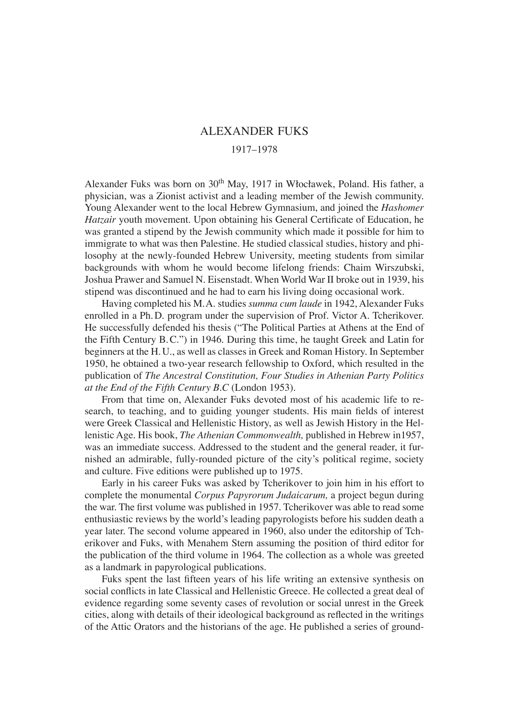## ALEXANDER FUKS 1917–1978

Alexander Fuks was born on 30<sup>th</sup> May, 1917 in Włocławek, Poland. His father, a physician, was a Zionist activist and a leading member of the Jewish community. Young Alexander went to the local Hebrew Gymnasium, and joined the *Hashomer Hatzair* youth movement. Upon obtaining his General Certificate of Education, he was granted a stipend by the Jewish community which made it possible for him to immigrate to what was then Palestine. He studied classical studies, history and philosophy at the newly-founded Hebrew University, meeting students from similar backgrounds with whom he would become lifelong friends: Chaim Wirszubski, Joshua Prawer and Samuel N. Eisenstadt. When World War II broke out in 1939, his stipend was discontinued and he had to earn his living doing occasional work.

Having completed his M. A. studies *summa cum laude* in 1942, Alexander Fuks enrolled in a Ph. D. program under the supervision of Prof. Victor A. Tcherikover. He successfully defended his thesis ("The Political Parties at Athens at the End of the Fifth Century B. C.") in 1946. During this time, he taught Greek and Latin for beginners at the H. U., as well as classes in Greek and Roman History. In September 1950, he obtained a two-year research fellowship to Oxford, which resulted in the publication of *The Ancestral Constitution, Four Studies in Athenian Party Politics at the End of the Fifth Century B.C* (London 1953).

From that time on, Alexander Fuks devoted most of his academic life to research, to teaching, and to guiding younger students. His main fields of interest were Greek Classical and Hellenistic History, as well as Jewish History in the Hellenistic Age. His book, *The Athenian Commonwealth,* published in Hebrew in1957, was an immediate success. Addressed to the student and the general reader, it furnished an admirable, fully-rounded picture of the city's political regime, society and culture. Five editions were published up to 1975.

Early in his career Fuks was asked by Tcherikover to join him in his effort to complete the monumental *Corpus Papyrorum Judaicarum,* a project begun during the war. The first volume was published in 1957. Tcherikover was able to read some enthusiastic reviews by the world's leading papyrologists before his sudden death a year later. The second volume appeared in 1960, also under the editorship of Tcherikover and Fuks, with Menahem Stern assuming the position of third editor for the publication of the third volume in 1964. The collection as a whole was greeted as a landmark in papyrological publications.

Fuks spent the last fifteen years of his life writing an extensive synthesis on social conflicts in late Classical and Hellenistic Greece. He collected a great deal of evidence regarding some seventy cases of revolution or social unrest in the Greek cities, along with details of their ideological background as reflected in the writings of the Attic Orators and the historians of the age. He published a series of ground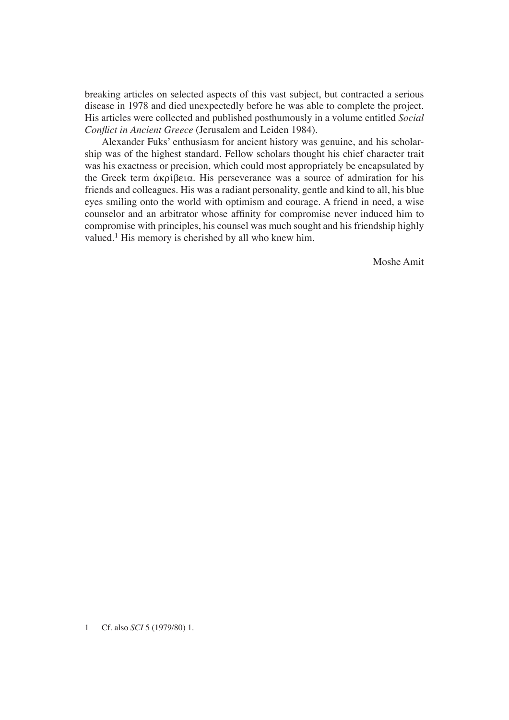breaking articles on selected aspects of this vast subject, but contracted a serious disease in 1978 and died unexpectedly before he was able to complete the project. His articles were collected and published posthumously in a volume entitled *Social Conflict in Ancient Greece* (Jerusalem and Leiden 1984).

Alexander Fuks' enthusiasm for ancient history was genuine, and his scholarship was of the highest standard. Fellow scholars thought his chief character trait was his exactness or precision, which could most appropriately be encapsulated by the Greek term  $\alpha$ Kpi $\beta$ eta. His perseverance was a source of admiration for his friends and colleagues. His was a radiant personality, gentle and kind to all, his blue eyes smiling onto the world with optimism and courage. A friend in need, a wise counselor and an arbitrator whose affinity for compromise never induced him to compromise with principles, his counsel was much sought and his friendship highly valued.<sup>1</sup> His memory is cherished by all who knew him.

Moshe Amit

1 Cf. also *SCI* 5 (1979/80) 1.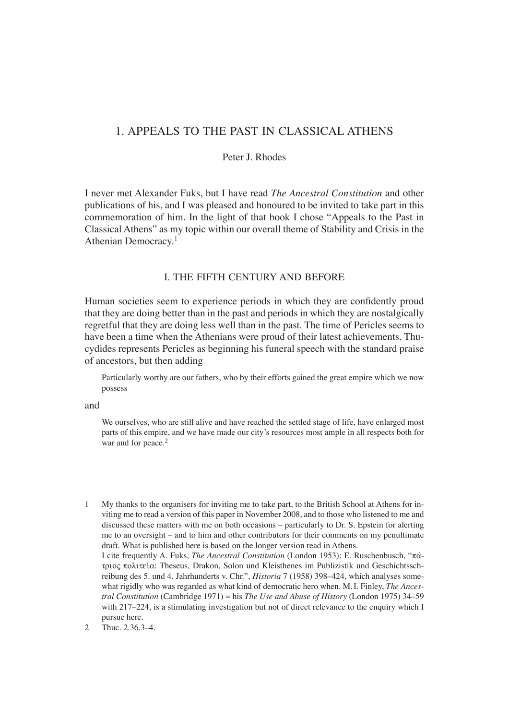## 1. APPEALS TO THE PAST IN CLASSICAL ATHENS

#### Peter J. Rhodes

I never met Alexander Fuks, but I have read *The Ancestral Constitution* and other publications of his, and I was pleased and honoured to be invited to take part in this commemoration of him. In the light of that book I chose "Appeals to the Past in Classical Athens" as my topic within our overall theme of Stability and Crisis in the Athenian Democracy.1

## I. THE FIFTH CENTURY AND BEFORE

Human societies seem to experience periods in which they are confidently proud that they are doing better than in the past and periods in which they are nostalgically regretful that they are doing less well than in the past. The time of Pericles seems to have been a time when the Athenians were proud of their latest achievements. Thucydides represents Pericles as beginning his funeral speech with the standard praise of ancestors, but then adding

Particularly worthy are our fathers, who by their efforts gained the great empire which we now possess

and

We ourselves, who are still alive and have reached the settled stage of life, have enlarged most parts of this empire, and we have made our city's resources most ample in all respects both for war and for peace.<sup>2</sup>

1 My thanks to the organisers for inviting me to take part, to the British School at Athens for inviting me to read a version of this paper in November 2008, and to those who listened to me and discussed these matters with me on both occasions – particularly to Dr. S. Epstein for alerting me to an oversight – and to him and other contributors for their comments on my penultimate draft. What is published here is based on the longer version read in Athens. I cite frequently A. Fuks, *The Ancestral Constitution* (London 1953); E. Ruschenbusch, " $\pi\acute{\alpha}$ trio~ politeiva: Theseus, Drakon, Solon und Kleisthenes im Publizistik und Geschichtsschreibung des 5. und 4. Jahrhunderts v. Chr.", *Historia* 7 (1958) 398–424, which analyses somewhat rigidly who was regarded as what kind of democratic hero when. M. I. Finley, *The Ancestral Constitution* (Cambridge 1971) = his *The Use and Abuse of History* (London 1975) 34–59 with 217–224, is a stimulating investigation but not of direct relevance to the enquiry which I

pursue here. 2 Thuc. 2.36.3–4.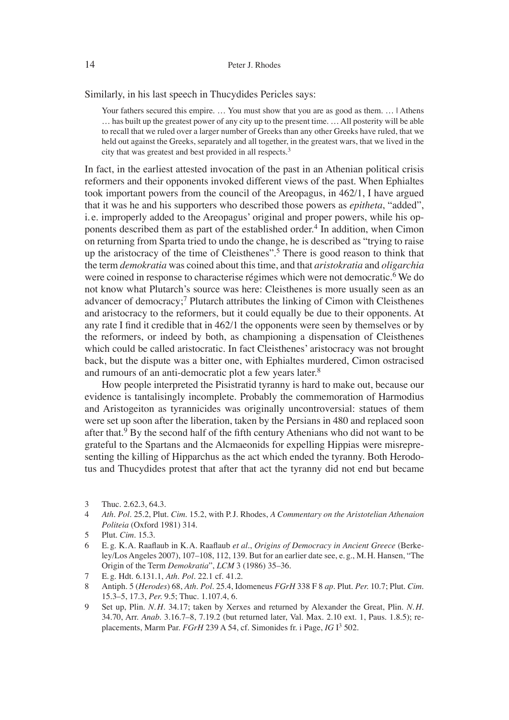Similarly, in his last speech in Thucydides Pericles says:

Your fathers secured this empire. ... You must show that you are as good as them. ... | Athens … has built up the greatest power of any city up to the present time. … All posterity will be able to recall that we ruled over a larger number of Greeks than any other Greeks have ruled, that we held out against the Greeks, separately and all together, in the greatest wars, that we lived in the city that was greatest and best provided in all respects.3

In fact, in the earliest attested invocation of the past in an Athenian political crisis reformers and their opponents invoked different views of the past. When Ephialtes took important powers from the council of the Areopagus, in 462/1, I have argued that it was he and his supporters who described those powers as *epitheta*, "added", i. e. improperly added to the Areopagus' original and proper powers, while his opponents described them as part of the established order.<sup>4</sup> In addition, when Cimon on returning from Sparta tried to undo the change, he is described as "trying to raise up the aristocracy of the time of Cleisthenes".<sup>5</sup> There is good reason to think that the term *demokratia* was coined about this time, and that *aristokratia* and *oligarchia* were coined in response to characterise régimes which were not democratic.<sup>6</sup> We do not know what Plutarch's source was here: Cleisthenes is more usually seen as an advancer of democracy;<sup>7</sup> Plutarch attributes the linking of Cimon with Cleisthenes and aristocracy to the reformers, but it could equally be due to their opponents. At any rate I find it credible that in  $462/1$  the opponents were seen by themselves or by the reformers, or indeed by both, as championing a dispensation of Cleisthenes which could be called aristocratic. In fact Cleisthenes' aristocracy was not brought back, but the dispute was a bitter one, with Ephialtes murdered, Cimon ostracised and rumours of an anti-democratic plot a few years later.<sup>8</sup>

How people interpreted the Pisistratid tyranny is hard to make out, because our evidence is tantalisingly incomplete. Probably the commemoration of Harmodius and Aristogeiton as tyrannicides was originally uncontroversial: statues of them were set up soon after the liberation, taken by the Persians in 480 and replaced soon after that.<sup>9</sup> By the second half of the fifth century Athenians who did not want to be grateful to the Spartans and the Alcmaeonids for expelling Hippias were misrepresenting the killing of Hipparchus as the act which ended the tyranny. Both Herodotus and Thucydides protest that after that act the tyranny did not end but became

4 *Ath. Pol.* 25.2, Plut. *Cim.* 15.2, with P. J. Rhodes, *A Commentary on the Aristotelian Athenaion Politeia* (Oxford 1981) 314.

6 E. g. K. A. Raafl aub in K. A. Raafl aub *et al.*, *Origins of Democracy in Ancient Greece* (Berkeley/Los Angeles 2007), 107–108, 112, 139. But for an earlier date see, e. g., M. H. Hansen, "The Origin of the Term *Demokratia*", *LCM* 3 (1986) 35–36.

<sup>3</sup> Thuc. 2.62.3, 64.3.

<sup>5</sup> Plut. *Cim.* 15.3.

<sup>7</sup> E. g. Hdt. 6.131.1, *Ath. Pol.* 22.1 cf. 41.2.

<sup>8</sup> Antiph. 5 (*Herodes*) 68, *Ath. Pol.* 25.4, Idomeneus *FGrH* 338 F 8 *ap.* Plut. *Per.* 10.7; Plut. *Cim.* 15.3–5, 17.3, *Per.* 9.5; Thuc. 1.107.4, 6.

<sup>9</sup> Set up, Plin. *N. H.* 34.17; taken by Xerxes and returned by Alexander the Great, Plin. *N. H.* 34.70, Arr. *Anab.* 3.16.7–8, 7.19.2 (but returned later, Val. Max. 2.10 ext. 1, Paus. 1.8.5); replacements, Marm Par. *FGrH* 239 A 54, cf. Simonides fr. i Page, *IG* I3 502.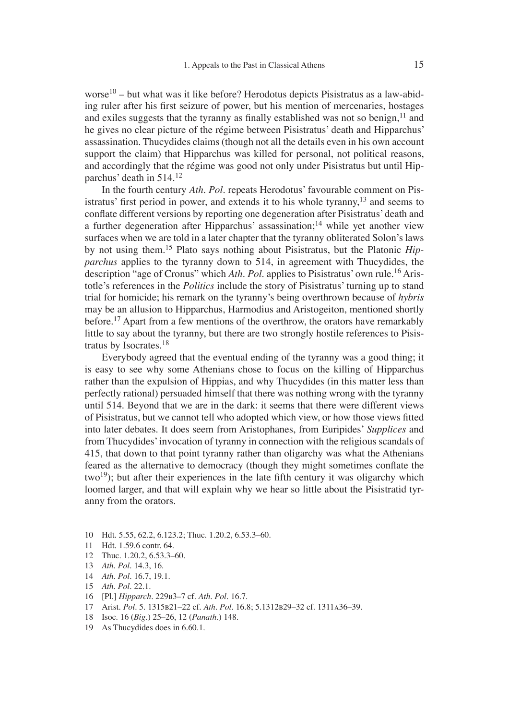worse<sup>10</sup> – but what was it like before? Herodotus depicts Pisistratus as a law-abiding ruler after his first seizure of power, but his mention of mercenaries, hostages and exiles suggests that the tyranny as finally established was not so benign,  $11$  and he gives no clear picture of the régime between Pisistratus' death and Hipparchus' assassination. Thucydides claims (though not all the details even in his own account support the claim) that Hipparchus was killed for personal, not political reasons, and accordingly that the régime was good not only under Pisistratus but until Hipparchus' death in 514.12

In the fourth century *Ath. Pol.* repeats Herodotus' favourable comment on Pisistratus' first period in power, and extends it to his whole tyranny,  $13$  and seems to conflate different versions by reporting one degeneration after Pisistratus' death and a further degeneration after Hipparchus' assassination;<sup>14</sup> while yet another view surfaces when we are told in a later chapter that the tyranny obliterated Solon's laws by not using them.15 Plato says nothing about Pisistratus, but the Platonic *Hipparchus* applies to the tyranny down to 514, in agreement with Thucydides, the description "age of Cronus" which *Ath. Pol.* applies to Pisistratus' own rule.<sup>16</sup> Aristotle's references in the *Politics* include the story of Pisistratus' turning up to stand trial for homicide; his remark on the tyranny's being overthrown because of *hybris* may be an allusion to Hipparchus, Harmodius and Aristogeiton, mentioned shortly before.<sup>17</sup> Apart from a few mentions of the overthrow, the orators have remarkably little to say about the tyranny, but there are two strongly hostile references to Pisistratus by Isocrates.18

Everybody agreed that the eventual ending of the tyranny was a good thing; it is easy to see why some Athenians chose to focus on the killing of Hipparchus rather than the expulsion of Hippias, and why Thucydides (in this matter less than perfectly rational) persuaded himself that there was nothing wrong with the tyranny until 514. Beyond that we are in the dark: it seems that there were different views of Pisistratus, but we cannot tell who adopted which view, or how those views fitted into later debates. It does seem from Aristophanes, from Euripides' *Supplices* and from Thucydides' invocation of tyranny in connection with the religious scandals of 415, that down to that point tyranny rather than oligarchy was what the Athenians feared as the alternative to democracy (though they might sometimes conflate the  $two<sup>19</sup>$ ; but after their experiences in the late fifth century it was oligarchy which loomed larger, and that will explain why we hear so little about the Pisistratid tyranny from the orators.

- 10 Hdt. 5.55, 62.2, 6.123.2; Thuc. 1.20.2, 6.53.3–60.
- 11 Hdt. 1.59.6 contr. 64.
- 12 Thuc. 1.20.2, 6.53.3–60.
- 13 *Ath. Pol.* 14.3, 16.
- 14 *Ath. Pol.* 16.7, 19.1.
- 15 *Ath. Pol.* 22.1.
- 16 [Pl.] *Hipparch.* 229b3–7 cf. *Ath. Pol.* 16.7.
- 17 Arist. *Pol.* 5. 1315b21–22 cf. *Ath. Pol.* 16.8; 5.1312b29–32 cf. 1311a36–39.
- 18 Isoc. 16 (*Big.*) 25–26, 12 (*Panath.*) 148.
- 19 As Thucydides does in 6.60.1.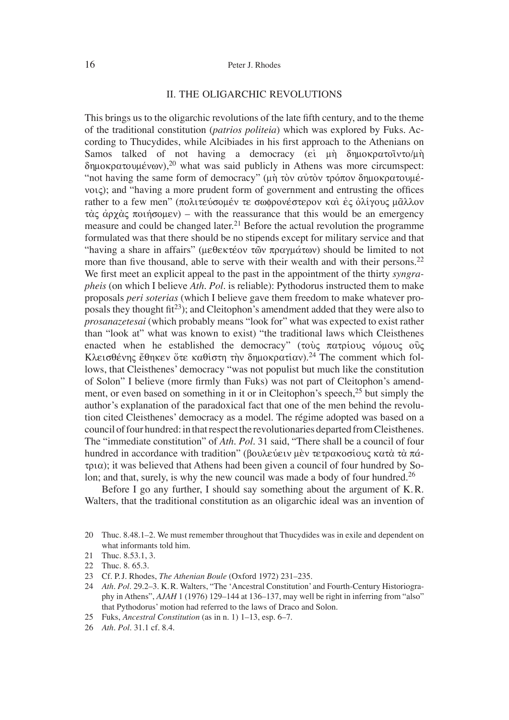#### 16 Peter J. Rhodes

#### II. THE OLIGARCHIC REVOLUTIONS

This brings us to the oligarchic revolutions of the late fifth century, and to the theme of the traditional constitution (*patrios politeia*) which was explored by Fuks. According to Thucydides, while Alcibiades in his first approach to the Athenians on Samos talked of not having a democracy ( $\varepsilon i$   $\mu$ η δημοκρατοῖντο/ $\mu$ η  $\delta$ ημοκρατουμένων),<sup>20</sup> what was said publicly in Athens was more circumspect: "not having the same form of democracy" ( $\mu$ ή τὸν αὐτὸν τρόπον δημοκρατουμέ $v_{\text{OIC}}$ ; and "having a more prudent form of government and entrusting the offices rather to a few men" (πολιτεύσομέν τε σωφρονέστερον και ές όλίγους μᾶλλον  $\tau \dot{\alpha}$  c  $\dot{\alpha}$   $\dot{\alpha}$   $\dot{\alpha}$   $\dot{\alpha}$  rotation – with the reassurance that this would be an emergency measure and could be changed later.<sup>21</sup> Before the actual revolution the programme formulated was that there should be no stipends except for military service and that "having a share in affairs" ( $\mu \in \theta \in \mathcal{E}$   $\phi$   $\pi \in \mathcal{E}$   $\phi$   $\pi \in \mathcal{E}$  and  $\phi$  should be limited to not more than five thousand, able to serve with their wealth and with their persons.<sup>22</sup> We first meet an explicit appeal to the past in the appointment of the thirty *syngrapheis* (on which I believe *Ath. Pol.* is reliable): Pythodorus instructed them to make proposals *peri soterias* (which I believe gave them freedom to make whatever proposals they thought fit<sup>23</sup>); and Cleitophon's amendment added that they were also to *prosanazetesai* (which probably means "look for" what was expected to exist rather than "look at" what was known to exist) "the traditional laws which Cleisthenes enacted when he established the democracy" (τους πατρίους νόμους ους K $\lambda$ εισθένης έθηκεν ότε καθίστη την δημοκρατίαν).<sup>24</sup> The comment which follows, that Cleisthenes' democracy "was not populist but much like the constitution of Solon" I believe (more firmly than Fuks) was not part of Cleitophon's amendment, or even based on something in it or in Cleitophon's speech, $25$  but simply the author's explanation of the paradoxical fact that one of the men behind the revolution cited Cleisthenes' democracy as a model. The régime adopted was based on a council of four hundred: in that respect the revolutionaries departed from Cleisthenes. The "immediate constitution" of *Ath. Pol.* 31 said, "There shall be a council of four hundred in accordance with tradition" (βουλεύειν μεν τετρακοσίους κατα τα πά- $\tau$ ( $\alpha$ ); it was believed that Athens had been given a council of four hundred by Solon; and that, surely, is why the new council was made a body of four hundred.<sup>26</sup>

Before I go any further, I should say something about the argument of K. R. Walters, that the traditional constitution as an oligarchic ideal was an invention of

- 24 *Ath. Pol.* 29.2–3. K. R. Walters, "The ʻAncestral Constitution' and Fourth-Century Historiography in Athens", *AJAH* 1 (1976) 129–144 at 136–137, may well be right in inferring from "also" that Pythodorus' motion had referred to the laws of Draco and Solon.
- 25 Fuks, *Ancestral Constitution* (as in n. 1) 1–13, esp. 6–7.
- 26 *Ath. Pol.* 31.1 cf. 8.4.

<sup>20</sup> Thuc. 8.48.1–2. We must remember throughout that Thucydides was in exile and dependent on what informants told him.

<sup>21</sup> Thuc. 8.53.1, 3.

<sup>22</sup> Thuc. 8. 65.3.

<sup>23</sup> Cf. P. J. Rhodes, *The Athenian Boule* (Oxford 1972) 231–235.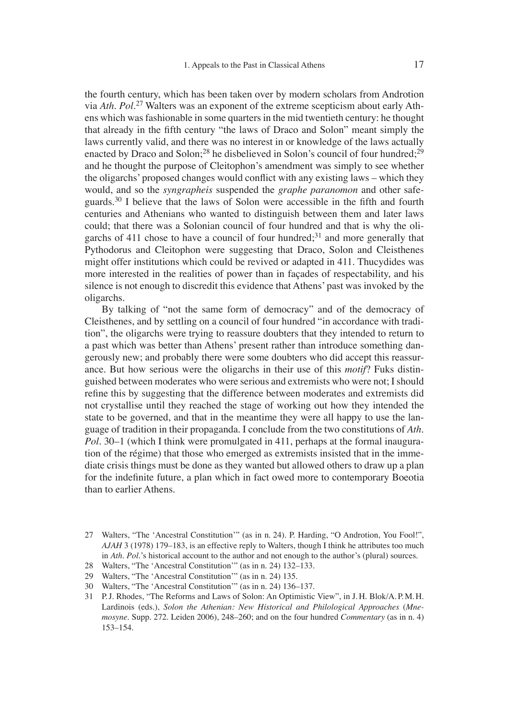the fourth century, which has been taken over by modern scholars from Androtion via *Ath. Pol.*27 Walters was an exponent of the extreme scepticism about early Athens which was fashionable in some quarters in the mid twentieth century: he thought that already in the fifth century "the laws of Draco and Solon" meant simply the laws currently valid, and there was no interest in or knowledge of the laws actually enacted by Draco and Solon;<sup>28</sup> he disbelieved in Solon's council of four hundred;<sup>29</sup> and he thought the purpose of Cleitophon's amendment was simply to see whether the oligarchs' proposed changes would conflict with any existing laws – which they would, and so the *syngrapheis* suspended the *graphe paranomon* and other safeguards. $30$  I believe that the laws of Solon were accessible in the fifth and fourth centuries and Athenians who wanted to distinguish between them and later laws could; that there was a Solonian council of four hundred and that is why the oligarchs of 411 chose to have a council of four hundred;<sup>31</sup> and more generally that Pythodorus and Cleitophon were suggesting that Draco, Solon and Cleisthenes might offer institutions which could be revived or adapted in 411. Thucydides was more interested in the realities of power than in façades of respectability, and his silence is not enough to discredit this evidence that Athens' past was invoked by the oligarchs.

By talking of "not the same form of democracy" and of the democracy of Cleisthenes, and by settling on a council of four hundred "in accordance with tradition", the oligarchs were trying to reassure doubters that they intended to return to a past which was better than Athens' present rather than introduce something dangerously new; and probably there were some doubters who did accept this reassurance. But how serious were the oligarchs in their use of this *motif*? Fuks distinguished between moderates who were serious and extremists who were not; I should refine this by suggesting that the difference between moderates and extremists did not crystallise until they reached the stage of working out how they intended the state to be governed, and that in the meantime they were all happy to use the language of tradition in their propaganda. I conclude from the two constitutions of *Ath. Pol.* 30–1 (which I think were promulgated in 411, perhaps at the formal inauguration of the régime) that those who emerged as extremists insisted that in the immediate crisis things must be done as they wanted but allowed others to draw up a plan for the indefinite future, a plan which in fact owed more to contemporary Boeotia than to earlier Athens.

- 27 Walters, "The ʻAncestral Constitution'" (as in n. 24). P. Harding, "O Androtion, You Fool!", *AJAH* 3 (1978) 179–183, is an effective reply to Walters, though I think he attributes too much in *Ath. Pol.*'s historical account to the author and not enough to the author's (plural) sources.
- 28 Walters, "The ʻAncestral Constitution'" (as in n. 24) 132–133.
- 29 Walters, "The ʻAncestral Constitution'" (as in n. 24) 135.
- 30 Walters, "The ʻAncestral Constitution'" (as in n. 24) 136–137.
- 31 P. J. Rhodes, "The Reforms and Laws of Solon: An Optimistic View", in J. H. Blok/A. P. M. H. Lardinois (eds.), *Solon the Athenian: New Historical and Philological Approaches* (*Mnemosyne.* Supp. 272. Leiden 2006), 248–260; and on the four hundred *Commentary* (as in n. 4) 153–154.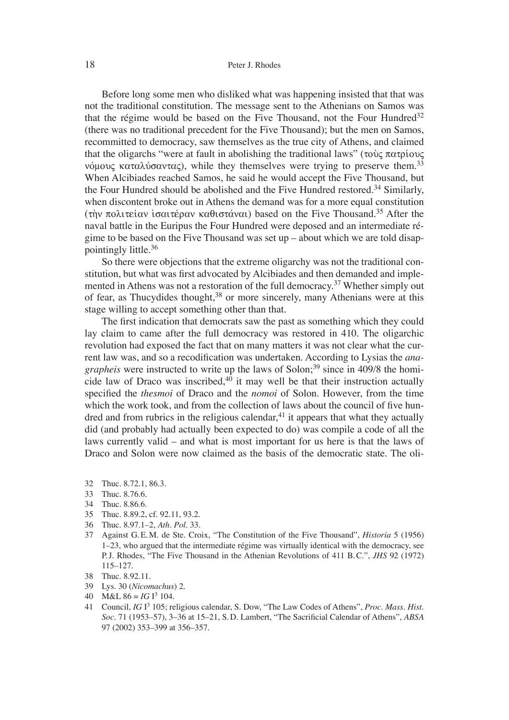Before long some men who disliked what was happening insisted that that was not the traditional constitution. The message sent to the Athenians on Samos was that the régime would be based on the Five Thousand, not the Four Hundred<sup>32</sup> (there was no traditional precedent for the Five Thousand); but the men on Samos, recommitted to democracy, saw themselves as the true city of Athens, and claimed that the oligarchs "were at fault in abolishing the traditional laws" (τους πατρίους νόμους καταλύσαντας), while they themselves were trying to preserve them.<sup>33</sup> When Alcibiades reached Samos, he said he would accept the Five Thousand, but the Four Hundred should be abolished and the Five Hundred restored.<sup>34</sup> Similarly, when discontent broke out in Athens the demand was for a more equal constitution (την πολιτείαν ισαιτέραν καθιστάναι) based on the Five Thousand.<sup>35</sup> After the naval battle in the Euripus the Four Hundred were deposed and an intermediate régime to be based on the Five Thousand was set up – about which we are told disappointingly little.36

So there were objections that the extreme oligarchy was not the traditional constitution, but what was first advocated by Alcibiades and then demanded and implemented in Athens was not a restoration of the full democracy.37 Whether simply out of fear, as Thucydides thought,<sup>38</sup> or more sincerely, many Athenians were at this stage willing to accept something other than that.

The first indication that democrats saw the past as something which they could lay claim to came after the full democracy was restored in 410. The oligarchic revolution had exposed the fact that on many matters it was not clear what the current law was, and so a recodification was undertaken. According to Lysias the *anagrapheis* were instructed to write up the laws of Solon;<sup>39</sup> since in 409/8 the homicide law of Draco was inscribed, $40$  it may well be that their instruction actually specified the *thesmoi* of Draco and the *nomoi* of Solon. However, from the time which the work took, and from the collection of laws about the council of five hundred and from rubrics in the religious calendar,  $41$  it appears that what they actually did (and probably had actually been expected to do) was compile a code of all the laws currently valid – and what is most important for us here is that the laws of Draco and Solon were now claimed as the basis of the democratic state. The oli-

- 32 Thuc. 8.72.1, 86.3.
- 33 Thuc. 8.76.6.
- 34 Thuc. 8.86.6.
- 35 Thuc. 8.89.2, cf. 92.11, 93.2.
- 36 Thuc. 8.97.1–2, *Ath. Pol.* 33.
- 37 Against G. E. M. de Ste. Croix, "The Constitution of the Five Thousand", *Historia* 5 (1956) 1–23, who argued that the intermediate régime was virtually identical with the democracy, see P. J. Rhodes, "The Five Thousand in the Athenian Revolutions of 411 B. C.", *JHS* 92 (1972) 115–127.
- 38 Thuc. 8.92.11.
- 39 Lys. 30 (*Nicomachus*) 2.
- 40 M&L  $86 = IG I^3$  104.
- 41 Council, *IG* I3 105; religious calendar, S. Dow, "The Law Codes of Athens", *Proc. Mass. Hist. Soc.* 71 (1953–57), 3–36 at 15–21, S.D. Lambert, "The Sacrificial Calendar of Athens", *ABSA* 97 (2002) 353–399 at 356–357.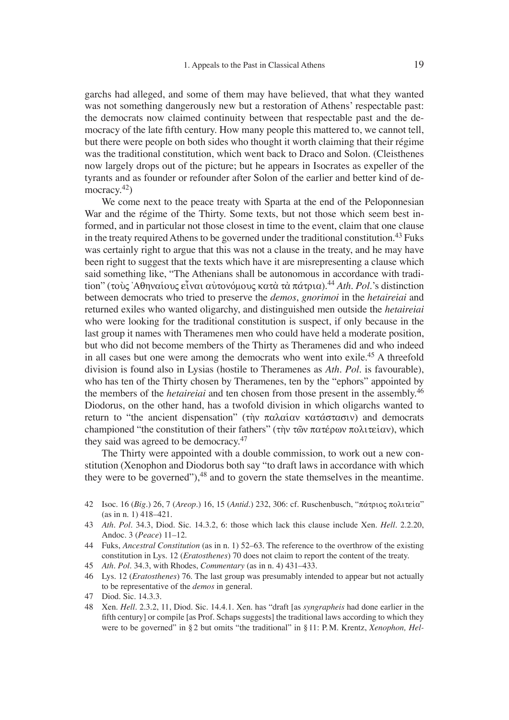garchs had alleged, and some of them may have believed, that what they wanted was not something dangerously new but a restoration of Athens' respectable past: the democrats now claimed continuity between that respectable past and the democracy of the late fifth century. How many people this mattered to, we cannot tell, but there were people on both sides who thought it worth claiming that their régime was the traditional constitution, which went back to Draco and Solon. (Cleisthenes now largely drops out of the picture; but he appears in Isocrates as expeller of the tyrants and as founder or refounder after Solon of the earlier and better kind of democracy. $42$ )

We come next to the peace treaty with Sparta at the end of the Peloponnesian War and the régime of the Thirty. Some texts, but not those which seem best informed, and in particular not those closest in time to the event, claim that one clause in the treaty required Athens to be governed under the traditional constitution.<sup>43</sup> Fuks was certainly right to argue that this was not a clause in the treaty, and he may have been right to suggest that the texts which have it are misrepresenting a clause which said something like, "The Athenians shall be autonomous in accordance with tradition" (τους 'Αθηναίους εἶναι αὐτονόμους κατὰ τὰ πάτρια).<sup>44</sup> *Ath. Pol.*'s distinction between democrats who tried to preserve the *demos*, *gnorimoi* in the *hetaireiai* and returned exiles who wanted oligarchy, and distinguished men outside the *hetaireiai* who were looking for the traditional constitution is suspect, if only because in the last group it names with Theramenes men who could have held a moderate position, but who did not become members of the Thirty as Theramenes did and who indeed in all cases but one were among the democrats who went into exile.45 A threefold division is found also in Lysias (hostile to Theramenes as *Ath. Pol.* is favourable), who has ten of the Thirty chosen by Theramenes, ten by the "ephors" appointed by the members of the *hetaireiai* and ten chosen from those present in the assembly.46 Diodorus, on the other hand, has a twofold division in which oligarchs wanted to return to "the ancient dispensation" ( $\tau$ n)  $\pi \alpha \lambda \alpha \alpha \alpha v$  κατάστασιν) and democrats championed "the constitution of their fathers" ( $\tau$ n)  $\tau \tilde{\omega}$   $\tau \alpha \tau \epsilon \rho \omega \nu \pi \Omega \tau \epsilon \alpha \nu$ ), which they said was agreed to be democracy.<sup>47</sup>

The Thirty were appointed with a double commission, to work out a new constitution (Xenophon and Diodorus both say "to draft laws in accordance with which they were to be governed"),  $48$  and to govern the state themselves in the meantime.

- 42 Isoc. 16 (*Big.*) 26, 7 (*Areop.*) 16, 15 (*Antid.*) 232, 306: cf. Ruschenbusch, "pavtrio~ politeiva" (as in n. 1) 418–421.
- 43 *Ath. Pol.* 34.3, Diod. Sic. 14.3.2, 6: those which lack this clause include Xen. *Hell.* 2.2.20, Andoc. 3 (*Peace*) 11–12.
- 44 Fuks, *Ancestral Constitution* (as in n. 1) 52–63. The reference to the overthrow of the existing constitution in Lys. 12 (*Eratosthenes*) 70 does not claim to report the content of the treaty.
- 45 *Ath. Pol.* 34.3, with Rhodes, *Commentary* (as in n. 4) 431–433.
- 46 Lys. 12 (*Eratosthenes*) 76. The last group was presumably intended to appear but not actually to be representative of the *demos* in general.
- 47 Diod. Sic. 14.3.3.
- 48 Xen. *Hell.* 2.3.2, 11, Diod. Sic. 14.4.1. Xen. has "draft [as *syngrapheis* had done earlier in the fifth century] or compile [as Prof. Schaps suggests] the traditional laws according to which they were to be governed" in § 2 but omits "the traditional" in § 11: P. M. Krentz, *Xenophon, Hel-*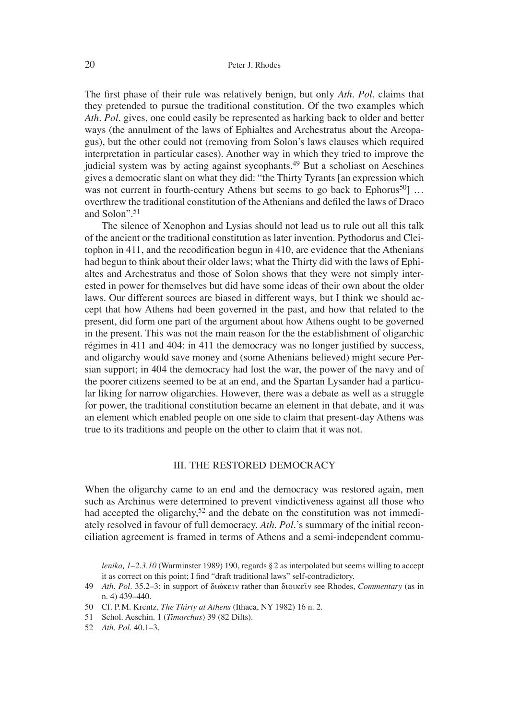The first phase of their rule was relatively benign, but only *Ath. Pol.* claims that they pretended to pursue the traditional constitution. Of the two examples which *Ath. Pol.* gives, one could easily be represented as harking back to older and better ways (the annulment of the laws of Ephialtes and Archestratus about the Areopagus), but the other could not (removing from Solon's laws clauses which required interpretation in particular cases). Another way in which they tried to improve the judicial system was by acting against sycophants.<sup>49</sup> But a scholiast on Aeschines gives a democratic slant on what they did: "the Thirty Tyrants [an expression which was not current in fourth-century Athens but seems to go back to Ephorus<sup>50</sup>... overthrew the traditional constitution of the Athenians and defi led the laws of Draco and Solon".51

The silence of Xenophon and Lysias should not lead us to rule out all this talk of the ancient or the traditional constitution as later invention. Pythodorus and Cleitophon in  $411$ , and the recodification begun in  $410$ , are evidence that the Athenians had begun to think about their older laws; what the Thirty did with the laws of Ephialtes and Archestratus and those of Solon shows that they were not simply interested in power for themselves but did have some ideas of their own about the older laws. Our different sources are biased in different ways, but I think we should accept that how Athens had been governed in the past, and how that related to the present, did form one part of the argument about how Athens ought to be governed in the present. This was not the main reason for the the establishment of oligarchic régimes in 411 and 404: in 411 the democracy was no longer justified by success, and oligarchy would save money and (some Athenians believed) might secure Persian support; in 404 the democracy had lost the war, the power of the navy and of the poorer citizens seemed to be at an end, and the Spartan Lysander had a particular liking for narrow oligarchies. However, there was a debate as well as a struggle for power, the traditional constitution became an element in that debate, and it was an element which enabled people on one side to claim that present-day Athens was true to its traditions and people on the other to claim that it was not.

#### III. THE RESTORED DEMOCRACY

When the oligarchy came to an end and the democracy was restored again, men such as Archinus were determined to prevent vindictiveness against all those who had accepted the oligarchy,<sup>52</sup> and the debate on the constitution was not immediately resolved in favour of full democracy. *Ath. Pol.*'s summary of the initial reconciliation agreement is framed in terms of Athens and a semi-independent commu-

50 Cf. P. M. Krentz, *The Thirty at Athens* (Ithaca, NY 1982) 16 n. 2.

*lenika, 1–2.3.10* (Warminster 1989) 190, regards § 2 as interpolated but seems willing to accept it as correct on this point; I find "draft traditional laws" self-contradictory.

<sup>49</sup> *Ath. Pol.* 35.2–3: in support of διώκειν rather than διοικείν see Rhodes, *Commentary* (as in n. 4) 439–440.

<sup>51</sup> Schol. Aeschin. 1 (*Timarchus*) 39 (82 Dilts).

<sup>52</sup> *Ath. Pol.* 40.1–3.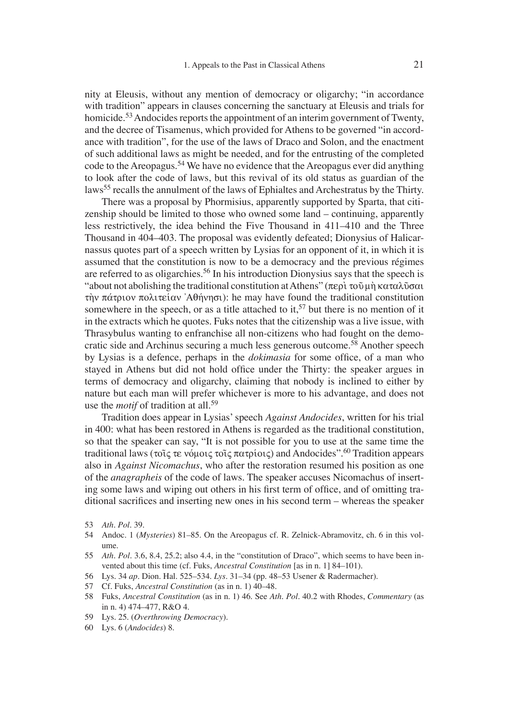nity at Eleusis, without any mention of democracy or oligarchy; "in accordance with tradition" appears in clauses concerning the sanctuary at Eleusis and trials for homicide.<sup>53</sup> Andocides reports the appointment of an interim government of Twenty, and the decree of Tisamenus, which provided for Athens to be governed "in accordance with tradition", for the use of the laws of Draco and Solon, and the enactment of such additional laws as might be needed, and for the entrusting of the completed code to the Areopagus.<sup>54</sup> We have no evidence that the Areopagus ever did anything to look after the code of laws, but this revival of its old status as guardian of the laws<sup>55</sup> recalls the annulment of the laws of Ephialtes and Archestratus by the Thirty.

There was a proposal by Phormisius, apparently supported by Sparta, that citizenship should be limited to those who owned some land – continuing, apparently less restrictively, the idea behind the Five Thousand in 411–410 and the Three Thousand in 404–403. The proposal was evidently defeated; Dionysius of Halicarnassus quotes part of a speech written by Lysias for an opponent of it, in which it is assumed that the constitution is now to be a democracy and the previous régimes are referred to as oligarchies.<sup>56</sup> In his introduction Dionysius says that the speech is "about not abolishing the traditional constitution at Athens" ( $\pi \epsilon \rho \tilde{\nu}$ ) του μή καταλύσαι thy πάτριον πολιτείαν `Αθήνησι): he may have found the traditional constitution somewhere in the speech, or as a title attached to it,<sup>57</sup> but there is no mention of it in the extracts which he quotes. Fuks notes that the citizenship was a live issue, with Thrasybulus wanting to enfranchise all non-citizens who had fought on the democratic side and Archinus securing a much less generous outcome.<sup>58</sup> Another speech by Lysias is a defence, perhaps in the *dokimasia* for some office, of a man who stayed in Athens but did not hold office under the Thirty: the speaker argues in terms of democracy and oligarchy, claiming that nobody is inclined to either by nature but each man will prefer whichever is more to his advantage, and does not use the *motif* of tradition at all.<sup>59</sup>

Tradition does appear in Lysias' speech *Against Andocides*, written for his trial in 400: what has been restored in Athens is regarded as the traditional constitution, so that the speaker can say, "It is not possible for you to use at the same time the traditional laws (τοις τε νόμοις τοις πατρίοις) and Andocides".<sup>60</sup> Tradition appears also in *Against Nicomachus*, who after the restoration resumed his position as one of the *anagrapheis* of the code of laws. The speaker accuses Nicomachus of inserting some laws and wiping out others in his first term of office, and of omitting traditional sacrifices and inserting new ones in his second term  $-$  whereas the speaker

- 53 *Ath. Pol.* 39.
- 54 Andoc. 1 (*Mysteries*) 81–85. On the Areopagus cf. R. Zelnick-Abramovitz, ch. 6 in this volume.
- 55 *Ath. Pol.* 3.6, 8.4, 25.2; also 4.4, in the "constitution of Draco", which seems to have been invented about this time (cf. Fuks, *Ancestral Constitution* [as in n. 1] 84–101).
- 56 Lys. 34 *ap.* Dion. Hal. 525–534. *Lys.* 31–34 (pp. 48–53 Usener & Radermacher).
- 57 Cf. Fuks, *Ancestral Constitution* (as in n. 1) 40–48.
- 58 Fuks, *Ancestral Constitution* (as in n. 1) 46. See *Ath. Pol.* 40.2 with Rhodes, *Commentary* (as in n. 4) 474–477, R&O 4.
- 59 Lys. 25. (*Overthrowing Democracy*).
- 60 Lys. 6 (*Andocides*) 8.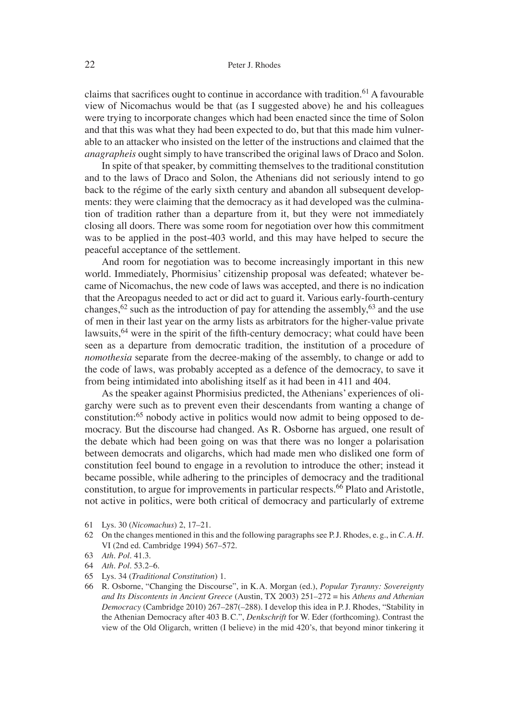claims that sacrifices ought to continue in accordance with tradition.<sup>61</sup> A favourable view of Nicomachus would be that (as I suggested above) he and his colleagues were trying to incorporate changes which had been enacted since the time of Solon and that this was what they had been expected to do, but that this made him vulnerable to an attacker who insisted on the letter of the instructions and claimed that the *anagrapheis* ought simply to have transcribed the original laws of Draco and Solon.

In spite of that speaker, by committing themselves to the traditional constitution and to the laws of Draco and Solon, the Athenians did not seriously intend to go back to the régime of the early sixth century and abandon all subsequent developments: they were claiming that the democracy as it had developed was the culmination of tradition rather than a departure from it, but they were not immediately closing all doors. There was some room for negotiation over how this commitment was to be applied in the post-403 world, and this may have helped to secure the peaceful acceptance of the settlement.

And room for negotiation was to become increasingly important in this new world. Immediately, Phormisius' citizenship proposal was defeated; whatever became of Nicomachus, the new code of laws was accepted, and there is no indication that the Areopagus needed to act or did act to guard it. Various early-fourth-century changes,  $62$  such as the introduction of pay for attending the assembly,  $63$  and the use of men in their last year on the army lists as arbitrators for the higher-value private lawsuits,  $64$  were in the spirit of the fifth-century democracy; what could have been seen as a departure from democratic tradition, the institution of a procedure of *nomothesia* separate from the decree-making of the assembly, to change or add to the code of laws, was probably accepted as a defence of the democracy, to save it from being intimidated into abolishing itself as it had been in 411 and 404.

As the speaker against Phormisius predicted, the Athenians' experiences of oligarchy were such as to prevent even their descendants from wanting a change of constitution:65 nobody active in politics would now admit to being opposed to democracy. But the discourse had changed. As R. Osborne has argued, one result of the debate which had been going on was that there was no longer a polarisation between democrats and oligarchs, which had made men who disliked one form of constitution feel bound to engage in a revolution to introduce the other; instead it became possible, while adhering to the principles of democracy and the traditional constitution, to argue for improvements in particular respects.<sup>66</sup> Plato and Aristotle, not active in politics, were both critical of democracy and particularly of extreme

- 61 Lys. 30 (*Nicomachus*) 2, 17–21.
- 62 On the changes mentioned in this and the following paragraphs see P. J. Rhodes, e. g., in *C. A. H.* VI (2nd ed. Cambridge 1994) 567–572.

- 64 *Ath. Pol.* 53.2–6.
- 65 Lys. 34 (*Traditional Constitution*) 1.
- 66 R. Osborne, "Changing the Discourse", in K. A. Morgan (ed.), *Popular Tyranny: Sovereignty and Its Discontents in Ancient Greece* (Austin, TX 2003) 251–272 = his *Athens and Athenian Democracy* (Cambridge 2010) 267–287(–288). I develop this idea in P. J. Rhodes, "Stability in the Athenian Democracy after 403 B. C.", *Denkschrift* for W. Eder (forthcoming). Contrast the view of the Old Oligarch, written (I believe) in the mid 420's, that beyond minor tinkering it

<sup>63</sup> *Ath. Pol.* 41.3.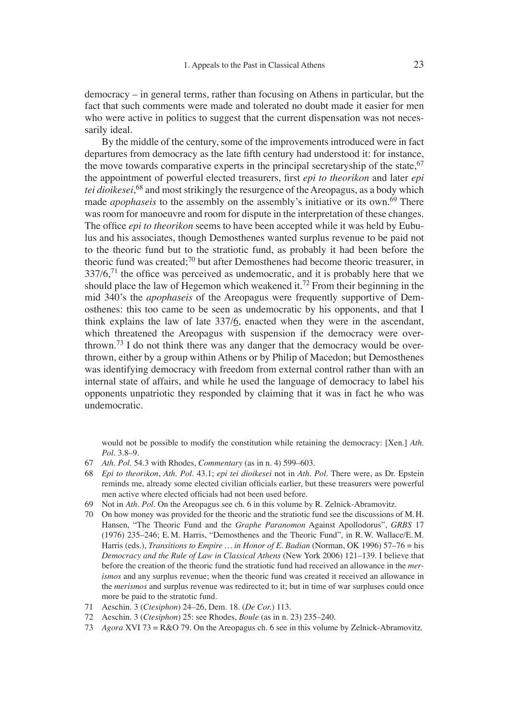democracy – in general terms, rather than focusing on Athens in particular, but the fact that such comments were made and tolerated no doubt made it easier for men who were active in politics to suggest that the current dispensation was not necessarily ideal.

By the middle of the century, some of the improvements introduced were in fact departures from democracy as the late fifth century had understood it: for instance, the move towards comparative experts in the principal secretaryship of the state,  $67$ the appointment of powerful elected treasurers, first *epi to theorikon* and later *epi tei dioikesei*, 68 and most strikingly the resurgence of the Areopagus, as a body which made *apophaseis* to the assembly on the assembly's initiative or its own.<sup>69</sup> There was room for manoeuvre and room for dispute in the interpretation of these changes. The office *epi to theorikon* seems to have been accepted while it was held by Eubulus and his associates, though Demosthenes wanted surplus revenue to be paid not to the theoric fund but to the stratiotic fund, as probably it had been before the theoric fund was created: $70$  but after Demosthenes had become theoric treasurer, in  $337/6$ ,<sup>71</sup> the office was perceived as undemocratic, and it is probably here that we should place the law of Hegemon which weakened it.<sup>72</sup> From their beginning in the mid 340's the *apophaseis* of the Areopagus were frequently supportive of Demosthenes: this too came to be seen as undemocratic by his opponents, and that I think explains the law of late  $337/\underline{6}$ , enacted when they were in the ascendant, which threatened the Areopagus with suspension if the democracy were overthrown.<sup>73</sup> I do not think there was any danger that the democracy would be overthrown, either by a group within Athens or by Philip of Macedon; but Demosthenes was identifying democracy with freedom from external control rather than with an internal state of affairs, and while he used the language of democracy to label his opponents unpatriotic they responded by claiming that it was in fact he who was undemocratic.

would not be possible to modify the constitution while retaining the democracy: [Xen.] *Ath. Pol.* 3.8–9.

- 67 *Ath. Pol.* 54.3 with Rhodes, *Commentary* (as in n. 4) 599–603.
- 68 *Epi to theorikon*, *Ath. Pol.* 43.1; *epi tei dioikesei* not in *Ath. Pol.* There were, as Dr. Epstein reminds me, already some elected civilian officials earlier, but these treasurers were powerful men active where elected officials had not been used before.
- 69 Not in *Ath. Pol.* On the Areopagus see ch. 6 in this volume by R. Zelnick-Abramovitz.
- 70 On how money was provided for the theoric and the stratiotic fund see the discussions of M. H. Hansen, "The Theoric Fund and the *Graphe Paranomon* Against Apollodorus", *GRBS* 17 (1976) 235–246; E. M. Harris, "Demosthenes and the Theoric Fund", in R. W. Wallace/E. M. Harris (eds.), *Transitions to Empire … in Honor of E. Badian* (Norman, OK 1996) 57–76 = his *Democracy and the Rule of Law in Classical Athens* (New York 2006) 121–139. I believe that before the creation of the theoric fund the stratiotic fund had received an allowance in the *merismos* and any surplus revenue; when the theoric fund was created it received an allowance in the *merismos* and surplus revenue was redirected to it; but in time of war surpluses could once more be paid to the stratotic fund.
- 71 Aeschin. 3 (*Ctesiphon*) 24–26, Dem. 18. (*De Cor.*) 113.
- 72 Aeschin. 3 (*Ctesiphon*) 25: see Rhodes, *Boule* (as in n. 23) 235–240.
- 73 *Agora* XVI 73 = R&O 79. On the Areopagus ch. 6 see in this volume by Zelnick-Abramovitz.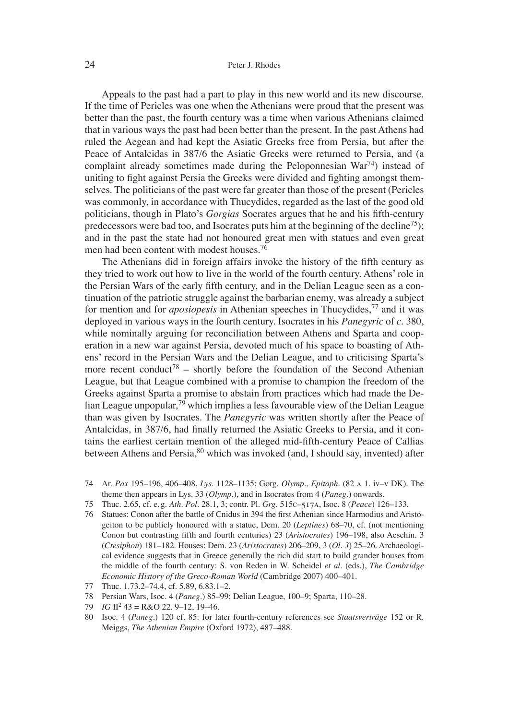#### 24 Peter J. Rhodes

Appeals to the past had a part to play in this new world and its new discourse. If the time of Pericles was one when the Athenians were proud that the present was better than the past, the fourth century was a time when various Athenians claimed that in various ways the past had been better than the present. In the past Athens had ruled the Aegean and had kept the Asiatic Greeks free from Persia, but after the Peace of Antalcidas in 387/6 the Asiatic Greeks were returned to Persia, and (a complaint already sometimes made during the Peloponnesian  $\text{War}^{74}$  instead of uniting to fight against Persia the Greeks were divided and fighting amongst themselves. The politicians of the past were far greater than those of the present (Pericles was commonly, in accordance with Thucydides, regarded as the last of the good old politicians, though in Plato's *Gorgias* Socrates argues that he and his fifth-century predecessors were bad too, and Isocrates puts him at the beginning of the decline<sup>75</sup>); and in the past the state had not honoured great men with statues and even great men had been content with modest houses.76

The Athenians did in foreign affairs invoke the history of the fifth century as they tried to work out how to live in the world of the fourth century. Athens' role in the Persian Wars of the early fifth century, and in the Delian League seen as a continuation of the patriotic struggle against the barbarian enemy, was already a subject for mention and for *aposiopesis* in Athenian speeches in Thucydides,<sup>77</sup> and it was deployed in various ways in the fourth century. Isocrates in his *Panegyric* of *c.* 380, while nominally arguing for reconciliation between Athens and Sparta and cooperation in a new war against Persia, devoted much of his space to boasting of Athens' record in the Persian Wars and the Delian League, and to criticising Sparta's more recent conduct<sup>78</sup> – shortly before the foundation of the Second Athenian League, but that League combined with a promise to champion the freedom of the Greeks against Sparta a promise to abstain from practices which had made the Delian League unpopular,<sup>79</sup> which implies a less favourable view of the Delian League than was given by Isocrates. The *Panegyric* was written shortly after the Peace of Antalcidas, in 387/6, had finally returned the Asiatic Greeks to Persia, and it contains the earliest certain mention of the alleged mid-fifth-century Peace of Callias between Athens and Persia, <sup>80</sup> which was invoked (and, I should say, invented) after

- 74 Ar. *Pax* 195–196, 406–408, *Lys.* 1128–1135; Gorg. *Olymp.*, *Epitaph.* (82 a 1. iv–v DK). The theme then appears in Lys. 33 (*Olymp.*), and in Isocrates from 4 (*Paneg.*) onwards.
- 75 Thuc. 2.65, cf. e. g. *Ath. Pol.* 28.1, 3; contr. Pl. *Grg.* 515c–517a, Isoc. 8 (*Peace*) 126–133.
- 76 Statues: Conon after the battle of Cnidus in 394 the first Athenian since Harmodius and Aristogeiton to be publicly honoured with a statue, Dem. 20 (*Leptines*) 68–70, cf. (not mentioning Conon but contrasting fifth and fourth centuries) 23 (*Aristocrates*) 196–198, also Aeschin. 3 (*Ctesiphon*) 181–182. Houses: Dem. 23 (*Aristocrates*) 206–209, 3 (*Ol. 3*) 25–26. Archaeological evidence suggests that in Greece generally the rich did start to build grander houses from the middle of the fourth century: S. von Reden in W. Scheidel *et al.* (eds.), *The Cambridge Economic History of the Greco-Roman World* (Cambridge 2007) 400–401.
- 77 Thuc. 1.73.2–74.4, cf. 5.89, 6.83.1–2.
- 78 Persian Wars, Isoc. 4 (*Paneg.*) 85–99; Delian League, 100–9; Sparta, 110–28.
- 79 *IG* II2 43 = R&O 22. 9–12, 19–46.
- 80 Isoc. 4 (*Paneg.*) 120 cf. 85: for later fourth-century references see *Staatsverträge* 152 or R. Meiggs, *The Athenian Empire* (Oxford 1972), 487–488.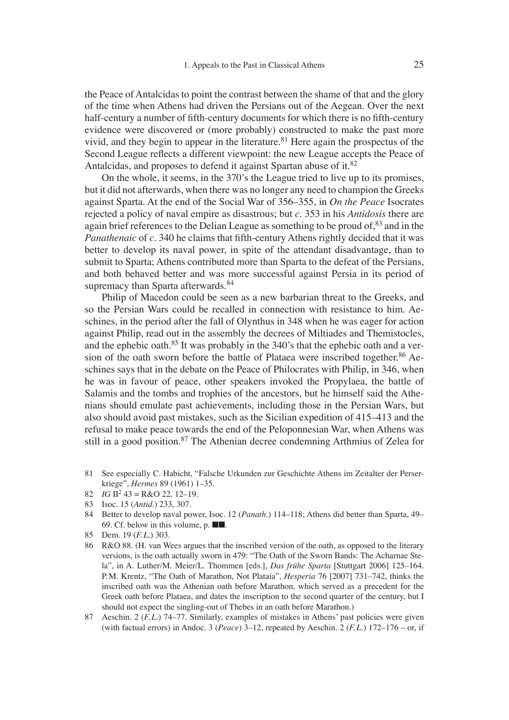the Peace of Antalcidas to point the contrast between the shame of that and the glory of the time when Athens had driven the Persians out of the Aegean. Over the next half-century a number of fifth-century documents for which there is no fifth-century evidence were discovered or (more probably) constructed to make the past more vivid, and they begin to appear in the literature.<sup>81</sup> Here again the prospectus of the Second League reflects a different viewpoint: the new League accepts the Peace of Antalcidas, and proposes to defend it against Spartan abuse of it.<sup>82</sup>

On the whole, it seems, in the 370's the League tried to live up to its promises, but it did not afterwards, when there was no longer any need to champion the Greeks against Sparta. At the end of the Social War of 356–355, in *On the Peace* Isocrates rejected a policy of naval empire as disastrous; but *c.* 353 in his *Antidosis* there are again brief references to the Delian League as something to be proud of,<sup>83</sup> and in the *Panathenaic* of *c*. 340 he claims that fifth-century Athens rightly decided that it was better to develop its naval power, in spite of the attendant disadvantage, than to submit to Sparta; Athens contributed more than Sparta to the defeat of the Persians, and both behaved better and was more successful against Persia in its period of supremacy than Sparta afterwards.<sup>84</sup>

Philip of Macedon could be seen as a new barbarian threat to the Greeks, and so the Persian Wars could be recalled in connection with resistance to him. Aeschines, in the period after the fall of Olynthus in 348 when he was eager for action against Philip, read out in the assembly the decrees of Miltiades and Themistocles, and the ephebic oath.85 It was probably in the 340's that the ephebic oath and a version of the oath sworn before the battle of Plataea were inscribed together.<sup>86</sup> Aeschines says that in the debate on the Peace of Philocrates with Philip, in 346, when he was in favour of peace, other speakers invoked the Propylaea, the battle of Salamis and the tombs and trophies of the ancestors, but he himself said the Athenians should emulate past achievements, including those in the Persian Wars, but also should avoid past mistakes, such as the Sicilian expedition of 415–413 and the refusal to make peace towards the end of the Peloponnesian War, when Athens was still in a good position.<sup>87</sup> The Athenian decree condemning Arthmius of Zelea for

- 81 See especially C. Habicht, "Falsche Urkunden zur Geschichte Athens im Zeitalter der Perserkriege", *Hermes* 89 (1961) 1–35.
- 82  $IG II^2 43 = R&O 22. 12-19.$
- 83 Isoc. 15 (*Antid.*) 233, 307.
- 84 Better to develop naval power, Isoc. 12 (*Panath.*) 114–118; Athens did better than Sparta, 49– 69. Cf. below in this volume, p. ■■.
- 85 Dem. 19 (*F. L.*) 303.
- 86 R&O 88. (H. van Wees argues that the inscribed version of the oath, as opposed to the literary versions, is the oath actually sworn in 479: "The Oath of the Sworn Bands: The Acharnae Stela", in A. Luther/M. Meier/L. Thommen [eds.], *Das frühe Sparta* [Stuttgart 2006] 125–164. P. M. Krentz, "The Oath of Marathon, Not Plataia", *Hesperia* 76 [2007] 731–742, thinks the inscribed oath was the Athenian oath before Marathon, which served as a precedent for the Greek oath before Plataea, and dates the inscription to the second quarter of the century, but I should not expect the singling-out of Thebes in an oath before Marathon.)
- 87 Aeschin. 2 (*F. L.*) 74–77. Similarly, examples of mistakes in Athens' past policies were given (with factual errors) in Andoc. 3 (*Peace*) 3–12, repeated by Aeschin. 2 (*F. L.*) 172–176 – or, if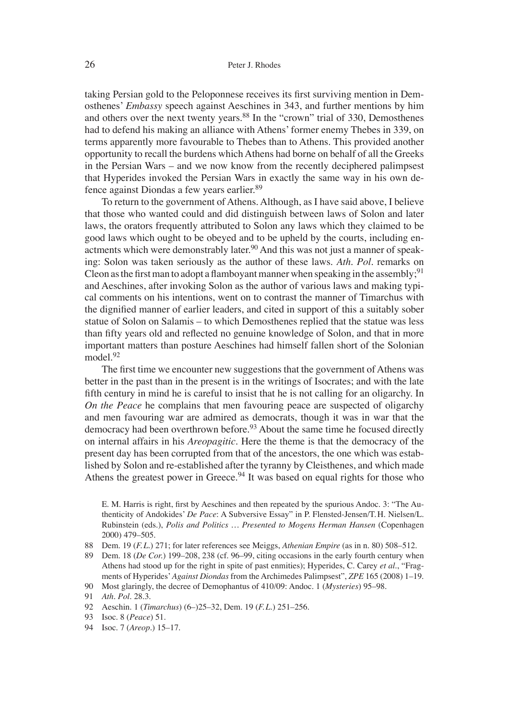taking Persian gold to the Peloponnese receives its first surviving mention in Demosthenes' *Embassy* speech against Aeschines in 343, and further mentions by him and others over the next twenty years.<sup>88</sup> In the "crown" trial of 330, Demosthenes had to defend his making an alliance with Athens' former enemy Thebes in 339, on terms apparently more favourable to Thebes than to Athens. This provided another opportunity to recall the burdens which Athens had borne on behalf of all the Greeks in the Persian Wars – and we now know from the recently deciphered palimpsest that Hyperides invoked the Persian Wars in exactly the same way in his own defence against Diondas a few years earlier.89

To return to the government of Athens. Although, as I have said above, I believe that those who wanted could and did distinguish between laws of Solon and later laws, the orators frequently attributed to Solon any laws which they claimed to be good laws which ought to be obeyed and to be upheld by the courts, including enactments which were demonstrably later.<sup>90</sup> And this was not just a manner of speaking: Solon was taken seriously as the author of these laws. *Ath. Pol.* remarks on Cleon as the first man to adopt a flamboyant manner when speaking in the assembly;<sup>91</sup> and Aeschines, after invoking Solon as the author of various laws and making typical comments on his intentions, went on to contrast the manner of Timarchus with the dignified manner of earlier leaders, and cited in support of this a suitably sober statue of Solon on Salamis – to which Demosthenes replied that the statue was less than fifty years old and reflected no genuine knowledge of Solon, and that in more important matters than posture Aeschines had himself fallen short of the Solonian model.<sup>92</sup>

The first time we encounter new suggestions that the government of Athens was better in the past than in the present is in the writings of Isocrates; and with the late fifth century in mind he is careful to insist that he is not calling for an oligarchy. In *On the Peace* he complains that men favouring peace are suspected of oligarchy and men favouring war are admired as democrats, though it was in war that the democracy had been overthrown before.<sup>93</sup> About the same time he focused directly on internal affairs in his *Areopagitic*. Here the theme is that the democracy of the present day has been corrupted from that of the ancestors, the one which was established by Solon and re-established after the tyranny by Cleisthenes, and which made Athens the greatest power in Greece.<sup>94</sup> It was based on equal rights for those who

E. M. Harris is right, first by Aeschines and then repeated by the spurious Andoc. 3: "The Authenticity of Andokides' *De Pace*: A Subversive Essay" in P. Flensted-Jensen/T. H. Nielsen/L. Rubinstein (eds.), *Polis and Politics … Presented to Mogens Herman Hansen* (Copenhagen 2000) 479–505.

- 88 Dem. 19 (*F. L.*) 271; for later references see Meiggs, *Athenian Empire* (as in n. 80) 508–512.
- 89 Dem. 18 (*De Cor.*) 199–208, 238 (cf. 96–99, citing occasions in the early fourth century when Athens had stood up for the right in spite of past enmities); Hyperides, C. Carey *et al.*, "Fragments of Hyperides'*Against Diondas* from the Archimedes Palimpsest", *ZPE* 165 (2008) 1–19.

92 Aeschin. 1 (*Timarchus*) (6–)25–32, Dem. 19 (*F. L.*) 251–256.

94 Isoc. 7 (*Areop.*) 15–17.

<sup>90</sup> Most glaringly, the decree of Demophantus of 410/09: Andoc. 1 (*Mysteries*) 95–98.

<sup>91</sup> *Ath. Pol.* 28.3.

<sup>93</sup> Isoc. 8 (*Peace*) 51.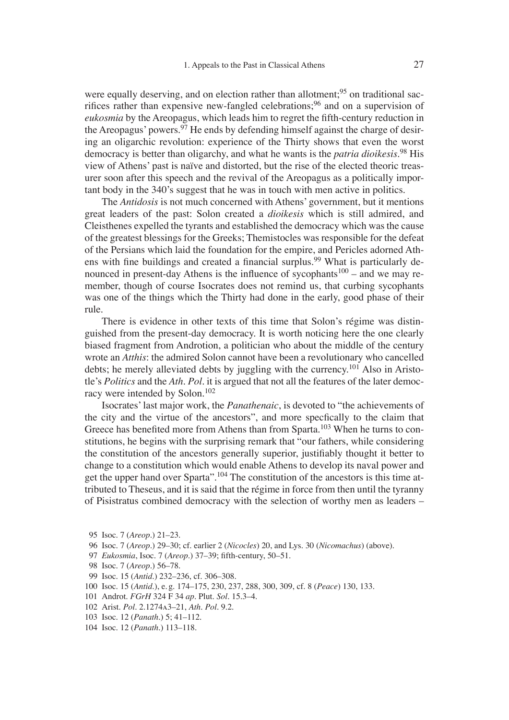were equally deserving, and on election rather than allotment;<sup>95</sup> on traditional sacrifices rather than expensive new-fangled celebrations;<sup>96</sup> and on a supervision of *eukosmia* by the Areopagus, which leads him to regret the fifth-century reduction in the Areopagus' powers.  $97$  He ends by defending himself against the charge of desiring an oligarchic revolution: experience of the Thirty shows that even the worst democracy is better than oligarchy, and what he wants is the *patria dioikesis*. 98 His view of Athens' past is naïve and distorted, but the rise of the elected theoric treasurer soon after this speech and the revival of the Areopagus as a politically important body in the 340's suggest that he was in touch with men active in politics.

The *Antidosis* is not much concerned with Athens' government, but it mentions great leaders of the past: Solon created a *dioikesis* which is still admired, and Cleisthenes expelled the tyrants and established the democracy which was the cause of the greatest blessings for the Greeks; Themistocles was responsible for the defeat of the Persians which laid the foundation for the empire, and Pericles adorned Athens with fine buildings and created a financial surplus.<sup>99</sup> What is particularly denounced in present-day Athens is the influence of sycophants<sup>100</sup> – and we may remember, though of course Isocrates does not remind us, that curbing sycophants was one of the things which the Thirty had done in the early, good phase of their rule.

There is evidence in other texts of this time that Solon's régime was distinguished from the present-day democracy. It is worth noticing here the one clearly biased fragment from Androtion, a politician who about the middle of the century wrote an *Atthis*: the admired Solon cannot have been a revolutionary who cancelled debts; he merely alleviated debts by juggling with the currency.101 Also in Aristotle's *Politics* and the *Ath. Pol.* it is argued that not all the features of the later democracy were intended by Solon.<sup>102</sup>

Isocrates' last major work, the *Panathenaic*, is devoted to "the achievements of the city and the virtue of the ancestors", and more specfically to the claim that Greece has benefited more from Athens than from Sparta.<sup>103</sup> When he turns to constitutions, he begins with the surprising remark that "our fathers, while considering the constitution of the ancestors generally superior, justifiably thought it better to change to a constitution which would enable Athens to develop its naval power and get the upper hand over Sparta".104 The constitution of the ancestors is this time attributed to Theseus, and it is said that the régime in force from then until the tyranny of Pisistratus combined democracy with the selection of worthy men as leaders –

- 95 Isoc. 7 (*Areop.*) 21–23.
- 96 Isoc. 7 (*Areop.*) 29–30; cf. earlier 2 (*Nicocles*) 20, and Lys. 30 (*Nicomachus*) (above).
- 97 *Eukosmia*, Isoc. 7 (*Areop.*) 37-39; fifth-century, 50-51.
- 98 Isoc. 7 (*Areop.*) 56–78.
- 99 Isoc. 15 (*Antid.*) 232–236, cf. 306–308.
- 100 Isoc. 15 (*Antid.*), e. g. 174–175, 230, 237, 288, 300, 309, cf. 8 (*Peace*) 130, 133.
- 101 Androt. *FGrH* 324 F 34 *ap.* Plut. *Sol.* 15.3–4.
- 102 Arist. *Pol.* 2.1274a3–21, *Ath. Pol.* 9.2.
- 103 Isoc. 12 (*Panath.*) 5; 41–112.
- 104 Isoc. 12 (*Panath.*) 113–118.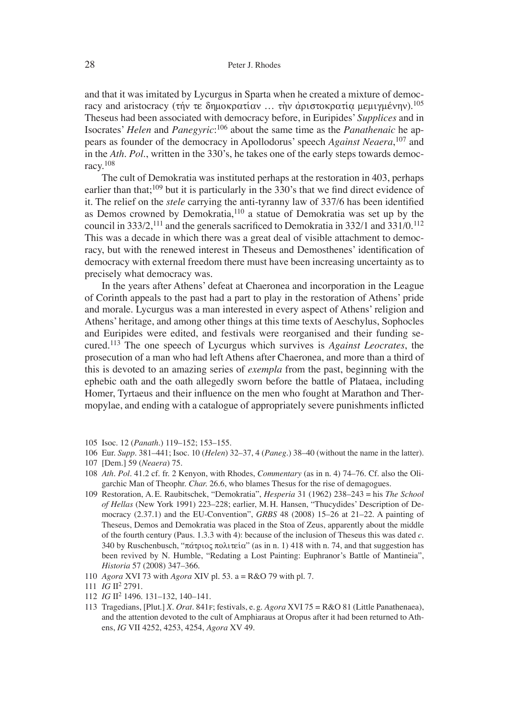and that it was imitated by Lycurgus in Sparta when he created a mixture of democracy and aristocracy (τήν τε δημοκρατίαν ... την αριστοκρατία μεμιγμένην).<sup>105</sup> Theseus had been associated with democracy before, in Euripides' *Supplices* and in Isocrates' *Helen* and *Panegyric*: 106 about the same time as the *Panathenaic* he appears as founder of the democracy in Apollodorus' speech *Against Neaera*, 107 and in the *Ath. Pol.*, written in the 330's, he takes one of the early steps towards democracy.108

The cult of Demokratia was instituted perhaps at the restoration in 403, perhaps earlier than that;<sup>109</sup> but it is particularly in the 330's that we find direct evidence of it. The relief on the *stele* carrying the anti-tyranny law of 337/6 has been identified as Demos crowned by Demokratia,110 a statue of Demokratia was set up by the council in  $333/2$ , <sup>111</sup> and the generals sacrificed to Demokratia in  $332/1$  and  $331/0$ , <sup>112</sup> This was a decade in which there was a great deal of visible attachment to democracy, but with the renewed interest in Theseus and Demosthenes' identification of democracy with external freedom there must have been increasing uncertainty as to precisely what democracy was.

In the years after Athens' defeat at Chaeronea and incorporation in the League of Corinth appeals to the past had a part to play in the restoration of Athens' pride and morale. Lycurgus was a man interested in every aspect of Athens' religion and Athens' heritage, and among other things at this time texts of Aeschylus, Sophocles and Euripides were edited, and festivals were reorganised and their funding secured.113 The one speech of Lycurgus which survives is *Against Leocrates*, the prosecution of a man who had left Athens after Chaeronea, and more than a third of this is devoted to an amazing series of *exempla* from the past, beginning with the ephebic oath and the oath allegedly sworn before the battle of Plataea, including Homer, Tyrtaeus and their influence on the men who fought at Marathon and Thermopylae, and ending with a catalogue of appropriately severe punishments inflicted

- 105 Isoc. 12 (*Panath.*) 119–152; 153–155.
- 106 Eur. *Supp.* 381–441; Isoc. 10 (*Helen*) 32–37, 4 (*Paneg.*) 38–40 (without the name in the latter).
- 107 [Dem.] 59 (*Neaera*) 75.
- 108 *Ath. Pol.* 41.2 cf. fr. 2 Kenyon, with Rhodes, *Commentary* (as in n. 4) 74–76. Cf. also the Oligarchic Man of Theophr. *Char.* 26.6, who blames Thesus for the rise of demagogues.
- 109 Restoration, A. E. Raubitschek, "Demokratia", *Hesperia* 31 (1962) 238–243 = his *The School of Hellas* (New York 1991) 223–228; earlier, M. H. Hansen, "Thucydides' Description of Democracy (2.37.1) and the EU-Convention", *GRBS* 48 (2008) 15–26 at 21–22. A painting of Theseus, Demos and Demokratia was placed in the Stoa of Zeus, apparently about the middle of the fourth century (Paus. 1.3.3 with 4): because of the inclusion of Theseus this was dated *c.* 340 by Ruschenbusch, " $\pi \alpha \tau$  puoς  $\pi$ ολιτεία" (as in n. 1) 418 with n. 74, and that suggestion has been revived by N. Humble, "Redating a Lost Painting: Euphranor's Battle of Mantineia", *Historia* 57 (2008) 347–366.
- 110 *Agora* XVI 73 with *Agora* XIV pl. 53. a = R&O 79 with pl. 7.
- 111 *IG* II2 2791.
- 112 *IG* II2 1496. 131–132, 140–141.
- 113 Tragedians, [Plut.] *X. Orat.* 841f; festivals, e. g. *Agora* XVI 75 = R&O 81 (Little Panathenaea), and the attention devoted to the cult of Amphiaraus at Oropus after it had been returned to Athens, *IG* VII 4252, 4253, 4254, *Agora* XV 49.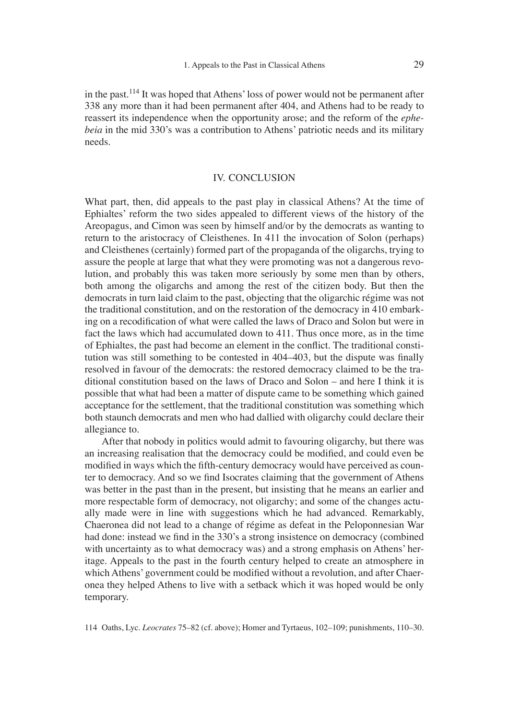in the past.114 It was hoped that Athens' loss of power would not be permanent after 338 any more than it had been permanent after 404, and Athens had to be ready to reassert its independence when the opportunity arose; and the reform of the *ephebeia* in the mid 330's was a contribution to Athens' patriotic needs and its military needs.

#### IV. CONCLUSION

What part, then, did appeals to the past play in classical Athens? At the time of Ephialtes' reform the two sides appealed to different views of the history of the Areopagus, and Cimon was seen by himself and/or by the democrats as wanting to return to the aristocracy of Cleisthenes. In 411 the invocation of Solon (perhaps) and Cleisthenes (certainly) formed part of the propaganda of the oligarchs, trying to assure the people at large that what they were promoting was not a dangerous revolution, and probably this was taken more seriously by some men than by others, both among the oligarchs and among the rest of the citizen body. But then the democrats in turn laid claim to the past, objecting that the oligarchic régime was not the traditional constitution, and on the restoration of the democracy in 410 embarking on a recodification of what were called the laws of Draco and Solon but were in fact the laws which had accumulated down to 411. Thus once more, as in the time of Ephialtes, the past had become an element in the conflict. The traditional constitution was still something to be contested in  $404-403$ , but the dispute was finally resolved in favour of the democrats: the restored democracy claimed to be the traditional constitution based on the laws of Draco and Solon – and here I think it is possible that what had been a matter of dispute came to be something which gained acceptance for the settlement, that the traditional constitution was something which both staunch democrats and men who had dallied with oligarchy could declare their allegiance to.

After that nobody in politics would admit to favouring oligarchy, but there was an increasing realisation that the democracy could be modified, and could even be modified in ways which the fifth-century democracy would have perceived as counter to democracy. And so we find Isocrates claiming that the government of Athens was better in the past than in the present, but insisting that he means an earlier and more respectable form of democracy, not oligarchy; and some of the changes actually made were in line with suggestions which he had advanced. Remarkably, Chaeronea did not lead to a change of régime as defeat in the Peloponnesian War had done: instead we find in the 330's a strong insistence on democracy (combined with uncertainty as to what democracy was) and a strong emphasis on Athens' heritage. Appeals to the past in the fourth century helped to create an atmosphere in which Athens' government could be modified without a revolution, and after Chaeronea they helped Athens to live with a setback which it was hoped would be only temporary.

<sup>114</sup> Oaths, Lyc. *Leocrates* 75–82 (cf. above); Homer and Tyrtaeus, 102–109; punishments, 110–30.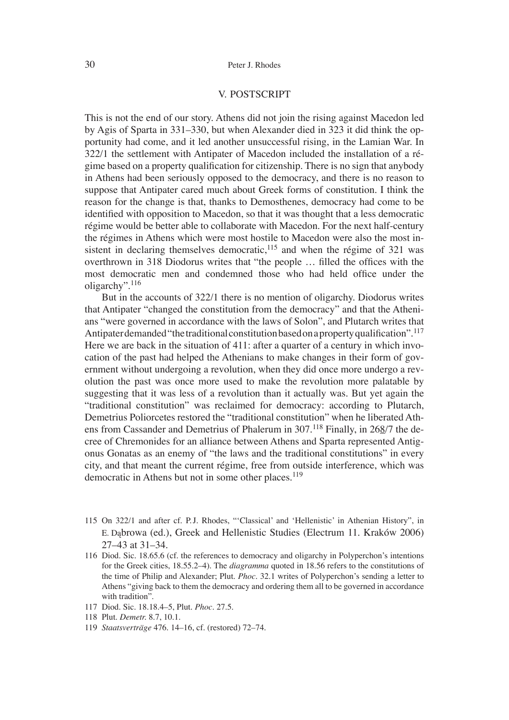#### V. POSTSCRIPT

This is not the end of our story. Athens did not join the rising against Macedon led by Agis of Sparta in 331–330, but when Alexander died in 323 it did think the opportunity had come, and it led another unsuccessful rising, in the Lamian War. In 322/1 the settlement with Antipater of Macedon included the installation of a régime based on a property qualification for citizenship. There is no sign that anybody in Athens had been seriously opposed to the democracy, and there is no reason to suppose that Antipater cared much about Greek forms of constitution. I think the reason for the change is that, thanks to Demosthenes, democracy had come to be identified with opposition to Macedon, so that it was thought that a less democratic régime would be better able to collaborate with Macedon. For the next half-century the régimes in Athens which were most hostile to Macedon were also the most insistent in declaring themselves democratic, $115$  and when the régime of 321 was overthrown in 318 Diodorus writes that "the people ... filled the offices with the most democratic men and condemned those who had held office under the oligarchy".116

But in the accounts of 322/1 there is no mention of oligarchy. Diodorus writes that Antipater "changed the constitution from the democracy" and that the Athenians "were governed in accordance with the laws of Solon", and Plutarch writes that Antipater demanded "the traditional constitution based on a property qualification".<sup>117</sup> Here we are back in the situation of 411: after a quarter of a century in which invocation of the past had helped the Athenians to make changes in their form of government without undergoing a revolution, when they did once more undergo a revolution the past was once more used to make the revolution more palatable by suggesting that it was less of a revolution than it actually was. But yet again the "traditional constitution" was reclaimed for democracy: according to Plutarch, Demetrius Poliorcetes restored the "traditional constitution" when he liberated Athens from Cassander and Demetrius of Phalerum in 307.<sup>118</sup> Finally, in 268/7 the decree of Chremonides for an alliance between Athens and Sparta represented Antigonus Gonatas as an enemy of "the laws and the traditional constitutions" in every city, and that meant the current régime, free from outside interference, which was democratic in Athens but not in some other places.<sup>119</sup>

- 115 On 322/1 and after cf. P.J. Rhodes, "'Classical' and 'Hellenistic' in Athenian History", in E. Dąbrowa (ed.), Greek and Hellenistic Studies (Electrum 11. Kraków 2006) 27–43 at 31–34.
- 116 Diod. Sic. 18.65.6 (cf. the references to democracy and oligarchy in Polyperchon's intentions for the Greek cities, 18.55.2–4). The *diagramma* quoted in 18.56 refers to the constitutions of the time of Philip and Alexander; Plut. *Phoc.* 32.1 writes of Polyperchon's sending a letter to Athens "giving back to them the democracy and ordering them all to be governed in accordance with tradition".
- 117 Diod. Sic. 18.18.4–5, Plut. *Phoc.* 27.5.
- 118 Plut. *Demetr.* 8.7, 10.1.
- 119 *Staatsverträge* 476. 14–16, cf. (restored) 72–74.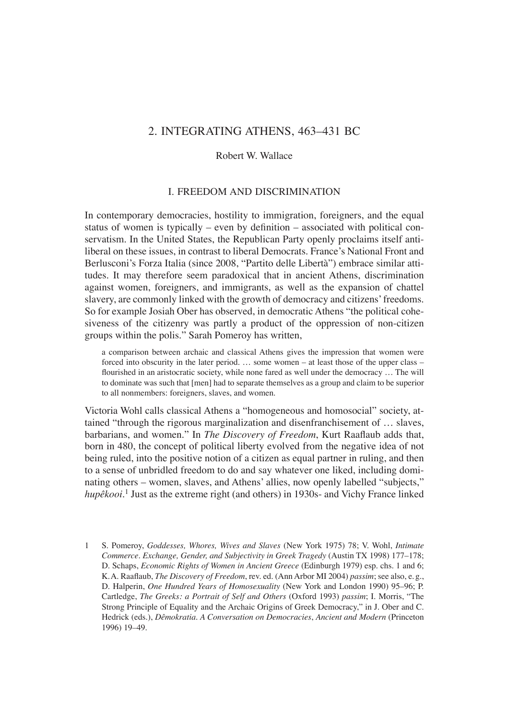## 2. INTEGRATING ATHENS, 463–431 BC

#### Robert W. Wallace

#### I. FREEDOM AND DISCRIMINATION

In contemporary democracies, hostility to immigration, foreigners, and the equal status of women is typically – even by definition – associated with political conservatism. In the United States, the Republican Party openly proclaims itself antiliberal on these issues, in contrast to liberal Democrats. France's National Front and Berlusconi's Forza Italia (since 2008, "Partito delle Libertà") embrace similar attitudes. It may therefore seem paradoxical that in ancient Athens, discrimination against women, foreigners, and immigrants, as well as the expansion of chattel slavery, are commonly linked with the growth of democracy and citizens' freedoms. So for example Josiah Ober has observed, in democratic Athens "the political cohesiveness of the citizenry was partly a product of the oppression of non-citizen groups within the polis." Sarah Pomeroy has written,

a comparison between archaic and classical Athens gives the impression that women were forced into obscurity in the later period. … some women – at least those of the upper class – flourished in an aristocratic society, while none fared as well under the democracy ... The will to dominate was such that [men] had to separate themselves as a group and claim to be superior to all nonmembers: foreigners, slaves, and women.

Victoria Wohl calls classical Athens a "homogeneous and homosocial" society, attained "through the rigorous marginalization and disenfranchisement of … slaves, barbarians, and women." In *The Discovery of Freedom*, Kurt Raaflaub adds that, born in 480, the concept of political liberty evolved from the negative idea of not being ruled, into the positive notion of a citizen as equal partner in ruling, and then to a sense of unbridled freedom to do and say whatever one liked, including dominating others – women, slaves, and Athens' allies, now openly labelled "subjects," *hupêkooi*. 1 Just as the extreme right (and others) in 1930s- and Vichy France linked

1 S. Pomeroy, *Goddesses, Whores, Wives and Slaves* (New York 1975) 78; V. Wohl, *Intimate Commerce. Exchange, Gender, and Subjectivity in Greek Tragedy* (Austin TX 1998) 177–178; D. Schaps, *Economic Rights of Women in Ancient Greece* (Edinburgh 1979) esp. chs. 1 and 6; K. A. Raafl aub, *The Discovery of Freedom*, rev. ed. (Ann Arbor MI 2004) *passim*; see also, e. g., D. Halperin, *One Hundred Years of Homosexuality* (New York and London 1990) 95–96; P. Cartledge, *The Greeks: a Portrait of Self and Others* (Oxford 1993) *passim*; I. Morris, "The Strong Principle of Equality and the Archaic Origins of Greek Democracy," in J. Ober and C. Hedrick (eds.), *Dêmokratia. A Conversation on Democracies*, *Ancient and Modern* (Princeton 1996) 19–49.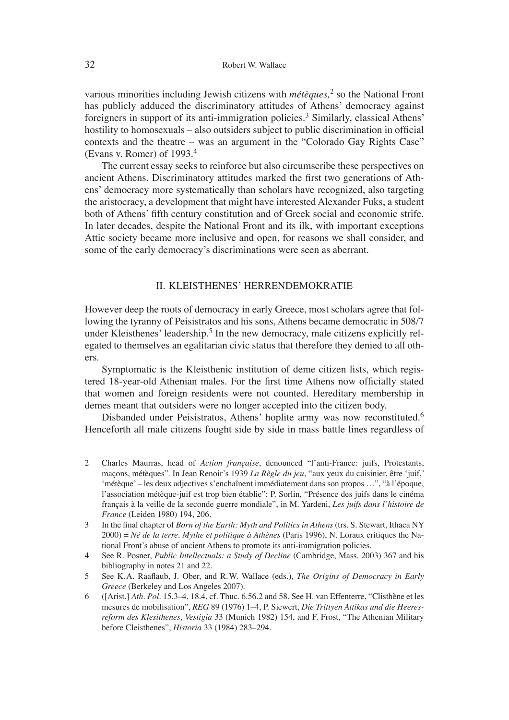various minorities including Jewish citizens with *métèques,*<sup>2</sup> so the National Front has publicly adduced the discriminatory attitudes of Athens' democracy against foreigners in support of its anti-immigration policies.<sup>3</sup> Similarly, classical Athens' hostility to homosexuals – also outsiders subject to public discrimination in official contexts and the theatre – was an argument in the "Colorado Gay Rights Case" (Evans v. Romer) of 1993.4

The current essay seeks to reinforce but also circumscribe these perspectives on ancient Athens. Discriminatory attitudes marked the first two generations of Athens' democracy more systematically than scholars have recognized, also targeting the aristocracy, a development that might have interested Alexander Fuks, a student both of Athens' fifth century constitution and of Greek social and economic strife. In later decades, despite the National Front and its ilk, with important exceptions Attic society became more inclusive and open, for reasons we shall consider, and some of the early democracy's discriminations were seen as aberrant.

#### II. KLEISTHENES' HERRENDEMOKRATIE

However deep the roots of democracy in early Greece, most scholars agree that following the tyranny of Peisistratos and his sons, Athens became democratic in 508/7 under Kleisthenes' leadership.<sup>5</sup> In the new democracy, male citizens explicitly relegated to themselves an egalitarian civic status that therefore they denied to all others.

Symptomatic is the Kleisthenic institution of deme citizen lists, which registered 18-year-old Athenian males. For the first time Athens now officially stated that women and foreign residents were not counted. Hereditary membership in demes meant that outsiders were no longer accepted into the citizen body.

Disbanded under Peisistratos, Athens' hoplite army was now reconstituted.<sup>6</sup> Henceforth all male citizens fought side by side in mass battle lines regardless of

- 2 Charles Maurras, head of *Action française*, denounced "l'anti-France: juifs, Protestants, maçons, métèques". In Jean Renoir's 1939 *La Règle du jeu*, "aux yeux du cuisinier, être ʻjuif,' ʻmétèque' – les deux adjectives s'enchaînent immédiatement dans son propos …", "à l'époque, l'association métèque-juif est trop bien établie": P. Sorlin, "Présence des juifs dans le cinéma français à la veille de la seconde guerre mondiale", in M. Yardeni, *Les juifs dans l'histoire de France* (Leiden 1980) 194, 206.
- 3 In the final chapter of *Born of the Earth: Myth and Politics in Athens* (trs. S. Stewart, Ithaca NY 2000) = *Né de la terre. Mythe et politique à Athènes* (Paris 1996), N. Loraux critiques the National Front's abuse of ancient Athens to promote its anti-immigration policies.
- 4 See R. Posner, *Public Intellectuals: a Study of Decline* (Cambridge, Mass. 2003) 367 and his bibliography in notes 21 and 22.
- 5 See K.A. Raaflaub, J. Ober, and R.W. Wallace (eds.), *The Origins of Democracy in Early Greece* (Berkeley and Los Angeles 2007).
- 6 ([Arist.] *Ath. Pol*. 15.3–4, 18.4, cf. Thuc. 6.56.2 and 58. See H. van Effenterre, "Clisthène et les mesures de mobilisation", *REG* 89 (1976) 1–4, P. Siewert, *Die Trittyen Attikas und die Heeresreform des Klesithenes*, *Vestigia* 33 (Munich 1982) 154, and F. Frost, "The Athenian Military before Cleisthenes", *Historia* 33 (1984) 283–294.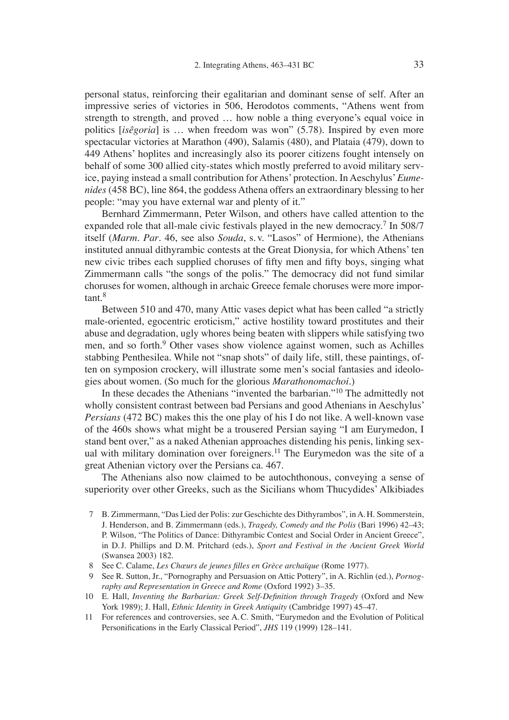personal status, reinforcing their egalitarian and dominant sense of self. After an impressive series of victories in 506, Herodotos comments, "Athens went from strength to strength, and proved … how noble a thing everyone's equal voice in politics [*isêgoria*] is … when freedom was won" (5.78). Inspired by even more spectacular victories at Marathon (490), Salamis (480), and Plataia (479), down to 449 Athens' hoplites and increasingly also its poorer citizens fought intensely on behalf of some 300 allied city-states which mostly preferred to avoid military service, paying instead a small contribution for Athens' protection. In Aeschylus'*Eumenides* (458 BC), line 864, the goddess Athena offers an extraordinary blessing to her people: "may you have external war and plenty of it."

Bernhard Zimmermann, Peter Wilson, and others have called attention to the expanded role that all-male civic festivals played in the new democracy.<sup>7</sup> In 508/7 itself (*Marm. Par*. 46, see also *Souda*, s. v. "Lasos" of Hermione), the Athenians instituted annual dithyrambic contests at the Great Dionysia, for which Athens' ten new civic tribes each supplied choruses of fifty men and fifty boys, singing what Zimmermann calls "the songs of the polis." The democracy did not fund similar choruses for women, although in archaic Greece female choruses were more impor $tant$ <sup>8</sup>

Between 510 and 470, many Attic vases depict what has been called "a strictly male-oriented, egocentric eroticism," active hostility toward prostitutes and their abuse and degradation, ugly whores being beaten with slippers while satisfying two men, and so forth.<sup>9</sup> Other vases show violence against women, such as Achilles stabbing Penthesilea. While not "snap shots" of daily life, still, these paintings, often on symposion crockery, will illustrate some men's social fantasies and ideologies about women. (So much for the glorious *Marathonomachoi*.)

In these decades the Athenians "invented the barbarian."10 The admittedly not wholly consistent contrast between bad Persians and good Athenians in Aeschylus' *Persians* (472 BC) makes this the one play of his I do not like. A well-known vase of the 460s shows what might be a trousered Persian saying "I am Eurymedon, I stand bent over," as a naked Athenian approaches distending his penis, linking sexual with military domination over foreigners.<sup>11</sup> The Eurymedon was the site of a great Athenian victory over the Persians ca. 467.

The Athenians also now claimed to be autochthonous, conveying a sense of superiority over other Greeks, such as the Sicilians whom Thucydides' Alkibiades

- 7 B. Zimmermann, "Das Lied der Polis: zur Geschichte des Dithyrambos", in A. H. Sommerstein, J. Henderson, and B. Zimmermann (eds.), *Tragedy, Comedy and the Polis* (Bari 1996) 42–43; P. Wilson, "The Politics of Dance: Dithyrambic Contest and Social Order in Ancient Greece", in D. J. Phillips and D. M. Pritchard (eds.), *Sport and Festival in the Ancient Greek World* (Swansea 2003) 182.
- 8 See C. Calame, *Les Chœurs de jeunes filles en Grèce archaïque* (Rome 1977).
- 9 See R. Sutton, Jr., "Pornography and Persuasion on Attic Pottery", in A. Richlin (ed.), *Pornography and Representation in Greece and Rome* (Oxford 1992) 3–35.
- 10 E. Hall, *Inventing the Barbarian: Greek Self-Definition through Tragedy* (Oxford and New York 1989); J. Hall, *Ethnic Identity in Greek Antiquity* (Cambridge 1997) 45–47.
- 11 For references and controversies, see A. C. Smith, "Eurymedon and the Evolution of Political Personifications in the Early Classical Period", *JHS* 119 (1999) 128-141.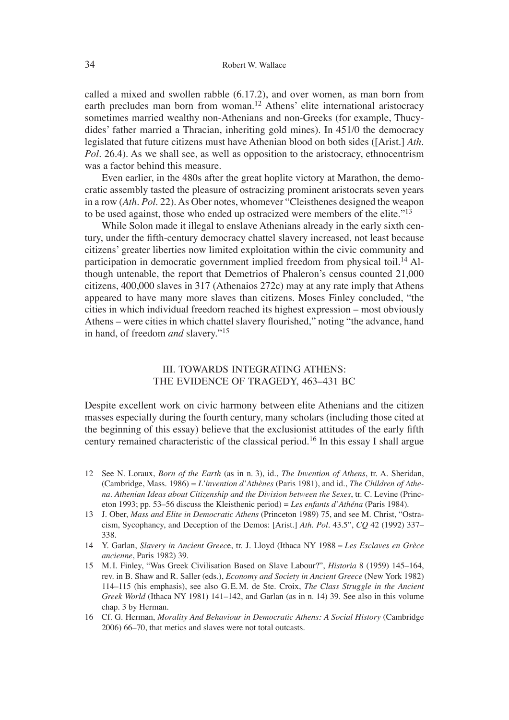called a mixed and swollen rabble (6.17.2), and over women, as man born from earth precludes man born from woman.<sup>12</sup> Athens' elite international aristocracy sometimes married wealthy non-Athenians and non-Greeks (for example, Thucydides' father married a Thracian, inheriting gold mines). In 451/0 the democracy legislated that future citizens must have Athenian blood on both sides ([Arist.] *Ath. Pol.* 26.4). As we shall see, as well as opposition to the aristocracy, ethnocentrism was a factor behind this measure.

Even earlier, in the 480s after the great hoplite victory at Marathon, the democratic assembly tasted the pleasure of ostracizing prominent aristocrats seven years in a row (*Ath. Pol*. 22). As Ober notes, whomever "Cleisthenes designed the weapon to be used against, those who ended up ostracized were members of the elite."13

While Solon made it illegal to enslave Athenians already in the early sixth century, under the fifth-century democracy chattel slavery increased, not least because citizens' greater liberties now limited exploitation within the civic community and participation in democratic government implied freedom from physical toil.<sup>14</sup> Although untenable, the report that Demetrios of Phaleron's census counted 21,000 citizens, 400,000 slaves in 317 (Athenaios 272c) may at any rate imply that Athens appeared to have many more slaves than citizens. Moses Finley concluded, "the cities in which individual freedom reached its highest expression – most obviously Athens – were cities in which chattel slavery flourished," noting "the advance, hand in hand, of freedom *and* slavery."15

### III. TOWARDS INTEGRATING ATHENS: THE EVIDENCE OF TRAGEDY, 463–431 BC

Despite excellent work on civic harmony between elite Athenians and the citizen masses especially during the fourth century, many scholars (including those cited at the beginning of this essay) believe that the exclusionist attitudes of the early fifth century remained characteristic of the classical period.16 In this essay I shall argue

- 12 See N. Loraux, *Born of the Earth* (as in n. 3), id., *The Invention of Athens*, tr. A. Sheridan, (Cambridge, Mass. 1986) = *L'invention d'Athènes* (Paris 1981), and id., *The Children of Athena. Athenian Ideas about Citizenship and the Division between the Sexes*, tr. C. Levine (Princeton 1993; pp. 53–56 discuss the Kleisthenic period) = *Les enfants d'Athéna* (Paris 1984).
- 13 J. Ober, *Mass and Elite in Democratic Athens* (Princeton 1989) 75, and see M. Christ, "Ostracism, Sycophancy, and Deception of the Demos: [Arist.] *Ath. Pol.* 43.5", *CQ* 42 (1992) 337– 338.
- 14 Y. Garlan, *Slavery in Ancient Greec*e, tr. J. Lloyd (Ithaca NY 1988 = *Les Esclaves en Grèce ancienne*, Paris 1982) 39.
- 15 M. I. Finley, "Was Greek Civilisation Based on Slave Labour?", *Historia* 8 (1959) 145–164, rev. in B. Shaw and R. Saller (eds.), *Economy and Society in Ancient Greece* (New York 1982) 114–115 (his emphasis), see also G. E. M. de Ste. Croix, *The Class Struggle in the Ancient Greek World* (Ithaca NY 1981) 141–142, and Garlan (as in n. 14) 39. See also in this volume chap. 3 by Herman.
- 16 Cf. G. Herman, *Morality And Behaviour in Democratic Athens: A Social History* (Cambridge 2006) 66–70, that metics and slaves were not total outcasts.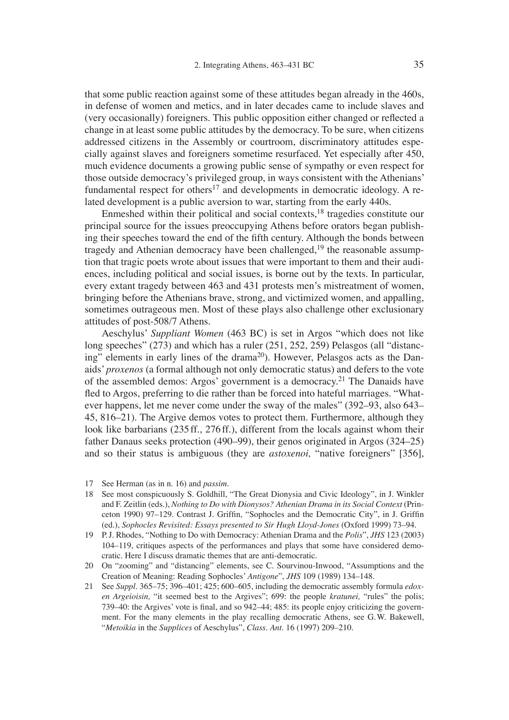that some public reaction against some of these attitudes began already in the 460s, in defense of women and metics, and in later decades came to include slaves and (very occasionally) foreigners. This public opposition either changed or reflected a change in at least some public attitudes by the democracy. To be sure, when citizens addressed citizens in the Assembly or courtroom, discriminatory attitudes especially against slaves and foreigners sometime resurfaced. Yet especially after 450, much evidence documents a growing public sense of sympathy or even respect for those outside democracy's privileged group, in ways consistent with the Athenians' fundamental respect for others<sup>17</sup> and developments in democratic ideology. A related development is a public aversion to war, starting from the early 440s.

Enmeshed within their political and social contexts,18 tragedies constitute our principal source for the issues preoccupying Athens before orators began publishing their speeches toward the end of the fifth century. Although the bonds between tragedy and Athenian democracy have been challenged, $19$  the reasonable assumption that tragic poets wrote about issues that were important to them and their audiences, including political and social issues, is borne out by the texts. In particular, every extant tragedy between 463 and 431 protests men's mistreatment of women, bringing before the Athenians brave, strong, and victimized women, and appalling, sometimes outrageous men. Most of these plays also challenge other exclusionary attitudes of post-508/7 Athens.

Aeschylus' *Suppliant Women* (463 BC) is set in Argos "which does not like long speeches" (273) and which has a ruler (251, 252, 259) Pelasgos (all "distancing" elements in early lines of the drama<sup>20</sup>). However, Pelasgos acts as the Danaids' *proxenos* (a formal although not only democratic status) and defers to the vote of the assembled demos: Argos' government is a democracy.<sup>21</sup> The Danaids have fled to Argos, preferring to die rather than be forced into hateful marriages. "Whatever happens, let me never come under the sway of the males" (392–93, also 643– 45, 816–21). The Argive demos votes to protect them. Furthermore, although they look like barbarians (235 ff., 276 ff.), different from the locals against whom their father Danaus seeks protection (490–99), their genos originated in Argos (324–25) and so their status is ambiguous (they are *astoxenoi,* "native foreigners" [356],

- 18 See most conspicuously S. Goldhill, "The Great Dionysia and Civic Ideology", in J. Winkler and F. Zeitlin (eds.), *Nothing to Do with Dionysos? Athenian Drama in its Social Context* (Princeton 1990) 97-129. Contrast J. Griffin, "Sophocles and the Democratic City", in J. Griffin (ed.), *Sophocles Revisited: Essays presented to Sir Hugh Lloyd-Jones* (Oxford 1999) 73–94.
- 19 P. J. Rhodes, "Nothing to Do with Democracy: Athenian Drama and the *Polis*", *JHS* 123 (2003) 104–119, critiques aspects of the performances and plays that some have considered democratic. Here I discuss dramatic themes that are anti-democratic.
- 20 On "zooming" and "distancing" elements, see C. Sourvinou-Inwood, "Assumptions and the Creation of Meaning: Reading Sophocles' *Antigone*", *JHS* 109 (1989) 134–148.
- 21 See *Suppl*. 365–75; 396–401; 425; 600–605, including the democratic assembly formula *edoxen Argeioisin,* "it seemed best to the Argives"; 699: the people *kratunei,* "rules" the polis; 739–40: the Argives' vote is final, and so  $942-44$ ;  $485$ : its people enjoy criticizing the government. For the many elements in the play recalling democratic Athens, see G. W. Bakewell, "*Metoikia* in the *Supplices* of Aeschylus", *Class. Ant*. 16 (1997) 209–210.

<sup>17</sup> See Herman (as in n. 16) and *passim*.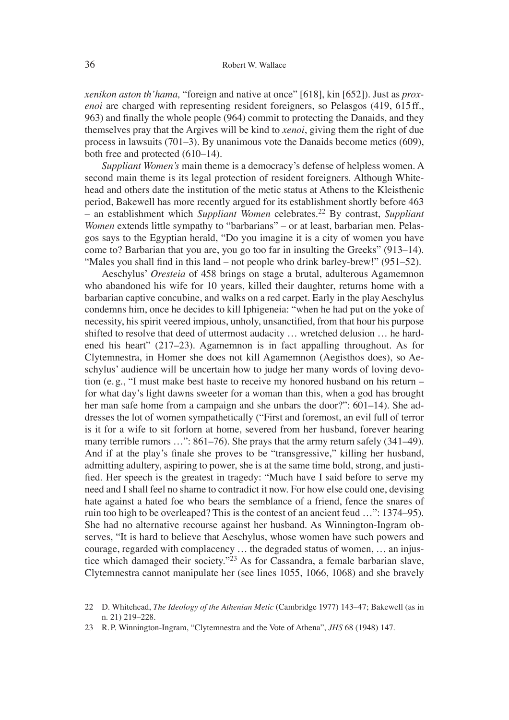*xenikon aston th'hama,* "foreign and native at once" [618], kin [652]). Just as *proxenoi* are charged with representing resident foreigners, so Pelasgos (419, 615 ff., 963) and finally the whole people (964) commit to protecting the Danaids, and they themselves pray that the Argives will be kind to *xenoi*, giving them the right of due process in lawsuits (701–3). By unanimous vote the Danaids become metics (609), both free and protected (610–14).

*Suppliant Women's* main theme is a democracy's defense of helpless women. A second main theme is its legal protection of resident foreigners. Although Whitehead and others date the institution of the metic status at Athens to the Kleisthenic period, Bakewell has more recently argued for its establishment shortly before 463 – an establishment which *Suppliant Women* celebrates.22 By contrast, *Suppliant Women* extends little sympathy to "barbarians" – or at least, barbarian men. Pelasgos says to the Egyptian herald, "Do you imagine it is a city of women you have come to? Barbarian that you are, you go too far in insulting the Greeks" (913–14). "Males you shall find in this land – not people who drink barley-brew!"  $(951-52)$ .

Aeschylus' *Oresteia* of 458 brings on stage a brutal, adulterous Agamemnon who abandoned his wife for 10 years, killed their daughter, returns home with a barbarian captive concubine, and walks on a red carpet. Early in the play Aeschylus condemns him, once he decides to kill Iphigeneia: "when he had put on the yoke of necessity, his spirit veered impious, unholy, unsanctified, from that hour his purpose shifted to resolve that deed of uttermost audacity … wretched delusion … he hardened his heart" (217–23). Agamemnon is in fact appalling throughout. As for Clytemnestra, in Homer she does not kill Agamemnon (Aegisthos does), so Aeschylus' audience will be uncertain how to judge her many words of loving devotion (e. g., "I must make best haste to receive my honored husband on his return – for what day's light dawns sweeter for a woman than this, when a god has brought her man safe home from a campaign and she unbars the door?": 601–14). She addresses the lot of women sympathetically ("First and foremost, an evil full of terror is it for a wife to sit forlorn at home, severed from her husband, forever hearing many terrible rumors ...": 861–76). She prays that the army return safely (341–49). And if at the play's finale she proves to be "transgressive," killing her husband, admitting adultery, aspiring to power, she is at the same time bold, strong, and justified. Her speech is the greatest in tragedy: "Much have I said before to serve my need and I shall feel no shame to contradict it now. For how else could one, devising hate against a hated foe who bears the semblance of a friend, fence the snares of ruin too high to be overleaped? This is the contest of an ancient feud …": 1374–95). She had no alternative recourse against her husband. As Winnington-Ingram observes, "It is hard to believe that Aeschylus, whose women have such powers and courage, regarded with complacency … the degraded status of women, … an injustice which damaged their society."23 As for Cassandra, a female barbarian slave, Clytemnestra cannot manipulate her (see lines 1055, 1066, 1068) and she bravely

<sup>22</sup> D. Whitehead, *The Ideology of the Athenian Metic* (Cambridge 1977) 143–47; Bakewell (as in n. 21) 219–228.

<sup>23</sup> R. P. Winnington-Ingram, "Clytemnestra and the Vote of Athena", *JHS* 68 (1948) 147.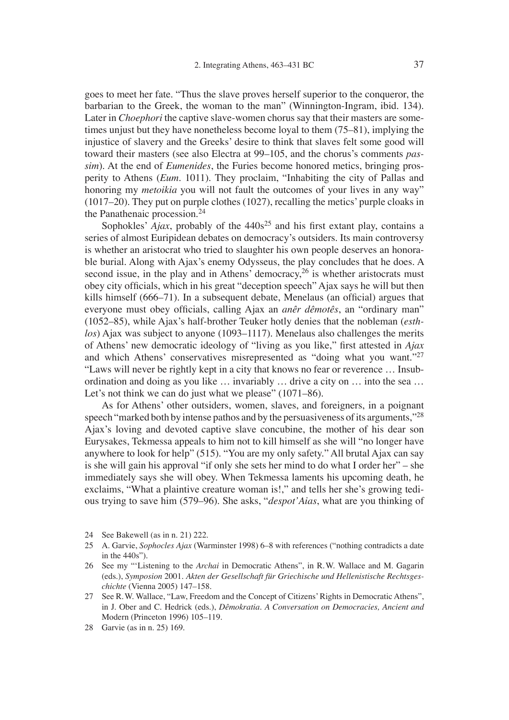goes to meet her fate. "Thus the slave proves herself superior to the conqueror, the barbarian to the Greek, the woman to the man" (Winnington-Ingram, ibid. 134). Later in *Choephori* the captive slave-women chorus say that their masters are sometimes unjust but they have nonetheless become loyal to them (75–81), implying the injustice of slavery and the Greeks' desire to think that slaves felt some good will toward their masters (see also Electra at 99–105, and the chorus's comments *passim*). At the end of *Eumenides*, the Furies become honored metics, bringing prosperity to Athens (*Eum*. 1011). They proclaim, "Inhabiting the city of Pallas and honoring my *metoikia* you will not fault the outcomes of your lives in any way" (1017–20). They put on purple clothes (1027), recalling the metics' purple cloaks in the Panathenaic procession.24

Sophokles'  $A$ *jax*, probably of the  $440s<sup>25</sup>$  and his first extant play, contains a series of almost Euripidean debates on democracy's outsiders. Its main controversy is whether an aristocrat who tried to slaughter his own people deserves an honorable burial. Along with Ajax's enemy Odysseus, the play concludes that he does. A second issue, in the play and in Athens' democracy,  $^{26}$  is whether aristocrats must obey city officials, which in his great "deception speech" Ajax says he will but then kills himself  $(666-71)$ . In a subsequent debate, Menelaus (an official) argues that everyone must obey officials, calling Ajax an *anêr dêmotês*, an "ordinary man" (1052–85), while Ajax's half-brother Teuker hotly denies that the nobleman (*esthlos*) Ajax was subject to anyone (1093–1117). Menelaus also challenges the merits of Athens' new democratic ideology of "living as you like," first attested in *Ajax* and which Athens' conservatives misrepresented as "doing what you want."<sup>27</sup> "Laws will never be rightly kept in a city that knows no fear or reverence … Insubordination and doing as you like … invariably … drive a city on … into the sea … Let's not think we can do just what we please" (1071–86).

As for Athens' other outsiders, women, slaves, and foreigners, in a poignant speech "marked both by intense pathos and by the persuasiveness of its arguments,"28 Ajax's loving and devoted captive slave concubine, the mother of his dear son Eurysakes, Tekmessa appeals to him not to kill himself as she will "no longer have anywhere to look for help" (515). "You are my only safety." All brutal Ajax can say is she will gain his approval "if only she sets her mind to do what I order her" – she immediately says she will obey. When Tekmessa laments his upcoming death, he exclaims, "What a plaintive creature woman is!," and tells her she's growing tedious trying to save him (579–96). She asks, "*despot'Aias*, what are you thinking of

- 24 See Bakewell (as in n. 21) 222.
- 25 A. Garvie, *Sophocles Ajax* (Warminster 1998) 6–8 with references ("nothing contradicts a date in the 440s").
- 26 See my "ʻListening to the *Archai* in Democratic Athens", in R. W. Wallace and M. Gagarin (eds.), *Symposion* 2001. *Akten der Gesellschaft für Griechische und Hellenistische Rechtsgeschichte* (Vienna 2005) 147–158.
- 27 See R. W. Wallace, "Law, Freedom and the Concept of Citizens' Rights in Democratic Athens", in J. Ober and C. Hedrick (eds.), *Dêmokratia. A Conversation on Democracies, Ancient and*  Modern (Princeton 1996) 105–119.
- 28 Garvie (as in n. 25) 169.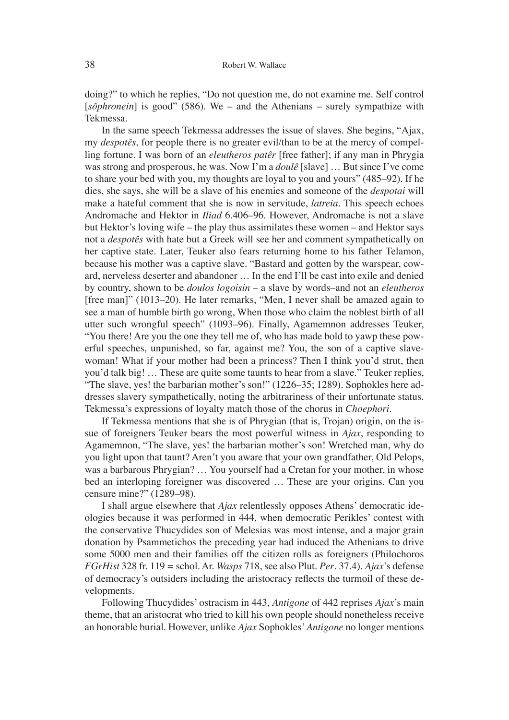doing?" to which he replies, "Do not question me, do not examine me. Self control [sôphronein] is good" (586). We – and the Athenians – surely sympathize with Tekmessa.

In the same speech Tekmessa addresses the issue of slaves. She begins, "Ajax, my *despotês*, for people there is no greater evil/than to be at the mercy of compelling fortune. I was born of an *eleutheros patêr* [free father]; if any man in Phrygia was strong and prosperous, he was. Now I'm a *doulê* [slave] … But since I've come to share your bed with you, my thoughts are loyal to you and yours" (485–92). If he dies, she says, she will be a slave of his enemies and someone of the *despotai* will make a hateful comment that she is now in servitude, *latreia*. This speech echoes Andromache and Hektor in *Iliad* 6.406–96. However, Andromache is not a slave but Hektor's loving wife – the play thus assimilates these women – and Hektor says not a *despotês* with hate but a Greek will see her and comment sympathetically on her captive state. Later, Teuker also fears returning home to his father Telamon, because his mother was a captive slave. "Bastard and gotten by the warspear, coward, nerveless deserter and abandoner … In the end I'll be cast into exile and denied by country, shown to be *doulos logoisin* – a slave by words–and not an *eleutheros*  [free man]" (1013–20). He later remarks, "Men, I never shall be amazed again to see a man of humble birth go wrong, When those who claim the noblest birth of all utter such wrongful speech" (1093–96). Finally, Agamemnon addresses Teuker, "You there! Are you the one they tell me of, who has made bold to yawp these powerful speeches, unpunished, so far, against me? You, the son of a captive slavewoman! What if your mother had been a princess? Then I think you'd strut, then you'd talk big! … These are quite some taunts to hear from a slave." Teuker replies, "The slave, yes! the barbarian mother's son!" (1226–35; 1289). Sophokles here addresses slavery sympathetically, noting the arbitrariness of their unfortunate status. Tekmessa's expressions of loyalty match those of the chorus in *Choephori*.

If Tekmessa mentions that she is of Phrygian (that is, Trojan) origin, on the issue of foreigners Teuker bears the most powerful witness in *Ajax*, responding to Agamemnon, "The slave, yes! the barbarian mother's son! Wretched man, why do you light upon that taunt? Aren't you aware that your own grandfather, Old Pelops, was a barbarous Phrygian? … You yourself had a Cretan for your mother, in whose bed an interloping foreigner was discovered … These are your origins. Can you censure mine?" (1289–98).

I shall argue elsewhere that *Ajax* relentlessly opposes Athens' democratic ideologies because it was performed in 444, when democratic Perikles' contest with the conservative Thucydides son of Melesias was most intense, and a major grain donation by Psammetichos the preceding year had induced the Athenians to drive some 5000 men and their families off the citizen rolls as foreigners (Philochoros *FGrHist* 328 fr. 119 = schol. Ar. *Wasps* 718, see also Plut. *Per*. 37.4). *Ajax*'s defense of democracy's outsiders including the aristocracy reflects the turmoil of these developments.

Following Thucydides' ostracism in 443, *Antigone* of 442 reprises *Ajax*'s main theme, that an aristocrat who tried to kill his own people should nonetheless receive an honorable burial. However, unlike *Ajax* Sophokles'*Antigone* no longer mentions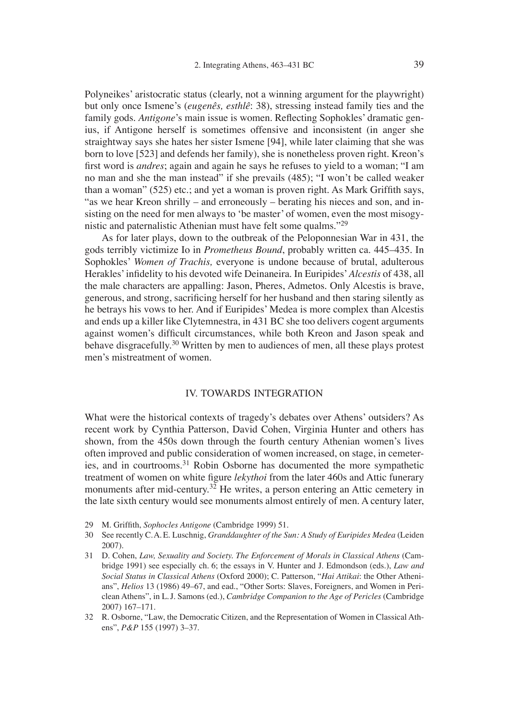Polyneikes' aristocratic status (clearly, not a winning argument for the playwright) but only once Ismene's (*eugenês, esthlê*: 38), stressing instead family ties and the family gods. *Antigone*'s main issue is women. Reflecting Sophokles' dramatic genius, if Antigone herself is sometimes offensive and inconsistent (in anger she straightway says she hates her sister Ismene [94], while later claiming that she was born to love [523] and defends her family), she is nonetheless proven right. Kreon's first word is *andres*; again and again he says he refuses to yield to a woman; "I am no man and she the man instead" if she prevails (485); "I won't be called weaker than a woman"  $(525)$  etc.; and yet a woman is proven right. As Mark Griffith says, "as we hear Kreon shrilly – and erroneously – berating his nieces and son, and insisting on the need for men always to ʻbe master' of women, even the most misogynistic and paternalistic Athenian must have felt some qualms."29

As for later plays, down to the outbreak of the Peloponnesian War in 431, the gods terribly victimize Io in *Prometheus Bound*, probably written ca. 445–435. In Sophokles' *Women of Trachis,* everyone is undone because of brutal, adulterous Herakles' infidelity to his devoted wife Deinaneira. In Euripides' *Alcestis* of 438, all the male characters are appalling: Jason, Pheres, Admetos. Only Alcestis is brave, generous, and strong, sacrificing herself for her husband and then staring silently as he betrays his vows to her. And if Euripides' Medea is more complex than Alcestis and ends up a killer like Clytemnestra, in 431 BC she too delivers cogent arguments against women's difficult circumstances, while both Kreon and Jason speak and behave disgracefully.<sup>30</sup> Written by men to audiences of men, all these plays protest men's mistreatment of women.

#### IV. TOWARDS INTEGRATION

What were the historical contexts of tragedy's debates over Athens' outsiders? As recent work by Cynthia Patterson, David Cohen, Virginia Hunter and others has shown, from the 450s down through the fourth century Athenian women's lives often improved and public consideration of women increased, on stage, in cemeteries, and in courtrooms.31 Robin Osborne has documented the more sympathetic treatment of women on white figure *lekythoi* from the later 460s and Attic funerary monuments after mid-century.<sup>32</sup> He writes, a person entering an Attic cemetery in the late sixth century would see monuments almost entirely of men. A century later,

- 29 M. Griffith, *Sophocles Antigone* (Cambridge 1999) 51.
- 30 See recently C. A. E. Luschnig, *Granddaughter of the Sun: A Study of Euripides Medea* (Leiden 2007).
- 31 D. Cohen, *Law, Sexuality and Society. The Enforcement of Morals in Classical Athens* (Cambridge 1991) see especially ch. 6; the essays in V. Hunter and J. Edmondson (eds.), *Law and Social Status in Classical Athens* (Oxford 2000); C. Patterson, "*Hai Attikai*: the Other Athenians", *Helios* 13 (1986) 49–67, and ead., "Other Sorts: Slaves, Foreigners, and Women in Periclean Athens", in L. J. Samons (ed.), *Cambridge Companion to the Age of Pericles* (Cambridge 2007) 167–171.
- 32 R. Osborne, "Law, the Democratic Citizen, and the Representation of Women in Classical Athens", *P&P* 155 (1997) 3–37.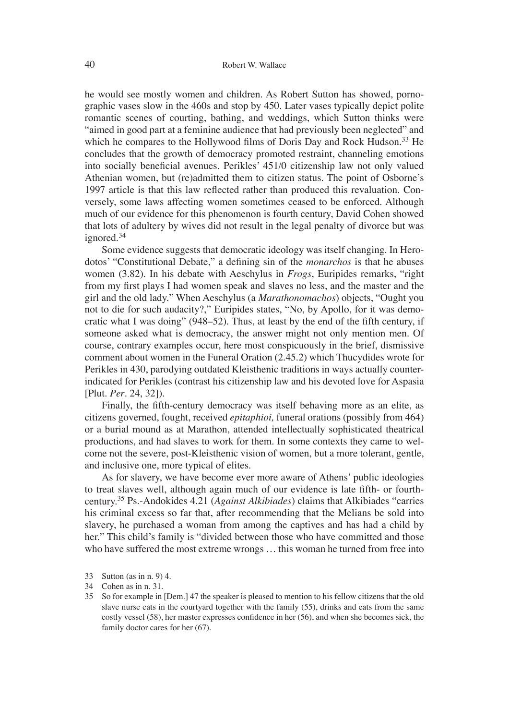he would see mostly women and children. As Robert Sutton has showed, pornographic vases slow in the 460s and stop by 450. Later vases typically depict polite romantic scenes of courting, bathing, and weddings, which Sutton thinks were "aimed in good part at a feminine audience that had previously been neglected" and which he compares to the Hollywood films of Doris Day and Rock Hudson.<sup>33</sup> He concludes that the growth of democracy promoted restraint, channeling emotions into socially beneficial avenues. Perikles' 451/0 citizenship law not only valued Athenian women, but (re)admitted them to citizen status. The point of Osborne's 1997 article is that this law reflected rather than produced this revaluation. Conversely, some laws affecting women sometimes ceased to be enforced. Although much of our evidence for this phenomenon is fourth century, David Cohen showed that lots of adultery by wives did not result in the legal penalty of divorce but was ignored.<sup>34</sup>

Some evidence suggests that democratic ideology was itself changing. In Herodotos' "Constitutional Debate," a defining sin of the *monarchos* is that he abuses women (3.82). In his debate with Aeschylus in *Frogs*, Euripides remarks, "right from my first plays I had women speak and slaves no less, and the master and the girl and the old lady." When Aeschylus (a *Marathonomachos*) objects, "Ought you not to die for such audacity?," Euripides states, "No, by Apollo, for it was democratic what I was doing"  $(948-52)$ . Thus, at least by the end of the fifth century, if someone asked what is democracy, the answer might not only mention men. Of course, contrary examples occur, here most conspicuously in the brief, dismissive comment about women in the Funeral Oration (2.45.2) which Thucydides wrote for Perikles in 430, parodying outdated Kleisthenic traditions in ways actually counterindicated for Perikles (contrast his citizenship law and his devoted love for Aspasia [Plut. *Per*. 24, 32]).

Finally, the fifth-century democracy was itself behaving more as an elite, as citizens governed, fought, received *epitaphioi,* funeral orations (possibly from 464) or a burial mound as at Marathon, attended intellectually sophisticated theatrical productions, and had slaves to work for them. In some contexts they came to welcome not the severe, post-Kleisthenic vision of women, but a more tolerant, gentle, and inclusive one, more typical of elites.

As for slavery, we have become ever more aware of Athens' public ideologies to treat slaves well, although again much of our evidence is late fifth- or fourthcentury.35 Ps.-Andokides 4.21 (*Against Alkibiades*) claims that Alkibiades "carries his criminal excess so far that, after recommending that the Melians be sold into slavery, he purchased a woman from among the captives and has had a child by her." This child's family is "divided between those who have committed and those who have suffered the most extreme wrongs … this woman he turned from free into

33 Sutton (as in n. 9) 4.

<sup>34</sup> Cohen as in n. 31.

<sup>35</sup> So for example in [Dem.] 47 the speaker is pleased to mention to his fellow citizens that the old slave nurse eats in the courtyard together with the family (55), drinks and eats from the same costly vessel (58), her master expresses confidence in her (56), and when she becomes sick, the family doctor cares for her (67).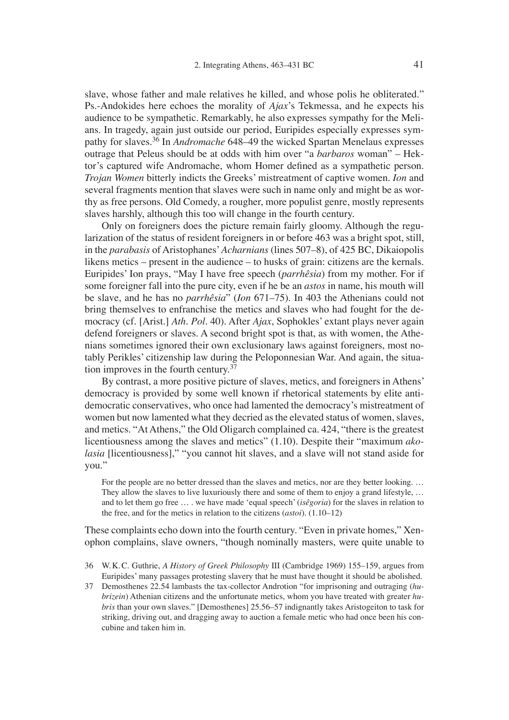slave, whose father and male relatives he killed, and whose polis he obliterated." Ps.-Andokides here echoes the morality of *Ajax*'s Tekmessa, and he expects his audience to be sympathetic. Remarkably, he also expresses sympathy for the Melians. In tragedy, again just outside our period, Euripides especially expresses sympathy for slaves.36 In *Andromache* 648–49 the wicked Spartan Menelaus expresses outrage that Peleus should be at odds with him over "a *barbaros* woman" – Hektor's captured wife Andromache, whom Homer defined as a sympathetic person. *Trojan Women* bitterly indicts the Greeks' mistreatment of captive women. *Ion* and several fragments mention that slaves were such in name only and might be as worthy as free persons. Old Comedy, a rougher, more populist genre, mostly represents slaves harshly, although this too will change in the fourth century.

Only on foreigners does the picture remain fairly gloomy. Although the regularization of the status of resident foreigners in or before 463 was a bright spot, still, in the *parabasis* of Aristophanes'*Acharnians* (lines 507–8), of 425 BC, Dikaiopolis likens metics – present in the audience – to husks of grain: citizens are the kernals. Euripides' Ion prays, "May I have free speech (*parrhêsia*) from my mother. For if some foreigner fall into the pure city, even if he be an *astos* in name, his mouth will be slave, and he has no *parrhêsia*" (*Ion* 671–75). In 403 the Athenians could not bring themselves to enfranchise the metics and slaves who had fought for the democracy (cf. [Arist.] *Ath. Pol*. 40). After *Ajax*, Sophokles' extant plays never again defend foreigners or slaves. A second bright spot is that, as with women, the Athenians sometimes ignored their own exclusionary laws against foreigners, most notably Perikles' citizenship law during the Peloponnesian War. And again, the situation improves in the fourth century.37

By contrast, a more positive picture of slaves, metics, and foreigners in Athens' democracy is provided by some well known if rhetorical statements by elite antidemocratic conservatives, who once had lamented the democracy's mistreatment of women but now lamented what they decried as the elevated status of women, slaves, and metics. "At Athens," the Old Oligarch complained ca. 424, "there is the greatest licentiousness among the slaves and metics" (1.10). Despite their "maximum *akolasia* [licentiousness]," "you cannot hit slaves, and a slave will not stand aside for you."

For the people are no better dressed than the slaves and metics, nor are they better looking.... They allow the slaves to live luxuriously there and some of them to enjoy a grand lifestyle, ... and to let them go free … . we have made ʻequal speech' (*isêgoria*) for the slaves in relation to the free, and for the metics in relation to the citizens (*astoi*). (1.10–12)

These complaints echo down into the fourth century. "Even in private homes," Xenophon complains, slave owners, "though nominally masters, were quite unable to

- 36 W. K. C. Guthrie, *A History of Greek Philosophy* III (Cambridge 1969) 155–159, argues from Euripides' many passages protesting slavery that he must have thought it should be abolished.
- 37 Demosthenes 22.54 lambasts the tax-collector Androtion "for imprisoning and outraging (*hubrizein*) Athenian citizens and the unfortunate metics, whom you have treated with greater *hubris* than your own slaves." [Demosthenes] 25.56–57 indignantly takes Aristogeiton to task for striking, driving out, and dragging away to auction a female metic who had once been his concubine and taken him in.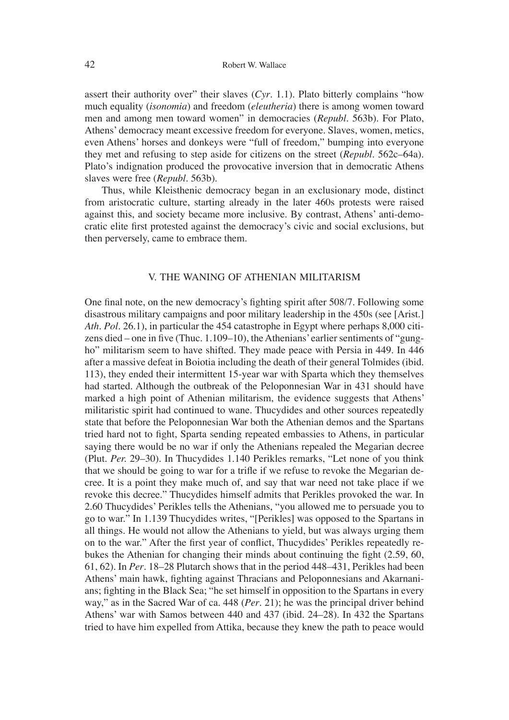assert their authority over" their slaves (*Cyr*. 1.1). Plato bitterly complains "how much equality (*isonomia*) and freedom (*eleutheria*) there is among women toward men and among men toward women" in democracies (*Republ.* 563b). For Plato, Athens' democracy meant excessive freedom for everyone. Slaves, women, metics, even Athens' horses and donkeys were "full of freedom," bumping into everyone they met and refusing to step aside for citizens on the street (*Republ*. 562c–64a). Plato's indignation produced the provocative inversion that in democratic Athens slaves were free (*Republ*. 563b).

Thus, while Kleisthenic democracy began in an exclusionary mode, distinct from aristocratic culture, starting already in the later 460s protests were raised against this, and society became more inclusive. By contrast, Athens' anti-democratic elite first protested against the democracy's civic and social exclusions, but then perversely, came to embrace them.

## V. THE WANING OF ATHENIAN MILITARISM

One final note, on the new democracy's fighting spirit after 508/7. Following some disastrous military campaigns and poor military leadership in the 450s (see [Arist.] *Ath. Pol*. 26.1), in particular the 454 catastrophe in Egypt where perhaps 8,000 citizens died – one in five (Thuc.  $1.109-10$ ), the Athenians' earlier sentiments of "gungho" militarism seem to have shifted. They made peace with Persia in 449. In 446 after a massive defeat in Boiotia including the death of their general Tolmides (ibid. 113), they ended their intermittent 15-year war with Sparta which they themselves had started. Although the outbreak of the Peloponnesian War in 431 should have marked a high point of Athenian militarism, the evidence suggests that Athens' militaristic spirit had continued to wane. Thucydides and other sources repeatedly state that before the Peloponnesian War both the Athenian demos and the Spartans tried hard not to fight, Sparta sending repeated embassies to Athens, in particular saying there would be no war if only the Athenians repealed the Megarian decree (Plut. *Per.* 29–30). In Thucydides 1.140 Perikles remarks, "Let none of you think that we should be going to war for a trifle if we refuse to revoke the Megarian decree. It is a point they make much of, and say that war need not take place if we revoke this decree." Thucydides himself admits that Perikles provoked the war. In 2.60 Thucydides' Perikles tells the Athenians, "you allowed me to persuade you to go to war." In 1.139 Thucydides writes, "[Perikles] was opposed to the Spartans in all things. He would not allow the Athenians to yield, but was always urging them on to the war." After the first year of conflict, Thucydides' Perikles repeatedly rebukes the Athenian for changing their minds about continuing the fight (2.59, 60, 61, 62). In *Per*. 18–28 Plutarch shows that in the period 448–431, Perikles had been Athens' main hawk, fighting against Thracians and Peloponnesians and Akarnanians; fighting in the Black Sea; "he set himself in opposition to the Spartans in every way," as in the Sacred War of ca. 448 (*Per*. 21); he was the principal driver behind Athens' war with Samos between 440 and 437 (ibid. 24–28). In 432 the Spartans tried to have him expelled from Attika, because they knew the path to peace would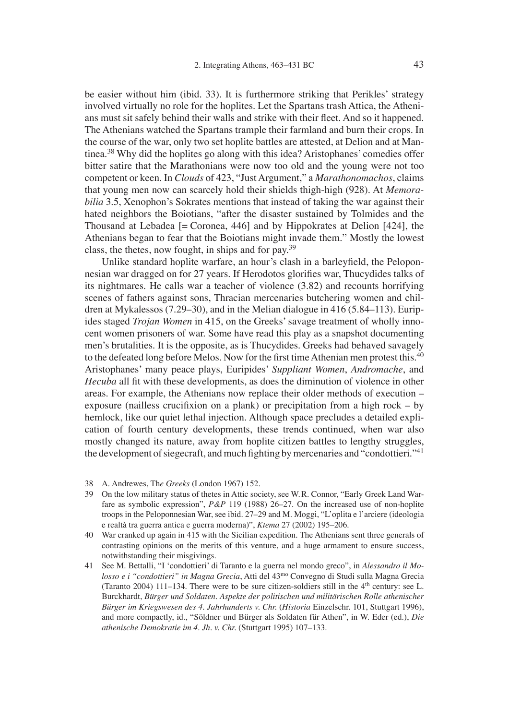be easier without him (ibid. 33). It is furthermore striking that Perikles' strategy involved virtually no role for the hoplites. Let the Spartans trash Attica, the Athenians must sit safely behind their walls and strike with their fleet. And so it happened. The Athenians watched the Spartans trample their farmland and burn their crops. In the course of the war, only two set hoplite battles are attested, at Delion and at Mantinea.38 Why did the hoplites go along with this idea? Aristophanes' comedies offer bitter satire that the Marathonians were now too old and the young were not too competent or keen. In *Clouds* of 423, "Just Argument," a *Marathonomachos*, claims that young men now can scarcely hold their shields thigh-high (928). At *Memorabilia* 3.5, Xenophon's Sokrates mentions that instead of taking the war against their hated neighbors the Boiotians, "after the disaster sustained by Tolmides and the Thousand at Lebadea [= Coronea, 446] and by Hippokrates at Delion [424], the Athenians began to fear that the Boiotians might invade them." Mostly the lowest class, the thetes, now fought, in ships and for pay.39

Unlike standard hoplite warfare, an hour's clash in a barleyfield, the Peloponnesian war dragged on for 27 years. If Herodotos glorifies war, Thucydides talks of its nightmares. He calls war a teacher of violence (3.82) and recounts horrifying scenes of fathers against sons, Thracian mercenaries butchering women and children at Mykalessos (7.29–30), and in the Melian dialogue in 416 (5.84–113). Euripides staged *Trojan Women* in 415, on the Greeks' savage treatment of wholly innocent women prisoners of war. Some have read this play as a snapshot documenting men's brutalities. It is the opposite, as is Thucydides. Greeks had behaved savagely to the defeated long before Melos. Now for the first time Athenian men protest this.<sup>40</sup> Aristophanes' many peace plays, Euripides' *Suppliant Women*, *Andromache*, and *Hecuba* all fit with these developments, as does the diminution of violence in other areas. For example, the Athenians now replace their older methods of execution – exposure (nailless crucifixion on a plank) or precipitation from a high rock  $-$  by hemlock, like our quiet lethal injection. Although space precludes a detailed explication of fourth century developments, these trends continued, when war also mostly changed its nature, away from hoplite citizen battles to lengthy struggles, the development of siegecraft, and much fighting by mercenaries and "condottieri."<sup>41</sup>

- 38 A. Andrewes, Th*e Greeks* (London 1967) 152.
- 39 On the low military status of thetes in Attic society, see W. R. Connor, "Early Greek Land Warfare as symbolic expression", *P&P* 119 (1988) 26–27. On the increased use of non-hoplite troops in the Peloponnesian War, see ibid. 27–29 and M. Moggi, "L'oplita e l'arciere (ideologia e realtà tra guerra antica e guerra moderna)", *Ktema* 27 (2002) 195–206.
- 40 War cranked up again in 415 with the Sicilian expedition. The Athenians sent three generals of contrasting opinions on the merits of this venture, and a huge armament to ensure success, notwithstanding their misgivings.
- 41 See M. Bettalli, "I ʻcondottieri' di Taranto e la guerra nel mondo greco", in *Alessandro il Molosso e i "condottieri" in Magna Grecia*, Atti del 43mo Convegno di Studi sulla Magna Grecia (Taranto 2004) 111–134. There were to be sure citizen-soldiers still in the  $4<sup>th</sup>$  century: see L. Burckhardt, *Bürger und Soldaten. Aspekte der politischen und militärischen Rolle athenischer Bürger im Kriegswesen des 4. Jahrhunderts v. Chr.* (*Historia* Einzelschr. 101, Stuttgart 1996), and more compactly, id., "Söldner und Bürger als Soldaten für Athen", in W. Eder (ed.), *Die athenische Demokratie im 4. Jh. v. Chr.* (Stuttgart 1995) 107–133.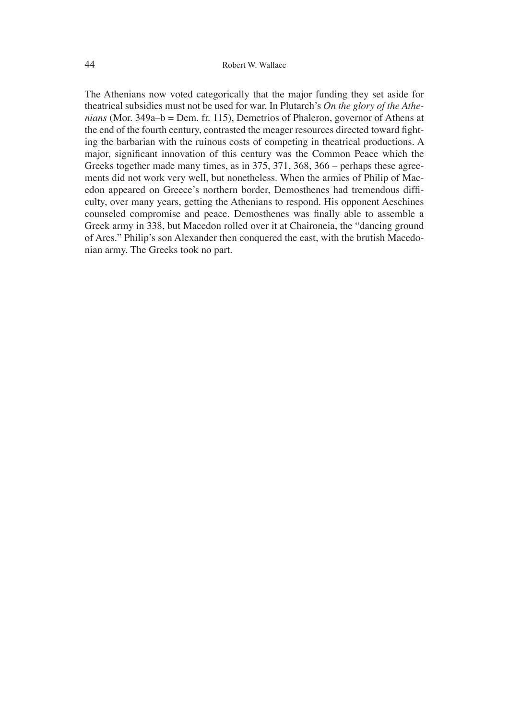The Athenians now voted categorically that the major funding they set aside for theatrical subsidies must not be used for war. In Plutarch's *On the glory of the Athenians* (Mor. 349a–b = Dem. fr. 115), Demetrios of Phaleron, governor of Athens at the end of the fourth century, contrasted the meager resources directed toward fighting the barbarian with the ruinous costs of competing in theatrical productions. A major, significant innovation of this century was the Common Peace which the Greeks together made many times, as in 375, 371, 368, 366 – perhaps these agreements did not work very well, but nonetheless. When the armies of Philip of Macedon appeared on Greece's northern border, Demosthenes had tremendous difficulty, over many years, getting the Athenians to respond. His opponent Aeschines counseled compromise and peace. Demosthenes was finally able to assemble a Greek army in 338, but Macedon rolled over it at Chaironeia, the "dancing ground of Ares." Philip's son Alexander then conquered the east, with the brutish Macedonian army. The Greeks took no part.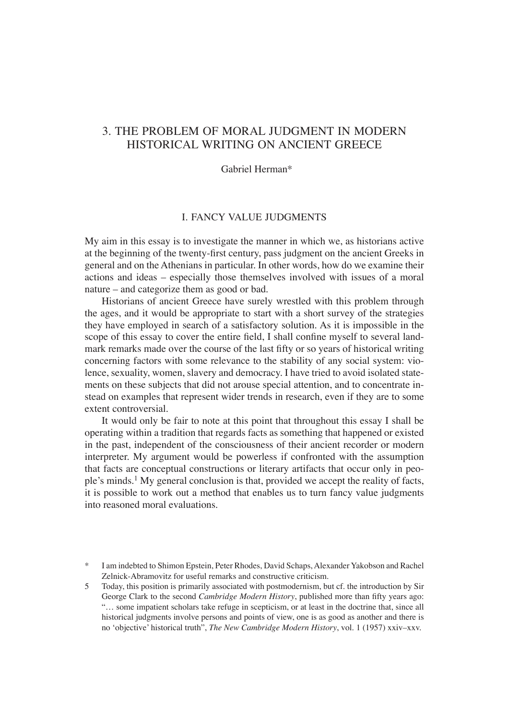# 3. THE PROBLEM OF MORAL JUDGMENT IN MODERN HISTORICAL WRITING ON ANCIENT GREECE

Gabriel Herman\*

## I. FANCY VALUE JUDGMENTS

My aim in this essay is to investigate the manner in which we, as historians active at the beginning of the twenty-first century, pass judgment on the ancient Greeks in general and on the Athenians in particular. In other words, how do we examine their actions and ideas – especially those themselves involved with issues of a moral nature – and categorize them as good or bad.

Historians of ancient Greece have surely wrestled with this problem through the ages, and it would be appropriate to start with a short survey of the strategies they have employed in search of a satisfactory solution. As it is impossible in the scope of this essay to cover the entire field, I shall confine myself to several landmark remarks made over the course of the last fifty or so years of historical writing concerning factors with some relevance to the stability of any social system: violence, sexuality, women, slavery and democracy. I have tried to avoid isolated statements on these subjects that did not arouse special attention, and to concentrate instead on examples that represent wider trends in research, even if they are to some extent controversial.

It would only be fair to note at this point that throughout this essay I shall be operating within a tradition that regards facts as something that happened or existed in the past, independent of the consciousness of their ancient recorder or modern interpreter. My argument would be powerless if confronted with the assumption that facts are conceptual constructions or literary artifacts that occur only in people's minds.<sup>1</sup> My general conclusion is that, provided we accept the reality of facts, it is possible to work out a method that enables us to turn fancy value judgments into reasoned moral evaluations.

<sup>\*</sup> I am indebted to Shimon Epstein, Peter Rhodes, David Schaps, Alexander Yakobson and Rachel Zelnick-Abramovitz for useful remarks and constructive criticism.

<sup>5</sup> Today, this position is primarily associated with postmodernism, but cf. the introduction by Sir George Clark to the second *Cambridge Modern History*, published more than fifty years ago: "… some impatient scholars take refuge in scepticism, or at least in the doctrine that, since all historical judgments involve persons and points of view, one is as good as another and there is no ʻobjective' historical truth", *The New Cambridge Modern History*, vol. 1 (1957) xxiv–xxv.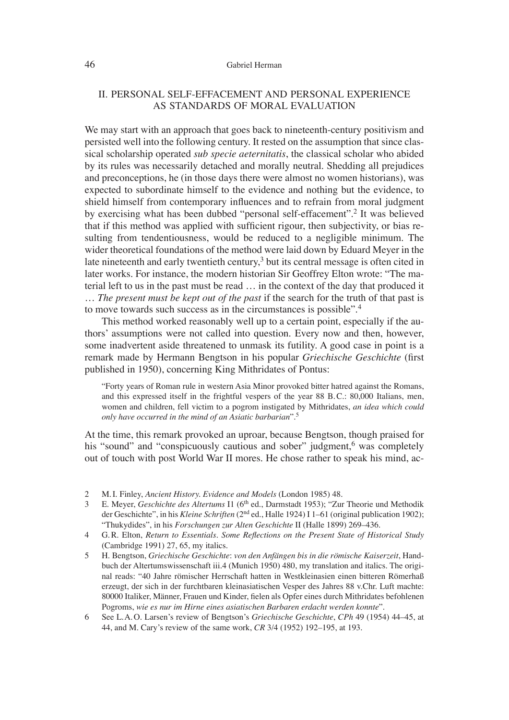#### 46 Gabriel Herman

## II. PERSONAL SELF-EFFACEMENT AND PERSONAL EXPERIENCE AS STANDARDS OF MORAL EVALUATION

We may start with an approach that goes back to nineteenth-century positivism and persisted well into the following century. It rested on the assumption that since classical scholarship operated *sub specie aeternitatis*, the classical scholar who abided by its rules was necessarily detached and morally neutral. Shedding all prejudices and preconceptions, he (in those days there were almost no women historians), was expected to subordinate himself to the evidence and nothing but the evidence, to shield himself from contemporary influences and to refrain from moral judgment by exercising what has been dubbed "personal self-effacement".2 It was believed that if this method was applied with sufficient rigour, then subjectivity, or bias resulting from tendentiousness, would be reduced to a negligible minimum. The wider theoretical foundations of the method were laid down by Eduard Meyer in the late nineteenth and early twentieth century, $3$  but its central message is often cited in later works. For instance, the modern historian Sir Geoffrey Elton wrote: "The material left to us in the past must be read … in the context of the day that produced it … *The present must be kept out of the past* if the search for the truth of that past is to move towards such success as in the circumstances is possible".4

This method worked reasonably well up to a certain point, especially if the authors' assumptions were not called into question. Every now and then, however, some inadvertent aside threatened to unmask its futility. A good case in point is a remark made by Hermann Bengtson in his popular *Griechische Geschichte* (first published in 1950), concerning King Mithridates of Pontus:

"Forty years of Roman rule in western Asia Minor provoked bitter hatred against the Romans, and this expressed itself in the frightful vespers of the year 88 B. C.: 80,000 Italians, men, women and children, fell victim to a pogrom instigated by Mithridates, *an idea which could only have occurred in the mind of an Asiatic barbarian*".5

At the time, this remark provoked an uproar, because Bengtson, though praised for his "sound" and "conspicuously cautious and sober" judgment,<sup>6</sup> was completely out of touch with post World War II mores. He chose rather to speak his mind, ac-

- 5 H. Bengtson, *Griechische Geschichte*: *von den Anfängen bis in die römische Kaiserzeit*, Handbuch der Altertumswissenschaft iii.4 (Munich 1950) 480, my translation and italics. The original reads: "40 Jahre römischer Herrschaft hatten in Westkleinasien einen bitteren Römerhaß erzeugt, der sich in der furchtbaren kleinasiatischen Vesper des Jahres 88 v.Chr. Luft machte: 80000 Italiker, Männer, Frauen und Kinder, fielen als Opfer eines durch Mithridates befohlenen Pogroms, *wie es nur im Hirne eines asiatischen Barbaren erdacht werden konnte*".
- 6 See L. A. O. Larsen's review of Bengtson's *Griechische Geschichte*, *CPh* 49 (1954) 44–45, at 44, and M. Cary's review of the same work, *CR* 3/4 (1952) 192–195, at 193.

<sup>2</sup> M. I. Finley, *Ancient History. Evidence and Models* (London 1985) 48.

<sup>3</sup> E. Meyer, *Geschichte des Altertums* I1 (6th ed., Darmstadt 1953); "Zur Theorie und Methodik der Geschichte", in his *Kleine Schriften* (2<sup>nd</sup> ed., Halle 1924) I 1–61 (original publication 1902); "Thukydides", in his *Forschungen zur Alten Geschichte* II (Halle 1899) 269–436.

<sup>4</sup> G.R. Elton, *Return to Essentials. Some Reflections on the Present State of Historical Study* (Cambridge 1991) 27, 65, my italics.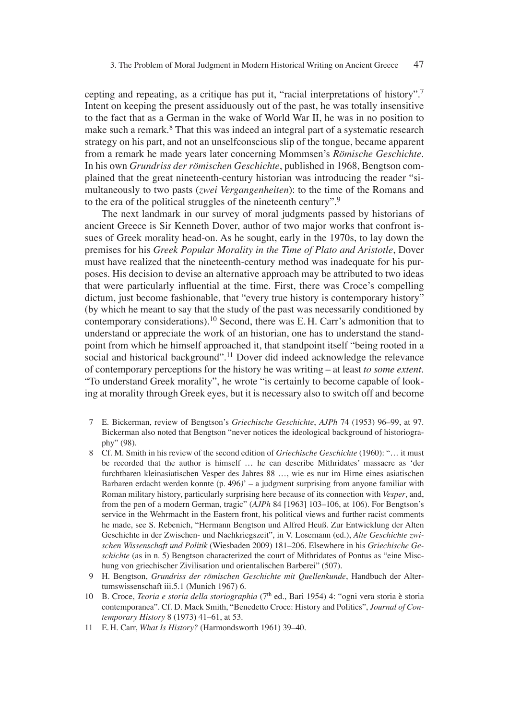cepting and repeating, as a critique has put it, "racial interpretations of history".7 Intent on keeping the present assiduously out of the past, he was totally insensitive to the fact that as a German in the wake of World War II, he was in no position to make such a remark.<sup>8</sup> That this was indeed an integral part of a systematic research strategy on his part, and not an unselfconscious slip of the tongue, became apparent from a remark he made years later concerning Mommsen's *Römische Geschichte*. In his own *Grundriss der römischen Geschichte*, published in 1968, Bengtson complained that the great nineteenth-century historian was introducing the reader "simultaneously to two pasts (*zwei Vergangenheiten*): to the time of the Romans and to the era of the political struggles of the nineteenth century".9

The next landmark in our survey of moral judgments passed by historians of ancient Greece is Sir Kenneth Dover, author of two major works that confront issues of Greek morality head-on. As he sought, early in the 1970s, to lay down the premises for his *Greek Popular Morality in the Time of Plato and Aristotle*, Dover must have realized that the nineteenth-century method was inadequate for his purposes. His decision to devise an alternative approach may be attributed to two ideas that were particularly influential at the time. First, there was Croce's compelling dictum, just become fashionable, that "every true history is contemporary history" (by which he meant to say that the study of the past was necessarily conditioned by contemporary considerations).10 Second, there was E. H. Carr's admonition that to understand or appreciate the work of an historian, one has to understand the standpoint from which he himself approached it, that standpoint itself "being rooted in a social and historical background".<sup>11</sup> Dover did indeed acknowledge the relevance of contemporary perceptions for the history he was writing – at least *to some extent*. "To understand Greek morality", he wrote "is certainly to become capable of looking at morality through Greek eyes, but it is necessary also to switch off and become

- 7 E. Bickerman, review of Bengtson's *Griechische Geschichte*, *AJPh* 74 (1953) 96–99, at 97. Bickerman also noted that Bengtson "never notices the ideological background of historiography" (98).
- 8 Cf. M. Smith in his review of the second edition of *Griechische Geschichte* (1960): "… it must be recorded that the author is himself ... he can describe Mithridates' massacre as 'der furchtbaren kleinasiatischen Vesper des Jahres 88 …, wie es nur im Hirne eines asiatischen Barbaren erdacht werden konnte (p. 496*)*' *–* a judgment surprising from anyone familiar with Roman military history, particularly surprising here because of its connection with *Vesper*, and, from the pen of a modern German, tragic" (*AJPh* 84 [1963] 103–106, at 106). For Bengtson's service in the Wehrmacht in the Eastern front, his political views and further racist comments he made, see S. Rebenich, "Hermann Bengtson und Alfred Heuß. Zur Entwicklung der Alten Geschichte in der Zwischen- und Nachkriegszeit", in V. Losemann (ed.), *Alte Geschichte zwischen Wissenschaft und Politik* (Wiesbaden 2009) 181–206. Elsewhere in his *Griechische Geschichte* (as in n. 5) Bengtson characterized the court of Mithridates of Pontus as "eine Mischung von griechischer Zivilisation und orientalischen Barberei" (507).
- 9 H. Bengtson, *Grundriss der römischen Geschichte mit Quellenkunde*, Handbuch der Altertumswissenschaft iii.5.1 (Munich 1967) 6.
- 10 B. Croce, *Teoria e storia della storiographia* (7th ed., Bari 1954) 4: "ogni vera storia è storia contemporanea". Cf. D. Mack Smith, "Benedetto Croce: History and Politics", *Journal of Contemporary History* 8 (1973) 41–61, at 53.
- 11 E. H. Carr, *What Is History?* (Harmondsworth 1961) 39–40.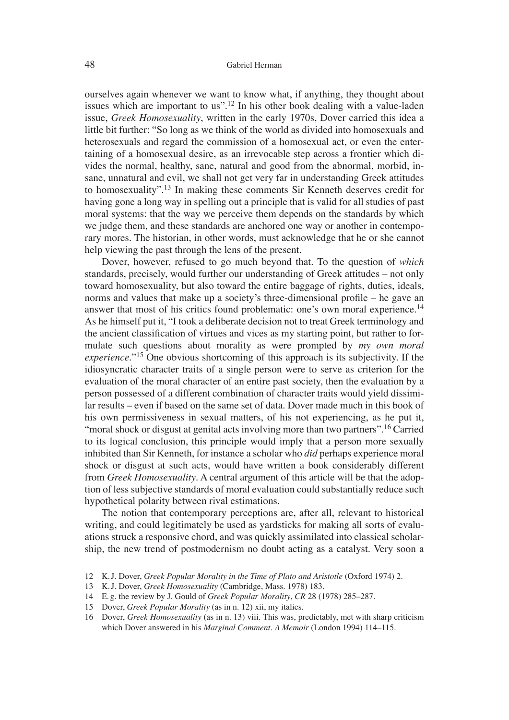ourselves again whenever we want to know what, if anything, they thought about issues which are important to us".<sup>12</sup> In his other book dealing with a value-laden issue, *Greek Homosexuality*, written in the early 1970s, Dover carried this idea a little bit further: "So long as we think of the world as divided into homosexuals and heterosexuals and regard the commission of a homosexual act, or even the entertaining of a homosexual desire, as an irrevocable step across a frontier which divides the normal, healthy, sane, natural and good from the abnormal, morbid, insane, unnatural and evil, we shall not get very far in understanding Greek attitudes to homosexuality".13 In making these comments Sir Kenneth deserves credit for having gone a long way in spelling out a principle that is valid for all studies of past moral systems: that the way we perceive them depends on the standards by which we judge them, and these standards are anchored one way or another in contemporary mores. The historian, in other words, must acknowledge that he or she cannot help viewing the past through the lens of the present.

Dover, however, refused to go much beyond that. To the question of *which*  standards, precisely, would further our understanding of Greek attitudes – not only toward homosexuality, but also toward the entire baggage of rights, duties, ideals, norms and values that make up a society's three-dimensional profile  $-$  he gave an answer that most of his critics found problematic: one's own moral experience.<sup>14</sup> As he himself put it, "I took a deliberate decision not to treat Greek terminology and the ancient classification of virtues and vices as my starting point, but rather to formulate such questions about morality as were prompted by *my own moral experience*."15 One obvious shortcoming of this approach is its subjectivity. If the idiosyncratic character traits of a single person were to serve as criterion for the evaluation of the moral character of an entire past society, then the evaluation by a person possessed of a different combination of character traits would yield dissimilar results – even if based on the same set of data. Dover made much in this book of his own permissiveness in sexual matters, of his not experiencing, as he put it, "moral shock or disgust at genital acts involving more than two partners".<sup>16</sup> Carried to its logical conclusion, this principle would imply that a person more sexually inhibited than Sir Kenneth, for instance a scholar who *did* perhaps experience moral shock or disgust at such acts, would have written a book considerably different from *Greek Homosexuality*. A central argument of this article will be that the adoption of less subjective standards of moral evaluation could substantially reduce such hypothetical polarity between rival estimations.

The notion that contemporary perceptions are, after all, relevant to historical writing, and could legitimately be used as yardsticks for making all sorts of evaluations struck a responsive chord, and was quickly assimilated into classical scholarship, the new trend of postmodernism no doubt acting as a catalyst. Very soon a

<sup>12</sup> K. J. Dover, *Greek Popular Morality in the Time of Plato and Aristotle* (Oxford 1974) 2.

<sup>13</sup> K. J. Dover, *Greek Homosexuality* (Cambridge, Mass. 1978) 183.

<sup>14</sup> E. g. the review by J. Gould of *Greek Popular Morality*, *CR* 28 (1978) 285–287.

<sup>15</sup> Dover, *Greek Popular Morality* (as in n. 12) xii, my italics.

<sup>16</sup> Dover, *Greek Homosexuality* (as in n. 13) viii. This was, predictably, met with sharp criticism which Dover answered in his *Marginal Comment*. *A Memoir* (London 1994) 114–115.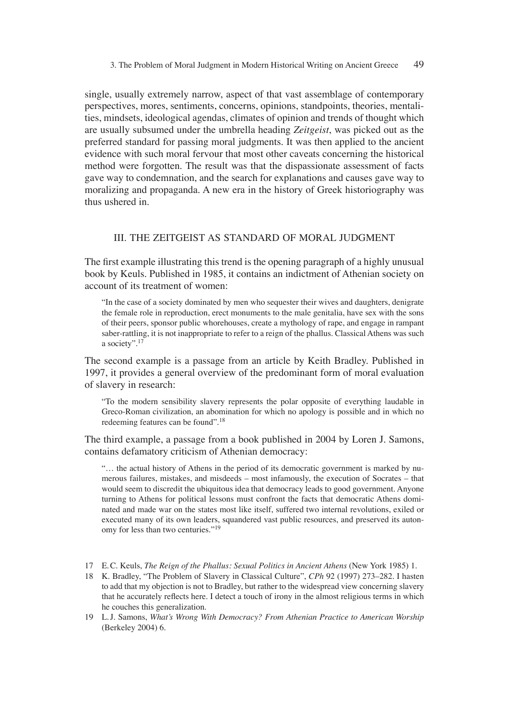single, usually extremely narrow, aspect of that vast assemblage of contemporary perspectives, mores, sentiments, concerns, opinions, standpoints, theories, mentalities, mindsets, ideological agendas, climates of opinion and trends of thought which are usually subsumed under the umbrella heading *Zeitgeist*, was picked out as the preferred standard for passing moral judgments. It was then applied to the ancient evidence with such moral fervour that most other caveats concerning the historical method were forgotten. The result was that the dispassionate assessment of facts gave way to condemnation, and the search for explanations and causes gave way to moralizing and propaganda. A new era in the history of Greek historiography was thus ushered in.

### III. THE ZEITGEIST AS STANDARD OF MORAL JUDGMENT

The first example illustrating this trend is the opening paragraph of a highly unusual book by Keuls*.* Published in 1985, it contains an indictment of Athenian society on account of its treatment of women:

"In the case of a society dominated by men who sequester their wives and daughters, denigrate the female role in reproduction, erect monuments to the male genitalia, have sex with the sons of their peers, sponsor public whorehouses, create a mythology of rape, and engage in rampant saber-rattling, it is not inappropriate to refer to a reign of the phallus. Classical Athens was such a society".17

The second example is a passage from an article by Keith Bradley. Published in 1997, it provides a general overview of the predominant form of moral evaluation of slavery in research:

"To the modern sensibility slavery represents the polar opposite of everything laudable in Greco-Roman civilization, an abomination for which no apology is possible and in which no redeeming features can be found".18

The third example, a passage from a book published in 2004 by Loren J. Samons, contains defamatory criticism of Athenian democracy:

"… the actual history of Athens in the period of its democratic government is marked by numerous failures, mistakes, and misdeeds – most infamously, the execution of Socrates – that would seem to discredit the ubiquitous idea that democracy leads to good government. Anyone turning to Athens for political lessons must confront the facts that democratic Athens dominated and made war on the states most like itself, suffered two internal revolutions, exiled or executed many of its own leaders, squandered vast public resources, and preserved its autonomy for less than two centuries."19

- 17 E. C. Keuls, *The Reign of the Phallus: Sexual Politics in Ancient Athens* (New York 1985) 1.
- 18 K. Bradley, "The Problem of Slavery in Classical Culture", *CPh* 92 (1997) 273–282. I hasten to add that my objection is not to Bradley, but rather to the widespread view concerning slavery that he accurately reflects here. I detect a touch of irony in the almost religious terms in which he couches this generalization.
- 19 L. J. Samons, *What's Wrong With Democracy? From Athenian Practice to American Worship* (Berkeley 2004) 6.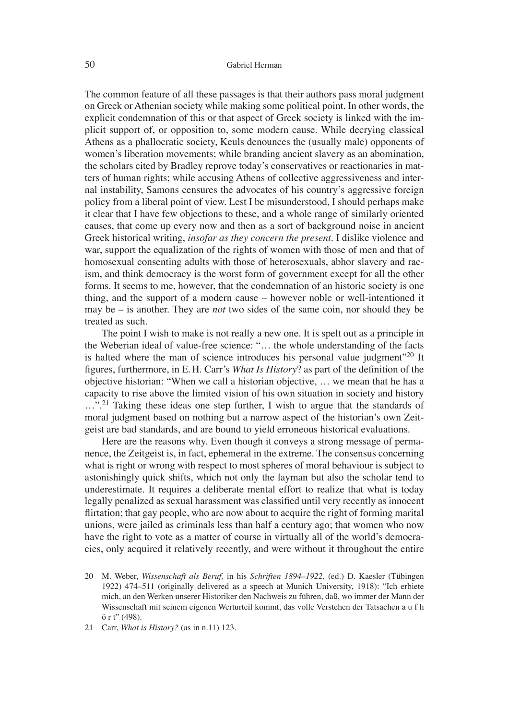The common feature of all these passages is that their authors pass moral judgment on Greek or Athenian society while making some political point. In other words, the explicit condemnation of this or that aspect of Greek society is linked with the implicit support of, or opposition to, some modern cause. While decrying classical Athens as a phallocratic society, Keuls denounces the (usually male) opponents of women's liberation movements; while branding ancient slavery as an abomination, the scholars cited by Bradley reprove today's conservatives or reactionaries in matters of human rights; while accusing Athens of collective aggressiveness and internal instability, Samons censures the advocates of his country's aggressive foreign policy from a liberal point of view. Lest I be misunderstood, I should perhaps make it clear that I have few objections to these, and a whole range of similarly oriented causes, that come up every now and then as a sort of background noise in ancient Greek historical writing, *insofar as they concern the present*. I dislike violence and war, support the equalization of the rights of women with those of men and that of homosexual consenting adults with those of heterosexuals, abhor slavery and racism, and think democracy is the worst form of government except for all the other forms. It seems to me, however, that the condemnation of an historic society is one thing, and the support of a modern cause – however noble or well-intentioned it may be – is another. They are *not* two sides of the same coin, nor should they be treated as such.

The point I wish to make is not really a new one. It is spelt out as a principle in the Weberian ideal of value-free science: "… the whole understanding of the facts is halted where the man of science introduces his personal value judgment"<sup>20</sup> It figures, furthermore, in E.H. Carr's *What Is History*? as part of the definition of the objective historian: "When we call a historian objective, … we mean that he has a capacity to rise above the limited vision of his own situation in society and history ...".<sup>21</sup> Taking these ideas one step further, I wish to argue that the standards of moral judgment based on nothing but a narrow aspect of the historian's own Zeitgeist are bad standards, and are bound to yield erroneous historical evaluations.

Here are the reasons why. Even though it conveys a strong message of permanence, the Zeitgeist is, in fact, ephemeral in the extreme. The consensus concerning what is right or wrong with respect to most spheres of moral behaviour is subject to astonishingly quick shifts, which not only the layman but also the scholar tend to underestimate. It requires a deliberate mental effort to realize that what is today legally penalized as sexual harassment was classified until very recently as innocent flirtation; that gay people, who are now about to acquire the right of forming marital unions, were jailed as criminals less than half a century ago; that women who now have the right to vote as a matter of course in virtually all of the world's democracies, only acquired it relatively recently, and were without it throughout the entire

- 20 M. Weber, *Wissenschaft als Beruf,* in his *Schriften 1894–1922*, (ed.) D. Kaesler (Tübingen 1922) 474–511 (originally delivered as a speech at Munich University, 1918): "Ich erbiete mich, an den Werken unserer Historiker den Nachweis zu führen, daß, wo immer der Mann der Wissenschaft mit seinem eigenen Werturteil kommt, das volle Verstehen der Tatsachen a u f h ö r t" (498).
- 21 Carr, *What is History?* (as in n.11) 123.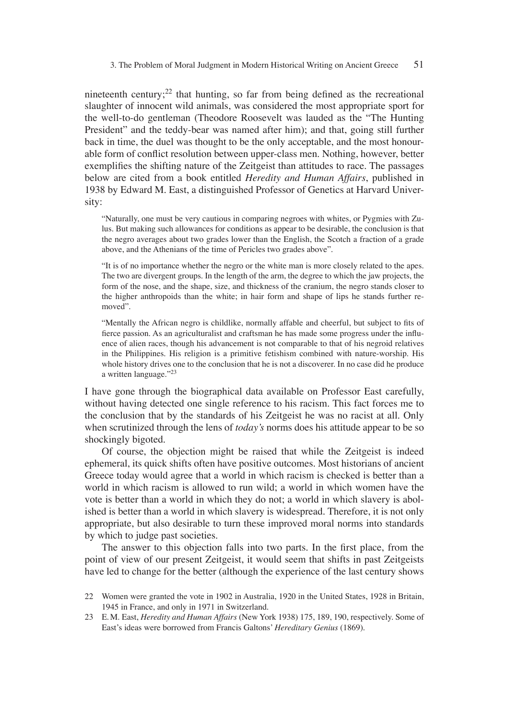nineteenth century;<sup>22</sup> that hunting, so far from being defined as the recreational slaughter of innocent wild animals, was considered the most appropriate sport for the well-to-do gentleman (Theodore Roosevelt was lauded as the "The Hunting President" and the teddy-bear was named after him); and that, going still further back in time, the duel was thought to be the only acceptable, and the most honourable form of conflict resolution between upper-class men. Nothing, however, better exemplifies the shifting nature of the Zeitgeist than attitudes to race. The passages below are cited from a book entitled *Heredity and Human Affairs*, published in 1938 by Edward M. East, a distinguished Professor of Genetics at Harvard University:

"Naturally, one must be very cautious in comparing negroes with whites, or Pygmies with Zulus. But making such allowances for conditions as appear to be desirable, the conclusion is that the negro averages about two grades lower than the English, the Scotch a fraction of a grade above, and the Athenians of the time of Pericles two grades above".

"It is of no importance whether the negro or the white man is more closely related to the apes. The two are divergent groups. In the length of the arm, the degree to which the jaw projects, the form of the nose, and the shape, size, and thickness of the cranium, the negro stands closer to the higher anthropoids than the white; in hair form and shape of lips he stands further removed".

"Mentally the African negro is childlike, normally affable and cheerful, but subject to fits of fierce passion. As an agriculturalist and craftsman he has made some progress under the influence of alien races, though his advancement is not comparable to that of his negroid relatives in the Philippines. His religion is a primitive fetishism combined with nature-worship. His whole history drives one to the conclusion that he is not a discoverer. In no case did he produce a written language."<sup>23</sup>

I have gone through the biographical data available on Professor East carefully, without having detected one single reference to his racism. This fact forces me to the conclusion that by the standards of his Zeitgeist he was no racist at all. Only when scrutinized through the lens of *today's* norms does his attitude appear to be so shockingly bigoted.

Of course, the objection might be raised that while the Zeitgeist is indeed ephemeral, its quick shifts often have positive outcomes. Most historians of ancient Greece today would agree that a world in which racism is checked is better than a world in which racism is allowed to run wild; a world in which women have the vote is better than a world in which they do not; a world in which slavery is abolished is better than a world in which slavery is widespread. Therefore, it is not only appropriate, but also desirable to turn these improved moral norms into standards by which to judge past societies.

The answer to this objection falls into two parts. In the first place, from the point of view of our present Zeitgeist, it would seem that shifts in past Zeitgeists have led to change for the better (although the experience of the last century shows

<sup>22</sup> Women were granted the vote in 1902 in Australia, 1920 in the United States, 1928 in Britain, 1945 in France, and only in 1971 in Switzerland.

<sup>23</sup> E. M. East, *Heredity and Human Affairs* (New York 1938) 175, 189, 190, respectively. Some of East's ideas were borrowed from Francis Galtons' *Hereditary Genius* (1869).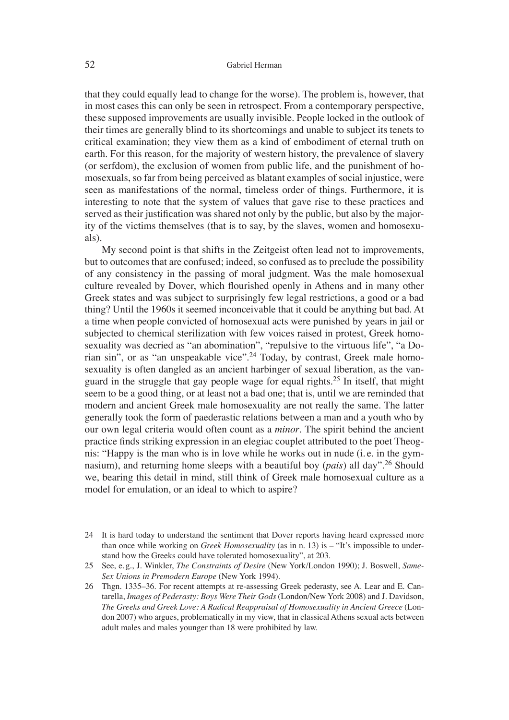that they could equally lead to change for the worse). The problem is, however, that in most cases this can only be seen in retrospect. From a contemporary perspective, these supposed improvements are usually invisible. People locked in the outlook of their times are generally blind to its shortcomings and unable to subject its tenets to critical examination; they view them as a kind of embodiment of eternal truth on earth. For this reason, for the majority of western history, the prevalence of slavery (or serfdom), the exclusion of women from public life, and the punishment of homosexuals, so far from being perceived as blatant examples of social injustice, were seen as manifestations of the normal, timeless order of things. Furthermore, it is interesting to note that the system of values that gave rise to these practices and served as their justification was shared not only by the public, but also by the majority of the victims themselves (that is to say, by the slaves, women and homosexuals).

My second point is that shifts in the Zeitgeist often lead not to improvements, but to outcomes that are confused; indeed, so confused as to preclude the possibility of any consistency in the passing of moral judgment. Was the male homosexual culture revealed by Dover, which flourished openly in Athens and in many other Greek states and was subject to surprisingly few legal restrictions, a good or a bad thing? Until the 1960s it seemed inconceivable that it could be anything but bad. At a time when people convicted of homosexual acts were punished by years in jail or subjected to chemical sterilization with few voices raised in protest, Greek homosexuality was decried as "an abomination", "repulsive to the virtuous life", "a Dorian sin", or as "an unspeakable vice".<sup>24</sup> Today, by contrast, Greek male homosexuality is often dangled as an ancient harbinger of sexual liberation, as the vanguard in the struggle that gay people wage for equal rights.25 In itself, that might seem to be a good thing, or at least not a bad one; that is, until we are reminded that modern and ancient Greek male homosexuality are not really the same. The latter generally took the form of paederastic relations between a man and a youth who by our own legal criteria would often count as a *minor*. The spirit behind the ancient practice finds striking expression in an elegiac couplet attributed to the poet Theognis: "Happy is the man who is in love while he works out in nude (i. e. in the gymnasium), and returning home sleeps with a beautiful boy (*pais*) all day".26 Should we, bearing this detail in mind, still think of Greek male homosexual culture as a model for emulation, or an ideal to which to aspire?

- 24 It is hard today to understand the sentiment that Dover reports having heard expressed more than once while working on *Greek Homosexuality* (as in n. 13) is – "It's impossible to understand how the Greeks could have tolerated homosexuality", at 203.
- 25 See, e. g., J. Winkler, *The Constraints of Desire* (New York/London 1990); J. Boswell, *Same-Sex Unions in Premodern Europe* (New York 1994).

26 Thgn. 1335–36. For recent attempts at re-assessing Greek pederasty, see A. Lear and E. Cantarella, *Images of Pederasty: Boys Were Their Gods* (London/New York 2008) and J. Davidson, *The Greeks and Greek Love: A Radical Reappraisal of Homosexuality in Ancient Greece* (London 2007) who argues, problematically in my view, that in classical Athens sexual acts between adult males and males younger than 18 were prohibited by law.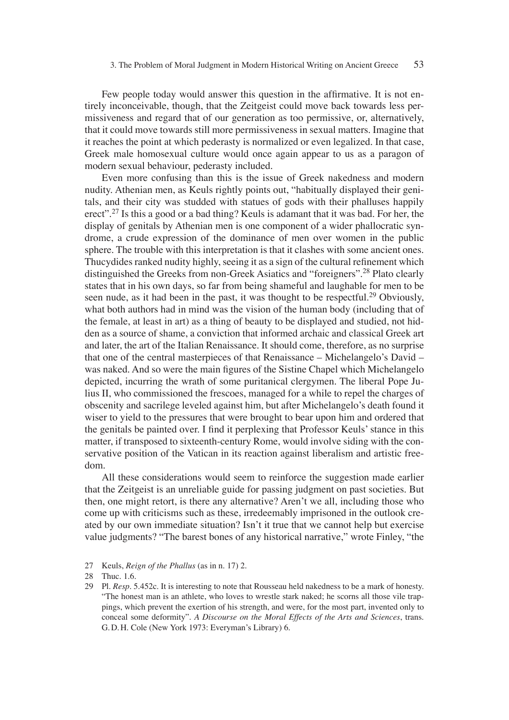Few people today would answer this question in the affirmative. It is not entirely inconceivable, though, that the Zeitgeist could move back towards less permissiveness and regard that of our generation as too permissive, or, alternatively, that it could move towards still more permissiveness in sexual matters. Imagine that it reaches the point at which pederasty is normalized or even legalized. In that case, Greek male homosexual culture would once again appear to us as a paragon of modern sexual behaviour, pederasty included.

Even more confusing than this is the issue of Greek nakedness and modern nudity. Athenian men, as Keuls rightly points out, "habitually displayed their genitals, and their city was studded with statues of gods with their phalluses happily erect".<sup>27</sup> Is this a good or a bad thing? Keuls is adamant that it was bad. For her, the display of genitals by Athenian men is one component of a wider phallocratic syndrome, a crude expression of the dominance of men over women in the public sphere. The trouble with this interpretation is that it clashes with some ancient ones. Thucydides ranked nudity highly, seeing it as a sign of the cultural refinement which distinguished the Greeks from non-Greek Asiatics and "foreigners".28 Plato clearly states that in his own days, so far from being shameful and laughable for men to be seen nude, as it had been in the past, it was thought to be respectful.<sup>29</sup> Obviously, what both authors had in mind was the vision of the human body (including that of the female, at least in art) as a thing of beauty to be displayed and studied, not hidden as a source of shame, a conviction that informed archaic and classical Greek art and later, the art of the Italian Renaissance. It should come, therefore, as no surprise that one of the central masterpieces of that Renaissance – Michelangelo's David – was naked. And so were the main figures of the Sistine Chapel which Michelangelo depicted, incurring the wrath of some puritanical clergymen. The liberal Pope Julius II, who commissioned the frescoes, managed for a while to repel the charges of obscenity and sacrilege leveled against him, but after Michelangelo's death found it wiser to yield to the pressures that were brought to bear upon him and ordered that the genitals be painted over. I find it perplexing that Professor Keuls' stance in this matter, if transposed to sixteenth-century Rome, would involve siding with the conservative position of the Vatican in its reaction against liberalism and artistic freedom.

All these considerations would seem to reinforce the suggestion made earlier that the Zeitgeist is an unreliable guide for passing judgment on past societies. But then, one might retort, is there any alternative? Aren't we all, including those who come up with criticisms such as these, irredeemably imprisoned in the outlook created by our own immediate situation? Isn't it true that we cannot help but exercise value judgments? "The barest bones of any historical narrative," wrote Finley, "the

<sup>27</sup> Keuls, *Reign of the Phallus* (as in n. 17) 2.

<sup>28</sup> Thuc. 1.6.

<sup>29</sup> Pl. *Resp.* 5.452c. It is interesting to note that Rousseau held nakedness to be a mark of honesty. "The honest man is an athlete, who loves to wrestle stark naked; he scorns all those vile trappings, which prevent the exertion of his strength, and were, for the most part, invented only to conceal some deformity". *A Discourse on the Moral Effects of the Arts and Sciences*, trans. G. D. H. Cole (New York 1973: Everyman's Library) 6.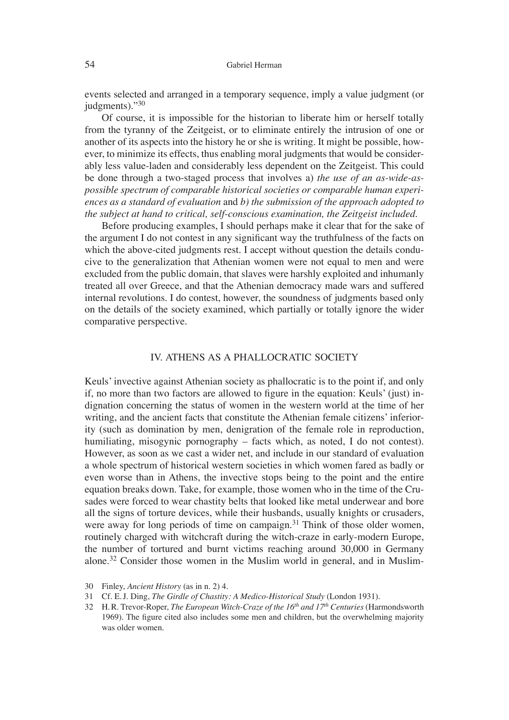### 54 Gabriel Herman

events selected and arranged in a temporary sequence, imply a value judgment (or judgments)."30

Of course, it is impossible for the historian to liberate him or herself totally from the tyranny of the Zeitgeist, or to eliminate entirely the intrusion of one or another of its aspects into the history he or she is writing. It might be possible, however, to minimize its effects, thus enabling moral judgments that would be considerably less value-laden and considerably less dependent on the Zeitgeist. This could be done through a two-staged process that involves a) *the use of an as-wide-aspossible spectrum of comparable historical societies or comparable human experiences as a standard of evaluation* and *b) the submission of the approach adopted to the subject at hand to critical, self-conscious examination, the Zeitgeist included*.

Before producing examples, I should perhaps make it clear that for the sake of the argument I do not contest in any significant way the truthfulness of the facts on which the above-cited judgments rest. I accept without question the details conducive to the generalization that Athenian women were not equal to men and were excluded from the public domain, that slaves were harshly exploited and inhumanly treated all over Greece, and that the Athenian democracy made wars and suffered internal revolutions. I do contest, however, the soundness of judgments based only on the details of the society examined, which partially or totally ignore the wider comparative perspective.

#### IV. ATHENS AS A PHALLOCRATIC SOCIETY

Keuls' invective against Athenian society as phallocratic is to the point if, and only if, no more than two factors are allowed to figure in the equation: Keuls' (just) indignation concerning the status of women in the western world at the time of her writing, and the ancient facts that constitute the Athenian female citizens' inferiority (such as domination by men, denigration of the female role in reproduction, humiliating, misogynic pornography – facts which, as noted, I do not contest). However, as soon as we cast a wider net, and include in our standard of evaluation a whole spectrum of historical western societies in which women fared as badly or even worse than in Athens, the invective stops being to the point and the entire equation breaks down. Take, for example, those women who in the time of the Crusades were forced to wear chastity belts that looked like metal underwear and bore all the signs of torture devices, while their husbands, usually knights or crusaders, were away for long periods of time on campaign.<sup>31</sup> Think of those older women, routinely charged with witchcraft during the witch-craze in early-modern Europe, the number of tortured and burnt victims reaching around 30,000 in Germany alone.32 Consider those women in the Muslim world in general, and in Muslim-

<sup>30</sup> Finley, *Ancient History* (as in n. 2) 4.

<sup>31</sup> Cf. E. J. Ding, *The Girdle of Chastity: A Medico-Historical Study* (London 1931).

<sup>32</sup> H. R. Trevor-Roper, *The European Witch-Craze of the 16th and 17th Centuries* (Harmondsworth 1969). The figure cited also includes some men and children, but the overwhelming majority was older women.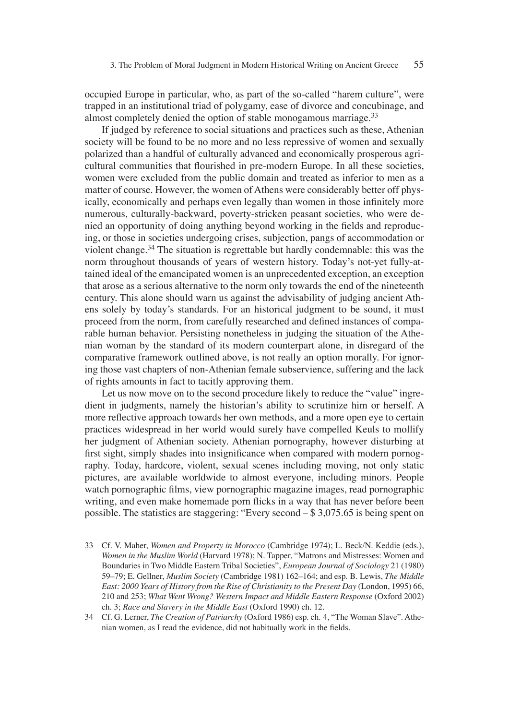occupied Europe in particular, who, as part of the so-called "harem culture", were trapped in an institutional triad of polygamy, ease of divorce and concubinage, and almost completely denied the option of stable monogamous marriage.<sup>33</sup>

If judged by reference to social situations and practices such as these, Athenian society will be found to be no more and no less repressive of women and sexually polarized than a handful of culturally advanced and economically prosperous agricultural communities that flourished in pre-modern Europe. In all these societies, women were excluded from the public domain and treated as inferior to men as a matter of course. However, the women of Athens were considerably better off physically, economically and perhaps even legally than women in those infinitely more numerous, culturally-backward, poverty-stricken peasant societies, who were denied an opportunity of doing anything beyond working in the fields and reproducing, or those in societies undergoing crises, subjection, pangs of accommodation or violent change.34 The situation is regrettable but hardly condemnable: this was the norm throughout thousands of years of western history. Today's not-yet fully-attained ideal of the emancipated women is an unprecedented exception, an exception that arose as a serious alternative to the norm only towards the end of the nineteenth century. This alone should warn us against the advisability of judging ancient Athens solely by today's standards. For an historical judgment to be sound, it must proceed from the norm, from carefully researched and defined instances of comparable human behavior. Persisting nonetheless in judging the situation of the Athenian woman by the standard of its modern counterpart alone, in disregard of the comparative framework outlined above, is not really an option morally. For ignoring those vast chapters of non-Athenian female subservience, suffering and the lack of rights amounts in fact to tacitly approving them.

Let us now move on to the second procedure likely to reduce the "value" ingredient in judgments, namely the historian's ability to scrutinize him or herself. A more reflective approach towards her own methods, and a more open eye to certain practices widespread in her world would surely have compelled Keuls to mollify her judgment of Athenian society. Athenian pornography, however disturbing at first sight, simply shades into insignificance when compared with modern pornography. Today, hardcore, violent, sexual scenes including moving, not only static pictures, are available worldwide to almost everyone, including minors. People watch pornographic films, view pornographic magazine images, read pornographic writing, and even make homemade porn flicks in a way that has never before been possible. The statistics are staggering: "Every second – \$ 3,075.65 is being spent on

- 33 Cf. V. Maher, *Women and Property in Morocco* (Cambridge 1974); L. Beck/N. Keddie (eds.), *Women in the Muslim World* (Harvard 1978); N. Tapper, "Matrons and Mistresses: Women and Boundaries in Two Middle Eastern Tribal Societies", *European Journal of Sociology* 21 (1980) 59–79; E. Gellner, *Muslim Society* (Cambridge 1981) 162–164; and esp. B. Lewis, *The Middle East: 2000 Years of History from the Rise of Christianity to the Present Day* (London, 1995) 66, 210 and 253; *What Went Wrong? Western Impact and Middle Eastern Response* (Oxford 2002) ch. 3; *Race and Slavery in the Middle East* (Oxford 1990) ch. 12.
- 34 Cf. G. Lerner, *The Creation of Patriarchy* (Oxford 1986) esp. ch. 4, "The Woman Slave". Athenian women, as I read the evidence, did not habitually work in the fields.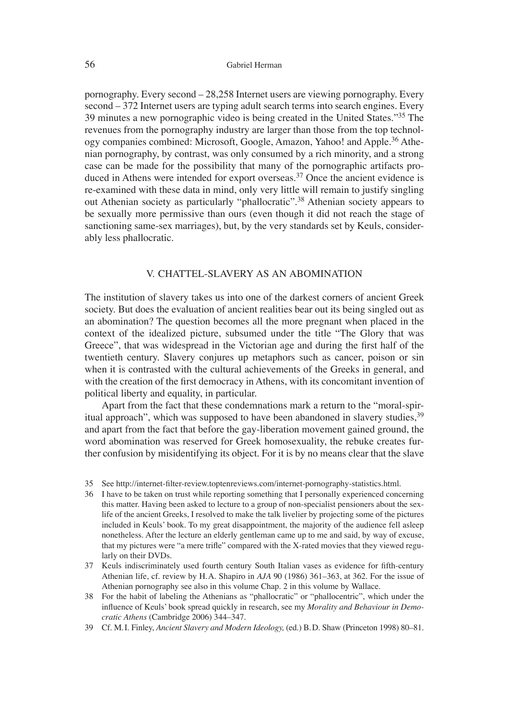pornography. Every second – 28,258 Internet users are viewing pornography. Every second – 372 Internet users are typing adult search terms into search engines. Every 39 minutes a new pornographic video is being created in the United States."35 The revenues from the pornography industry are larger than those from the top technology companies combined: Microsoft, Google, Amazon, Yahoo! and Apple.<sup>36</sup> Athenian pornography, by contrast, was only consumed by a rich minority, and a strong case can be made for the possibility that many of the pornographic artifacts produced in Athens were intended for export overseas.<sup>37</sup> Once the ancient evidence is re-examined with these data in mind, only very little will remain to justify singling out Athenian society as particularly "phallocratic".38 Athenian society appears to be sexually more permissive than ours (even though it did not reach the stage of sanctioning same-sex marriages), but, by the very standards set by Keuls, considerably less phallocratic.

### V. CHATTEL-SLAVERY AS AN ABOMINATION

The institution of slavery takes us into one of the darkest corners of ancient Greek society. But does the evaluation of ancient realities bear out its being singled out as an abomination? The question becomes all the more pregnant when placed in the context of the idealized picture, subsumed under the title "The Glory that was Greece", that was widespread in the Victorian age and during the first half of the twentieth century. Slavery conjures up metaphors such as cancer, poison or sin when it is contrasted with the cultural achievements of the Greeks in general, and with the creation of the first democracy in Athens, with its concomitant invention of political liberty and equality, in particular.

Apart from the fact that these condemnations mark a return to the "moral-spiritual approach", which was supposed to have been abandoned in slavery studies,<sup>39</sup> and apart from the fact that before the gay-liberation movement gained ground, the word abomination was reserved for Greek homosexuality, the rebuke creates further confusion by misidentifying its object. For it is by no means clear that the slave

- 36 I have to be taken on trust while reporting something that I personally experienced concerning this matter. Having been asked to lecture to a group of non-specialist pensioners about the sexlife of the ancient Greeks, I resolved to make the talk livelier by projecting some of the pictures included in Keuls' book. To my great disappointment, the majority of the audience fell asleep nonetheless. After the lecture an elderly gentleman came up to me and said, by way of excuse, that my pictures were "a mere trifle" compared with the X-rated movies that they viewed regularly on their DVDs.
- 37 Keuls indiscriminately used fourth century South Italian vases as evidence for fifth-century Athenian life, cf. review by H. A. Shapiro in *AJA* 90 (1986) 361–363, at 362. For the issue of Athenian pornography see also in this volume Chap. 2 in this volume by Wallace.
- 38 For the habit of labeling the Athenians as "phallocratic" or "phallocentric", which under the influence of Keuls' book spread quickly in research, see my *Morality and Behaviour in Democratic Athens* (Cambridge 2006) 344–347.
- 39 Cf. M. I. Finley, *Ancient Slavery and Modern Ideology,* (ed.) B. D. Shaw (Princeton 1998) 80–81.

<sup>35</sup> See http://internet-filter-review.toptenreviews.com/internet-pornography-statistics.html.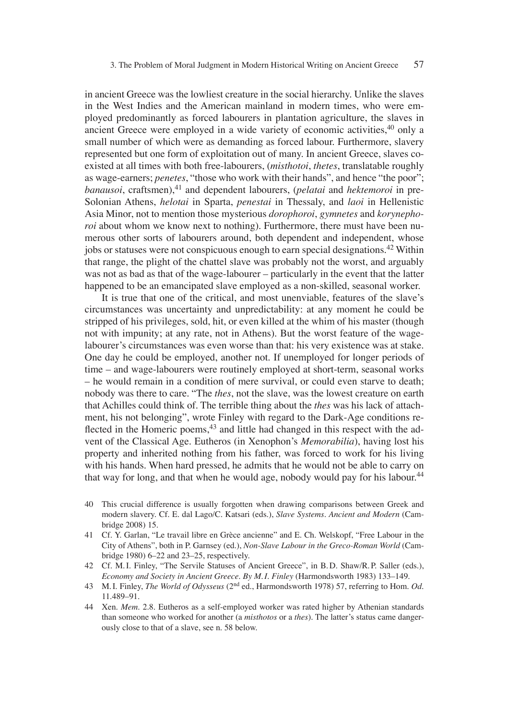in ancient Greece was the lowliest creature in the social hierarchy. Unlike the slaves in the West Indies and the American mainland in modern times, who were employed predominantly as forced labourers in plantation agriculture, the slaves in ancient Greece were employed in a wide variety of economic activities,  $40$  only a small number of which were as demanding as forced labour. Furthermore, slavery represented but one form of exploitation out of many. In ancient Greece, slaves coexisted at all times with both free-labourers, (*misthotoi*, *thetes*, translatable roughly as wage-earners; *penetes*, "those who work with their hands", and hence "the poor"; *banausoi*, craftsmen),<sup>41</sup> and dependent labourers, (*pelatai* and *hektemoroi* in pre-Solonian Athens, *helotai* in Sparta, *penestai* in Thessaly, and *laoi* in Hellenistic Asia Minor, not to mention those mysterious *dorophoroi*, *gymnetes* and *korynephoroi* about whom we know next to nothing). Furthermore, there must have been numerous other sorts of labourers around, both dependent and independent, whose jobs or statuses were not conspicuous enough to earn special designations.42 Within that range, the plight of the chattel slave was probably not the worst, and arguably was not as bad as that of the wage-labourer – particularly in the event that the latter happened to be an emancipated slave employed as a non-skilled, seasonal worker.

It is true that one of the critical, and most unenviable, features of the slave's circumstances was uncertainty and unpredictability: at any moment he could be stripped of his privileges, sold, hit, or even killed at the whim of his master (though not with impunity; at any rate, not in Athens). But the worst feature of the wagelabourer's circumstances was even worse than that: his very existence was at stake. One day he could be employed, another not. If unemployed for longer periods of time – and wage-labourers were routinely employed at short-term, seasonal works – he would remain in a condition of mere survival, or could even starve to death; nobody was there to care. "The *thes*, not the slave, was the lowest creature on earth that Achilles could think of. The terrible thing about the *thes* was his lack of attachment, his not belonging", wrote Finley with regard to the Dark-Age conditions reflected in the Homeric poems, $43$  and little had changed in this respect with the advent of the Classical Age. Eutheros (in Xenophon's *Memorabilia*), having lost his property and inherited nothing from his father, was forced to work for his living with his hands. When hard pressed, he admits that he would not be able to carry on that way for long, and that when he would age, nobody would pay for his labour.<sup>44</sup>

- 40 This crucial difference is usually forgotten when drawing comparisons between Greek and modern slavery. Cf. E. dal Lago/C. Katsari (eds.), *Slave Systems. Ancient and Modern* (Cambridge 2008) 15.
- 41 Cf. Y. Garlan, "Le travail libre en Grèce ancienne" and E. Ch. Welskopf, "Free Labour in the City of Athens", both in P. Garnsey (ed.), *Non-Slave Labour in the Greco-Roman World* (Cambridge 1980) 6–22 and 23–25, respectively.
- 42 Cf. M. I. Finley, "The Servile Statuses of Ancient Greece", in B. D. Shaw/R. P. Saller (eds.), *Economy and Society in Ancient Greece. By M. I. Finley* (Harmondsworth 1983) 133–149.
- 43 M. I. Finley, *The World of Odysseus* (2nd ed., Harmondsworth 1978) 57, referring to Hom. *Od.* 11.489–91.
- 44 Xen. *Mem*. 2.8. Eutheros as a self-employed worker was rated higher by Athenian standards than someone who worked for another (a *misthotos* or a *thes*). The latter's status came dangerously close to that of a slave, see n. 58 below.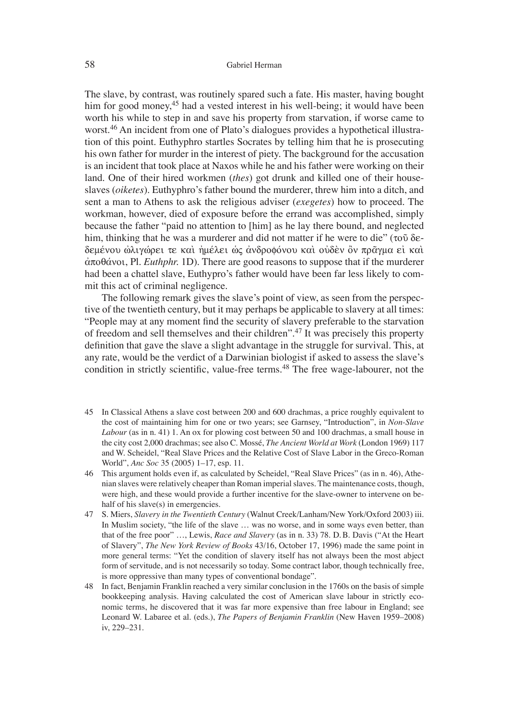The slave, by contrast, was routinely spared such a fate. His master, having bought him for good money,<sup>45</sup> had a vested interest in his well-being; it would have been worth his while to step in and save his property from starvation, if worse came to worst.<sup>46</sup> An incident from one of Plato's dialogues provides a hypothetical illustration of this point. Euthyphro startles Socrates by telling him that he is prosecuting his own father for murder in the interest of piety. The background for the accusation is an incident that took place at Naxos while he and his father were working on their land. One of their hired workmen (*thes*) got drunk and killed one of their houseslaves (*oiketes*). Euthyphro's father bound the murderer, threw him into a ditch, and sent a man to Athens to ask the religious adviser (*exegetes*) how to proceed. The workman, however, died of exposure before the errand was accomplished, simply because the father "paid no attention to [him] as he lay there bound, and neglected him, thinking that he was a murderer and did not matter if he were to die" ( $\tau$ o $\tilde{\nu}$  deδεμένου ώλιγώρει τε καὶ ἠμέλει ὡς ἀνδροφόνου καὶ οὐδὲν ὂν πρᾶγμα εἰ καὶ  $\dot{\alpha}$  $\pi$  $\alpha$  $\dot{\beta}$  $\dot{\alpha}$  voi, Pl. *Euthphr.* 1D). There are good reasons to suppose that if the murderer had been a chattel slave, Euthypro's father would have been far less likely to commit this act of criminal negligence.

The following remark gives the slave's point of view, as seen from the perspective of the twentieth century, but it may perhaps be applicable to slavery at all times: "People may at any moment find the security of slavery preferable to the starvation of freedom and sell themselves and their children".47 It was precisely this property definition that gave the slave a slight advantage in the struggle for survival. This, at any rate, would be the verdict of a Darwinian biologist if asked to assess the slave's condition in strictly scientific, value-free terms.<sup>48</sup> The free wage-labourer, not the

- 45 In Classical Athens a slave cost between 200 and 600 drachmas, a price roughly equivalent to the cost of maintaining him for one or two years; see Garnsey, "Introduction", in *Non-Slave Labour* (as in n. 41) 1. An ox for plowing cost between 50 and 100 drachmas, a small house in the city cost 2,000 drachmas; see also C. Mossé, *The Ancient World at Work* (London 1969) 117 and W. Scheidel, "Real Slave Prices and the Relative Cost of Slave Labor in the Greco-Roman World", *Anc Soc* 35 (2005) 1–17, esp. 11.
- 46 This argument holds even if, as calculated by Scheidel, "Real Slave Prices" (as in n. 46), Athenian slaves were relatively cheaper than Roman imperial slaves. The maintenance costs, though, were high, and these would provide a further incentive for the slave-owner to intervene on behalf of his slave(s) in emergencies.
- 47 S. Miers, *Slavery in the Twentieth Century* (Walnut Creek/Lanham/New York/Oxford 2003) iii. In Muslim society, "the life of the slave … was no worse, and in some ways even better, than that of the free poor" …, Lewis, *Race and Slavery* (as in n. 33) 78. D. B. Davis ("At the Heart of Slavery", *The New York Review of Books* 43/16, October 17, 1996) made the same point in more general terms: "Yet the condition of slavery itself has not always been the most abject form of servitude, and is not necessarily so today. Some contract labor, though technically free, is more oppressive than many types of conventional bondage".
- 48 In fact, Benjamin Franklin reached a very similar conclusion in the 1760s on the basis of simple bookkeeping analysis. Having calculated the cost of American slave labour in strictly economic terms, he discovered that it was far more expensive than free labour in England; see Leonard W. Labaree et al. (eds.), *The Papers of Benjamin Franklin* (New Haven 1959–2008) iv, 229–231.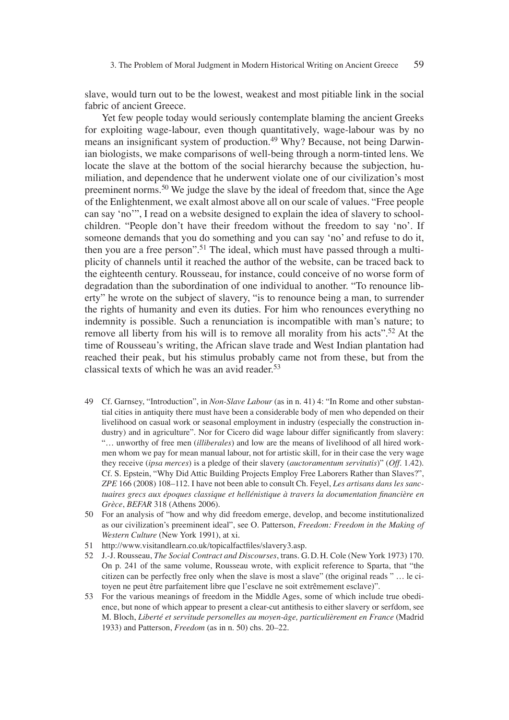slave, would turn out to be the lowest, weakest and most pitiable link in the social fabric of ancient Greece.

Yet few people today would seriously contemplate blaming the ancient Greeks for exploiting wage-labour, even though quantitatively, wage-labour was by no means an insignificant system of production.<sup>49</sup> Why? Because, not being Darwinian biologists, we make comparisons of well-being through a norm-tinted lens. We locate the slave at the bottom of the social hierarchy because the subjection, humiliation, and dependence that he underwent violate one of our civilization's most preeminent norms.50 We judge the slave by the ideal of freedom that, since the Age of the Enlightenment, we exalt almost above all on our scale of values. "Free people can say ʻno'", I read on a website designed to explain the idea of slavery to schoolchildren. "People don't have their freedom without the freedom to say ʻno'. If someone demands that you do something and you can say ʻno' and refuse to do it, then you are a free person".<sup>51</sup> The ideal, which must have passed through a multiplicity of channels until it reached the author of the website, can be traced back to the eighteenth century. Rousseau, for instance, could conceive of no worse form of degradation than the subordination of one individual to another. "To renounce liberty" he wrote on the subject of slavery, "is to renounce being a man, to surrender the rights of humanity and even its duties. For him who renounces everything no indemnity is possible. Such a renunciation is incompatible with man's nature; to remove all liberty from his will is to remove all morality from his acts".<sup>52</sup> At the time of Rousseau's writing, the African slave trade and West Indian plantation had reached their peak, but his stimulus probably came not from these, but from the classical texts of which he was an avid reader.<sup>53</sup>

- 49 Cf. Garnsey, "Introduction", in *Non-Slave Labour* (as in n. 41) 4: "In Rome and other substantial cities in antiquity there must have been a considerable body of men who depended on their livelihood on casual work or seasonal employment in industry (especially the construction industry) and in agriculture". Nor for Cicero did wage labour differ significantly from slavery: "… unworthy of free men (*illiberales*) and low are the means of livelihood of all hired workmen whom we pay for mean manual labour, not for artistic skill, for in their case the very wage they receive (*ipsa merces*) is a pledge of their slavery (*auctoramentum servitutis*)" (*Off*. 1.42). Cf. S. Epstein, "Why Did Attic Building Projects Employ Free Laborers Rather than Slaves?", *ZPE* 166 (2008) 108–112. I have not been able to consult Ch. Feyel, *Les artisans dans les sanc*tuaires grecs aux époques classique et hellénistique à travers la documentation financière en *Grèce*, *BEFAR* 318 (Athens 2006).
- 50 For an analysis of "how and why did freedom emerge, develop, and become institutionalized as our civilization's preeminent ideal", see O. Patterson, *Freedom: Freedom in the Making of Western Culture* (New York 1991), at xi.
- 51 http://www.visitandlearn.co.uk/topicalfactfiles/slavery3.asp.
- 52 J.-J. Rousseau, *The Social Contract and Discourses*, trans. G. D. H. Cole (New York 1973) 170. On p. 241 of the same volume, Rousseau wrote, with explicit reference to Sparta, that "the citizen can be perfectly free only when the slave is most a slave" (the original reads " … le citoyen ne peut être parfaitement libre que l'esclave ne soit extrêmement esclave)".
- 53 For the various meanings of freedom in the Middle Ages, some of which include true obedience, but none of which appear to present a clear-cut antithesis to either slavery or serfdom, see M. Bloch, *Liberté et servitude personelles au moyen-âge, particulièrement en France* (Madrid 1933) and Patterson, *Freedom* (as in n. 50) chs. 20–22.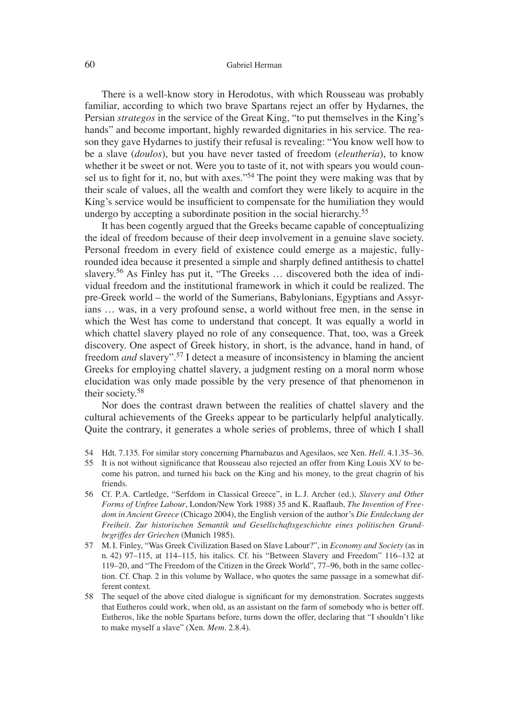#### 60 Gabriel Herman

There is a well-know story in Herodotus, with which Rousseau was probably familiar, according to which two brave Spartans reject an offer by Hydarnes, the Persian *strategos* in the service of the Great King, "to put themselves in the King's hands" and become important, highly rewarded dignitaries in his service. The reason they gave Hydarnes to justify their refusal is revealing: "You know well how to be a slave (*doulos*), but you have never tasted of freedom (*eleutheria*), to know whether it be sweet or not. Were you to taste of it, not with spears you would counsel us to fight for it, no, but with axes."<sup>54</sup> The point they were making was that by their scale of values, all the wealth and comfort they were likely to acquire in the King's service would be insufficient to compensate for the humiliation they would undergo by accepting a subordinate position in the social hierarchy.55

It has been cogently argued that the Greeks became capable of conceptualizing the ideal of freedom because of their deep involvement in a genuine slave society. Personal freedom in every field of existence could emerge as a majestic, fullyrounded idea because it presented a simple and sharply defined antithesis to chattel slavery.<sup>56</sup> As Finley has put it, "The Greeks ... discovered both the idea of individual freedom and the institutional framework in which it could be realized. The pre-Greek world – the world of the Sumerians, Babylonians, Egyptians and Assyrians … was, in a very profound sense, a world without free men, in the sense in which the West has come to understand that concept. It was equally a world in which chattel slavery played no role of any consequence. That, too, was a Greek discovery. One aspect of Greek history, in short, is the advance, hand in hand, of freedom *and* slavery".57 I detect a measure of inconsistency in blaming the ancient Greeks for employing chattel slavery, a judgment resting on a moral norm whose elucidation was only made possible by the very presence of that phenomenon in their society.58

Nor does the contrast drawn between the realities of chattel slavery and the cultural achievements of the Greeks appear to be particularly helpful analytically. Quite the contrary, it generates a whole series of problems, three of which I shall

- 54 Hdt. 7.135. For similar story concerning Pharnabazus and Agesilaos, see Xen. *Hell.* 4.1.35–36.
- 55 It is not without significance that Rousseau also rejected an offer from King Louis XV to become his patron, and turned his back on the King and his money, to the great chagrin of his friends.
- 56 Cf. P. A. Cartledge, "Serfdom in Classical Greece", in L. J. Archer (ed.), *Slavery and Other*  Forms of Unfree Labour, London/New York 1988) 35 and K. Raaflaub, *The Invention of Freedom in Ancient Greece* (Chicago 2004), the English version of the author's *Die Entdeckung der Freiheit. Zur historischen Semantik und Gesellschaftsgeschichte eines politischen Grundbegriffes der Griechen* (Munich 1985).
- 57 M. I. Finley, "Was Greek Civilization Based on Slave Labour?", in *Economy and Society* (as in n. 42) 97–115, at 114–115, his italics. Cf. his "Between Slavery and Freedom" 116–132 at 119–20, and "The Freedom of the Citizen in the Greek World", 77–96, both in the same collection. Cf. Chap. 2 in this volume by Wallace, who quotes the same passage in a somewhat different context.
- 58 The sequel of the above cited dialogue is significant for my demonstration. Socrates suggests that Eutheros could work, when old, as an assistant on the farm of somebody who is better off. Eutheros, like the noble Spartans before, turns down the offer, declaring that "I shouldn't like to make myself a slave" (Xen. *Mem*. 2.8.4).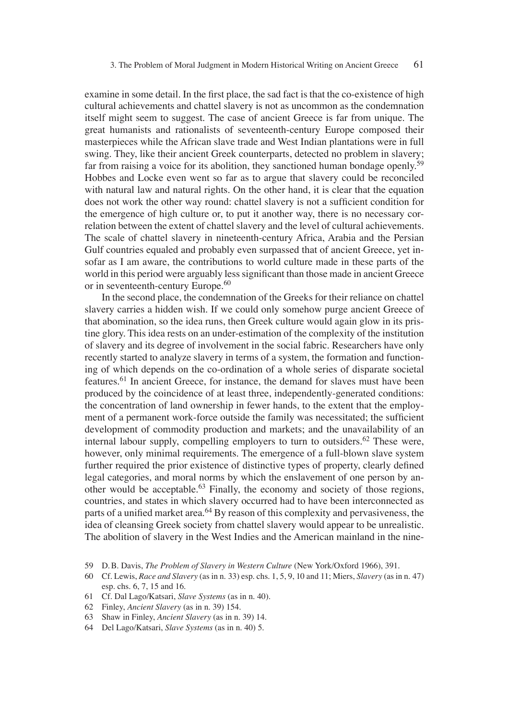examine in some detail. In the first place, the sad fact is that the co-existence of high cultural achievements and chattel slavery is not as uncommon as the condemnation itself might seem to suggest. The case of ancient Greece is far from unique. The great humanists and rationalists of seventeenth-century Europe composed their masterpieces while the African slave trade and West Indian plantations were in full swing. They, like their ancient Greek counterparts, detected no problem in slavery; far from raising a voice for its abolition, they sanctioned human bondage openly.<sup>59</sup> Hobbes and Locke even went so far as to argue that slavery could be reconciled with natural law and natural rights. On the other hand, it is clear that the equation does not work the other way round: chattel slavery is not a sufficient condition for the emergence of high culture or, to put it another way, there is no necessary correlation between the extent of chattel slavery and the level of cultural achievements. The scale of chattel slavery in nineteenth-century Africa, Arabia and the Persian Gulf countries equaled and probably even surpassed that of ancient Greece, yet insofar as I am aware, the contributions to world culture made in these parts of the world in this period were arguably less significant than those made in ancient Greece or in seventeenth-century Europe.<sup>60</sup>

In the second place, the condemnation of the Greeks for their reliance on chattel slavery carries a hidden wish. If we could only somehow purge ancient Greece of that abomination, so the idea runs, then Greek culture would again glow in its pristine glory. This idea rests on an under-estimation of the complexity of the institution of slavery and its degree of involvement in the social fabric. Researchers have only recently started to analyze slavery in terms of a system, the formation and functioning of which depends on the co-ordination of a whole series of disparate societal features.61 In ancient Greece, for instance, the demand for slaves must have been produced by the coincidence of at least three, independently-generated conditions: the concentration of land ownership in fewer hands, to the extent that the employment of a permanent work-force outside the family was necessitated; the sufficient development of commodity production and markets; and the unavailability of an internal labour supply, compelling employers to turn to outsiders.<sup>62</sup> These were, however, only minimal requirements. The emergence of a full-blown slave system further required the prior existence of distinctive types of property, clearly defined legal categories, and moral norms by which the enslavement of one person by another would be acceptable.63 Finally, the economy and society of those regions, countries, and states in which slavery occurred had to have been interconnected as parts of a unified market area.<sup>64</sup> By reason of this complexity and pervasiveness, the idea of cleansing Greek society from chattel slavery would appear to be unrealistic. The abolition of slavery in the West Indies and the American mainland in the nine-

- 59 D. B. Davis, *The Problem of Slavery in Western Culture* (New York/Oxford 1966), 391.
- 60 Cf. Lewis, *Race and Slavery* (as in n. 33) esp. chs. 1, 5, 9, 10 and 11; Miers, *Slavery* (as in n. 47) esp. chs. 6, 7, 15 and 16.
- 61 Cf. Dal Lago/Katsari, *Slave Systems* (as in n. 40).
- 62 Finley, *Ancient Slavery* (as in n. 39) 154.
- 63 Shaw in Finley, *Ancient Slavery* (as in n. 39) 14.
- 64 Del Lago/Katsari, *Slave Systems* (as in n. 40) 5.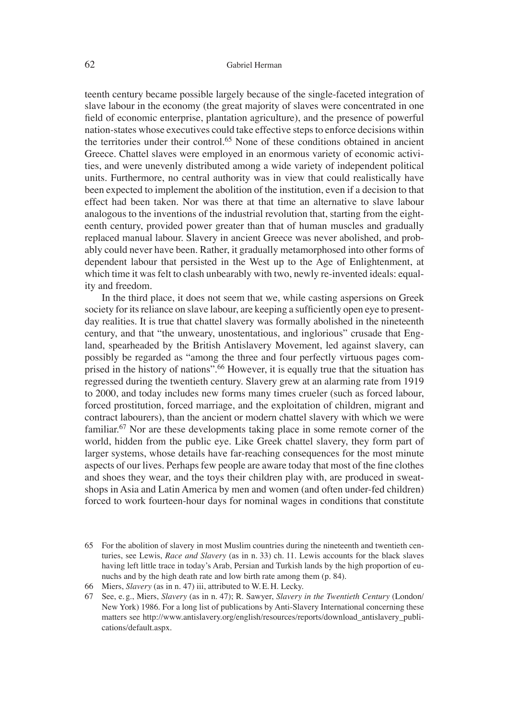teenth century became possible largely because of the single-faceted integration of slave labour in the economy (the great majority of slaves were concentrated in one field of economic enterprise, plantation agriculture), and the presence of powerful nation-states whose executives could take effective steps to enforce decisions within the territories under their control.65 None of these conditions obtained in ancient Greece. Chattel slaves were employed in an enormous variety of economic activities, and were unevenly distributed among a wide variety of independent political units. Furthermore, no central authority was in view that could realistically have been expected to implement the abolition of the institution, even if a decision to that effect had been taken. Nor was there at that time an alternative to slave labour analogous to the inventions of the industrial revolution that, starting from the eighteenth century, provided power greater than that of human muscles and gradually replaced manual labour. Slavery in ancient Greece was never abolished, and probably could never have been. Rather, it gradually metamorphosed into other forms of dependent labour that persisted in the West up to the Age of Enlightenment, at which time it was felt to clash unbearably with two, newly re-invented ideals: equality and freedom.

In the third place, it does not seem that we, while casting aspersions on Greek society for its reliance on slave labour, are keeping a sufficiently open eye to presentday realities. It is true that chattel slavery was formally abolished in the nineteenth century, and that "the unweary, unostentatious, and inglorious" crusade that England, spearheaded by the British Antislavery Movement, led against slavery, can possibly be regarded as "among the three and four perfectly virtuous pages comprised in the history of nations".<sup>66</sup> However, it is equally true that the situation has regressed during the twentieth century. Slavery grew at an alarming rate from 1919 to 2000, and today includes new forms many times crueler (such as forced labour, forced prostitution, forced marriage, and the exploitation of children, migrant and contract labourers), than the ancient or modern chattel slavery with which we were familiar.67 Nor are these developments taking place in some remote corner of the world, hidden from the public eye. Like Greek chattel slavery, they form part of larger systems, whose details have far-reaching consequences for the most minute aspects of our lives. Perhaps few people are aware today that most of the fine clothes and shoes they wear, and the toys their children play with, are produced in sweatshops in Asia and Latin America by men and women (and often under-fed children) forced to work fourteen-hour days for nominal wages in conditions that constitute

<sup>65</sup> For the abolition of slavery in most Muslim countries during the nineteenth and twentieth centuries, see Lewis, *Race and Slavery* (as in n. 33) ch. 11. Lewis accounts for the black slaves having left little trace in today's Arab, Persian and Turkish lands by the high proportion of eunuchs and by the high death rate and low birth rate among them (p. 84).

<sup>66</sup> Miers, *Slavery* (as in n. 47) iii, attributed to W. E. H. Lecky.

<sup>67</sup> See, e. g., Miers, *Slavery* (as in n. 47); R. Sawyer, *Slavery in the Twentieth Century* (London/ New York) 1986. For a long list of publications by Anti-Slavery International concerning these matters see http://www.antislavery.org/english/resources/reports/download\_antislavery\_publications/default.aspx.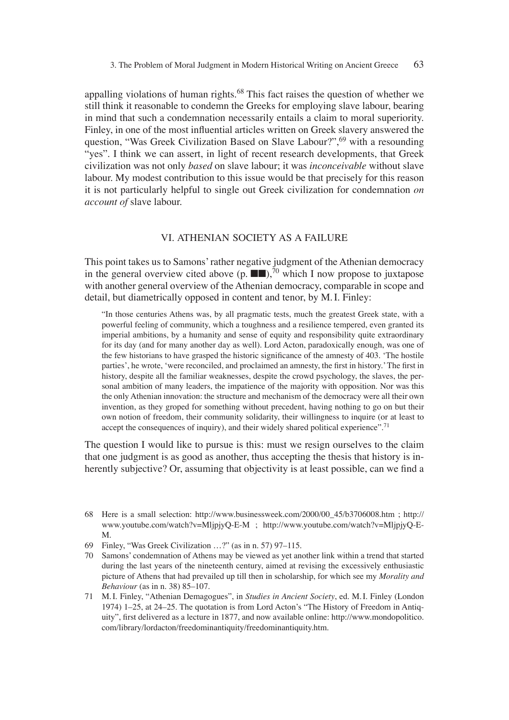appalling violations of human rights.<sup>68</sup> This fact raises the question of whether we still think it reasonable to condemn the Greeks for employing slave labour, bearing in mind that such a condemnation necessarily entails a claim to moral superiority. Finley, in one of the most influential articles written on Greek slavery answered the question, "Was Greek Civilization Based on Slave Labour?",<sup>69</sup> with a resounding "yes". I think we can assert, in light of recent research developments, that Greek civilization was not only *based* on slave labour; it was *inconceivable* without slave labour. My modest contribution to this issue would be that precisely for this reason it is not particularly helpful to single out Greek civilization for condemnation *on account of* slave labour.

### VI. ATHENIAN SOCIETY AS A FAILURE

This point takes us to Samons' rather negative judgment of the Athenian democracy in the general overview cited above  $(p, \blacksquare)$ ,<sup>70</sup> which I now propose to juxtapose with another general overview of the Athenian democracy, comparable in scope and detail, but diametrically opposed in content and tenor, by M. I. Finley:

"In those centuries Athens was, by all pragmatic tests, much the greatest Greek state, with a powerful feeling of community, which a toughness and a resilience tempered, even granted its imperial ambitions, by a humanity and sense of equity and responsibility quite extraordinary for its day (and for many another day as well). Lord Acton, paradoxically enough, was one of the few historians to have grasped the historic significance of the amnesty of 403. 'The hostile parties', he wrote, 'were reconciled, and proclaimed an amnesty, the first in history.' The first in history, despite all the familiar weaknesses, despite the crowd psychology, the slaves, the personal ambition of many leaders, the impatience of the majority with opposition. Nor was this the only Athenian innovation: the structure and mechanism of the democracy were all their own invention, as they groped for something without precedent, having nothing to go on but their own notion of freedom, their community solidarity, their willingness to inquire (or at least to accept the consequences of inquiry), and their widely shared political experience".<sup>71</sup>

The question I would like to pursue is this: must we resign ourselves to the claim that one judgment is as good as another, thus accepting the thesis that history is inherently subjective? Or, assuming that objectivity is at least possible, can we find a

- 69 Finley, "Was Greek Civilization …?" (as in n. 57) 97–115.
- 70 Samons' condemnation of Athens may be viewed as yet another link within a trend that started during the last years of the nineteenth century, aimed at revising the excessively enthusiastic picture of Athens that had prevailed up till then in scholarship, for which see my *Morality and Behaviour* (as in n. 38) 85–107.
- 71 M. I. Finley, "Athenian Demagogues", in *Studies in Ancient Society*, ed. M. I. Finley (London 1974) 1–25, at 24–25. The quotation is from Lord Acton's "The History of Freedom in Antiquity", first delivered as a lecture in 1877, and now available online: http://www.mondopolitico. com/library/lordacton/freedominantiquity/freedominantiquity.htm.

<sup>68</sup> Here is a small selection: http://www.businessweek.com/2000/00\_45/b3706008.htm ; http:// www.youtube.com/watch?v=MljpjyQ-E-M ; http://www.youtube.com/watch?v=MljpjyQ-E-M.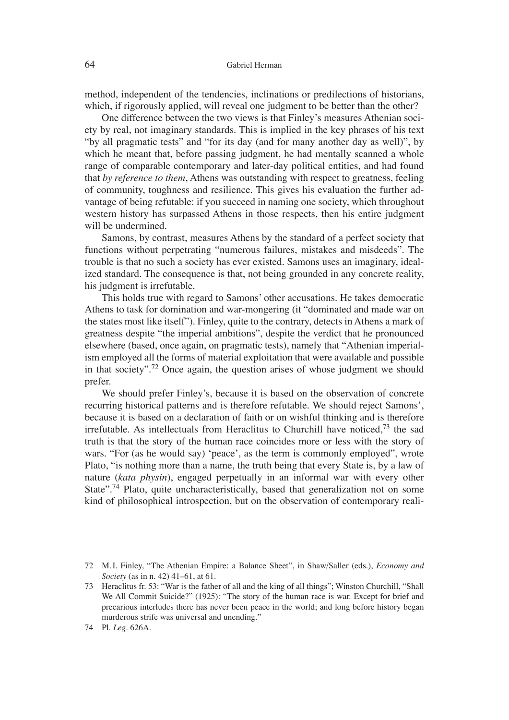method, independent of the tendencies, inclinations or predilections of historians, which, if rigorously applied, will reveal one judgment to be better than the other?

One difference between the two views is that Finley's measures Athenian society by real, not imaginary standards. This is implied in the key phrases of his text "by all pragmatic tests" and "for its day (and for many another day as well)", by which he meant that, before passing judgment, he had mentally scanned a whole range of comparable contemporary and later-day political entities, and had found that *by reference to them*, Athens was outstanding with respect to greatness, feeling of community, toughness and resilience. This gives his evaluation the further advantage of being refutable: if you succeed in naming one society, which throughout western history has surpassed Athens in those respects, then his entire judgment will be undermined.

Samons, by contrast, measures Athens by the standard of a perfect society that functions without perpetrating "numerous failures, mistakes and misdeeds". The trouble is that no such a society has ever existed. Samons uses an imaginary, idealized standard. The consequence is that, not being grounded in any concrete reality, his judgment is irrefutable.

This holds true with regard to Samons' other accusations. He takes democratic Athens to task for domination and war-mongering (it "dominated and made war on the states most like itself"). Finley, quite to the contrary, detects in Athens a mark of greatness despite "the imperial ambitions", despite the verdict that he pronounced elsewhere (based, once again, on pragmatic tests), namely that "Athenian imperialism employed all the forms of material exploitation that were available and possible in that society".<sup>72</sup> Once again, the question arises of whose judgment we should prefer.

We should prefer Finley's, because it is based on the observation of concrete recurring historical patterns and is therefore refutable. We should reject Samons', because it is based on a declaration of faith or on wishful thinking and is therefore irrefutable. As intellectuals from Heraclitus to Churchill have noticed, $73$  the sad truth is that the story of the human race coincides more or less with the story of wars. "For (as he would say) ʻpeace', as the term is commonly employed", wrote Plato, "is nothing more than a name, the truth being that every State is, by a law of nature (*kata physin*), engaged perpetually in an informal war with every other State".<sup>74</sup> Plato, quite uncharacteristically, based that generalization not on some kind of philosophical introspection, but on the observation of contemporary reali-

<sup>72</sup> M. I. Finley, "The Athenian Empire: a Balance Sheet", in Shaw/Saller (eds.), *Economy and Society* (as in n. 42) 41–61, at 61.

<sup>73</sup> Heraclitus fr. 53: "War is the father of all and the king of all things"; Winston Churchill, "Shall We All Commit Suicide?" (1925): "The story of the human race is war. Except for brief and precarious interludes there has never been peace in the world; and long before history began murderous strife was universal and unending."

<sup>74</sup> Pl. *Leg*. 626A.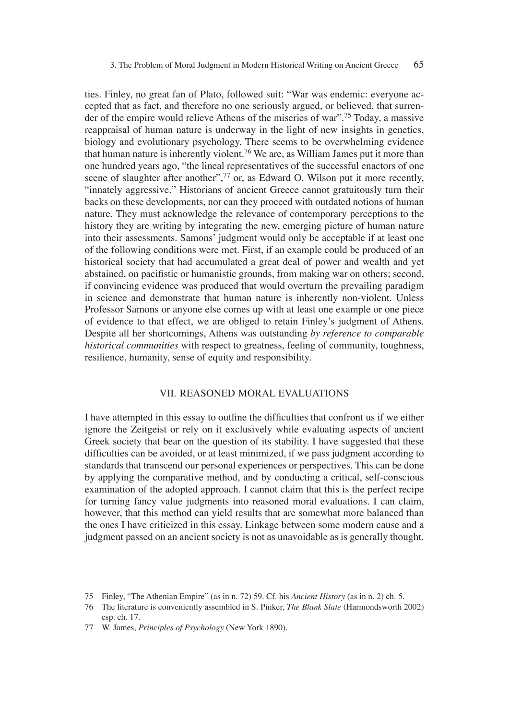ties. Finley, no great fan of Plato, followed suit: "War was endemic: everyone accepted that as fact, and therefore no one seriously argued, or believed, that surrender of the empire would relieve Athens of the miseries of war".75 Today, a massive reappraisal of human nature is underway in the light of new insights in genetics, biology and evolutionary psychology. There seems to be overwhelming evidence that human nature is inherently violent.<sup>76</sup> We are, as William James put it more than one hundred years ago, "the lineal representatives of the successful enactors of one scene of slaughter after another",<sup>77</sup> or, as Edward O. Wilson put it more recently, "innately aggressive." Historians of ancient Greece cannot gratuitously turn their backs on these developments, nor can they proceed with outdated notions of human nature. They must acknowledge the relevance of contemporary perceptions to the history they are writing by integrating the new, emerging picture of human nature into their assessments. Samons' judgment would only be acceptable if at least one of the following conditions were met. First, if an example could be produced of an historical society that had accumulated a great deal of power and wealth and yet abstained, on pacifistic or humanistic grounds, from making war on others; second, if convincing evidence was produced that would overturn the prevailing paradigm in science and demonstrate that human nature is inherently non-violent. Unless Professor Samons or anyone else comes up with at least one example or one piece of evidence to that effect, we are obliged to retain Finley's judgment of Athens. Despite all her shortcomings, Athens was outstanding *by reference to comparable historical communities* with respect to greatness, feeling of community, toughness, resilience, humanity, sense of equity and responsibility.

## VII. REASONED MORAL EVALUATIONS

I have attempted in this essay to outline the difficulties that confront us if we either ignore the Zeitgeist or rely on it exclusively while evaluating aspects of ancient Greek society that bear on the question of its stability. I have suggested that these difficulties can be avoided, or at least minimized, if we pass judgment according to standards that transcend our personal experiences or perspectives. This can be done by applying the comparative method, and by conducting a critical, self-conscious examination of the adopted approach. I cannot claim that this is the perfect recipe for turning fancy value judgments into reasoned moral evaluations. I can claim, however, that this method can yield results that are somewhat more balanced than the ones I have criticized in this essay. Linkage between some modern cause and a judgment passed on an ancient society is not as unavoidable as is generally thought.

<sup>75</sup> Finley, "The Athenian Empire" (as in n. 72) 59. Cf. his *Ancient History* (as in n. 2) ch. 5.

<sup>76</sup> The literature is conveniently assembled in S. Pinker, *The Blank Slate* (Harmondsworth 2002) esp. ch. 17.

<sup>77</sup> W. James, *Principles of Psychology* (New York 1890).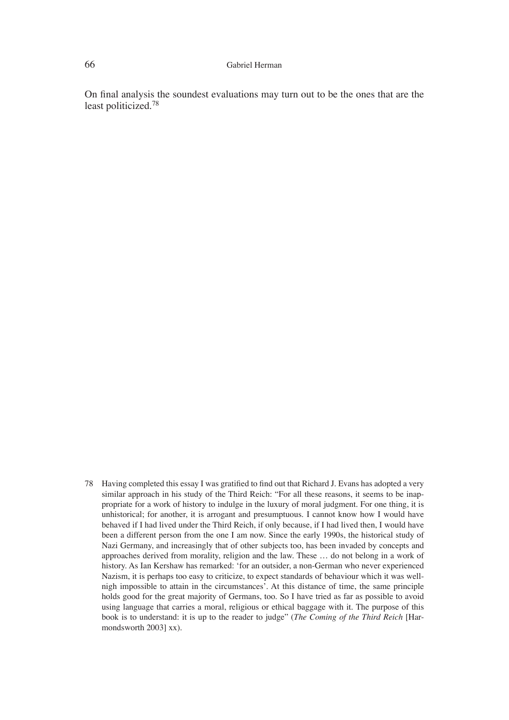#### 66 Gabriel Herman

On final analysis the soundest evaluations may turn out to be the ones that are the least politicized.78

78 Having completed this essay I was gratified to find out that Richard J. Evans has adopted a very similar approach in his study of the Third Reich: "For all these reasons, it seems to be inappropriate for a work of history to indulge in the luxury of moral judgment. For one thing, it is unhistorical; for another, it is arrogant and presumptuous. I cannot know how I would have behaved if I had lived under the Third Reich, if only because, if I had lived then, I would have been a different person from the one I am now. Since the early 1990s, the historical study of Nazi Germany, and increasingly that of other subjects too, has been invaded by concepts and approaches derived from morality, religion and the law. These … do not belong in a work of history. As Ian Kershaw has remarked: ʻfor an outsider, a non-German who never experienced Nazism, it is perhaps too easy to criticize, to expect standards of behaviour which it was wellnigh impossible to attain in the circumstances'. At this distance of time, the same principle holds good for the great majority of Germans, too. So I have tried as far as possible to avoid using language that carries a moral, religious or ethical baggage with it. The purpose of this book is to understand: it is up to the reader to judge" (*The Coming of the Third Reich* [Harmondsworth 2003] xx).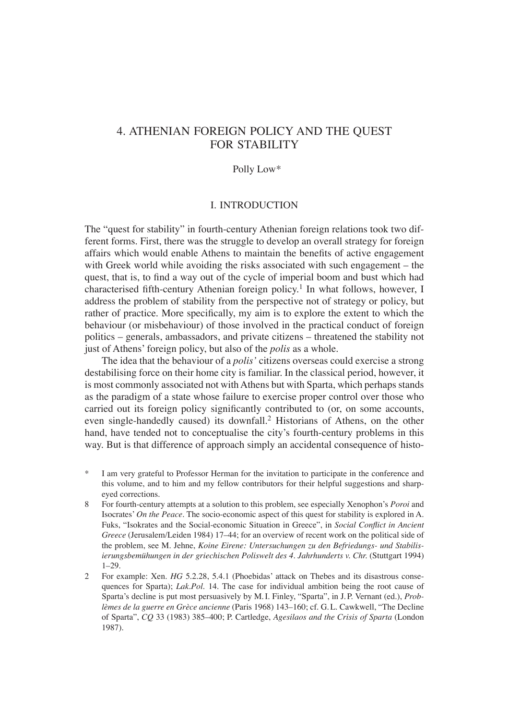# 4. ATHENIAN FOREIGN POLICY AND THE QUEST FOR STABILITY

## Polly Low\*

## I. INTRODUCTION

The "quest for stability" in fourth-century Athenian foreign relations took two different forms. First, there was the struggle to develop an overall strategy for foreign affairs which would enable Athens to maintain the benefits of active engagement with Greek world while avoiding the risks associated with such engagement – the quest, that is, to find a way out of the cycle of imperial boom and bust which had characterised fifth-century Athenian foreign policy.<sup>1</sup> In what follows, however, I address the problem of stability from the perspective not of strategy or policy, but rather of practice. More specifically, my aim is to explore the extent to which the behaviour (or misbehaviour) of those involved in the practical conduct of foreign politics – generals, ambassadors, and private citizens – threatened the stability not just of Athens' foreign policy, but also of the *polis* as a whole.

The idea that the behaviour of a *polis'* citizens overseas could exercise a strong destabilising force on their home city is familiar. In the classical period, however, it is most commonly associated not with Athens but with Sparta, which perhaps stands as the paradigm of a state whose failure to exercise proper control over those who carried out its foreign policy significantly contributed to (or, on some accounts, even single-handedly caused) its downfall.<sup>2</sup> Historians of Athens, on the other hand, have tended not to conceptualise the city's fourth-century problems in this way. But is that difference of approach simply an accidental consequence of histo-

- I am very grateful to Professor Herman for the invitation to participate in the conference and this volume, and to him and my fellow contributors for their helpful suggestions and sharpeyed corrections.
- 8 For fourth-century attempts at a solution to this problem, see especially Xenophon's *Poroi* and Isocrates' *On the Peace*. The socio-economic aspect of this quest for stability is explored in A. Fuks, "Isokrates and the Social-economic Situation in Greece", in *Social Conflict in Ancient Greece* (Jerusalem/Leiden 1984) 17–44; for an overview of recent work on the political side of the problem, see M. Jehne, *Koine Eirene: Untersuchungen zu den Befriedungs- und Stabilisierungsbemühungen in der griechischen Poliswelt des 4. Jahrhunderts v. Chr.* (Stuttgart 1994) 1–29.
- 2 For example: Xen. *HG* 5.2.28, 5.4.1 (Phoebidas' attack on Thebes and its disastrous consequences for Sparta); *Lak.Pol.* 14. The case for individual ambition being the root cause of Sparta's decline is put most persuasively by M. I. Finley, "Sparta", in J. P. Vernant (ed.), *Problèmes de la guerre en Grèce ancienne* (Paris 1968) 143–160; cf. G. L. Cawkwell, "The Decline of Sparta", *CQ* 33 (1983) 385–400; P. Cartledge, *Agesilaos and the Crisis of Sparta* (London 1987).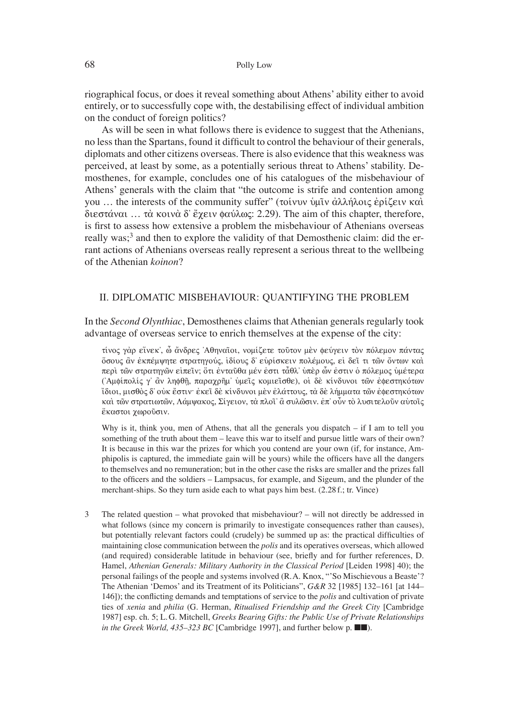riographical focus, or does it reveal something about Athens' ability either to avoid entirely, or to successfully cope with, the destabilising effect of individual ambition on the conduct of foreign politics?

As will be seen in what follows there is evidence to suggest that the Athenians, no less than the Spartans, found it difficult to control the behaviour of their generals, diplomats and other citizens overseas. There is also evidence that this weakness was perceived, at least by some, as a potentially serious threat to Athens' stability. Demosthenes, for example, concludes one of his catalogues of the misbehaviour of Athens' generals with the claim that "the outcome is strife and contention among you ... the interests of the community suffer" (τοίνυν υμῖν ἀλλήλοις ἐρίζειν και διεστάναι … τὰ κοινὰ δ' ἔχειν φαύλως: 2.29). The aim of this chapter, therefore, is first to assess how extensive a problem the misbehaviour of Athenians overseas really was;<sup>3</sup> and then to explore the validity of that Demosthenic claim: did the errant actions of Athenians overseas really represent a serious threat to the wellbeing of the Athenian *koinon*?

### II. DIPLOMATIC MISBEHAVIOUR: QUANTIFYING THE PROBLEM

In the *Second Olynthiac*, Demosthenes claims that Athenian generals regularly took advantage of overseas service to enrich themselves at the expense of the city:

τίνος γάρ είνεκ', ὦ ἄνδρες Άθηναΐοι, νομίζετε τοῦτον μὲν φεύγειν τὸν πόλεμον πάντας όσους ἂν ἐκπέμψητε στρατηγούς, ἱδίους δ' εὑρίσκειν πολέμους, εἰ δεῖ τι τῶν ὄντων καὶ περὶ τῶν στρατηγῶν εἰπεῖν; ὅτι ἐνταῦθα μέν ἐστι τἆθλ' ὑπὲρ ὧν ἐστιν ὁ πόλεμος ὑμέτερα ('Aμφίπολίς γ' ἂν ληφθῆ, παραγρῆμ' ὑμεῖς κομιεῖσθε), oi δὲ κίνδυνοι τῶν ἐφεστηκότων i[dioi, misqo;~ d∆ oujk e[stin: ejkei' de; kivndunoi me;n ejlavttou~, ta; de; lhvmmata tw'n ejfesthkovtwn καὶ τῶν στρατιωτῶν, Λάμψακος, Σίγειον, τὰ πλοῖ' ἂ συλῶσιν. ἐπ' οὗν τὸ λυσιτελοῦν αὑτοῖς έκαστοι χωρούσιν.

Why is it, think you, men of Athens, that all the generals you dispatch – if I am to tell you something of the truth about them – leave this war to itself and pursue little wars of their own? It is because in this war the prizes for which you contend are your own (if, for instance, Amphipolis is captured, the immediate gain will be yours) while the officers have all the dangers to themselves and no remuneration; but in the other case the risks are smaller and the prizes fall to the officers and the soldiers – Lampsacus, for example, and Sigeum, and the plunder of the merchant-ships. So they turn aside each to what pays him best. (2.28 f.; tr. Vince)

3 The related question – what provoked that misbehaviour? – will not directly be addressed in what follows (since my concern is primarily to investigate consequences rather than causes), but potentially relevant factors could (crudely) be summed up as: the practical difficulties of maintaining close communication between the *polis* and its operatives overseas, which allowed (and required) considerable latitude in behaviour (see, briefly and for further references, D. Hamel, *Athenian Generals: Military Authority in the Classical Period* [Leiden 1998] 40); the personal failings of the people and systems involved (R. A. Knox, "'So Mischievous a Beaste'? The Athenian ʻDemos' and its Treatment of its Politicians", *G&R* 32 [1985] 132–161 [at 144– 146]); the conflicting demands and temptations of service to the *polis* and cultivation of private ties of *xenia* and *philia* (G. Herman, *Ritualised Friendship and the Greek City* [Cambridge 1987] esp. ch. 5; L. G. Mitchell, *Greeks Bearing Gifts: the Public Use of Private Relationships in the Greek World, 435–323 BC* [Cambridge 1997], and further below p. ■■).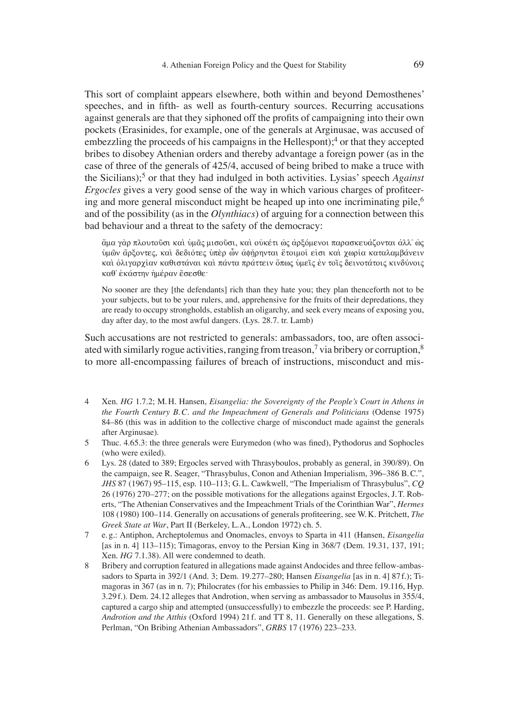This sort of complaint appears elsewhere, both within and beyond Demosthenes' speeches, and in fifth- as well as fourth-century sources. Recurring accusations against generals are that they siphoned off the profits of campaigning into their own pockets (Erasinides, for example, one of the generals at Arginusae, was accused of embezzling the proceeds of his campaigns in the Hellespont);<sup>4</sup> or that they accepted bribes to disobey Athenian orders and thereby advantage a foreign power (as in the case of three of the generals of 425/4, accused of being bribed to make a truce with the Sicilians);5 or that they had indulged in both activities. Lysias' speech *Against Ergocles* gives a very good sense of the way in which various charges of profiteering and more general misconduct might be heaped up into one incriminating pile,  $6\overline{6}$ and of the possibility (as in the *Olynthiacs*) of arguing for a connection between this bad behaviour and a threat to the safety of the democracy:

άμα γὰρ πλουτοῦσι καὶ ὑμᾶς μισοῦσι, καὶ οὐκέτι ὡς ἀρξόμενοι παρασκευάζονται ἀλλ' ὡς ύμῶν ἄρξοντες, καὶ δεδιότες ὑπὲρ ὧν ἀφήρηνται ἕτοιμοί εἰσι καὶ χωρία καταλαμβάνειν και ολιγαρχίαν καθιστάναι και πάντα πράττειν ὄπως υμεϊς εν τοῖς δεινοτάτοις κινδύνοις καθ' εκάστην ημέραν έσεσθε·

No sooner are they [the defendants] rich than they hate you; they plan thenceforth not to be your subjects, but to be your rulers, and, apprehensive for the fruits of their depredations, they are ready to occupy strongholds, establish an oligarchy, and seek every means of exposing you, day after day, to the most awful dangers. (Lys. 28.7. tr. Lamb)

Such accusations are not restricted to generals: ambassadors, too, are often associated with similarly rogue activities, ranging from treason,<sup>7</sup> via bribery or corruption,<sup>8</sup> to more all-encompassing failures of breach of instructions, misconduct and mis-

- 4 Xen. *HG* 1.7.2; M. H. Hansen, *Eisangelia: the Sovereignty of the People's Court in Athens in the Fourth Century B. C. and the Impeachment of Generals and Politicians* (Odense 1975) 84–86 (this was in addition to the collective charge of misconduct made against the generals after Arginusae).
- 5 Thuc. 4.65.3: the three generals were Eurymedon (who was fined), Pythodorus and Sophocles (who were exiled).
- 6 Lys. 28 (dated to 389; Ergocles served with Thrasyboulos, probably as general, in 390/89). On the campaign, see R. Seager, "Thrasybulus, Conon and Athenian Imperialism, 396–386 B. C.", *JHS* 87 (1967) 95–115, esp. 110–113; G. L. Cawkwell, "The Imperialism of Thrasybulus", *CQ* 26 (1976) 270–277; on the possible motivations for the allegations against Ergocles, J. T. Roberts, "The Athenian Conservatives and the Impeachment Trials of the Corinthian War", *Hermes* 108 (1980) 100–114. Generally on accusations of generals profi teering, see W. K. Pritchett, *The Greek State at War*, Part II (Berkeley, L. A., London 1972) ch. 5.
- 7 e. g.: Antiphon, Archeptolemus and Onomacles, envoys to Sparta in 411 (Hansen, *Eisangelia* [as in n. 4] 113–115); Timagoras, envoy to the Persian King in 368/7 (Dem. 19.31, 137, 191; Xen. *HG* 7.1.38). All were condemned to death.
- 8 Bribery and corruption featured in allegations made against Andocides and three fellow-ambassadors to Sparta in 392/1 (And. 3; Dem. 19.277–280; Hansen *Eisangelia* [as in n. 4] 87 f.); Timagoras in 367 (as in n. 7); Philocrates (for his embassies to Philip in 346: Dem. 19.116, Hyp. 3.29 f.). Dem. 24.12 alleges that Androtion, when serving as ambassador to Mausolus in 355/4, captured a cargo ship and attempted (unsuccessfully) to embezzle the proceeds: see P. Harding, *Androtion and the Atthis* (Oxford 1994) 21 f. and TT 8, 11. Generally on these allegations, S. Perlman, "On Bribing Athenian Ambassadors", *GRBS* 17 (1976) 223–233.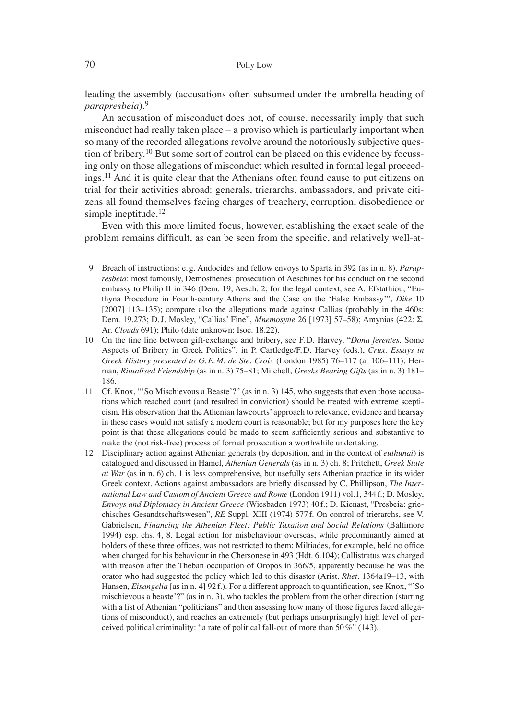#### 70 Polly Low

leading the assembly (accusations often subsumed under the umbrella heading of *parapresbeia*).<sup>9</sup>

An accusation of misconduct does not, of course, necessarily imply that such misconduct had really taken place – a proviso which is particularly important when so many of the recorded allegations revolve around the notoriously subjective question of bribery.<sup>10</sup> But some sort of control can be placed on this evidence by focussing only on those allegations of misconduct which resulted in formal legal proceedings.11 And it is quite clear that the Athenians often found cause to put citizens on trial for their activities abroad: generals, trierarchs, ambassadors, and private citizens all found themselves facing charges of treachery, corruption, disobedience or simple ineptitude.<sup>12</sup>

Even with this more limited focus, however, establishing the exact scale of the problem remains difficult, as can be seen from the specific, and relatively well-at-

- 9 Breach of instructions: e. g. Andocides and fellow envoys to Sparta in 392 (as in n. 8). *Parapresbeia*: most famously, Demosthenes' prosecution of Aeschines for his conduct on the second embassy to Philip II in 346 (Dem. 19, Aesch. 2; for the legal context, see A. Efstathiou, "Euthyna Procedure in Fourth-century Athens and the Case on the ʻFalse Embassy'", *Dike* 10 [2007] 113–135); compare also the allegations made against Callias (probably in the 460s: Dem. 19.273; D. J. Mosley, "Callias' Fine", *Mnemosyne* 26 [1973] 57–58); Amynias (422: S. Ar. *Clouds* 691); Philo (date unknown: Isoc. 18.22).
- 10 On the fine line between gift-exchange and bribery, see F.D. Harvey, "*Dona ferentes*. Some Aspects of Bribery in Greek Politics", in P. Cartledge/F. D. Harvey (eds.), *Crux. Essays in Greek History presented to G. E. M. de Ste. Croix* (London 1985) 76–117 (at 106–111); Herman, *Ritualised Friendship* (as in n. 3) 75–81; Mitchell, *Greeks Bearing Gifts* (as in n. 3) 181– 186.
- 11 Cf. Knox, "ʻSo Mischievous a Beaste'?" (as in n. 3) 145, who suggests that even those accusations which reached court (and resulted in conviction) should be treated with extreme scepticism. His observation that the Athenian lawcourts' approach to relevance, evidence and hearsay in these cases would not satisfy a modern court is reasonable; but for my purposes here the key point is that these allegations could be made to seem sufficiently serious and substantive to make the (not risk-free) process of formal prosecution a worthwhile undertaking.
- 12 Disciplinary action against Athenian generals (by deposition, and in the context of *euthunai*) is catalogued and discussed in Hamel, *Athenian Generals* (as in n. 3) ch. 8; Pritchett, *Greek State at War* (as in n. 6) ch. 1 is less comprehensive, but usefully sets Athenian practice in its wider Greek context. Actions against ambassadors are briefly discussed by C. Phillipson, *The International Law and Custom of Ancient Greece and Rome* (London 1911) vol.1, 344 f.; D. Mosley, *Envoys and Diplomacy in Ancient Greece* (Wiesbaden 1973) 40 f.; D. Kienast, "Presbeia: griechisches Gesandtschaftswesen", *RE* Suppl. XIII (1974) 577 f. On control of trierarchs, see V. Gabrielsen, *Financing the Athenian Fleet: Public Taxation and Social Relations* (Baltimore 1994) esp. chs. 4, 8. Legal action for misbehaviour overseas, while predominantly aimed at holders of these three offices, was not restricted to them: Miltiades, for example, held no office when charged for his behaviour in the Chersonese in 493 (Hdt. 6.104); Callistratus was charged with treason after the Theban occupation of Oropos in 366/5, apparently because he was the orator who had suggested the policy which led to this disaster (Arist. *Rhet*. 1364a19–13, with Hansen, *Eisangelia* [as in n. 4] 92 f.). For a different approach to quantification, see Knox, "'So mischievous a beaste'?" (as in n. 3), who tackles the problem from the other direction (starting with a list of Athenian "politicians" and then assessing how many of those figures faced allegations of misconduct), and reaches an extremely (but perhaps unsurprisingly) high level of perceived political criminality: "a rate of political fall-out of more than 50 %" (143).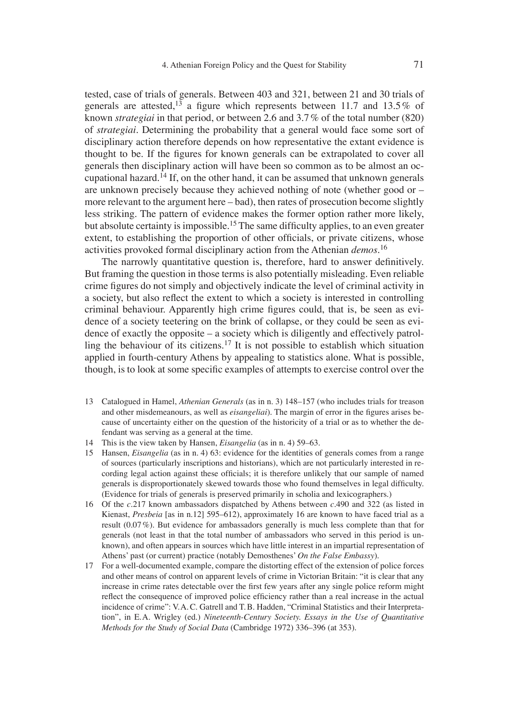tested, case of trials of generals. Between 403 and 321, between 21 and 30 trials of generals are attested,<sup>13</sup> a figure which represents between 11.7 and 13.5% of known *strategiai* in that period, or between 2.6 and 3.7 % of the total number (820) of *strategiai.* Determining the probability that a general would face some sort of disciplinary action therefore depends on how representative the extant evidence is thought to be. If the figures for known generals can be extrapolated to cover all generals then disciplinary action will have been so common as to be almost an occupational hazard.14 If, on the other hand, it can be assumed that unknown generals are unknown precisely because they achieved nothing of note (whether good or – more relevant to the argument here – bad), then rates of prosecution become slightly less striking. The pattern of evidence makes the former option rather more likely, but absolute certainty is impossible.<sup>15</sup> The same difficulty applies, to an even greater extent, to establishing the proportion of other officials, or private citizens, whose activities provoked formal disciplinary action from the Athenian *demos*. 16

The narrowly quantitative question is, therefore, hard to answer definitively. But framing the question in those terms is also potentially misleading. Even reliable crime figures do not simply and objectively indicate the level of criminal activity in a society, but also reflect the extent to which a society is interested in controlling criminal behaviour. Apparently high crime figures could, that is, be seen as evidence of a society teetering on the brink of collapse, or they could be seen as evidence of exactly the opposite – a society which is diligently and effectively patrolling the behaviour of its citizens.17 It is not possible to establish which situation applied in fourth-century Athens by appealing to statistics alone. What is possible, though, is to look at some specific examples of attempts to exercise control over the

- 13 Catalogued in Hamel, *Athenian Generals* (as in n. 3) 148–157 (who includes trials for treason and other misdemeanours, as well as *eisangeliai*). The margin of error in the figures arises because of uncertainty either on the question of the historicity of a trial or as to whether the defendant was serving as a general at the time.
- 14 This is the view taken by Hansen, *Eisangelia* (as in n. 4) 59–63.
- 15 Hansen, *Eisangelia* (as in n. 4) 63: evidence for the identities of generals comes from a range of sources (particularly inscriptions and historians), which are not particularly interested in recording legal action against these officials; it is therefore unlikely that our sample of named generals is disproportionately skewed towards those who found themselves in legal difficulty. (Evidence for trials of generals is preserved primarily in scholia and lexicographers.)
- 16 Of the *c.*217 known ambassadors dispatched by Athens between *c.*490 and 322 (as listed in Kienast, *Presbeia* [as in n.12] 595–612), approximately 16 are known to have faced trial as a result (0.07 %). But evidence for ambassadors generally is much less complete than that for generals (not least in that the total number of ambassadors who served in this period is unknown), and often appears in sources which have little interest in an impartial representation of Athens' past (or current) practice (notably Demosthenes' *On the False Embassy*).
- 17 For a well-documented example, compare the distorting effect of the extension of police forces and other means of control on apparent levels of crime in Victorian Britain: "it is clear that any increase in crime rates detectable over the first few years after any single police reform might reflect the consequence of improved police efficiency rather than a real increase in the actual incidence of crime": V. A. C. Gatrell and T. B. Hadden, "Criminal Statistics and their Interpretation", in E. A. Wrigley (ed.) *Nineteenth-Century Society. Essays in the Use of Quantitative Methods for the Study of Social Data* (Cambridge 1972) 336–396 (at 353).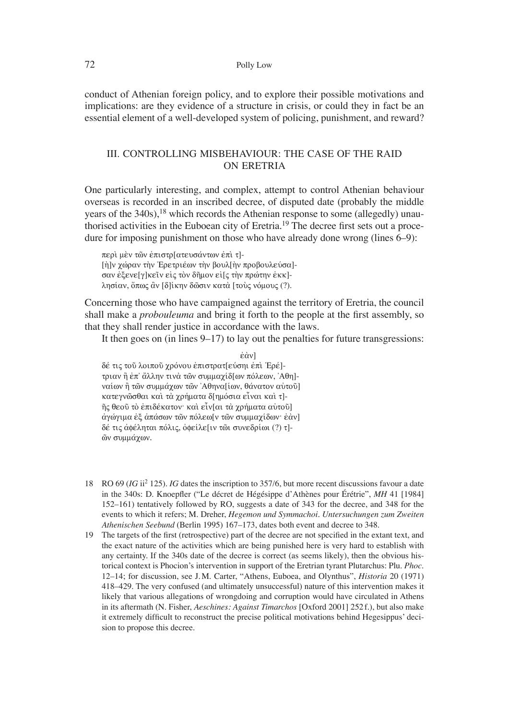#### 72 Polly Low

conduct of Athenian foreign policy, and to explore their possible motivations and implications: are they evidence of a structure in crisis, or could they in fact be an essential element of a well-developed system of policing, punishment, and reward?

## III. CONTROLLING MISBEHAVIOUR: THE CASE OF THE RAID ON ERETRIA

One particularly interesting, and complex, attempt to control Athenian behaviour overseas is recorded in an inscribed decree, of disputed date (probably the middle years of the 340s),18 which records the Athenian response to some (allegedly) unauthorised activities in the Euboean city of Eretria.<sup>19</sup> The decree first sets out a procedure for imposing punishment on those who have already done wrong (lines 6–9):

περί μέν τῶν ἐπιστρ[ατευσάντων ἐπὶ τ]- $[\hat{\eta}]$ ν χώραν την Έρετριέων την βουλ $[\hat{\eta}]$ ν προβουλεύσα]σαν έξενε[γ]κεῖν εἰς τὸν δῆμον εἰ[ς τὴν πρώτην ἐκκ]λησίαν, ὄπως ἂν [δ]ίκην δῶσιν κατὰ [τοὺς νόμους (?).

Concerning those who have campaigned against the territory of Eretria, the council shall make a *probouleuma* and bring it forth to the people at the first assembly, so that they shall render justice in accordance with the laws.

It then goes on (in lines 9–17) to lay out the penalties for future transgressions:

 $\dot{\epsilon} \dot{\alpha} v$ ] δέ τις τοῦ λοιποῦ χρόνου ἐπιστρατ[εύσηι ἐπὶ Ἐρέ]τριαν ἢ ἐπ' ἄλλην τινὰ τῶν συμμαχίδ[ων πόλεων, 'Aθη]ναίων ή τῶν συμμάχων τῶν 'Αθηνα[ίων, θάνατον αὐτοῦ] κατεγνῶσθαι και τα χρήματα δ[ημόσια εἶναι και τ]- $\tilde{\eta}$ ς θεοῦ τὸ ἐπιδέκατον· καὶ εἶν[αι τὰ χρήματα αὐτοῦ] άγώγιμα έξ απάσων τῶν πόλεω[ν τῶν συμμαγίδων· έὰν] δέ τις αφέληται πόλις, οφείλε[ιν τῶι συνεδρίωι (?) τ]**ών συμμάχων.** 

- 18 RO 69 (*IG* ii2 125). *IG* dates the inscription to 357/6, but more recent discussions favour a date in the 340s: D. Knoepfler ("Le décret de Hégésippe d'Athènes pour Érétrie", *MH* 41 [1984] 152–161) tentatively followed by RO, suggests a date of 343 for the decree, and 348 for the events to which it refers; M. Dreher, *Hegemon und Symmachoi. Untersuchungen zum Zweiten Athenischen Seebund* (Berlin 1995) 167–173, dates both event and decree to 348.
- 19 The targets of the first (retrospective) part of the decree are not specified in the extant text, and the exact nature of the activities which are being punished here is very hard to establish with any certainty. If the 340s date of the decree is correct (as seems likely), then the obvious historical context is Phocion's intervention in support of the Eretrian tyrant Plutarchus: Plu. *Phoc.*  12–14; for discussion, see J. M. Carter, "Athens, Euboea, and Olynthus", *Historia* 20 (1971) 418–429. The very confused (and ultimately unsuccessful) nature of this intervention makes it likely that various allegations of wrongdoing and corruption would have circulated in Athens in its aftermath (N. Fisher, *Aeschines: Against Timarchos* [Oxford 2001] 252 f.), but also make it extremely difficult to reconstruct the precise political motivations behind Hegesippus' decision to propose this decree.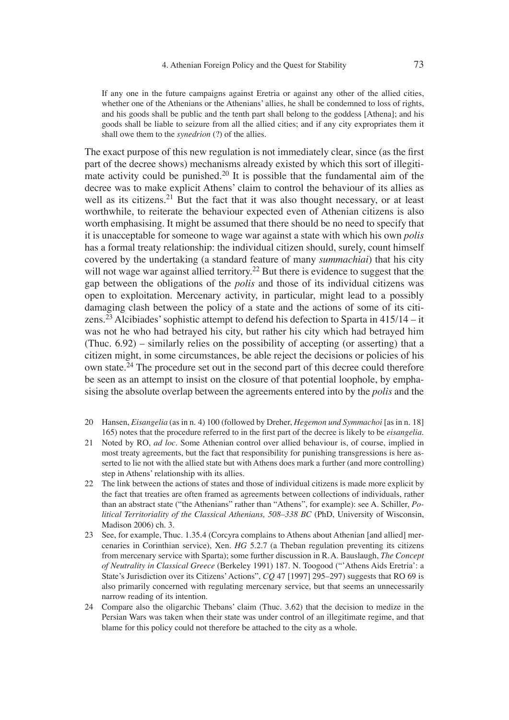If any one in the future campaigns against Eretria or against any other of the allied cities, whether one of the Athenians or the Athenians' allies, he shall be condemned to loss of rights, and his goods shall be public and the tenth part shall belong to the goddess [Athena]; and his goods shall be liable to seizure from all the allied cities; and if any city expropriates them it shall owe them to the *synedrion* (?) of the allies.

The exact purpose of this new regulation is not immediately clear, since (as the first part of the decree shows) mechanisms already existed by which this sort of illegitimate activity could be punished.20 It is possible that the fundamental aim of the decree was to make explicit Athens' claim to control the behaviour of its allies as well as its citizens.<sup>21</sup> But the fact that it was also thought necessary, or at least worthwhile, to reiterate the behaviour expected even of Athenian citizens is also worth emphasising. It might be assumed that there should be no need to specify that it is unacceptable for someone to wage war against a state with which his own *polis* has a formal treaty relationship: the individual citizen should, surely, count himself covered by the undertaking (a standard feature of many *summachiai*) that his city will not wage war against allied territory.<sup>22</sup> But there is evidence to suggest that the gap between the obligations of the *polis* and those of its individual citizens was open to exploitation. Mercenary activity, in particular, might lead to a possibly damaging clash between the policy of a state and the actions of some of its citizens.<sup>23</sup> Alcibiades' sophistic attempt to defend his defection to Sparta in  $415/14 - it$ was not he who had betrayed his city, but rather his city which had betrayed him (Thuc. 6.92) – similarly relies on the possibility of accepting (or asserting) that a citizen might, in some circumstances, be able reject the decisions or policies of his own state.24 The procedure set out in the second part of this decree could therefore be seen as an attempt to insist on the closure of that potential loophole, by emphasising the absolute overlap between the agreements entered into by the *polis* and the

- 20 Hansen, *Eisangelia* (as in n. 4) 100 (followed by Dreher, *Hegemon und Symmachoi* [as in n. 18] 165) notes that the procedure referred to in the first part of the decree is likely to be *eisangelia*.
- 21 Noted by RO, *ad loc*. Some Athenian control over allied behaviour is, of course, implied in most treaty agreements, but the fact that responsibility for punishing transgressions is here asserted to lie not with the allied state but with Athens does mark a further (and more controlling) step in Athens' relationship with its allies.
- 22 The link between the actions of states and those of individual citizens is made more explicit by the fact that treaties are often framed as agreements between collections of individuals, rather than an abstract state ("the Athenians" rather than "Athens", for example): see A. Schiller, *Political Territoriality of the Classical Athenians, 508–338 BC* (PhD, University of Wisconsin, Madison 2006) ch. 3.
- 23 See, for example, Thuc. 1.35.4 (Corcyra complains to Athens about Athenian [and allied] mercenaries in Corinthian service), Xen. *HG* 5.2.7 (a Theban regulation preventing its citizens from mercenary service with Sparta); some further discussion in R. A. Bauslaugh, *The Concept of Neutrality in Classical Greece* (Berkeley 1991) 187. N. Toogood ("'Athens Aids Eretria': a State's Jurisdiction over its Citizens' Actions", *CQ* 47 [1997] 295–297) suggests that RO 69 is also primarily concerned with regulating mercenary service, but that seems an unnecessarily narrow reading of its intention.
- 24 Compare also the oligarchic Thebans' claim (Thuc. 3.62) that the decision to medize in the Persian Wars was taken when their state was under control of an illegitimate regime, and that blame for this policy could not therefore be attached to the city as a whole.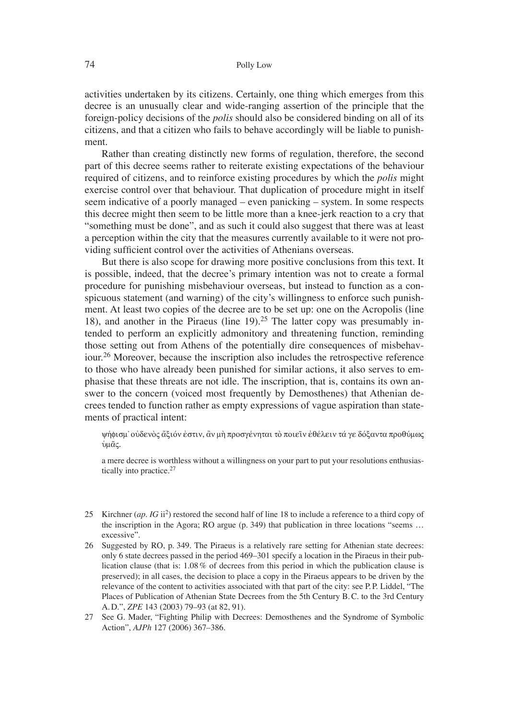activities undertaken by its citizens. Certainly, one thing which emerges from this decree is an unusually clear and wide-ranging assertion of the principle that the foreign-policy decisions of the *polis* should also be considered binding on all of its citizens, and that a citizen who fails to behave accordingly will be liable to punishment.

Rather than creating distinctly new forms of regulation, therefore, the second part of this decree seems rather to reiterate existing expectations of the behaviour required of citizens, and to reinforce existing procedures by which the *polis* might exercise control over that behaviour. That duplication of procedure might in itself seem indicative of a poorly managed – even panicking – system. In some respects this decree might then seem to be little more than a knee-jerk reaction to a cry that "something must be done", and as such it could also suggest that there was at least a perception within the city that the measures currently available to it were not providing sufficient control over the activities of Athenians overseas.

But there is also scope for drawing more positive conclusions from this text. It is possible, indeed, that the decree's primary intention was not to create a formal procedure for punishing misbehaviour overseas, but instead to function as a conspicuous statement (and warning) of the city's willingness to enforce such punishment. At least two copies of the decree are to be set up: one on the Acropolis (line 18), and another in the Piraeus (line 19).25 The latter copy was presumably intended to perform an explicitly admonitory and threatening function, reminding those setting out from Athens of the potentially dire consequences of misbehaviour.26 Moreover, because the inscription also includes the retrospective reference to those who have already been punished for similar actions, it also serves to emphasise that these threats are not idle. The inscription, that is, contains its own answer to the concern (voiced most frequently by Demosthenes) that Athenian decrees tended to function rather as empty expressions of vague aspiration than statements of practical intent:

γήφισμ' οὐδενὸς ἄξιόν ἐστιν, ἂν μὴ προσγένηται τὸ ποιεῖν ἐθέλειν τά γε δόξαντα προθύμως ύμας.

a mere decree is worthless without a willingness on your part to put your resolutions enthusiastically into practice.<sup>27</sup>

- 25 Kirchner (*ap*. *IG* ii2) restored the second half of line 18 to include a reference to a third copy of the inscription in the Agora; RO argue (p. 349) that publication in three locations "seems … excessive".
- 26 Suggested by RO, p. 349. The Piraeus is a relatively rare setting for Athenian state decrees: only 6 state decrees passed in the period 469–301 specify a location in the Piraeus in their publication clause (that is: 1.08 % of decrees from this period in which the publication clause is preserved); in all cases, the decision to place a copy in the Piraeus appears to be driven by the relevance of the content to activities associated with that part of the city: see P.P. Liddel, "The Places of Publication of Athenian State Decrees from the 5th Century B. C. to the 3rd Century A. D.", *ZPE* 143 (2003) 79–93 (at 82, 91).
- 27 See G. Mader, "Fighting Philip with Decrees: Demosthenes and the Syndrome of Symbolic Action", *AJPh* 127 (2006) 367–386.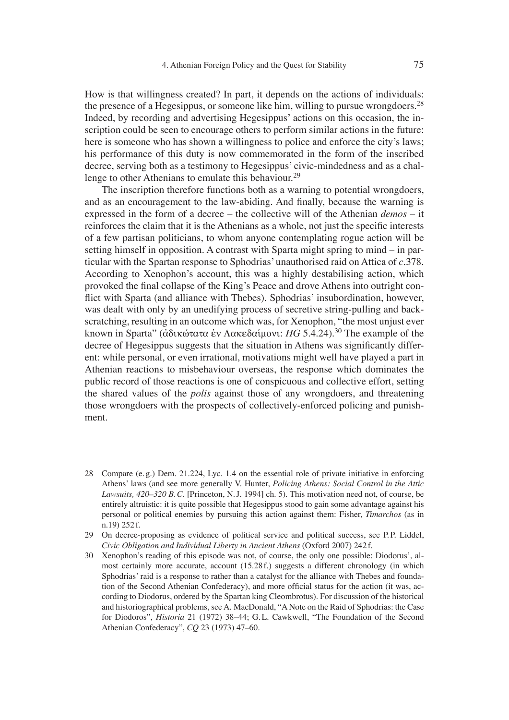How is that willingness created? In part, it depends on the actions of individuals: the presence of a Hegesippus, or someone like him, willing to pursue wrongdoers.<sup>28</sup> Indeed, by recording and advertising Hegesippus' actions on this occasion, the inscription could be seen to encourage others to perform similar actions in the future: here is someone who has shown a willingness to police and enforce the city's laws; his performance of this duty is now commemorated in the form of the inscribed decree, serving both as a testimony to Hegesippus' civic-mindedness and as a challenge to other Athenians to emulate this behaviour.<sup>29</sup>

The inscription therefore functions both as a warning to potential wrongdoers, and as an encouragement to the law-abiding. And finally, because the warning is expressed in the form of a decree – the collective will of the Athenian *demos* – it reinforces the claim that it is the Athenians as a whole, not just the specific interests of a few partisan politicians, to whom anyone contemplating rogue action will be setting himself in opposition. A contrast with Sparta might spring to mind – in particular with the Spartan response to Sphodrias' unauthorised raid on Attica of *c.*378. According to Xenophon's account, this was a highly destabilising action, which provoked the final collapse of the King's Peace and drove Athens into outright conflict with Sparta (and alliance with Thebes). Sphodrias' insubordination, however, was dealt with only by an unedifying process of secretive string-pulling and backscratching, resulting in an outcome which was, for Xenophon, "the most unjust ever known in Sparta" (άδικώτατα έν Λακεδαίμονι: *HG* 5.4.24).<sup>30</sup> The example of the decree of Hegesippus suggests that the situation in Athens was significantly different: while personal, or even irrational, motivations might well have played a part in Athenian reactions to misbehaviour overseas, the response which dominates the public record of those reactions is one of conspicuous and collective effort, setting the shared values of the *polis* against those of any wrongdoers, and threatening those wrongdoers with the prospects of collectively-enforced policing and punishment.

- 28 Compare (e. g.) Dem. 21.224, Lyc. 1.4 on the essential role of private initiative in enforcing Athens' laws (and see more generally V. Hunter, *Policing Athens: Social Control in the Attic Lawsuits, 420–320 B. C.* [Princeton, N. J. 1994] ch. 5). This motivation need not, of course, be entirely altruistic: it is quite possible that Hegesippus stood to gain some advantage against his personal or political enemies by pursuing this action against them: Fisher, *Timarchos* (as in n.19) 252 f.
- 29 On decree-proposing as evidence of political service and political success, see P.P. Liddel, *Civic Obligation and Individual Liberty in Ancient Athens* (Oxford 2007) 242 f.
- 30 Xenophon's reading of this episode was not, of course, the only one possible: Diodorus', almost certainly more accurate, account (15.28 f.) suggests a different chronology (in which Sphodrias' raid is a response to rather than a catalyst for the alliance with Thebes and foundation of the Second Athenian Confederacy), and more official status for the action (it was, according to Diodorus, ordered by the Spartan king Cleombrotus). For discussion of the historical and historiographical problems, see A. MacDonald, "A Note on the Raid of Sphodrias: the Case for Diodoros", *Historia* 21 (1972) 38–44; G. L. Cawkwell, "The Foundation of the Second Athenian Confederacy", *CQ* 23 (1973) 47–60.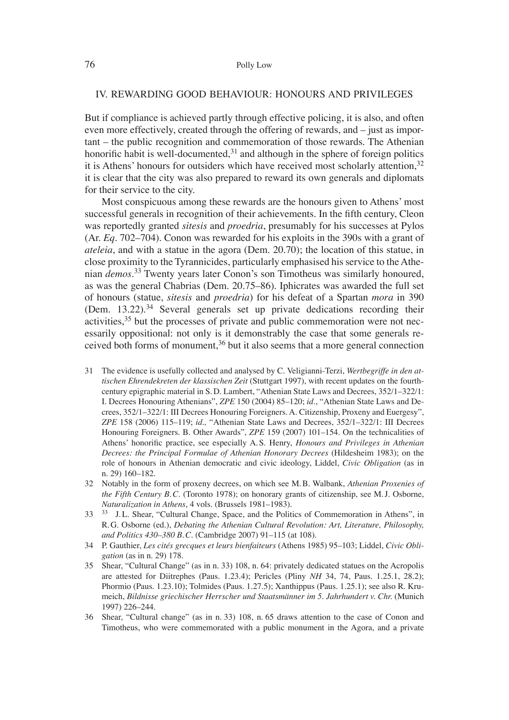#### IV. REWARDING GOOD BEHAVIOUR: HONOURS AND PRIVILEGES

But if compliance is achieved partly through effective policing, it is also, and often even more effectively, created through the offering of rewards, and – just as important – the public recognition and commemoration of those rewards. The Athenian honorific habit is well-documented,  $31$  and although in the sphere of foreign politics it is Athens' honours for outsiders which have received most scholarly attention,<sup>32</sup> it is clear that the city was also prepared to reward its own generals and diplomats for their service to the city.

Most conspicuous among these rewards are the honours given to Athens' most successful generals in recognition of their achievements. In the fifth century, Cleon was reportedly granted *sitesis* and *proedria*, presumably for his successes at Pylos (Ar. *Eq.* 702–704). Conon was rewarded for his exploits in the 390s with a grant of *ateleia*, and with a statue in the agora (Dem. 20.70); the location of this statue, in close proximity to the Tyrannicides, particularly emphasised his service to the Athenian *demos*. 33 Twenty years later Conon's son Timotheus was similarly honoured, as was the general Chabrias (Dem. 20.75–86). Iphicrates was awarded the full set of honours (statue, *sitesis* and *proedria*) for his defeat of a Spartan *mora* in 390 (Dem.  $13.22$ )<sup>34</sup> Several generals set up private dedications recording their activities,<sup>35</sup> but the processes of private and public commemoration were not necessarily oppositional: not only is it demonstrably the case that some generals received both forms of monument,  $36$  but it also seems that a more general connection

- 31 The evidence is usefully collected and analysed by C. Veligianni-Terzi, *Wertbegriffe in den attischen Ehrendekreten der klassischen Zeit* (Stuttgart 1997), with recent updates on the fourthcentury epigraphic material in S. D. Lambert, "Athenian State Laws and Decrees, 352/1–322/1: I. Decrees Honouring Athenians", *ZPE* 150 (2004) 85–120; *id*., "Athenian State Laws and Decrees, 352/1–322/1: III Decrees Honouring Foreigners. A. Citizenship, Proxeny and Euergesy", *ZPE* 158 (2006) 115–119; *id.,* "Athenian State Laws and Decrees, 352/1–322/1: III Decrees Honouring Foreigners. B. Other Awards", *ZPE* 159 (2007) 101–154. On the technicalities of Athens' honorific practice, see especially A.S. Henry, *Honours and Privileges in Athenian Decrees: the Principal Formulae of Athenian Honorary Decrees* (Hildesheim 1983); on the role of honours in Athenian democratic and civic ideology, Liddel, *Civic Obligation* (as in n. 29) 160–182.
- 32 Notably in the form of proxeny decrees, on which see M. B. Walbank, *Athenian Proxenies of the Fifth Century B. C.* (Toronto 1978); on honorary grants of citizenship, see M. J. Osborne, *Naturalization in Athens*, 4 vols. (Brussels 1981–1983).
- 33 <sup>33</sup> J.L. Shear, "Cultural Change, Space, and the Politics of Commemoration in Athens", in R. G. Osborne (ed.), *Debating the Athenian Cultural Revolution: Art, Literature, Philosophy, and Politics 430–380 B. C.* (Cambridge 2007) 91–115 (at 108).
- 34 P. Gauthier, *Les cité s grecques et leurs bienfaiteurs* (Athens 1985) 95–103; Liddel, *Civic Obligation* (as in n. 29) 178.
- 35 Shear, "Cultural Change" (as in n. 33) 108, n. 64: privately dedicated statues on the Acropolis are attested for Diitrephes (Paus. 1.23.4); Pericles (Pliny *NH* 34, 74, Paus. 1.25.1, 28.2); Phormio (Paus. 1.23.10); Tolmides (Paus. 1.27.5); Xanthippus (Paus. 1.25.1); see also R. Krumeich, *Bildnisse griechischer Herrscher und Staatsmänner im 5. Jahrhundert v. Chr.* (Munich 1997) 226–244.
- 36 Shear, "Cultural change" (as in n. 33) 108, n. 65 draws attention to the case of Conon and Timotheus, who were commemorated with a public monument in the Agora, and a private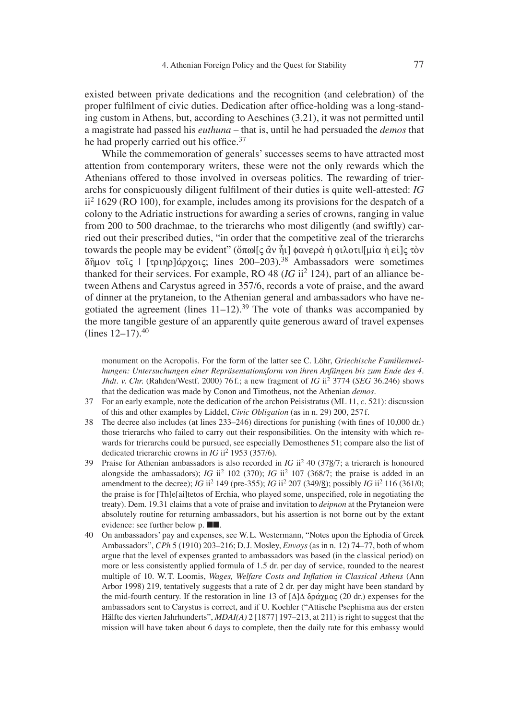existed between private dedications and the recognition (and celebration) of the proper fulfilment of civic duties. Dedication after office-holding was a long-standing custom in Athens, but, according to Aeschines (3.21), it was not permitted until a magistrate had passed his *euthuna* – that is, until he had persuaded the *demos* that he had properly carried out his office. $37$ 

While the commemoration of generals' successes seems to have attracted most attention from contemporary writers, these were not the only rewards which the Athenians offered to those involved in overseas politics. The rewarding of trierarchs for conspicuously diligent fulfilment of their duties is quite well-attested: *IG* ii2 1629 (RO 100), for example, includes among its provisions for the despatch of a colony to the Adriatic instructions for awarding a series of crowns, ranging in value from 200 to 500 drachmae, to the trierarchs who most diligently (and swiftly) carried out their prescribed duties, "in order that the competitive zeal of the trierarchs towards the people may be evident" (ὅπω|[ς ἂν ἦι] φανερὰ ἡ φιλοτι|[μία ἡ εἰ]ς τὸν  $\delta$ ñuov toic | [touno] $\alpha$ ovoic: lines 200–203).<sup>38</sup> Ambassadors were sometimes thanked for their services. For example, RO 48  $(IG ii<sup>2</sup> 124)$ , part of an alliance between Athens and Carystus agreed in 357/6, records a vote of praise, and the award of dinner at the prytaneion, to the Athenian general and ambassadors who have negotiated the agreement (lines  $11-12$ ).<sup>39</sup> The vote of thanks was accompanied by the more tangible gesture of an apparently quite generous award of travel expenses  $(1)$ ines  $12-17$ ).  $40$ 

monument on the Acropolis. For the form of the latter see C. Löhr, *Griechische Familienweihungen: Untersuchungen einer Repräsentationsform von ihren Anfängen bis zum Ende des 4. Jhdt. v. Chr.* (Rahden/Westf. 2000) 76 f.; a new fragment of *IG* ii2 3774 (*SEG* 36.246) shows that the dedication was made by Conon and Timotheus, not the Athenian *demos*.

- 37 For an early example, note the dedication of the archon Peisistratus (ML 11, *c.* 521): discussion of this and other examples by Liddel, *Civic Obligation* (as in n. 29) 200, 257 f.
- 38 The decree also includes (at lines  $233-246$ ) directions for punishing (with fines of 10,000 dr.) those trierarchs who failed to carry out their responsibilities. On the intensity with which rewards for trierarchs could be pursued, see especially Demosthenes 51; compare also the list of dedicated trierarchic crowns in *IG* ii<sup>2</sup> 1953 (357/6).
- 39 Praise for Athenian ambassadors is also recorded in *IG* ii2 40 (378/7; a trierarch is honoured alongside the ambassadors); *IG* ii<sup>2</sup> 102 (370); *IG* ii<sup>2</sup> 107 (368/7; the praise is added in an amendment to the decree); *IG* ii<sup>2</sup> 149 (pre-355); *IG* ii<sup>2</sup> 207 (349/8); possibly *IG* ii<sup>2</sup> 116 (361/0; the praise is for [Th]e[ai]tetos of Erchia, who played some, unspecified, role in negotiating the treaty). Dem. 19.31 claims that a vote of praise and invitation to *deipnon* at the Prytaneion were absolutely routine for returning ambassadors, but his assertion is not borne out by the extant evidence: see further below p. ■■*.*
- 40 On ambassadors' pay and expenses, see W. L. Westermann, "Notes upon the Ephodia of Greek Ambassadors", *CPh* 5 (1910) 203–216; D. J. Mosley, *Envoys* (as in n. 12) 74–77, both of whom argue that the level of expenses granted to ambassadors was based (in the classical period) on more or less consistently applied formula of 1.5 dr. per day of service, rounded to the nearest multiple of 10. W.T. Loomis, *Wages, Welfare Costs and Inflation in Classical Athens* (Ann Arbor 1998) 219, tentatively suggests that a rate of 2 dr. per day might have been standard by the mid-fourth century. If the restoration in line 13 of  $[\Delta]\Delta \delta\rho\alpha\gamma\mu\alpha\varsigma$  (20 dr.) expenses for the ambassadors sent to Carystus is correct, and if U. Koehler ("Attische Psephisma aus der ersten Hälfte des vierten Jahrhunderts", *MDAI(A)* 2 [1877] 197–213, at 211) is right to suggest that the mission will have taken about 6 days to complete, then the daily rate for this embassy would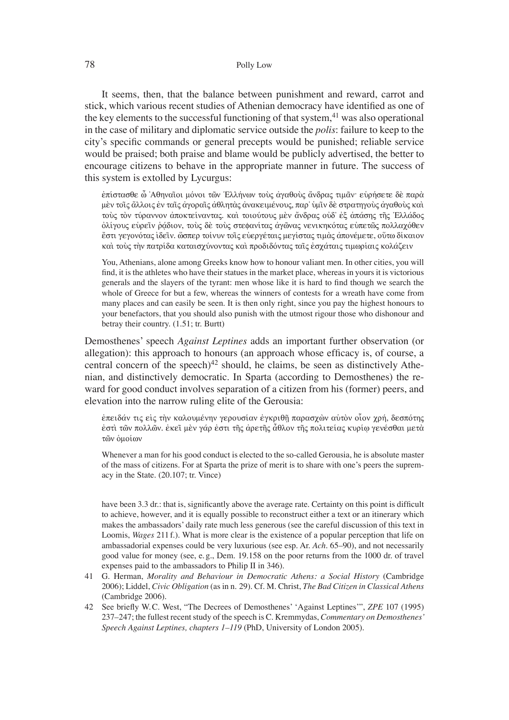#### 78 Polly Low

It seems, then, that the balance between punishment and reward, carrot and stick, which various recent studies of Athenian democracy have identified as one of the key elements to the successful functioning of that system,  $41$  was also operational in the case of military and diplomatic service outside the *polis*: failure to keep to the city's specific commands or general precepts would be punished; reliable service would be praised; both praise and blame would be publicly advertised, the better to encourage citizens to behave in the appropriate manner in future. The success of this system is extolled by Lycurgus:

ἐπίστασθε ὦ 'Αθηναῖοι μόνοι τῶν Έλλήνων τοὺς ἀγαθοὺς ἄνδρας τιμᾶν· εὑρήσετε δὲ παρὰ μὲν τοῖς ἄλλοις ἐν ταῖς ἀγοραῖς ἀθλητὰς ἀνακειμένους, παρ' ὑμῖν δὲ στρατηγοὺς ἀγαθοὺς καὶ τούς τον τύραννον αποκτείναντας. και τοιούτους μεν άνδρας ουδ' εξ απάσης της Έλλάδος όλίγους ευρεῖν ῥάδιον, τους δὲ τους στεφανίτας ἀγῶνας νενικηκότας εὐπετῶς πολλαχόθεν έστι γεγονότας ἰδεῖν. ὥσπερ τοίνυν τοῖς εὐεργέταις μεγίστας τιμὰς ἀπονέμετε, οὕτω δίκαιον καὶ τοὺς τὴν πατρίδα καταισχύνοντας καὶ προδιδόντας ταῖς ἐσχάταις τιμωρίαις κολάζειν

You, Athenians, alone among Greeks know how to honour valiant men. In other cities, you will find, it is the athletes who have their statues in the market place, whereas in yours it is victorious generals and the slayers of the tyrant: men whose like it is hard to find though we search the whole of Greece for but a few, whereas the winners of contests for a wreath have come from many places and can easily be seen. It is then only right, since you pay the highest honours to your benefactors, that you should also punish with the utmost rigour those who dishonour and betray their country. (1.51; tr. Burtt)

Demosthenes' speech *Against Leptines* adds an important further observation (or allegation): this approach to honours (an approach whose efficacy is, of course, a central concern of the speech)<sup>42</sup> should, he claims, be seen as distinctively Athenian, and distinctively democratic. In Sparta (according to Demosthenes) the reward for good conduct involves separation of a citizen from his (former) peers, and elevation into the narrow ruling elite of the Gerousia:

eπειδάν τις εἰς τὴν καλουμένην γερουσίαν ἐγκριθῆ παρασγὼν αὐτὸν οἶον γρή, δεσπότης εστὶ τῶν πολλῶν. ἐκεῖ μὲν γάρ ἐστι τῆς ἀρετῆς ἆθλον τῆς πολιτείας κυρίῳ γενέσθαι μετὰ τῶν ομοίων

Whenever a man for his good conduct is elected to the so-called Gerousia, he is absolute master of the mass of citizens. For at Sparta the prize of merit is to share with one's peers the supremacy in the State. (20.107; tr. Vince)

have been 3.3 dr.: that is, significantly above the average rate. Certainty on this point is difficult to achieve, however, and it is equally possible to reconstruct either a text or an itinerary which makes the ambassadors' daily rate much less generous (see the careful discussion of this text in Loomis, *Wages* 211 f.). What is more clear is the existence of a popular perception that life on ambassadorial expenses could be very luxurious (see esp. Ar. *Ach*. 65–90), and not necessarily good value for money (see, e. g., Dem. 19.158 on the poor returns from the 1000 dr. of travel expenses paid to the ambassadors to Philip II in 346).

- 41 G. Herman, *Morality and Behaviour in Democratic Athens: a Social History* (Cambridge 2006); Liddel, *Civic Obligation* (as in n. 29). Cf. M. Christ, *The Bad Citizen in Classical Athens* (Cambridge 2006).
- 42 See briefly W.C. West, "The Decrees of Demosthenes' 'Against Leptines'", *ZPE* 107 (1995) 237–247; the fullest recent study of the speech is C. Kremmydas, *Commentary on Demosthenes' Speech Against Leptines, chapters 1–119* (PhD, University of London 2005).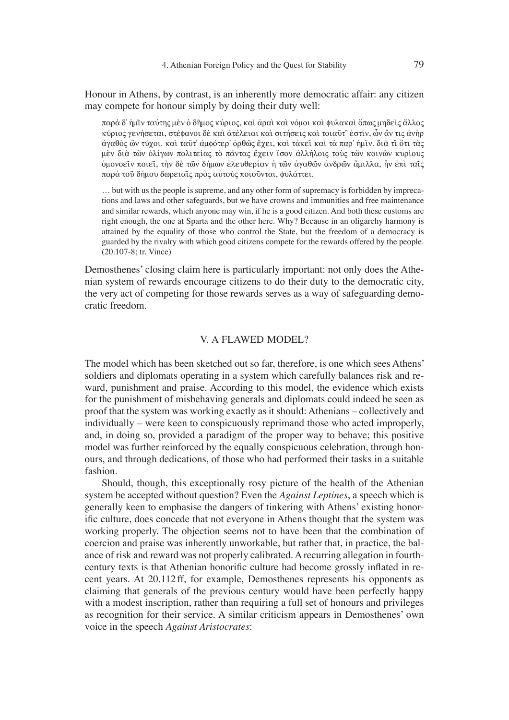Honour in Athens, by contrast, is an inherently more democratic affair: any citizen may compete for honour simply by doing their duty well:

παρὰ δ' ήμῖν ταύτης μὲν ὁ δῆμος κύριος, καὶ ἀραὶ καὶ νόμοι καὶ φυλακαὶ ὅπως μηδεὶς ἄλλος κύριος γενήσεται, στέφανοι δὲ καὶ ἀτέλειαι καὶ σιτήσεις καὶ τοιαῦτ俗 ἐστίν, ὦν ἄν τις ἀνὴρ ἀγαθὸς ὢν τύχοι. καὶ ταῦτ' ἀμφότερ' ὀρθῶς ἔχει, καὶ τἀκεῖ καὶ τὰ παρ' ἡμῖν. διὰ τἶ ὅτι τὰς μὲν διὰ τῶν ὀλίγων πολιτείας τὸ πάντας ἔχειν ἴσον ἀλλήλοις τοὺς τῶν κοινῶν κυρίους oμονοεῖν ποιεῖ, τὴν δὲ τῶν δήμων ἐλευθερίαν ἡ τῶν ἀγαθῶν ἀνδρῶν ἄμιλλα, ἣν ἐπὶ ταῖς παρά τοῦ δήμου δωρειαίς πρὸς αυτους ποιοῦνται, φυλάττει.

… but with us the people is supreme, and any other form of supremacy is forbidden by imprecations and laws and other safeguards, but we have crowns and immunities and free maintenance and similar rewards, which anyone may win, if he is a good citizen. And both these customs are right enough, the one at Sparta and the other here. Why? Because in an oligarchy harmony is attained by the equality of those who control the State, but the freedom of a democracy is guarded by the rivalry with which good citizens compete for the rewards offered by the people. (20.107-8; tr. Vince)

Demosthenes' closing claim here is particularly important: not only does the Athenian system of rewards encourage citizens to do their duty to the democratic city, the very act of competing for those rewards serves as a way of safeguarding democratic freedom.

#### V. A FLAWED MODEL?

The model which has been sketched out so far, therefore, is one which sees Athens' soldiers and diplomats operating in a system which carefully balances risk and reward, punishment and praise. According to this model, the evidence which exists for the punishment of misbehaving generals and diplomats could indeed be seen as proof that the system was working exactly as it should: Athenians – collectively and individually – were keen to conspicuously reprimand those who acted improperly, and, in doing so, provided a paradigm of the proper way to behave; this positive model was further reinforced by the equally conspicuous celebration, through honours, and through dedications, of those who had performed their tasks in a suitable fashion.

Should, though, this exceptionally rosy picture of the health of the Athenian system be accepted without question? Even the *Against Leptines*, a speech which is generally keen to emphasise the dangers of tinkering with Athens' existing honorific culture, does concede that not everyone in Athens thought that the system was working properly. The objection seems not to have been that the combination of coercion and praise was inherently unworkable, but rather that, in practice, the balance of risk and reward was not properly calibrated. A recurring allegation in fourthcentury texts is that Athenian honorific culture had become grossly inflated in recent years. At 20.112 ff, for example, Demosthenes represents his opponents as claiming that generals of the previous century would have been perfectly happy with a modest inscription, rather than requiring a full set of honours and privileges as recognition for their service. A similar criticism appears in Demosthenes' own voice in the speech *Against Aristocrates*: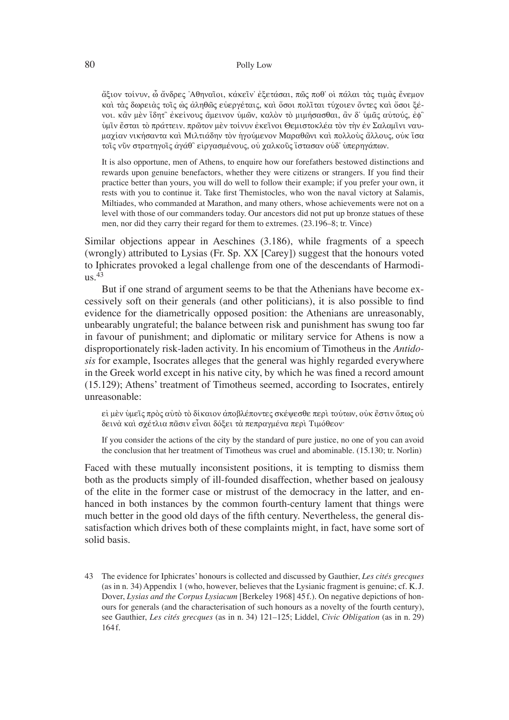#### 80 Polly Low

άξιον τοίνυν, ὧ ἄνδρες 'Αθηναῖοι, κἀκεῖν' ἐξετάσαι, πῶς ποθ' οἱ πάλαι τὰς τιμὰς ἔνεμον kαι τας δωρειας τοις ως αληθως ευεργέταις, και όσοι πολιται τύχοιεν όντες και όσοι ξένοι. κἂν μὲν ἴδητ፦ ἐκείνους ἄμεινον ὑμῶν, καλὸν τὸ μιμήσασθαι, ἂν δ᾽ ὑμᾶς αὐτούς, ἐφ下 ύμῖν ἔσται τὸ πράττειν. πρῶτον μὲν τοίνυν ἐκεῖνοι Θεμιστοκλέα τὸν τὴν ἐν Σαλαμῖνι ναυμαχίαν νικήσαντα καὶ Μιλτιάδην τὸν ἡγούμενον Μαραθῶνι καὶ πολλοὺς ἄλλους, οὐκ ἴσα τοις νυν στρατηγοις άγάθ` είργασμένους, οὐ γαλκοῦς ιστασαν οὐδ' ὑπερηγάπων.

It is also opportune, men of Athens, to enquire how our forefathers bestowed distinctions and rewards upon genuine benefactors, whether they were citizens or strangers. If you find their practice better than yours, you will do well to follow their example; if you prefer your own, it rests with you to continue it. Take first Themistocles, who won the naval victory at Salamis, Miltiades, who commanded at Marathon, and many others, whose achievements were not on a level with those of our commanders today. Our ancestors did not put up bronze statues of these men, nor did they carry their regard for them to extremes. (23.196–8; tr. Vince)

Similar objections appear in Aeschines (3.186), while fragments of a speech (wrongly) attributed to Lysias (Fr. Sp. XX [Carey]) suggest that the honours voted to Iphicrates provoked a legal challenge from one of the descendants of Harmodi- $\overline{118}$ .<sup>43</sup>

But if one strand of argument seems to be that the Athenians have become excessively soft on their generals (and other politicians), it is also possible to find evidence for the diametrically opposed position: the Athenians are unreasonably, unbearably ungrateful; the balance between risk and punishment has swung too far in favour of punishment; and diplomatic or military service for Athens is now a disproportionately risk-laden activity. In his encomium of Timotheus in the *Antidosis* for example, Isocrates alleges that the general was highly regarded everywhere in the Greek world except in his native city, by which he was fined a record amount (15.129); Athens' treatment of Timotheus seemed, according to Isocrates, entirely unreasonable:

εί μεν ύμεῖς πρὸς αὐτὸ τὸ δίκαιον ἀποβλέποντες σκέψεσθε περὶ τούτων, οὐκ ἔστιν ὅπως οὐ δεινά και σχέτλια πᾶσιν εἶναι δόξει τα πεπραγμένα περι Τιμόθεον·

If you consider the actions of the city by the standard of pure justice, no one of you can avoid the conclusion that her treatment of Timotheus was cruel and abominable. (15.130; tr. Norlin)

Faced with these mutually inconsistent positions, it is tempting to dismiss them both as the products simply of ill-founded disaffection, whether based on jealousy of the elite in the former case or mistrust of the democracy in the latter, and enhanced in both instances by the common fourth-century lament that things were much better in the good old days of the fifth century. Nevertheless, the general dissatisfaction which drives both of these complaints might, in fact, have some sort of solid basis.

<sup>43</sup> The evidence for Iphicrates' honours is collected and discussed by Gauthier, *Les cité s grecques* (as in n. 34) Appendix 1 (who, however, believes that the Lysianic fragment is genuine; cf. K. J. Dover, *Lysias and the Corpus Lysiacum* [Berkeley 1968] 45 f.). On negative depictions of honours for generals (and the characterisation of such honours as a novelty of the fourth century), see Gauthier, *Les cité s grecques* (as in n. 34) 121–125; Liddel, *Civic Obligation* (as in n. 29) 164 f.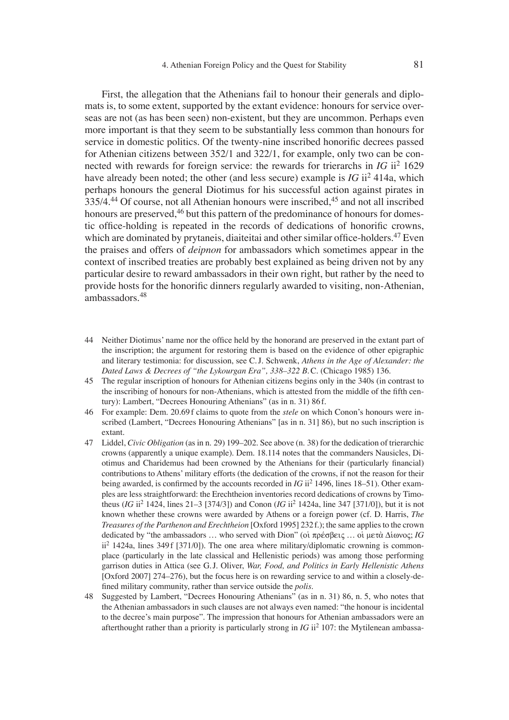First, the allegation that the Athenians fail to honour their generals and diplomats is, to some extent, supported by the extant evidence: honours for service overseas are not (as has been seen) non-existent, but they are uncommon. Perhaps even more important is that they seem to be substantially less common than honours for service in domestic politics. Of the twenty-nine inscribed honorific decrees passed for Athenian citizens between 352/1 and 322/1, for example, only two can be connected with rewards for foreign service: the rewards for trierarchs in *IG* ii2 1629 have already been noted; the other (and less secure) example is *IG* ii2 414a, which perhaps honours the general Diotimus for his successful action against pirates in 335/4.<sup>44</sup> Of course, not all Athenian honours were inscribed, <sup>45</sup> and not all inscribed honours are preserved, <sup>46</sup> but this pattern of the predominance of honours for domestic office-holding is repeated in the records of dedications of honorific crowns, which are dominated by prytaneis, diaiteitai and other similar office-holders.<sup>47</sup> Even the praises and offers of *deipnon* for ambassadors which sometimes appear in the context of inscribed treaties are probably best explained as being driven not by any particular desire to reward ambassadors in their own right, but rather by the need to provide hosts for the honorific dinners regularly awarded to visiting, non-Athenian, ambassadors.48

- 44 Neither Diotimus' name nor the office held by the honorand are preserved in the extant part of the inscription; the argument for restoring them is based on the evidence of other epigraphic and literary testimonia: for discussion, see C. J. Schwenk, *Athens in the Age of Alexander: the Dated Laws & Decrees of "the Lykourgan Era", 338–322 B.C.* (Chicago 1985) 136.
- 45 The regular inscription of honours for Athenian citizens begins only in the 340s (in contrast to the inscribing of honours for non-Athenians, which is attested from the middle of the fifth century): Lambert, "Decrees Honouring Athenians" (as in n. 31) 86 f.
- 46 For example: Dem. 20.69 f claims to quote from the *stele* on which Conon's honours were inscribed (Lambert, "Decrees Honouring Athenians" [as in n. 31] 86), but no such inscription is extant.
- 47 Liddel, *Civic Obligation* (as in n. 29) 199–202. See above (n. 38) for the dedication of trierarchic crowns (apparently a unique example). Dem. 18.114 notes that the commanders Nausicles, Diotimus and Charidemus had been crowned by the Athenians for their (particularly financial) contributions to Athens' military efforts (the dedication of the crowns, if not the reason for their being awarded, is confirmed by the accounts recorded in  $IG$  ii<sup>2</sup> 1496, lines 18–51). Other examples are less straightforward: the Erechtheion inventories record dedications of crowns by Timotheus (*IG* ii2 1424, lines 21–3 [374/3]) and Conon (*IG* ii2 1424a, line 347 [371/0]), but it is not known whether these crowns were awarded by Athens or a foreign power (cf. D. Harris, *The Treasures of the Parthenon and Erechtheion* [Oxford 1995] 232 f.); the same applies to the crown dedicated by "the ambassadors  $\ldots$  who served with Dion" (or  $\pi \rho \in \mathcal{S}$ Bei $\varsigma \ldots$  or  $\mu \in \mathcal{S}$   $\Lambda$  i avoc; *IG*  $ii^2$  1424a, lines 349 f [371/0]). The one area where military/diplomatic crowning is commonplace (particularly in the late classical and Hellenistic periods) was among those performing garrison duties in Attica (see G. J. Oliver, *War, Food, and Politics in Early Hellenistic Athens* [Oxford 2007] 274–276), but the focus here is on rewarding service to and within a closely-defined military community, rather than service outside the *polis*.
- 48 Suggested by Lambert, "Decrees Honouring Athenians" (as in n. 31) 86, n. 5, who notes that the Athenian ambassadors in such clauses are not always even named: "the honour is incidental to the decree's main purpose". The impression that honours for Athenian ambassadors were an afterthought rather than a priority is particularly strong in  $IG$  ii<sup>2</sup> 107: the Mytilenean ambassa-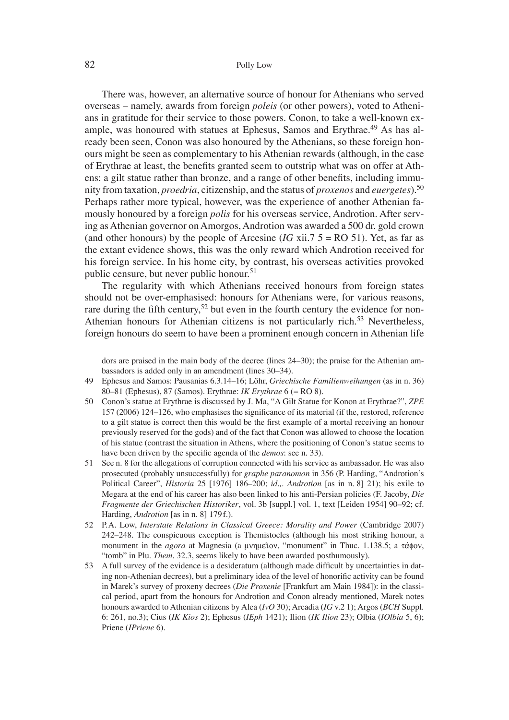#### 82 Polly Low

There was, however, an alternative source of honour for Athenians who served overseas – namely, awards from foreign *poleis* (or other powers), voted to Athenians in gratitude for their service to those powers. Conon, to take a well-known example, was honoured with statues at Ephesus, Samos and Erythrae.<sup>49</sup> As has already been seen, Conon was also honoured by the Athenians, so these foreign honours might be seen as complementary to his Athenian rewards (although, in the case of Erythrae at least, the benefits granted seem to outstrip what was on offer at Athens: a gilt statue rather than bronze, and a range of other benefits, including immunity from taxation, *proedria*, citizenship, and the status of *proxenos* and *euergetes*).<sup>50</sup> Perhaps rather more typical, however, was the experience of another Athenian famously honoured by a foreign *polis* for his overseas service, Androtion. After serving as Athenian governor on Amorgos, Androtion was awarded a 500 dr. gold crown (and other honours) by the people of Arcesine ( $IG$  xii.7  $5 = RO$  51). Yet, as far as the extant evidence shows, this was the only reward which Androtion received for his foreign service. In his home city, by contrast, his overseas activities provoked public censure, but never public honour.<sup>51</sup>

The regularity with which Athenians received honours from foreign states should not be over-emphasised: honours for Athenians were, for various reasons, rare during the fifth century,<sup>52</sup> but even in the fourth century the evidence for non-Athenian honours for Athenian citizens is not particularly rich.<sup>53</sup> Nevertheless, foreign honours do seem to have been a prominent enough concern in Athenian life

dors are praised in the main body of the decree (lines 24–30); the praise for the Athenian ambassadors is added only in an amendment (lines 30–34).

- 49 Ephesus and Samos: Pausanias 6.3.14–16; Löhr, *Griechische Familienweihungen* (as in n. 36) 80–81 (Ephesus), 87 (Samos). Erythrae: *IK Erythrae* 6 (= RO 8).
- 50 Conon's statue at Erythrae is discussed by J. Ma, "A Gilt Statue for Konon at Erythrae?", *ZPE* 157 (2006) 124–126, who emphasises the significance of its material (if the, restored, reference to a gilt statue is correct then this would be the first example of a mortal receiving an honour previously reserved for the gods) and of the fact that Conon was allowed to choose the location of his statue (contrast the situation in Athens, where the positioning of Conon's statue seems to have been driven by the specific agenda of the *demos*: see n. 33).
- 51 See n. 8 for the allegations of corruption connected with his service as ambassador. He was also prosecuted (probably unsuccessfully) for *graphe paranomon* in 356 (P. Harding, "Androtion's Political Career", *Historia* 25 [1976] 186–200; *id.,. Androtion* [as in n. 8] 21); his exile to Megara at the end of his career has also been linked to his anti-Persian policies (F. Jacoby, *Die Fragmente der Griechischen Historiker*, vol. 3b [suppl.] vol. 1, text [Leiden 1954] 90–92; cf. Harding, *Androtion* [as in n. 8] 179 f.).
- 52 P. A. Low, *Interstate Relations in Classical Greece: Morality and Power* (Cambridge 2007) 242–248. The conspicuous exception is Themistocles (although his most striking honour, a monument in the *agora* at Magnesia (a μνημεῖον, "monument" in Thuc. 1.138.5; a τάφον, "tomb" in Plu. *Them*. 32.3, seems likely to have been awarded posthumously).
- 53 A full survey of the evidence is a desideratum (although made difficult by uncertainties in dating non-Athenian decrees), but a preliminary idea of the level of honorific activity can be found in Marek's survey of proxeny decrees (*Die Proxenie* [Frankfurt am Main 1984]): in the classical period, apart from the honours for Androtion and Conon already mentioned, Marek notes honours awarded to Athenian citizens by Alea (*IvO* 30); Arcadia (*IG* v.2 1); Argos (*BCH* Suppl. 6: 261, no.3); Cius (*IK Kios* 2); Ephesus (*IEph* 1421); Ilion (*IK Ilion* 23); Olbia (*IOlbia* 5, 6); Priene (*IPriene* 6).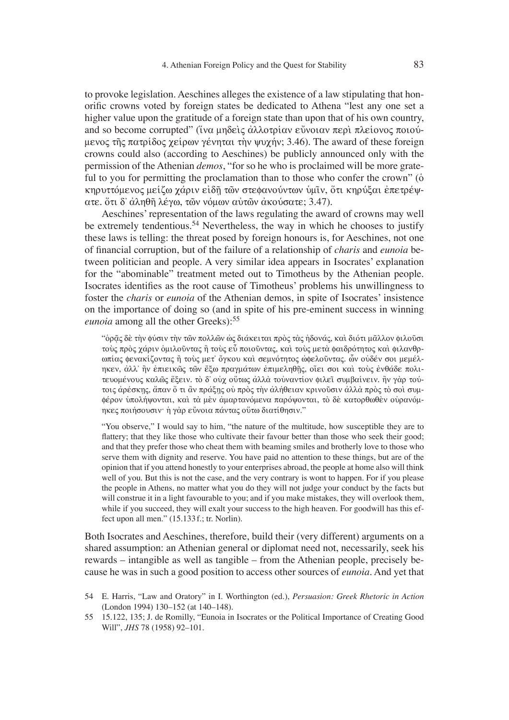to provoke legislation. Aeschines alleges the existence of a law stipulating that honorific crowns voted by foreign states be dedicated to Athena "lest any one set a higher value upon the gratitude of a foreign state than upon that of his own country, and so become corrupted" (ίνα μηδεις άλλοτρίαν εύνοιαν περι πλείονος ποιούμενος της πατρίδος χείρων γένηται την ψυχήν; 3.46). The award of these foreign crowns could also (according to Aeschines) be publicly announced only with the permission of the Athenian *demos*, "for so he who is proclaimed will be more grateful to you for permitting the proclamation than to those who confer the crown"  $\ddot{\text{o}}$ κηρυττόμενος μείζω γάριν είδῆ τῶν στεφανούντων ὑμῖν, ὅτι κηρύξαι ἐπετρέψ- $\alpha$ τε. ότι δ' άληθη λέγω, τῶν νόμων αὐτῶν ἀκούσατε; 3.47).

Aeschines' representation of the laws regulating the award of crowns may well be extremely tendentious.<sup>54</sup> Nevertheless, the way in which he chooses to justify these laws is telling: the threat posed by foreign honours is, for Aeschines, not one of fi nancial corruption, but of the failure of a relationship of *charis* and *eunoia* between politician and people. A very similar idea appears in Isocrates' explanation for the "abominable" treatment meted out to Timotheus by the Athenian people. Isocrates identifies as the root cause of Timotheus' problems his unwillingness to foster the *charis* or *eunoia* of the Athenian demos, in spite of Isocrates' insistence on the importance of doing so (and in spite of his pre-eminent success in winning *eunoia* among all the other Greeks):<sup>55</sup>

"ὁρᾶς δὲ τὴν φύσιν τὴν τῶν πολλῶν ὡς διάκειται πρὸς τὰς ἡδονάς, καὶ διότι μᾶλλον φιλοῦσι τούς πρός χάριν όμιλοῦντας ἢ τούς εὖ ποιοῦντας, και τους μετα φαιδρότητος και φιλανθρωπίας φενακίζοντας ή τοὺς μετ' ὄγκου καὶ σεμνότητος ώφελοῦντας. ὧν οὐδέν σοι μεμέληκεν, ἀλλ' ἢν ἐπιεικῶς τῶν ἔξω πραγμάτων ἐπιμεληθῆς, οἴει σοι καὶ τοὺς ἐνθάδε πολιτευομένους καλῶς ἕξειν. τὸ δ' οὐχ οὕτως ἀλλὰ τοὐναντίον φιλεῖ συμβαίνειν. ἢν γὰρ τούτοις άρέσκης, άπαν ὄ τι ἂν πράξης οὐ πρὸς τὴν ἀλήθειαν κρινοῦσιν ἀλλὰ πρὸς τὸ σοὶ συμφέρον υπολήψονται, και τα μεν αμαρτανόμενα παρόψονται, το δε κατορθωθεν ουρανόμηκες ποιήσουσιν· ή γάρ εύνοια πάντας ούτω διατίθησιν."

"You observe," I would say to him, "the nature of the multitude, how susceptible they are to flattery; that they like those who cultivate their favour better than those who seek their good; and that they prefer those who cheat them with beaming smiles and brotherly love to those who serve them with dignity and reserve. You have paid no attention to these things, but are of the opinion that if you attend honestly to your enterprises abroad, the people at home also will think well of you. But this is not the case, and the very contrary is wont to happen. For if you please the people in Athens, no matter what you do they will not judge your conduct by the facts but will construe it in a light favourable to you; and if you make mistakes, they will overlook them, while if you succeed, they will exalt your success to the high heaven. For goodwill has this effect upon all men." (15.133 f.; tr. Norlin).

Both Isocrates and Aeschines, therefore, build their (very different) arguments on a shared assumption: an Athenian general or diplomat need not, necessarily, seek his rewards – intangible as well as tangible – from the Athenian people, precisely because he was in such a good position to access other sources of *eunoia*. And yet that

<sup>54</sup> E. Harris, "Law and Oratory" in I. Worthington (ed.), *Persuasion: Greek Rhetoric in Action* (London 1994) 130–152 (at 140–148).

<sup>55 15.122, 135;</sup> J. de Romilly, "Eunoia in Isocrates or the Political Importance of Creating Good Will", *JHS* 78 (1958) 92–101.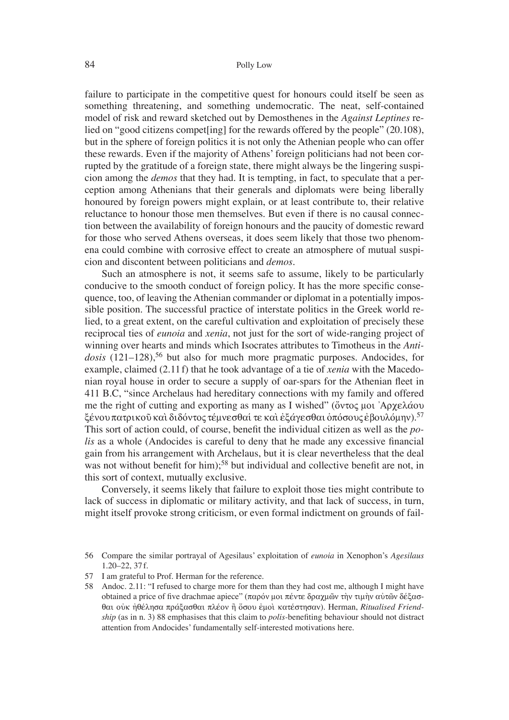failure to participate in the competitive quest for honours could itself be seen as something threatening, and something undemocratic. The neat, self-contained model of risk and reward sketched out by Demosthenes in the *Against Leptines* relied on "good citizens compet[ing] for the rewards offered by the people" (20.108), but in the sphere of foreign politics it is not only the Athenian people who can offer these rewards. Even if the majority of Athens' foreign politicians had not been corrupted by the gratitude of a foreign state, there might always be the lingering suspicion among the *demos* that they had. It is tempting, in fact, to speculate that a perception among Athenians that their generals and diplomats were being liberally honoured by foreign powers might explain, or at least contribute to, their relative reluctance to honour those men themselves. But even if there is no causal connection between the availability of foreign honours and the paucity of domestic reward for those who served Athens overseas, it does seem likely that those two phenomena could combine with corrosive effect to create an atmosphere of mutual suspicion and discontent between politicians and *demos*.

Such an atmosphere is not, it seems safe to assume, likely to be particularly conducive to the smooth conduct of foreign policy. It has the more specifi c consequence, too, of leaving the Athenian commander or diplomat in a potentially impossible position. The successful practice of interstate politics in the Greek world relied, to a great extent, on the careful cultivation and exploitation of precisely these reciprocal ties of *eunoia* and *xenia*, not just for the sort of wide-ranging project of winning over hearts and minds which Isocrates attributes to Timotheus in the *Antidosis* (121–128),<sup>56</sup> but also for much more pragmatic purposes. Andocides, for example, claimed (2.11 f) that he took advantage of a tie of *xenia* with the Macedonian royal house in order to secure a supply of oar-spars for the Athenian fleet in 411 B.C, "since Archelaus had hereditary connections with my family and offered me the right of cutting and exporting as many as I wished" (ὄντος μοι  $\lambda$ ργελάου  $\mathcal{E}$ ένου πατρικοῦ καὶ διδόντος τέμνεσθαί τε καὶ ἐξάγεσθαι ὁπόσους ἐβουλόμην).<sup>57</sup> This sort of action could, of course, benefit the individual citizen as well as the *polis* as a whole (Andocides is careful to deny that he made any excessive financial gain from his arrangement with Archelaus, but it is clear nevertheless that the deal was not without benefit for him);<sup>58</sup> but individual and collective benefit are not, in this sort of context, mutually exclusive.

Conversely, it seems likely that failure to exploit those ties might contribute to lack of success in diplomatic or military activity, and that lack of success, in turn, might itself provoke strong criticism, or even formal indictment on grounds of fail-

- 57 I am grateful to Prof. Herman for the reference.
- 58 Andoc. 2.11: "I refused to charge more for them than they had cost me, although I might have obtained a price of five drachmae apiece" (παρόν μοι πέντε δραχμῶν την τιμην αυτῶν δέξασθαι ούκ ήθέλησα πράξασθαι πλέον ή ὄσου εμοί κατέστησαν). Herman, *Ritualised Friendship* (as in n. 3) 88 emphasises that this claim to *polis*-benefiting behaviour should not distract attention from Andocides' fundamentally self-interested motivations here.

<sup>56</sup> Compare the similar portrayal of Agesilaus' exploitation of *eunoia* in Xenophon's *Agesilaus* 1.20–22, 37 f.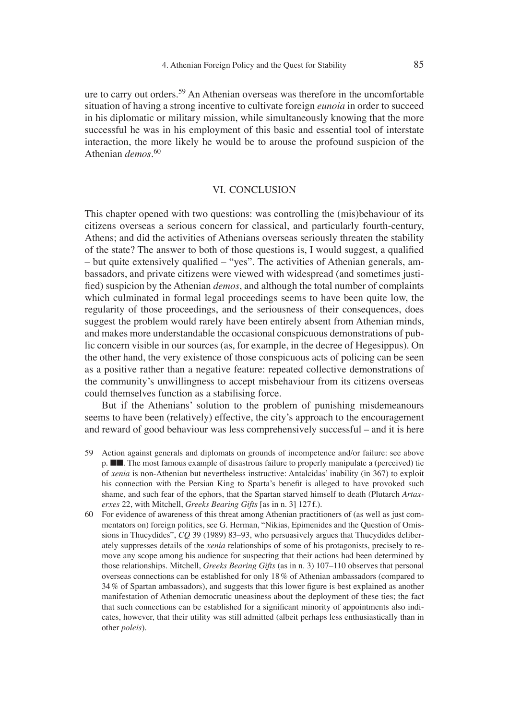ure to carry out orders.59 An Athenian overseas was therefore in the uncomfortable situation of having a strong incentive to cultivate foreign *eunoia* in order to succeed in his diplomatic or military mission, while simultaneously knowing that the more successful he was in his employment of this basic and essential tool of interstate interaction, the more likely he would be to arouse the profound suspicion of the Athenian *demos*. 60

#### VI. CONCLUSION

This chapter opened with two questions: was controlling the (mis)behaviour of its citizens overseas a serious concern for classical, and particularly fourth-century, Athens; and did the activities of Athenians overseas seriously threaten the stability of the state? The answer to both of those questions is, I would suggest, a qualified  $-$  but quite extensively qualified  $-$  "yes". The activities of Athenian generals, ambassadors, and private citizens were viewed with widespread (and sometimes justified) suspicion by the Athenian *demos*, and although the total number of complaints which culminated in formal legal proceedings seems to have been quite low, the regularity of those proceedings, and the seriousness of their consequences, does suggest the problem would rarely have been entirely absent from Athenian minds, and makes more understandable the occasional conspicuous demonstrations of public concern visible in our sources (as, for example, in the decree of Hegesippus). On the other hand, the very existence of those conspicuous acts of policing can be seen as a positive rather than a negative feature: repeated collective demonstrations of the community's unwillingness to accept misbehaviour from its citizens overseas could themselves function as a stabilising force.

But if the Athenians' solution to the problem of punishing misdemeanours seems to have been (relatively) effective, the city's approach to the encouragement and reward of good behaviour was less comprehensively successful – and it is here

- 59 Action against generals and diplomats on grounds of incompetence and/or failure: see above p. ■■. The most famous example of disastrous failure to properly manipulate a (perceived) tie of *xenia* is non-Athenian but nevertheless instructive: Antalcidas' inability (in 367) to exploit his connection with the Persian King to Sparta's benefit is alleged to have provoked such shame, and such fear of the ephors, that the Spartan starved himself to death (Plutarch *Artaxerxes* 22, with Mitchell, *Greeks Bearing Gifts* [as in n. 3] 127 f.).
- 60 For evidence of awareness of this threat among Athenian practitioners of (as well as just commentators on) foreign politics, see G. Herman, "Nikias, Epimenides and the Question of Omissions in Thucydides", *CQ* 39 (1989) 83–93, who persuasively argues that Thucydides deliberately suppresses details of the *xenia* relationships of some of his protagonists, precisely to remove any scope among his audience for suspecting that their actions had been determined by those relationships. Mitchell, *Greeks Bearing Gifts* (as in n. 3) 107–110 observes that personal overseas connections can be established for only 18 % of Athenian ambassadors (compared to  $34\%$  of Spartan ambassadors), and suggests that this lower figure is best explained as another manifestation of Athenian democratic uneasiness about the deployment of these ties; the fact that such connections can be established for a significant minority of appointments also indicates, however, that their utility was still admitted (albeit perhaps less enthusiastically than in other *poleis*).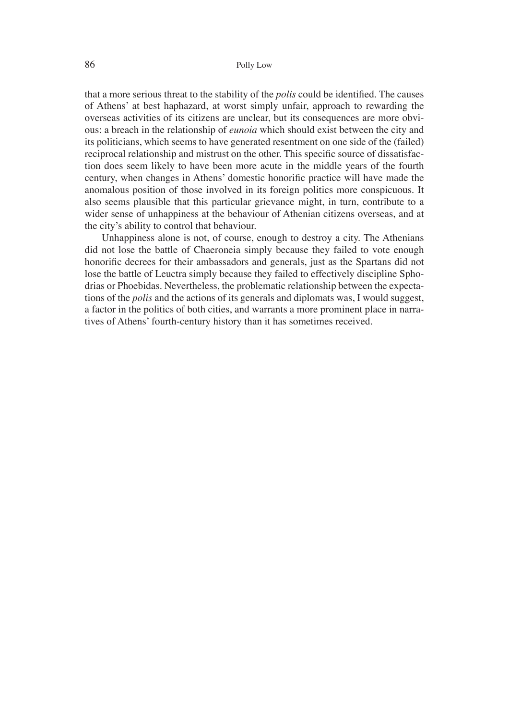that a more serious threat to the stability of the *polis* could be identified. The causes of Athens' at best haphazard, at worst simply unfair, approach to rewarding the overseas activities of its citizens are unclear, but its consequences are more obvious: a breach in the relationship of *eunoia* which should exist between the city and its politicians, which seems to have generated resentment on one side of the (failed) reciprocal relationship and mistrust on the other. This specific source of dissatisfaction does seem likely to have been more acute in the middle years of the fourth century, when changes in Athens' domestic honorific practice will have made the anomalous position of those involved in its foreign politics more conspicuous. It also seems plausible that this particular grievance might, in turn, contribute to a wider sense of unhappiness at the behaviour of Athenian citizens overseas, and at the city's ability to control that behaviour.

Unhappiness alone is not, of course, enough to destroy a city. The Athenians did not lose the battle of Chaeroneia simply because they failed to vote enough honorific decrees for their ambassadors and generals, just as the Spartans did not lose the battle of Leuctra simply because they failed to effectively discipline Sphodrias or Phoebidas. Nevertheless, the problematic relationship between the expectations of the *polis* and the actions of its generals and diplomats was, I would suggest, a factor in the politics of both cities, and warrants a more prominent place in narratives of Athens' fourth-century history than it has sometimes received.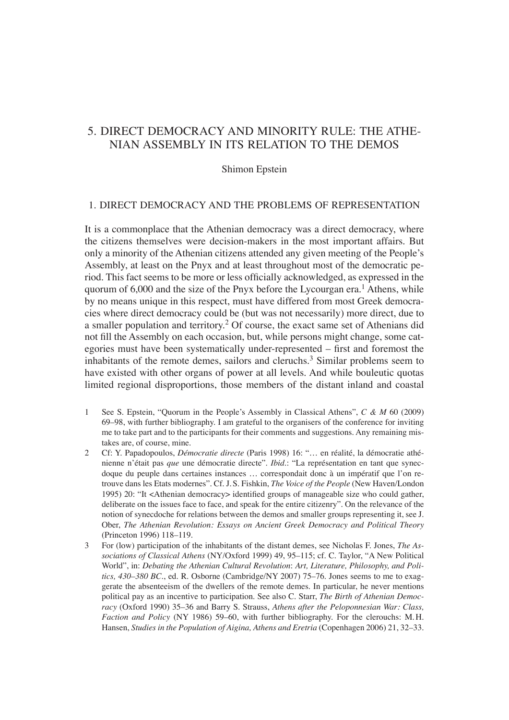# 5. DIRECT DEMOCRACY AND MINORITY RULE: THE ATHE-NIAN ASSEMBLY IN ITS RELATION TO THE DEMOS

Shimon Epstein

## 1. DIRECT DEMOCRACY AND THE PROBLEMS OF REPRESENTATION

It is a commonplace that the Athenian democracy was a direct democracy, where the citizens themselves were decision-makers in the most important affairs. But only a minority of the Athenian citizens attended any given meeting of the People's Assembly, at least on the Pnyx and at least throughout most of the democratic period. This fact seems to be more or less officially acknowledged, as expressed in the quorum of 6,000 and the size of the Pnyx before the Lycourgan era.<sup>1</sup> Athens, while by no means unique in this respect, must have differed from most Greek democracies where direct democracy could be (but was not necessarily) more direct, due to a smaller population and territory.2 Of course, the exact same set of Athenians did not fill the Assembly on each occasion, but, while persons might change, some categories must have been systematically under-represented – first and foremost the inhabitants of the remote demes, sailors and cleruchs.<sup>3</sup> Similar problems seem to have existed with other organs of power at all levels. And while bouleutic quotas limited regional disproportions, those members of the distant inland and coastal

- 1 See S. Epstein, "Quorum in the People's Assembly in Classical Athens", *C & M* 60 (2009) 69–98, with further bibliography. I am grateful to the organisers of the conference for inviting me to take part and to the participants for their comments and suggestions. Any remaining mistakes are, of course, mine.
- 2 Cf: Y. Papadopoulos, *Démocratie directe* (Paris 1998) 16: "… en réalité, la démocratie athénienne n'était pas *que* une démocratie directe". *Ibid*.: "La représentation en tant que synecdoque du peuple dans certaines instances … correspondait donc à un impératif que l'on retrouve dans les Etats modernes". Cf. J. S. Fishkin, *The Voice of the People* (New Haven/London 1995) 20: "It <Athenian democracy> identified groups of manageable size who could gather, deliberate on the issues face to face, and speak for the entire citizenry". On the relevance of the notion of synecdoche for relations between the demos and smaller groups representing it, see J. Ober, *The Athenian Revolution: Essays on Ancient Greek Democracy and Political Theory* (Princeton 1996) 118–119.
- 3 For (low) participation of the inhabitants of the distant demes, see Nicholas F. Jones, *The Associations of Classical Athens* (NY/Oxford 1999) 49, 95–115; cf. C. Taylor, "A New Political World", in: *Debating the Athenian Cultural Revolution*: *Art, Literature, Philosophy, and Politics, 430–380 BC*., ed. R. Osborne (Cambridge/NY 2007) 75–76. Jones seems to me to exaggerate the absenteeism of the dwellers of the remote demes. In particular, he never mentions political pay as an incentive to participation. See also C. Starr, *The Birth of Athenian Democracy* (Oxford 1990) 35–36 and Barry S. Strauss, *Athens after the Peloponnesian War: Class, Faction and Policy* (NY 1986) 59–60, with further bibliography. For the clerouchs: M. H. Hansen, *Studies in the Population of Aigina, Athens and Eretria* (Copenhagen 2006) 21, 32–33.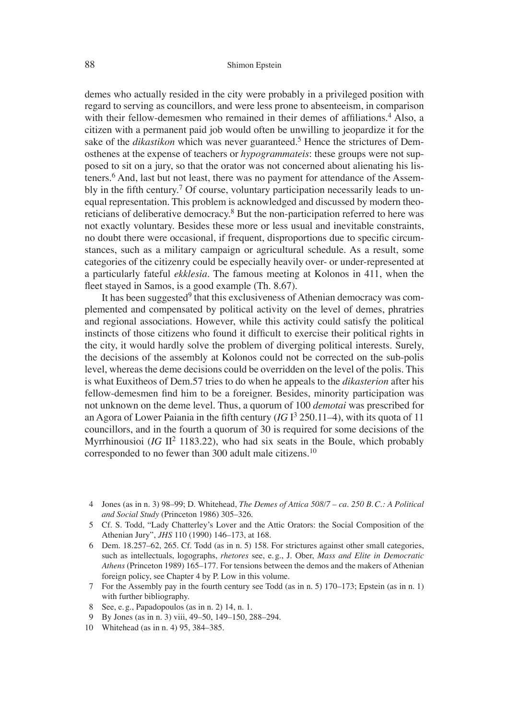demes who actually resided in the city were probably in a privileged position with regard to serving as councillors, and were less prone to absenteeism, in comparison with their fellow-demesmen who remained in their demes of affiliations.<sup>4</sup> Also, a citizen with a permanent paid job would often be unwilling to jeopardize it for the sake of the *dikastikon* which was never guaranteed.5 Hence the strictures of Demosthenes at the expense of teachers or *hypogrammateis*: these groups were not supposed to sit on a jury, so that the orator was not concerned about alienating his listeners.<sup>6</sup> And, last but not least, there was no payment for attendance of the Assembly in the fifth century.<sup>7</sup> Of course, voluntary participation necessarily leads to unequal representation. This problem is acknowledged and discussed by modern theoreticians of deliberative democracy. $8$  But the non-participation referred to here was not exactly voluntary. Besides these more or less usual and inevitable constraints, no doubt there were occasional, if frequent, disproportions due to specific circumstances, such as a military campaign or agricultural schedule. As a result, some categories of the citizenry could be especially heavily over- or under-represented at a particularly fateful *ekklesia*. The famous meeting at Kolonos in 411, when the fleet stayed in Samos, is a good example (Th. 8.67).

It has been suggested<sup>9</sup> that this exclusiveness of Athenian democracy was complemented and compensated by political activity on the level of demes, phratries and regional associations. However, while this activity could satisfy the political instincts of those citizens who found it difficult to exercise their political rights in the city, it would hardly solve the problem of diverging political interests. Surely, the decisions of the assembly at Kolonos could not be corrected on the sub-polis level, whereas the deme decisions could be overridden on the level of the polis. This is what Euxitheos of Dem.57 tries to do when he appeals to the *dikasterion* after his fellow-demesmen find him to be a foreigner. Besides, minority participation was not unknown on the deme level. Thus, a quorum of 100 *demotai* was prescribed for an Agora of Lower Paiania in the fifth century  $(IGI<sup>3</sup> 250.11-4)$ , with its quota of 11 councillors, and in the fourth a quorum of 30 is required for some decisions of the Myrrhinousioi (*IG*  $\text{II}^2$  1183.22), who had six seats in the Boule, which probably corresponded to no fewer than 300 adult male citizens.<sup>10</sup>

- 4 Jones (as in n. 3) 98–99; D. Whitehead, *The Demes of Attica 508/7 ca. 250 B. C.: A Political and Social Study* (Princeton 1986) 305–326.
- 5 Cf. S. Todd, "Lady Chatterley's Lover and the Attic Orators: the Social Composition of the Athenian Jury", *JHS* 110 (1990) 146–173, at 168.
- 6 Dem. 18.257–62, 265. Cf. Todd (as in n. 5) 158. For strictures against other small categories, such as intellectuals, logographs, *rhetores* see, e. g., J. Ober, *Mass and Elite in Democratic Athens* (Princeton 1989) 165–177. For tensions between the demos and the makers of Athenian foreign policy, see Chapter 4 by P. Low in this volume.
- 7 For the Assembly pay in the fourth century see Todd (as in n. 5) 170–173; Epstein (as in n. 1) with further bibliography.
- 8 See, e. g., Papadopoulos (as in n. 2) 14, n. 1.
- 9 By Jones (as in n. 3) viii, 49–50, 149–150, 288–294.
- 10 Whitehead (as in n. 4) 95, 384–385.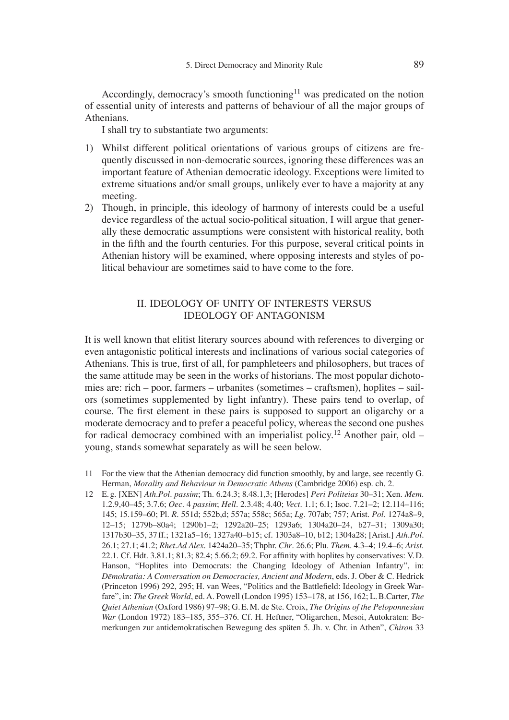Accordingly, democracy's smooth functioning<sup>11</sup> was predicated on the notion of essential unity of interests and patterns of behaviour of all the major groups of Athenians.

I shall try to substantiate two arguments:

- 1) Whilst different political orientations of various groups of citizens are frequently discussed in non-democratic sources, ignoring these differences was an important feature of Athenian democratic ideology. Exceptions were limited to extreme situations and/or small groups, unlikely ever to have a majority at any meeting.
- 2) Though, in principle, this ideology of harmony of interests could be a useful device regardless of the actual socio-political situation, I will argue that generally these democratic assumptions were consistent with historical reality, both in the fifth and the fourth centuries. For this purpose, several critical points in Athenian history will be examined, where opposing interests and styles of political behaviour are sometimes said to have come to the fore.

# II. IDEOLOGY OF UNITY OF INTERESTS VERSUS IDEOLOGY OF ANTAGONISM

It is well known that elitist literary sources abound with references to diverging or even antagonistic political interests and inclinations of various social categories of Athenians. This is true, first of all, for pamphleteers and philosophers, but traces of the same attitude may be seen in the works of historians. The most popular dichotomies are: rich – poor, farmers – urbanites (sometimes – craftsmen), hoplites – sailors (sometimes supplemented by light infantry). These pairs tend to overlap, of course. The first element in these pairs is supposed to support an oligarchy or a moderate democracy and to prefer a peaceful policy, whereas the second one pushes for radical democracy combined with an imperialist policy.<sup>12</sup> Another pair, old – young, stands somewhat separately as will be seen below.

12 E. g. [XEN] *Ath.Pol*. *passim*; Th. 6.24.3; 8.48.1,3; [Herodes] *Peri Politeias* 30–31; Xen. *Mem*. 1.2.9,40–45; 3.7.6; *Oec*. 4 *passim*; *Hell.* 2.3.48; 4.40; *Vect*. 1.1; 6.1; Isoc. 7.21–2; 12.114–116; 145; 15.159–60; Pl. *R*. 551d; 552b,d; 557a; 558c; 565a; *Lg*. 707ab; 757; Arist. *Pol*. 1274a8–9, 12–15; 1279b–80a4; 1290b1–2; 1292a20–25; 1293a6; 1304a20–24, b27–31; 1309a30; 1317b30–35, 37 ff.; 1321a5–16; 1327a40–b15; cf. 1303a8–10, b12; 1304a28; [Arist.] *Ath.Pol.*  26.1; 27.1; 41.2; *Rhet.Ad Alex.* 1424a20–35; Thphr. *Chr*. 26.6; Plu. *Them.* 4.3–4; 19.4–6; *Arist*. 22.1. Cf. Hdt. 3.81.1; 81.3; 82.4; 5.66.2; 69.2. For affinity with hoplites by conservatives: V.D. Hanson, "Hoplites into Democrats: the Changing Ideology of Athenian Infantry", in: *Dēmokratia: A Conversation on Democracies, Ancient and Modern*, eds. J. Ober & C. Hedrick (Princeton 1996) 292, 295; H. van Wees, "Politics and the Battlefield: Ideology in Greek Warfare", in: *The Greek World*, ed. A. Powell (London 1995) 153–178, at 156, 162; L. B.Carter, *The Quiet Athenian* (Oxford 1986) 97–98; G. E. M. de Ste. Croix, *The Origins of the Peloponnesian War* (London 1972) 183–185, 355–376. Cf. H. Heftner, "Oligarchen, Mesoi, Autokraten: Bemerkungen zur antidemokratischen Bewegung des späten 5. Jh. v. Chr. in Athen", *Chiron* 33

<sup>11</sup> For the view that the Athenian democracy did function smoothly, by and large, see recently G. Herman, *Morality and Behaviour in Democratic Athens* (Cambridge 2006) esp. ch. 2.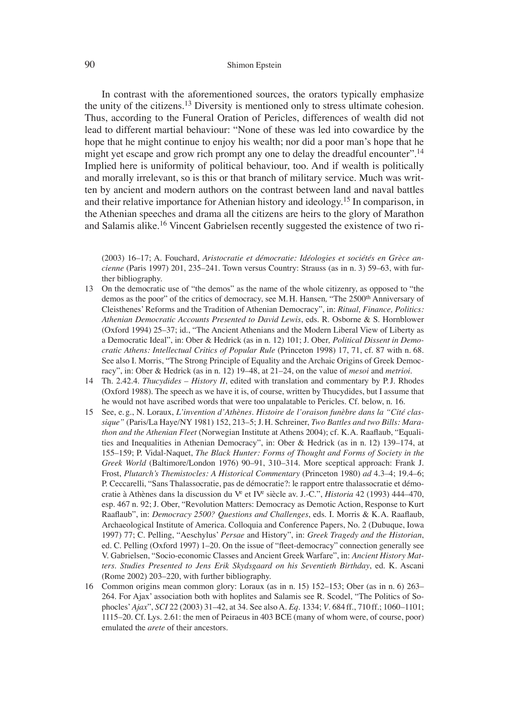#### 90 Shimon Epstein

In contrast with the aforementioned sources, the orators typically emphasize the unity of the citizens.<sup>13</sup> Diversity is mentioned only to stress ultimate cohesion. Thus, according to the Funeral Oration of Pericles, differences of wealth did not lead to different martial behaviour: "None of these was led into cowardice by the hope that he might continue to enjoy his wealth; nor did a poor man's hope that he might yet escape and grow rich prompt any one to delay the dreadful encounter".<sup>14</sup> Implied here is uniformity of political behaviour, too. And if wealth is politically and morally irrelevant, so is this or that branch of military service. Much was written by ancient and modern authors on the contrast between land and naval battles and their relative importance for Athenian history and ideology.15 In comparison, in the Athenian speeches and drama all the citizens are heirs to the glory of Marathon and Salamis alike.<sup>16</sup> Vincent Gabrielsen recently suggested the existence of two ri-

(2003) 16–17; A. Fouchard, *Aristocratie et démocratie: Idéologies et sociétés en Grèce ancienne* (Paris 1997) 201, 235–241. Town versus Country: Strauss (as in n. 3) 59–63, with further bibliography.

- 13 On the democratic use of "the demos" as the name of the whole citizenry, as opposed to "the demos as the poor" of the critics of democracy, see M. H. Hansen, "The 2500<sup>th</sup> Anniversary of Cleisthenes' Reforms and the Tradition of Athenian Democracy", in: *Ritual, Finance, Politics: Athenian Democratic Accounts Presented to David Lewis*, eds. R. Osborne & S. Hornblower (Oxford 1994) 25–37; id., "The Ancient Athenians and the Modern Liberal View of Liberty as a Democratic Ideal", in: Ober & Hedrick (as in n. 12) 101; J. Ober*, Political Dissent in Democratic Athens: Intellectual Critics of Popular Rule* (Princeton 1998) 17, 71, cf. 87 with n. 68. See also I. Morris, "The Strong Principle of Equality and the Archaic Origins of Greek Democracy", in: Ober & Hedrick (as in n. 12) 19–48, at 21–24, on the value of *mesoi* and *metrioi*.
- 14 Th. 2.42.4. *Thucydides History II*, edited with translation and commentary by P.J. Rhodes (Oxford 1988). The speech as we have it is, of course, written by Thucydides, but I assume that he would not have ascribed words that were too unpalatable to Pericles. Cf. below, n. 16.
- 15 See, e. g., N. Loraux, *L'invention d'Athènes. Histoire de l'oraison funèbre dans la "Cité classique"* (Paris/La Haye/NY 1981) 152, 213–5; J. H. Schreiner, *Two Battles and two Bills: Marathon and the Athenian Fleet* (Norwegian Institute at Athens 2004); cf. K.A. Raaflaub, "Equalities and Inequalities in Athenian Democracy", in: Ober & Hedrick (as in n. 12) 139–174, at 155–159; P. Vidal-Naquet, *The Black Hunter: Forms of Thought and Forms of Society in the Greek World* (Baltimore/London 1976) 90–91, 310–314. More sceptical approach: Frank J. Frost, *Plutarch's Themistocles: A Historical Commentary* (Princeton 1980) *ad* 4.3–4; 19.4–6; P. Ceccarelli, "Sans Thalassocratie, pas de démocratie?: le rapport entre thalassocratie et démocratie à Athènes dans la discussion du V<sup>e</sup> et IV<sup>e</sup> siècle av. J.-C.", *Historia* 42 (1993) 444–470, esp. 467 n. 92; J. Ober, "Revolution Matters: Democracy as Demotic Action, Response to Kurt Raaflaub", in: *Democracy 2500? Questions and Challenges*, eds. I. Morris & K.A. Raaflaub, Archaeological Institute of America. Colloquia and Conference Papers, No. 2 (Dubuque, Iowa 1997) 77; C. Pelling, "Aeschylus' *Persae* and History", in: *Greek Tragedy and the Historian*, ed. C. Pelling (Oxford 1997) 1–20. On the issue of "fleet-democracy" connection generally see V. Gabrielsen, "Socio-economic Classes and Ancient Greek Warfare", in: *Ancient History Matters. Studies Presented to Jens Erik Skydsgaard on his Seventieth Birthday*, ed. K. Ascani (Rome 2002) 203–220, with further bibliography.
- 16 Common origins mean common glory: Loraux (as in n. 15) 152–153; Ober (as in n. 6) 263– 264. For Ajax' association both with hoplites and Salamis see R. Scodel, "The Politics of Sophocles'*Ajax*", *SCI* 22 (2003) 31–42, at 34. See also A. *Eq*. 1334; *V*. 684 ff., 710 ff.; 1060–1101; 1115–20. Cf. Lys. 2.61: the men of Peiraeus in 403 BCE (many of whom were, of course, poor) emulated the *arete* of their ancestors.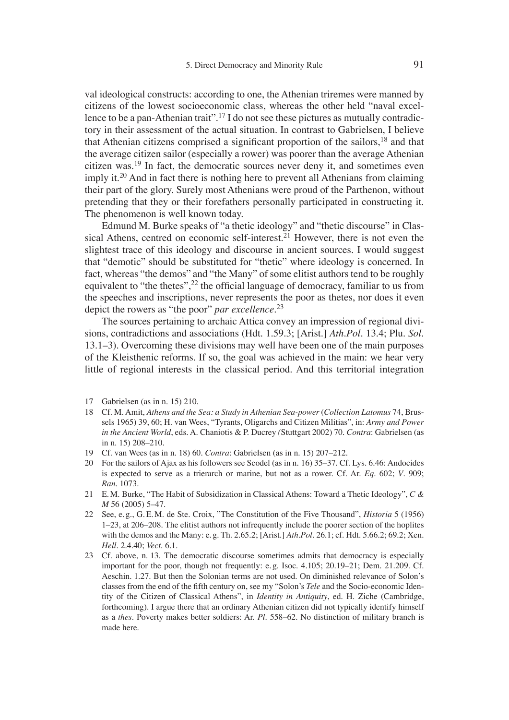val ideological constructs: according to one, the Athenian triremes were manned by citizens of the lowest socioeconomic class, whereas the other held "naval excellence to be a pan-Athenian trait".<sup>17</sup> I do not see these pictures as mutually contradictory in their assessment of the actual situation. In contrast to Gabrielsen, I believe that Athenian citizens comprised a significant proportion of the sailors,  $18$  and that the average citizen sailor (especially a rower) was poorer than the average Athenian citizen was.19 In fact, the democratic sources never deny it, and sometimes even imply it.20 And in fact there is nothing here to prevent all Athenians from claiming their part of the glory. Surely most Athenians were proud of the Parthenon, without pretending that they or their forefathers personally participated in constructing it. The phenomenon is well known today.

Edmund M. Burke speaks of "a thetic ideology" and "thetic discourse" in Classical Athens, centred on economic self-interest.<sup>21</sup> However, there is not even the slightest trace of this ideology and discourse in ancient sources. I would suggest that "demotic" should be substituted for "thetic" where ideology is concerned. In fact, whereas "the demos" and "the Many" of some elitist authors tend to be roughly equivalent to "the thetes",  $2<sup>2</sup>$  the official language of democracy, familiar to us from the speeches and inscriptions, never represents the poor as thetes, nor does it even depict the rowers as "the poor" *par excellence*. 23

The sources pertaining to archaic Attica convey an impression of regional divisions, contradictions and associations (Hdt. 1.59.3; [Arist.] *Ath.Pol.* 13.4; Plu. *Sol*. 13.1–3). Overcoming these divisions may well have been one of the main purposes of the Kleisthenic reforms. If so, the goal was achieved in the main: we hear very little of regional interests in the classical period. And this territorial integration

- 17 Gabrielsen (as in n. 15) 210.
- 18 Cf. M. Amit, *Athens and the Sea: a Study in Athenian Sea-power* (*Collection Latomus* 74, Brussels 1965) 39, 60; H. van Wees, "Tyrants, Oligarchs and Citizen Militias", in: *Army and Power in the Ancient World*, eds. A. Chaniotis & P. Ducrey *(*Stuttgart 2002) 70. *Contra*: Gabrielsen (as in n. 15) 208–210.
- 19 Cf. van Wees (as in n. 18) 60. *Contra*: Gabrielsen (as in n. 15) 207–212.
- 20 For the sailors of Ajax as his followers see Scodel (as in n. 16) 35–37. Cf. Lys. 6.46: Andocides is expected to serve as a trierarch or marine, but not as a rower. Cf. Ar. *Eq*. 602; *V*. 909; *Ran*. 1073.
- 21 E. M. Burke, "The Habit of Subsidization in Classical Athens: Toward a Thetic Ideology", *C & M* 56 (2005) 5–47.
- 22 See, e. g., G. E. M. de Ste. Croix, "The Constitution of the Five Thousand", *Historia* 5 (1956) 1–23, at 206–208. The elitist authors not infrequently include the poorer section of the hoplites with the demos and the Many: e. g. Th. 2.65.2; [Arist.] *Ath.Pol.* 26.1; cf. Hdt. 5.66.2; 69.2; Xen. *Hell*. 2.4.40; *Vect.* 6.1.
- 23 Cf. above, n. 13. The democratic discourse sometimes admits that democracy is especially important for the poor, though not frequently: e. g. Isoc. 4.105; 20.19–21; Dem. 21.209. Cf. Aeschin. 1.27. But then the Solonian terms are not used. On diminished relevance of Solon's classes from the end of the fifth century on, see my "Solon's *Tele* and the Socio-economic Identity of the Citizen of Classical Athens", in *Identity in Antiquity*, ed. H. Ziche (Cambridge, forthcoming). I argue there that an ordinary Athenian citizen did not typically identify himself as a *thes*. Poverty makes better soldiers: Ar. *Pl*. 558–62. No distinction of military branch is made here.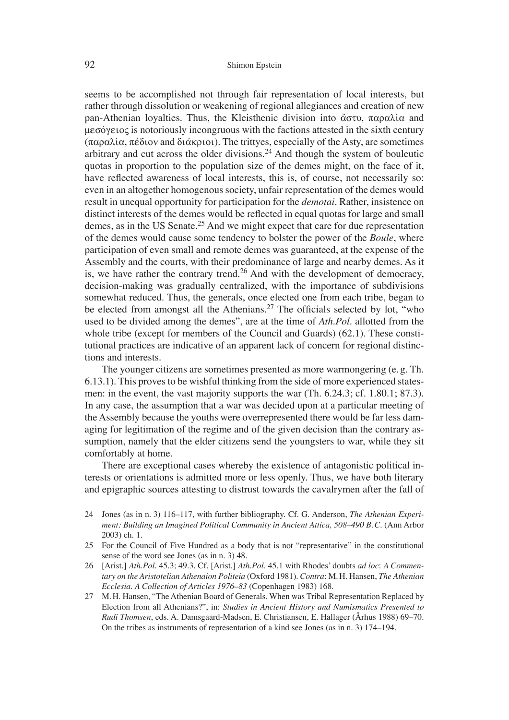seems to be accomplished not through fair representation of local interests, but rather through dissolution or weakening of regional allegiances and creation of new pan-Athenian loyalties. Thus, the Kleisthenic division into  $\ddot{\alpha} \sigma \tau \nu$ ,  $\pi \alpha \rho \alpha \lambda i \alpha$  and  $\mu$   $\sigma$  is notoriously incongruous with the factions attested in the sixth century  $(\pi \alpha \rho \alpha \lambda i \alpha, \pi \epsilon \delta i \omega \nu)$  and  $\delta i \alpha \kappa \rho i \omega$ ). The trittyes, especially of the Asty, are sometimes arbitrary and cut across the older divisions.<sup>24</sup> And though the system of bouleutic quotas in proportion to the population size of the demes might, on the face of it, have reflected awareness of local interests, this is, of course, not necessarily so: even in an altogether homogenous society, unfair representation of the demes would result in unequal opportunity for participation for the *demotai*. Rather, insistence on distinct interests of the demes would be reflected in equal quotas for large and small demes, as in the US Senate.<sup>25</sup> And we might expect that care for due representation of the demes would cause some tendency to bolster the power of the *Boule*, where participation of even small and remote demes was guaranteed, at the expense of the Assembly and the courts, with their predominance of large and nearby demes. As it is, we have rather the contrary trend.26 And with the development of democracy, decision-making was gradually centralized, with the importance of subdivisions somewhat reduced. Thus, the generals, once elected one from each tribe, began to be elected from amongst all the Athenians.<sup>27</sup> The officials selected by lot, "who used to be divided among the demes", are at the time of *Ath.Pol*. allotted from the whole tribe (except for members of the Council and Guards) (62.1). These constitutional practices are indicative of an apparent lack of concern for regional distinctions and interests.

The younger citizens are sometimes presented as more warmongering (e. g. Th. 6.13.1). This proves to be wishful thinking from the side of more experienced statesmen: in the event, the vast majority supports the war (Th. 6.24.3; cf. 1.80.1; 87.3). In any case, the assumption that a war was decided upon at a particular meeting of the Assembly because the youths were overrepresented there would be far less damaging for legitimation of the regime and of the given decision than the contrary assumption, namely that the elder citizens send the youngsters to war, while they sit comfortably at home.

There are exceptional cases whereby the existence of antagonistic political interests or orientations is admitted more or less openly. Thus, we have both literary and epigraphic sources attesting to distrust towards the cavalrymen after the fall of

- 24 Jones (as in n. 3) 116–117, with further bibliography. Cf. G. Anderson, *The Athenian Experiment: Building an Imagined Political Community in Ancient Attica, 508–490 B. C.* (Ann Arbor 2003) ch. 1.
- 25 For the Council of Five Hundred as a body that is not "representative" in the constitutional sense of the word see Jones (as in n. 3) 48.
- 26 [Arist.] *Ath.Pol*. 45.3; 49.3. Cf. [Arist.] *Ath.Pol*. 45.1 with Rhodes' doubts *ad loc*: *A Commentary on the Aristotelian Athenaion Politeia* (Oxford 1981). *Contra*: M. H. Hansen, *The Athenian Ecclesia. A Collection of Articles 1976–83* (Copenhagen 1983) 168.
- 27 M. H. Hansen, "The Athenian Board of Generals. When was Tribal Representation Replaced by Election from all Athenians?", in: *Studies in Ancient History and Numismatics Presented to Rudi Thomsen*, eds. A. Damsgaard-Madsen, E. Christiansen, E. Hallager (Århus 1988) 69–70. On the tribes as instruments of representation of a kind see Jones (as in n. 3) 174–194.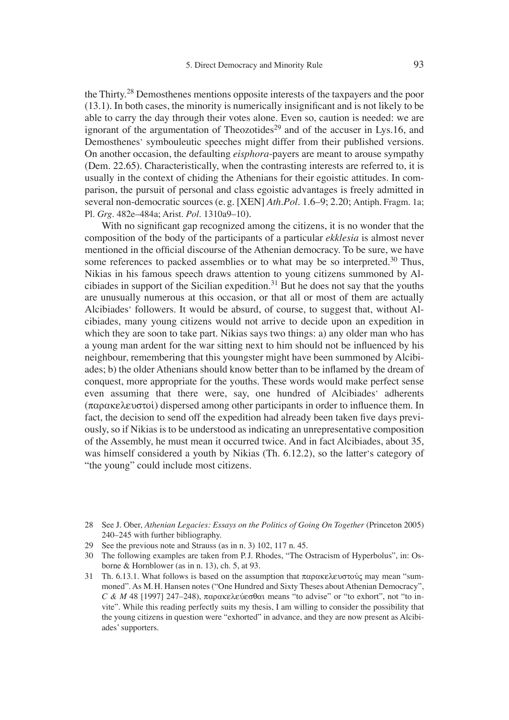the Thirty.<sup>28</sup> Demosthenes mentions opposite interests of the taxpayers and the poor  $(13.1)$ . In both cases, the minority is numerically insignificant and is not likely to be able to carry the day through their votes alone. Even so, caution is needed: we are ignorant of the argumentation of Theozotides<sup>29</sup> and of the accuser in Lys.16, and Demosthenes' symbouleutic speeches might differ from their published versions. On another occasion, the defaulting *eisphora*-payers are meant to arouse sympathy (Dem. 22.65). Characteristically, when the contrasting interests are referred to, it is usually in the context of chiding the Athenians for their egoistic attitudes. In comparison, the pursuit of personal and class egoistic advantages is freely admitted in several non-democratic sources (e. g. [XEN] *Ath*.*Pol*. 1.6–9; 2.20; Antiph. Fragm. 1a; Pl. *Grg*. 482e–484a; Arist. *Pol.* 1310a9–10).

With no significant gap recognized among the citizens, it is no wonder that the composition of the body of the participants of a particular *ekklesia* is almost never mentioned in the official discourse of the Athenian democracy. To be sure, we have some references to packed assemblies or to what may be so interpreted.<sup>30</sup> Thus, Nikias in his famous speech draws attention to young citizens summoned by Alcibiades in support of the Sicilian expedition.<sup>31</sup> But he does not say that the youths are unusually numerous at this occasion, or that all or most of them are actually Alcibiades' followers. It would be absurd, of course, to suggest that, without Alcibiades, many young citizens would not arrive to decide upon an expedition in which they are soon to take part. Nikias says two things: a) any older man who has a young man ardent for the war sitting next to him should not be influenced by his neighbour, remembering that this youngster might have been summoned by Alcibiades; b) the older Athenians should know better than to be inflamed by the dream of conquest, more appropriate for the youths. These words would make perfect sense even assuming that there were, say, one hundred of Alcibiades' adherents  $(\pi \alpha \beta \alpha \kappa \epsilon)$  dispersed among other participants in order to influence them. In fact, the decision to send off the expedition had already been taken five days previously, so if Nikias is to be understood as indicating an unrepresentative composition of the Assembly, he must mean it occurred twice. And in fact Alcibiades, about 35, was himself considered a youth by Nikias (Th. 6.12.2), so the latter's category of "the young" could include most citizens.

- 28 See J. Ober, *Athenian Legacies: Essays on the Politics of Going On Together* (Princeton 2005) 240–245 with further bibliography.
- 29 See the previous note and Strauss (as in n. 3) 102, 117 n. 45.
- 30 The following examples are taken from P. J. Rhodes, "The Ostracism of Hyperbolus", in: Osborne & Hornblower (as in n. 13), ch. 5, at 93.
- 31 Th. 6.13.1. What follows is based on the assumption that  $\pi \alpha \rho \alpha \kappa \epsilon \lambda \epsilon$  where  $\alpha \nu$  may mean "summoned". As M. H. Hansen notes ("One Hundred and Sixty Theses about Athenian Democracy", *C & M* 48 [1997] 247–248),  $\pi \alpha \rho \alpha \kappa \epsilon \rho \epsilon \sigma \partial \alpha \rho \alpha$  means "to advise" or "to exhort", not "to invite". While this reading perfectly suits my thesis, I am willing to consider the possibility that the young citizens in question were "exhorted" in advance, and they are now present as Alcibiades' supporters.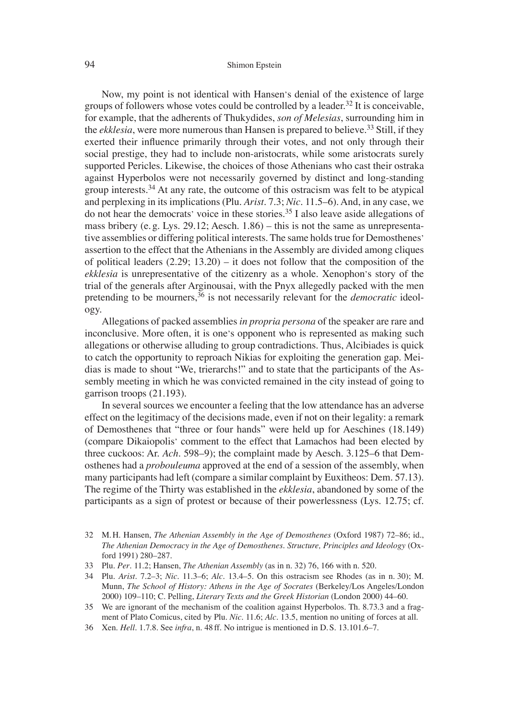#### 94 Shimon Epstein

Now, my point is not identical with Hansen's denial of the existence of large groups of followers whose votes could be controlled by a leader.<sup>32</sup> It is conceivable, for example, that the adherents of Thukydides, *son of Melesias*, surrounding him in the *ekklesia*, were more numerous than Hansen is prepared to believe.<sup>33</sup> Still, if they exerted their influence primarily through their votes, and not only through their social prestige, they had to include non-aristocrats, while some aristocrats surely supported Pericles. Likewise, the choices of those Athenians who cast their ostraka against Hyperbolos were not necessarily governed by distinct and long-standing group interests.<sup>34</sup> At any rate, the outcome of this ostracism was felt to be atypical and perplexing in its implications (Plu. *Arist*. 7.3; *Nic*. 11.5–6). And, in any case, we do not hear the democrats' voice in these stories.35 I also leave aside allegations of mass bribery (e. g. Lys. 29.12; Aesch. 1.86) – this is not the same as unrepresentative assemblies or differing political interests. The same holds true for Demosthenes' assertion to the effect that the Athenians in the Assembly are divided among cliques of political leaders (2.29; 13.20) – it does not follow that the composition of the *ekklesia* is unrepresentative of the citizenry as a whole. Xenophon's story of the trial of the generals after Arginousai, with the Pnyx allegedly packed with the men pretending to be mourners,  $36$  is not necessarily relevant for the *democratic* ideology.

Allegations of packed assemblies *in propria persona* of the speaker are rare and inconclusive. More often, it is one's opponent who is represented as making such allegations or otherwise alluding to group contradictions. Thus, Alcibiades is quick to catch the opportunity to reproach Nikias for exploiting the generation gap. Meidias is made to shout "We, trierarchs!" and to state that the participants of the Assembly meeting in which he was convicted remained in the city instead of going to garrison troops (21.193).

In several sources we encounter a feeling that the low attendance has an adverse effect on the legitimacy of the decisions made, even if not on their legality: a remark of Demosthenes that "three or four hands" were held up for Aeschines (18.149) (compare Dikaiopolis' comment to the effect that Lamachos had been elected by three cuckoos: Ar. *Ach*. 598–9); the complaint made by Aesch. 3.125–6 that Demosthenes had a *probouleuma* approved at the end of a session of the assembly, when many participants had left (compare a similar complaint by Euxitheos: Dem. 57.13). The regime of the Thirty was established in the *ekklesia*, abandoned by some of the participants as a sign of protest or because of their powerlessness (Lys. 12.75; cf.

- 32 M. H. Hansen, *The Athenian Assembly in the Age of Demosthenes* (Oxford 1987) 72–86; id., *The Athenian Democracy in the Age of Demosthenes. Structure, Principles and Ideology* (Oxford 1991) 280–287.
- 33 Plu. *Per*. 11.2; Hansen, *The Athenian Assembly* (as in n. 32) 76, 166 with n. 520.
- 34 Plu. *Arist*. 7.2–3; *Nic*. 11.3–6; *Alc*. 13.4–5. On this ostracism see Rhodes (as in n. 30); M. Munn, *The School of History: Athens in the Age of Socrates* (Berkeley/Los Angeles/London 2000) 109–110; C. Pelling, *Literary Texts and the Greek Historian* (London 2000) 44–60.
- 35 We are ignorant of the mechanism of the coalition against Hyperbolos. Th. 8.73.3 and a fragment of Plato Comicus, cited by Plu. *Nic*. 11.6; *Alc*. 13.5, mention no uniting of forces at all.
- 36 Xen. *Hell*. 1.7.8. See *infra*, n. 48 ff. No intrigue is mentioned in D. S. 13.101.6–7.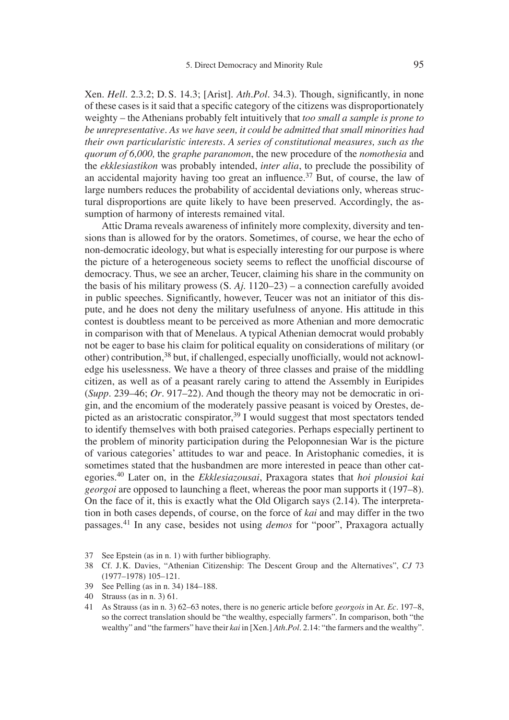Xen. *Hell.* 2.3.2; D. S. 14.3; [Arist]. *Ath.Pol.* 34.3). Though, significantly, in none of these cases is it said that a specific category of the citizens was disproportionately weighty – the Athenians probably felt intuitively that *too small a sample is prone to be unrepresentative. As we have seen, it could be admitted that small minorities had their own particularistic interests. A series of constitutional measures, such as the quorum of 6,000,* the *graphe paranomon*, the new procedure of the *nomothesia* and the *ekklesiastikon* was probably intended, *inter alia*, to preclude the possibility of an accidental majority having too great an influence.<sup>37</sup> But, of course, the law of large numbers reduces the probability of accidental deviations only, whereas structural disproportions are quite likely to have been preserved. Accordingly, the assumption of harmony of interests remained vital.

Attic Drama reveals awareness of infinitely more complexity, diversity and tensions than is allowed for by the orators. Sometimes, of course, we hear the echo of non-democratic ideology, but what is especially interesting for our purpose is where the picture of a heterogeneous society seems to reflect the unofficial discourse of democracy. Thus, we see an archer, Teucer, claiming his share in the community on the basis of his military prowess (S. *Aj*. 1120–23) – a connection carefully avoided in public speeches. Significantly, however, Teucer was not an initiator of this dispute, and he does not deny the military usefulness of anyone. His attitude in this contest is doubtless meant to be perceived as more Athenian and more democratic in comparison with that of Menelaus. A typical Athenian democrat would probably not be eager to base his claim for political equality on considerations of military (or other) contribution,  $38$  but, if challenged, especially unofficially, would not acknowledge his uselessness. We have a theory of three classes and praise of the middling citizen, as well as of a peasant rarely caring to attend the Assembly in Euripides (*Supp*. 239–46; *Or*. 917–22). And though the theory may not be democratic in origin, and the encomium of the moderately passive peasant is voiced by Orestes, depicted as an aristocratic conspirator,  $39 \text{ I}$  would suggest that most spectators tended to identify themselves with both praised categories. Perhaps especially pertinent to the problem of minority participation during the Peloponnesian War is the picture of various categories' attitudes to war and peace. In Aristophanic comedies, it is sometimes stated that the husbandmen are more interested in peace than other categories.40 Later on, in the *Ekklesiazousai*, Praxagora states that *hoi plousioi kai georgoi* are opposed to launching a fleet, whereas the poor man supports it (197–8). On the face of it, this is exactly what the Old Oligarch says (2.14). The interpretation in both cases depends, of course, on the force of *kai* and may differ in the two passages.41 In any case, besides not using *demos* for "poor", Praxagora actually

<sup>37</sup> See Epstein (as in n. 1) with further bibliography.

<sup>38</sup> Cf. J. K. Davies, "Athenian Citizenship: The Descent Group and the Alternatives", *CJ* 73 (1977–1978) 105–121.

<sup>39</sup> See Pelling (as in n. 34) 184–188.

<sup>40</sup> Strauss (as in n. 3) 61.

<sup>41</sup> As Strauss (as in n. 3) 62–63 notes, there is no generic article before *georgois* in Ar. *Ec*. 197–8, so the correct translation should be "the wealthy, especially farmers". In comparison, both "the wealthy" and "the farmers" have their *kai* in [Xen.] *Ath.Pol*. 2.14: "the farmers and the wealthy".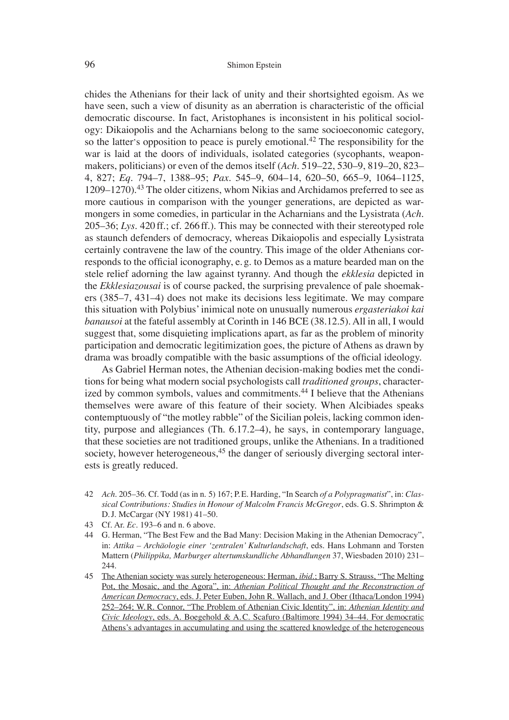chides the Athenians for their lack of unity and their shortsighted egoism. As we have seen, such a view of disunity as an aberration is characteristic of the official democratic discourse. In fact, Aristophanes is inconsistent in his political sociology: Dikaiopolis and the Acharnians belong to the same socioeconomic category, so the latter's opposition to peace is purely emotional.<sup>42</sup> The responsibility for the war is laid at the doors of individuals, isolated categories (sycophants, weaponmakers, politicians) or even of the demos itself (*Ach*. 519–22, 530–9, 819–20, 823– 4, 827; *Eq*. 794–7, 1388–95; *Pax*. 545–9, 604–14, 620–50, 665–9, 1064–1125, 1209–1270).43 The older citizens, whom Nikias and Archidamos preferred to see as more cautious in comparison with the younger generations, are depicted as warmongers in some comedies, in particular in the Acharnians and the Lysistrata (*Ach*. 205–36; *Lys*. 420 ff.; cf. 266 ff.). This may be connected with their stereotyped role as staunch defenders of democracy, whereas Dikaiopolis and especially Lysistrata certainly contravene the law of the country. This image of the older Athenians corresponds to the official iconography, e.g. to Demos as a mature bearded man on the stele relief adorning the law against tyranny. And though the *ekklesia* depicted in the *Ekklesiazousai* is of course packed, the surprising prevalence of pale shoemakers (385–7, 431–4) does not make its decisions less legitimate. We may compare this situation with Polybius' inimical note on unusually numerous *ergasteriakoi kai banausoi* at the fateful assembly at Corinth in 146 BCE (38.12.5). All in all, I would suggest that, some disquieting implications apart, as far as the problem of minority participation and democratic legitimization goes, the picture of Athens as drawn by drama was broadly compatible with the basic assumptions of the official ideology.

As Gabriel Herman notes, the Athenian decision-making bodies met the conditions for being what modern social psychologists call *traditioned groups*, characterized by common symbols, values and commitments.<sup>44</sup> I believe that the Athenians themselves were aware of this feature of their society. When Alcibiades speaks contemptuously of "the motley rabble" of the Sicilian poleis, lacking common identity, purpose and allegiances (Th. 6.17.2–4), he says, in contemporary language, that these societies are not traditioned groups, unlike the Athenians. In a traditioned society, however heterogeneous,<sup>45</sup> the danger of seriously diverging sectoral interests is greatly reduced.

- 42 *Ach*. 205–36. Cf. Todd (as in n. 5) 167; P. E. Harding, "In Search *of a Polypragmatist*", in: *Classical Contributions: Studies in Honour of Malcolm Francis McGregor*, eds. G. S. Shrimpton & D. J. McCargar (NY 1981) 41–50.
- 43 Cf. Ar. *Ec*. 193–6 and n. 6 above.
- 44 G. Herman, "The Best Few and the Bad Many: Decision Making in the Athenian Democracy", in: *Attika – Archäologie einer ʻzentralen' Kulturlandschaft*, eds. Hans Lohmann and Torsten Mattern (*Philippika, Marburger altertumskundliche Abhandlungen* 37, Wiesbaden 2010) 231– 244.
- 45 The Athenian society was surely heterogeneous: Herman, *ibid*.; Barry S. Strauss, "The Melting Pot, the Mosaic, and the Agora", in: *Athenian Political Thought and the Reconstruction of American Democracy*, eds. J. Peter Euben, John R. Wallach, and J. Ober (Ithaca/London 1994) 252–264; W. R. Connor, "The Problem of Athenian Civic Identity", in: *Athenian Identity and Civic Ideology*, eds. A. Boegehold & A. C. Scafuro (Baltimore 1994) 34–44. For democratic Athens's advantages in accumulating and using the scattered knowledge of the heterogeneous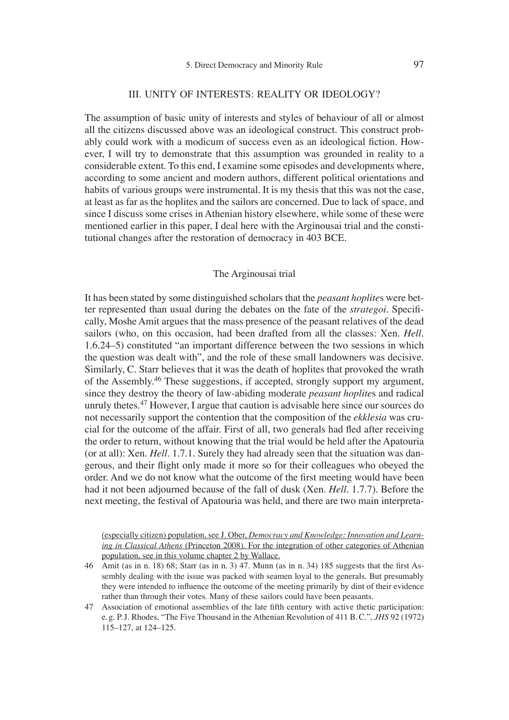#### III. UNITY OF INTERESTS: REALITY OR IDEOLOGY?

The assumption of basic unity of interests and styles of behaviour of all or almost all the citizens discussed above was an ideological construct. This construct probably could work with a modicum of success even as an ideological fiction. However, I will try to demonstrate that this assumption was grounded in reality to a considerable extent. To this end, I examine some episodes and developments where, according to some ancient and modern authors, different political orientations and habits of various groups were instrumental. It is my thesis that this was not the case, at least as far as the hoplites and the sailors are concerned. Due to lack of space, and since I discuss some crises in Athenian history elsewhere, while some of these were mentioned earlier in this paper, I deal here with the Arginousai trial and the constitutional changes after the restoration of democracy in 403 BCE.

### The Arginousai trial

It has been stated by some distinguished scholars that the *peasant hoplite*s were better represented than usual during the debates on the fate of the *strategoi*. Specifi cally, Moshe Amit argues that the mass presence of the peasant relatives of the dead sailors (who, on this occasion, had been drafted from all the classes: Xen. *Hell*. 1.6.24–5) constituted "an important difference between the two sessions in which the question was dealt with", and the role of these small landowners was decisive. Similarly, C. Starr believes that it was the death of hoplites that provoked the wrath of the Assembly.<sup>46</sup> These suggestions, if accepted, strongly support my argument, since they destroy the theory of law-abiding moderate *peasant hoplite*s and radical unruly thetes.<sup>47</sup> However, I argue that caution is advisable here since our sources do not necessarily support the contention that the composition of the *ekklesia* was crucial for the outcome of the affair. First of all, two generals had fled after receiving the order to return, without knowing that the trial would be held after the Apatouria (or at all): Xen. *Hell*. 1.7.1. Surely they had already seen that the situation was dangerous, and their flight only made it more so for their colleagues who obeyed the order. And we do not know what the outcome of the first meeting would have been had it not been adjourned because of the fall of dusk (Xen. *Hell*. 1.7.7). Before the next meeting, the festival of Apatouria was held, and there are two main interpreta-

(especially citizen) population, see J. Ober, *Democracy and Knowledge: Innovation and Learning in Classical Athens* (Princeton 2008). For the integration of other categories of Athenian population, see in this volume chapter 2 by Wallace.

- 46 Amit (as in n. 18) 68; Starr (as in n. 3) 47. Munn (as in n. 34) 185 suggests that the first Assembly dealing with the issue was packed with seamen loyal to the generals. But presumably they were intended to influence the outcome of the meeting primarily by dint of their evidence rather than through their votes. Many of these sailors could have been peasants.
- 47 Association of emotional assemblies of the late fifth century with active thetic participation: e. g. P. J. Rhodes, "The Five Thousand in the Athenian Revolution of 411 B. C.", *JHS* 92 (1972) 115–127, at 124–125.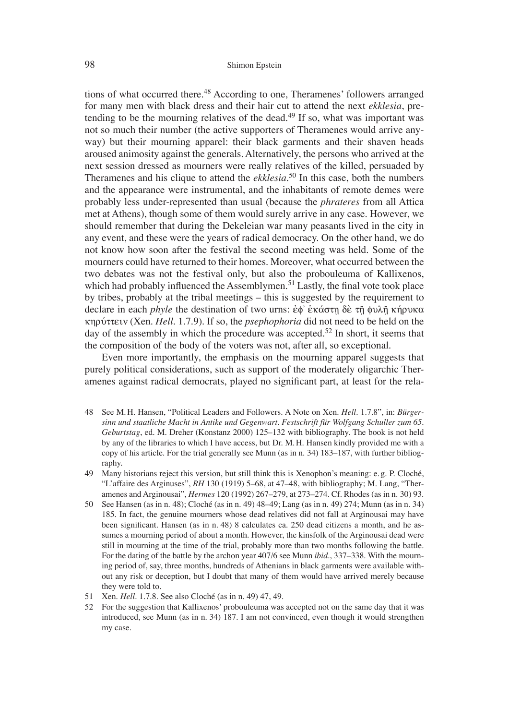tions of what occurred there.<sup>48</sup> According to one, Theramenes' followers arranged for many men with black dress and their hair cut to attend the next *ekklesia*, pretending to be the mourning relatives of the dead.<sup>49</sup> If so, what was important was not so much their number (the active supporters of Theramenes would arrive anyway) but their mourning apparel: their black garments and their shaven heads aroused animosity against the generals. Alternatively, the persons who arrived at the next session dressed as mourners were really relatives of the killed, persuaded by Theramenes and his clique to attend the *ekklesia*. 50 In this case, both the numbers and the appearance were instrumental, and the inhabitants of remote demes were probably less under-represented than usual (because the *phrateres* from all Attica met at Athens), though some of them would surely arrive in any case. However, we should remember that during the Dekeleian war many peasants lived in the city in any event, and these were the years of radical democracy. On the other hand, we do not know how soon after the festival the second meeting was held. Some of the mourners could have returned to their homes. Moreover, what occurred between the two debates was not the festival only, but also the probouleuma of Kallixenos, which had probably influenced the Assemblymen.<sup>51</sup> Lastly, the final vote took place by tribes, probably at the tribal meetings – this is suggested by the requirement to declare in each *phyle* the destination of two urns: ἐφ' ἑκάστη δὲ τῆ φυλῆ κήρυκα khruvttein (Xen. *Hell*. 1.7.9). If so, the *psephophoria* did not need to be held on the day of the assembly in which the procedure was accepted.<sup>52</sup> In short, it seems that the composition of the body of the voters was not, after all, so exceptional.

Even more importantly, the emphasis on the mourning apparel suggests that purely political considerations, such as support of the moderately oligarchic Theramenes against radical democrats, played no significant part, at least for the rela-

- 48 See M. H. Hansen, "Political Leaders and Followers. A Note on Xen. *Hell*. 1.7.8", in: *Bürgersinn und staatliche Macht in Antike und Gegenwart. Festschrift für Wolfgang Schuller zum 65. Geburtstag*, ed. M. Dreher (Konstanz 2000) 125–132 with bibliography. The book is not held by any of the libraries to which I have access, but Dr. M. H. Hansen kindly provided me with a copy of his article. For the trial generally see Munn (as in n. 34) 183–187, with further bibliography.
- 49 Many historians reject this version, but still think this is Xenophon's meaning: e. g. P. Cloché, "L'affaire des Arginuses", *RH* 130 (1919) 5–68, at 47–48, with bibliography; M. Lang, "Theramenes and Arginousai", *Hermes* 120 (1992) 267–279, at 273–274. Cf. Rhodes (as in n. 30) 93.
- 50 See Hansen (as in n. 48); Cloché (as in n. 49) 48–49; Lang (as in n. 49) 274; Munn (as in n. 34) 185. In fact, the genuine mourners whose dead relatives did not fall at Arginousai may have been significant. Hansen (as in n. 48) 8 calculates ca. 250 dead citizens a month, and he assumes a mourning period of about a month. However, the kinsfolk of the Arginousai dead were still in mourning at the time of the trial, probably more than two months following the battle. For the dating of the battle by the archon year 407/6 see Munn *ibid*., 337–338. With the mourning period of, say, three months, hundreds of Athenians in black garments were available without any risk or deception, but I doubt that many of them would have arrived merely because they were told to.
- 51 Xen. *Hell*. 1.7.8. See also Cloché (as in n. 49) 47, 49.
- 52 For the suggestion that Kallixenos' probouleuma was accepted not on the same day that it was introduced, see Munn (as in n. 34) 187. I am not convinced, even though it would strengthen my case.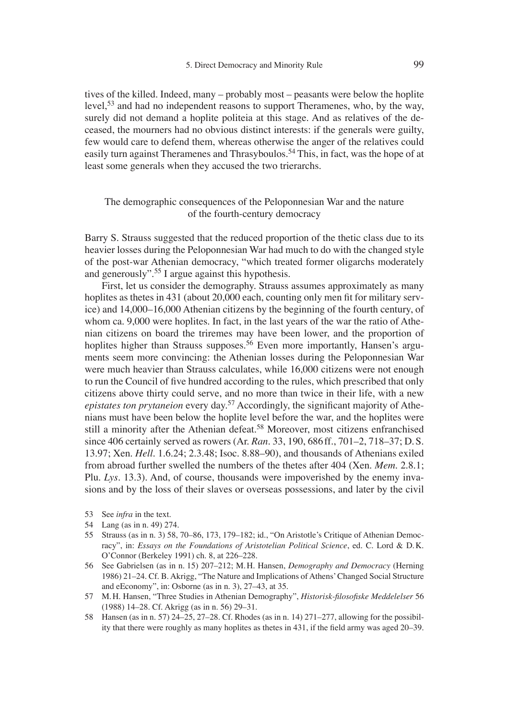tives of the killed. Indeed, many – probably most – peasants were below the hoplite level,<sup>53</sup> and had no independent reasons to support Theramenes, who, by the way, surely did not demand a hoplite politeia at this stage. And as relatives of the deceased, the mourners had no obvious distinct interests: if the generals were guilty, few would care to defend them, whereas otherwise the anger of the relatives could easily turn against Theramenes and Thrasyboulos.<sup>54</sup> This, in fact, was the hope of at least some generals when they accused the two trierarchs.

# The demographic consequences of the Peloponnesian War and the nature of the fourth-century democracy

Barry S. Strauss suggested that the reduced proportion of the thetic class due to its heavier losses during the Peloponnesian War had much to do with the changed style of the post-war Athenian democracy, "which treated former oligarchs moderately and generously".55 I argue against this hypothesis.

First, let us consider the demography. Strauss assumes approximately as many hoplites as thetes in 431 (about 20,000 each, counting only men fit for military service) and 14,000–16,000 Athenian citizens by the beginning of the fourth century, of whom ca. 9,000 were hoplites. In fact, in the last years of the war the ratio of Athenian citizens on board the triremes may have been lower, and the proportion of hoplites higher than Strauss supposes.<sup>56</sup> Even more importantly, Hansen's arguments seem more convincing: the Athenian losses during the Peloponnesian War were much heavier than Strauss calculates, while 16,000 citizens were not enough to run the Council of five hundred according to the rules, which prescribed that only citizens above thirty could serve, and no more than twice in their life, with a new *epistates ton prytaneion* every day.<sup>57</sup> Accordingly, the significant majority of Athenians must have been below the hoplite level before the war, and the hoplites were still a minority after the Athenian defeat.<sup>58</sup> Moreover, most citizens enfranchised since 406 certainly served as rowers (Ar. *Ran*. 33, 190, 686 ff., 701–2, 718–37; D. S. 13.97; Xen. *Hell*. 1.6.24; 2.3.48; Isoc. 8.88–90), and thousands of Athenians exiled from abroad further swelled the numbers of the thetes after 404 (Xen. *Mem*. 2.8.1; Plu. *Lys*. 13.3). And, of course, thousands were impoverished by the enemy invasions and by the loss of their slaves or overseas possessions, and later by the civil

- 53 See *infra* in the text.
- 54 Lang (as in n. 49) 274.
- 55 Strauss (as in n. 3) 58, 70–86, 173, 179–182; id., "On Aristotle's Critique of Athenian Democracy", in: *Essays on the Foundations of Aristotelian Political Science*, ed. C. Lord & D. K. O'Connor (Berkeley 1991) ch. 8, at 226–228.
- 56 See Gabrielsen (as in n. 15) 207–212; M. H. Hansen, *Demography and Democracy* (Herning 1986) 21–24. Cf. B. Akrigg, "The Nature and Implications of Athens' Changed Social Structure and eEconomy", in: Osborne (as in n. 3), 27–43, at 35.
- 57 M. H. Hansen, "Three Studies in Athenian Demography", *Historisk-filosofiske Meddelelser* 56 (1988) 14–28. Cf. Akrigg (as in n. 56) 29–31.
- 58 Hansen (as in n. 57) 24–25, 27–28. Cf. Rhodes (as in n. 14) 271–277, allowing for the possibility that there were roughly as many hoplites as the tes in  $431$ , if the field army was aged  $20-39$ .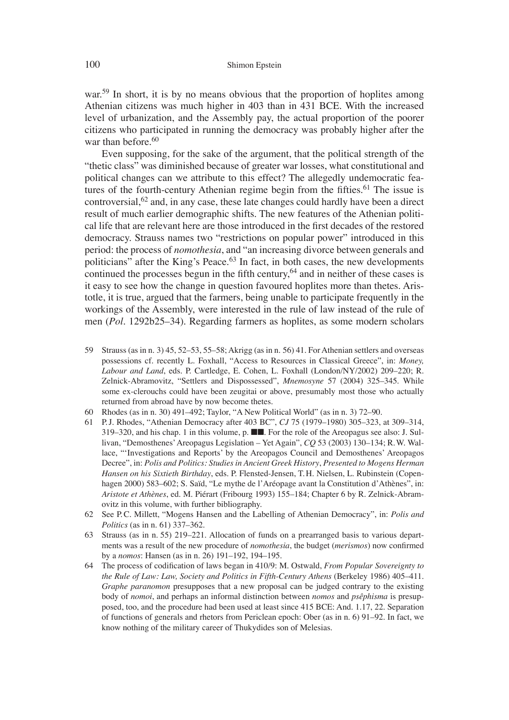war.<sup>59</sup> In short, it is by no means obvious that the proportion of hoplites among Athenian citizens was much higher in 403 than in 431 BCE. With the increased level of urbanization, and the Assembly pay, the actual proportion of the poorer citizens who participated in running the democracy was probably higher after the war than before.<sup>60</sup>

Even supposing, for the sake of the argument, that the political strength of the "thetic class" was diminished because of greater war losses, what constitutional and political changes can we attribute to this effect? The allegedly undemocratic features of the fourth-century Athenian regime begin from the fifties.<sup>61</sup> The issue is controversial,<sup>62</sup> and, in any case, these late changes could hardly have been a direct result of much earlier demographic shifts. The new features of the Athenian political life that are relevant here are those introduced in the first decades of the restored democracy. Strauss names two "restrictions on popular power" introduced in this period: the process of *nomothesia*, and "an increasing divorce between generals and politicians" after the King's Peace.<sup>63</sup> In fact, in both cases, the new developments continued the processes begun in the fifth century,<sup>64</sup> and in neither of these cases is it easy to see how the change in question favoured hoplites more than thetes. Aristotle, it is true, argued that the farmers, being unable to participate frequently in the workings of the Assembly, were interested in the rule of law instead of the rule of men (*Pol*. 1292b25–34). Regarding farmers as hoplites, as some modern scholars

- 59 Strauss (as in n. 3) 45, 52–53, 55–58; Akrigg (as in n. 56) 41. For Athenian settlers and overseas possessions cf. recently L. Foxhall, "Access to Resources in Classical Greece", in: *Money, Labour and Land*, eds. P. Cartledge, E. Cohen, L. Foxhall (London/NY/2002) 209–220; R. Zelnick-Abramovitz, "Settlers and Dispossessed", *Mnemosyne* 57 (2004) 325–345. While some ex-clerouchs could have been zeugitai or above, presumably most those who actually returned from abroad have by now become thetes.
- 60 Rhodes (as in n. 30) 491–492; Taylor, "A New Political World" (as in n. 3) 72–90.
- 61 P. J. Rhodes, "Athenian Democracy after 403 BC", *CJ* 75 (1979–1980) 305–323, at 309–314, 319–320, and his chap. 1 in this volume, p. ■■. For the role of the Areopagus see also: J. Sullivan, "Demosthenes' Areopagus Legislation – Yet Again", *CQ* 53 (2003) 130–134; R. W. Wallace, "ʻInvestigations and Reports' by the Areopagos Council and Demosthenes' Areopagos Decree", in: *Polis and Politics: Studies in Ancient Greek History*, *Presented to Mogens Herman Hansen on his Sixtieth Birthday*, eds. P. Flensted-Jensen, T. H. Nielsen, L. Rubinstein (Copenhagen 2000) 583–602; S. Saïd, "Le mythe de l'Aréopage avant la Constitution d'Athènes", in: *Aristote et Athènes*, ed. M. Piérart (Fribourg 1993) 155–184; Chapter 6 by R. Zelnick-Abramovitz in this volume, with further bibliography.
- 62 See P. C. Millett, "Mogens Hansen and the Labelling of Athenian Democracy", in: *Polis and Politics* (as in n. 61) 337–362.
- 63 Strauss (as in n. 55) 219–221. Allocation of funds on a prearranged basis to various departments was a result of the new procedure of *nomothesia*, the budget (*merismos*) now confirmed by a *nomos*: Hansen (as in n. 26) 191–192, 194–195.
- 64 The process of codification of laws began in 410/9: M. Ostwald, *From Popular Sovereignty to the Rule of Law: Law, Society and Politics in Fifth-Century Athens* (Berkeley 1986) 405–411. *Graphe paranomon* presupposes that a new proposal can be judged contrary to the existing body of *nomoi*, and perhaps an informal distinction between *nomos* and *psêphisma* is presupposed, too, and the procedure had been used at least since 415 BCE: And. 1.17, 22. Separation of functions of generals and rhetors from Periclean epoch: Ober (as in n. 6) 91–92. In fact, we know nothing of the military career of Thukydides son of Melesias.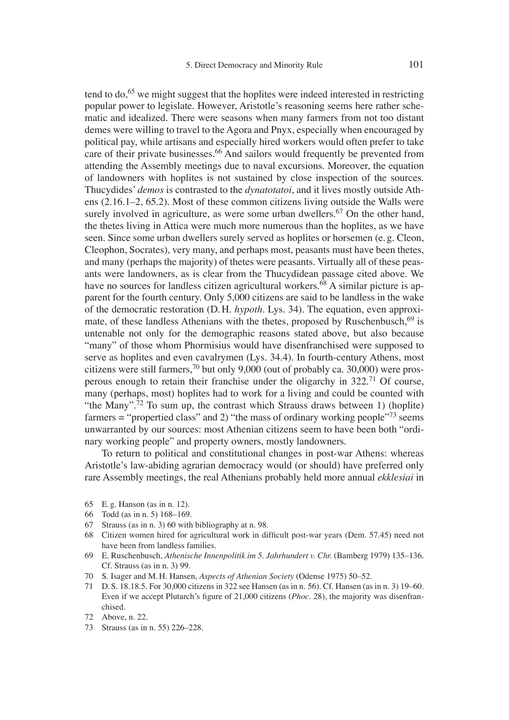tend to do,  $65$  we might suggest that the hoplites were indeed interested in restricting popular power to legislate. However, Aristotle's reasoning seems here rather schematic and idealized. There were seasons when many farmers from not too distant demes were willing to travel to the Agora and Pnyx, especially when encouraged by political pay, while artisans and especially hired workers would often prefer to take care of their private businesses.<sup>66</sup> And sailors would frequently be prevented from attending the Assembly meetings due to naval excursions. Moreover, the equation of landowners with hoplites is not sustained by close inspection of the sources. Thucydides' *demos* is contrasted to the *dynatotatoi*, and it lives mostly outside Athens (2.16.1–2, 65.2). Most of these common citizens living outside the Walls were surely involved in agriculture, as were some urban dwellers.<sup>67</sup> On the other hand, the thetes living in Attica were much more numerous than the hoplites, as we have seen. Since some urban dwellers surely served as hoplites or horsemen (e. g. Cleon, Cleophon, Socrates), very many, and perhaps most, peasants must have been thetes, and many (perhaps the majority) of thetes were peasants. Virtually all of these peasants were landowners, as is clear from the Thucydidean passage cited above. We have no sources for landless citizen agricultural workers.<sup>68</sup> A similar picture is apparent for the fourth century. Only 5,000 citizens are said to be landless in the wake of the democratic restoration (D. H. *hypoth*. Lys. 34). The equation, even approximate, of these landless Athenians with the thetes, proposed by Ruschenbusch, $69$  is untenable not only for the demographic reasons stated above, but also because "many" of those whom Phormisius would have disenfranchised were supposed to serve as hoplites and even cavalrymen (Lys. 34.4). In fourth-century Athens, most citizens were still farmers,<sup>70</sup> but only 9,000 (out of probably ca. 30,000) were prosperous enough to retain their franchise under the oligarchy in 322.71 Of course, many (perhaps, most) hoplites had to work for a living and could be counted with "the Many".<sup>72</sup> To sum up, the contrast which Strauss draws between 1) (hoplite) farmers = "propertied class" and 2) "the mass of ordinary working people"<sup>73</sup> seems unwarranted by our sources: most Athenian citizens seem to have been both "ordinary working people" and property owners, mostly landowners.

To return to political and constitutional changes in post-war Athens: whereas Aristotle's law-abiding agrarian democracy would (or should) have preferred only rare Assembly meetings, the real Athenians probably held more annual *ekklesiai* in

- 65 E. g. Hanson (as in n. 12).
- 66 Todd (as in n. 5) 168–169.
- 67 Strauss (as in n. 3) 60 with bibliography at n. 98.
- 68 Citizen women hired for agricultural work in difficult post-war years (Dem. 57.45) need not have been from landless families.
- 69 E. Ruschenbusch, *Athenische Innenpolitik im 5. Jahrhundert v. Chr.* (Bamberg 1979) 135–136. Cf. Strauss (as in n. 3) 99.
- 70 S. Isager and M. H. Hansen, *Aspects of Athenian Society* (Odense 1975) 50–52.
- 71 D. S. 18.18.5. For 30,000 citizens in 322 see Hansen (as in n. 56). Cf. Hansen (as in n. 3) 19–60. Even if we accept Plutarch's figure of 21,000 citizens (*Phoc.* 28), the majority was disenfranchised.

73 Strauss (as in n. 55) 226–228.

<sup>72</sup> Above, n. 22.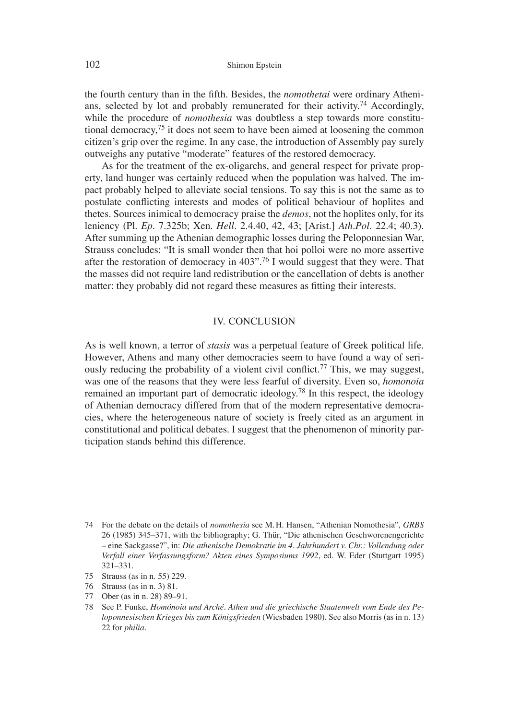the fourth century than in the fifth. Besides, the *nomothetai* were ordinary Athenians, selected by lot and probably remunerated for their activity.74 Accordingly, while the procedure of *nomothesia* was doubtless a step towards more constitutional democracy,<sup>75</sup> it does not seem to have been aimed at loosening the common citizen's grip over the regime. In any case, the introduction of Assembly pay surely outweighs any putative "moderate" features of the restored democracy.

As for the treatment of the ex-oligarchs, and general respect for private property, land hunger was certainly reduced when the population was halved. The impact probably helped to alleviate social tensions. To say this is not the same as to postulate conflicting interests and modes of political behaviour of hoplites and thetes. Sources inimical to democracy praise the *demos*, not the hoplites only, for its leniency (Pl. *Ep*. 7.325b; Xen. *Hell.* 2.4.40, 42, 43; [Arist.] *Ath.Pol*. 22.4; 40.3). After summing up the Athenian demographic losses during the Peloponnesian War, Strauss concludes: "It is small wonder then that hoi polloi were no more assertive after the restoration of democracy in 403".76 I would suggest that they were. That the masses did not require land redistribution or the cancellation of debts is another matter: they probably did not regard these measures as fitting their interests.

### IV. CONCLUSION

As is well known, a terror of *stasis* was a perpetual feature of Greek political life. However, Athens and many other democracies seem to have found a way of seriously reducing the probability of a violent civil conflict.<sup>77</sup> This, we may suggest, was one of the reasons that they were less fearful of diversity. Even so, *homonoia* remained an important part of democratic ideology.<sup>78</sup> In this respect, the ideology of Athenian democracy differed from that of the modern representative democracies, where the heterogeneous nature of society is freely cited as an argument in constitutional and political debates. I suggest that the phenomenon of minority participation stands behind this difference.

- 75 Strauss (as in n. 55) 229.
- 76 Strauss (as in n. 3) 81.
- 77 Ober (as in n. 28) 89–91.
- 78 See P. Funke, *Homónoia und Arché. Athen und die griechische Staatenwelt vom Ende des Peloponnesischen Krieges bis zum Königsfrieden* (Wiesbaden 1980). See also Morris (as in n. 13) 22 for *philia*.

<sup>74</sup> For the debate on the details of *nomothesia* see M. H. Hansen, "Athenian Nomothesia"*, GRBS*  26 (1985) 345–371, with the bibliography; G. Thür, "Die athenischen Geschworenengerichte – eine Sackgasse?", in: *Die athenische Demokratie im 4. Jahrhundert v. Chr.: Vollendung oder Verfall einer Verfassungsform? Akten eines Symposiums 1992*, ed. W. Eder (Stuttgart 1995) 321–331.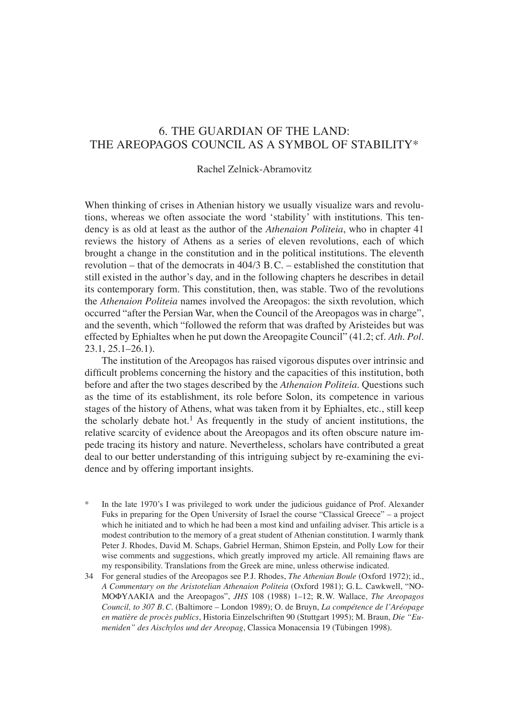# 6. THE GUARDIAN OF THE LAND: THE AREOPAGOS COUNCIL AS A SYMBOL OF STABILITY\*

### Rachel Zelnick-Abramovitz

When thinking of crises in Athenian history we usually visualize wars and revolutions, whereas we often associate the word ʻstability' with institutions. This tendency is as old at least as the author of the *Athenaion Politeia*, who in chapter 41 reviews the history of Athens as a series of eleven revolutions, each of which brought a change in the constitution and in the political institutions. The eleventh revolution – that of the democrats in 404/3 B. C. – established the constitution that still existed in the author's day, and in the following chapters he describes in detail its contemporary form. This constitution, then, was stable. Two of the revolutions the *Athenaion Politeia* names involved the Areopagos: the sixth revolution, which occurred "after the Persian War, when the Council of the Areopagos was in charge", and the seventh, which "followed the reform that was drafted by Aristeides but was effected by Ephialtes when he put down the Areopagite Council" (41.2; cf. *Ath. Pol*. 23.1, 25.1–26.1).

The institution of the Areopagos has raised vigorous disputes over intrinsic and difficult problems concerning the history and the capacities of this institution, both before and after the two stages described by the *Athenaion Politeia*. Questions such as the time of its establishment, its role before Solon, its competence in various stages of the history of Athens, what was taken from it by Ephialtes, etc., still keep the scholarly debate hot.<sup>1</sup> As frequently in the study of ancient institutions, the relative scarcity of evidence about the Areopagos and its often obscure nature impede tracing its history and nature. Nevertheless, scholars have contributed a great deal to our better understanding of this intriguing subject by re-examining the evidence and by offering important insights.

- \* In the late 1970's I was privileged to work under the judicious guidance of Prof. Alexander Fuks in preparing for the Open University of Israel the course "Classical Greece" – a project which he initiated and to which he had been a most kind and unfailing adviser. This article is a modest contribution to the memory of a great student of Athenian constitution. I warmly thank Peter J. Rhodes, David M. Schaps, Gabriel Herman, Shimon Epstein, and Polly Low for their wise comments and suggestions, which greatly improved my article. All remaining flaws are my responsibility. Translations from the Greek are mine, unless otherwise indicated.
- 34 For general studies of the Areopagos see P. J. Rhodes, *The Athenian Boule* (Oxford 1972); id., *A Commentary on the Aristotelian Athenaion Politeia* (Oxford 1981); G. L. Cawkwell, "NO-MOΦYAAKIA and the Areopagos", *JHS* 108 (1988) 1–12; R.W. Wallace, *The Areopagos Council, to 307 B. C.* (Baltimore – London 1989); O. de Bruyn, *La compétence de l'Aréopage en matière de procès publics*, Historia Einzelschriften 90 (Stuttgart 1995); M. Braun, *Die "Eumeniden" des Aischylos und der Areopag*, Classica Monacensia 19 (Tübingen 1998).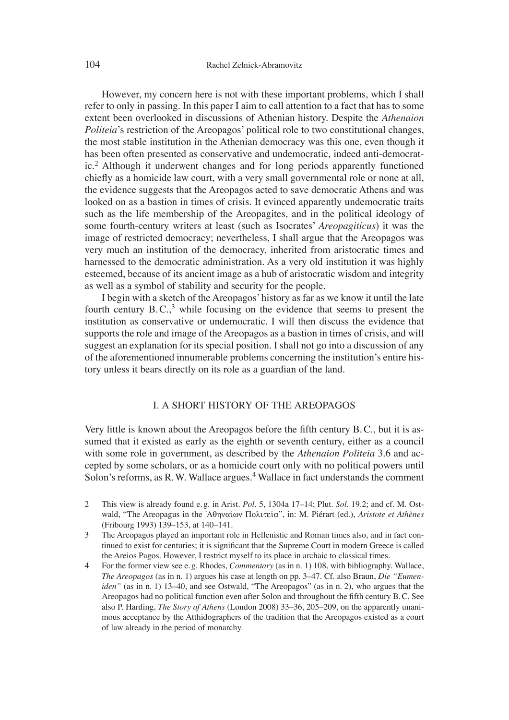However, my concern here is not with these important problems, which I shall refer to only in passing. In this paper I aim to call attention to a fact that has to some extent been overlooked in discussions of Athenian history. Despite the *Athenaion Politeia*'s restriction of the Areopagos' political role to two constitutional changes, the most stable institution in the Athenian democracy was this one, even though it has been often presented as conservative and undemocratic, indeed anti-democratic.2 Although it underwent changes and for long periods apparently functioned chiefly as a homicide law court, with a very small governmental role or none at all, the evidence suggests that the Areopagos acted to save democratic Athens and was looked on as a bastion in times of crisis. It evinced apparently undemocratic traits such as the life membership of the Areopagites, and in the political ideology of some fourth-century writers at least (such as Isocrates' *Areopagiticus*) it was the image of restricted democracy; nevertheless, I shall argue that the Areopagos was very much an institution of the democracy, inherited from aristocratic times and harnessed to the democratic administration. As a very old institution it was highly esteemed, because of its ancient image as a hub of aristocratic wisdom and integrity as well as a symbol of stability and security for the people.

I begin with a sketch of the Areopagos' history as far as we know it until the late fourth century  $B.C.,<sup>3</sup>$  while focusing on the evidence that seems to present the institution as conservative or undemocratic. I will then discuss the evidence that supports the role and image of the Areopagos as a bastion in times of crisis, and will suggest an explanation for its special position. I shall not go into a discussion of any of the aforementioned innumerable problems concerning the institution's entire history unless it bears directly on its role as a guardian of the land.

## I. A SHORT HISTORY OF THE AREOPAGOS

Very little is known about the Areopagos before the fifth century  $B.C.,$  but it is assumed that it existed as early as the eighth or seventh century, either as a council with some role in government, as described by the *Athenaion Politeia* 3.6 and accepted by some scholars, or as a homicide court only with no political powers until Solon's reforms, as R. W. Wallace argues.<sup>4</sup> Wallace in fact understands the comment

- 2 This view is already found e. g. in Arist. *Pol*. 5, 1304a 17–14; Plut. *Sol*. 19.2; and cf. M. Ostwald, "The Areopagus in the 'Αθηναίων Πολιτεία", in: M. Piérart (ed.), *Aristote et Athènes* (Fribourg 1993) 139–153, at 140–141.
- 3 The Areopagos played an important role in Hellenistic and Roman times also, and in fact continued to exist for centuries; it is significant that the Supreme Court in modern Greece is called the Areios Pagos. However, I restrict myself to its place in archaic to classical times.
- 4 For the former view see e. g. Rhodes, *Commentary* (as in n. 1) 108, with bibliography. Wallace, *The Areopagos* (as in n. 1) argues his case at length on pp. 3–47. Cf. also Braun, *Die "Eumeniden"* (as in n. 1) 13–40, and see Ostwald, "The Areopagos" (as in n. 2), who argues that the Areopagos had no political function even after Solon and throughout the fifth century B.C. See also P. Harding, *The Story of Athens* (London 2008) 33–36, 205–209, on the apparently unanimous acceptance by the Atthidographers of the tradition that the Areopagos existed as a court of law already in the period of monarchy.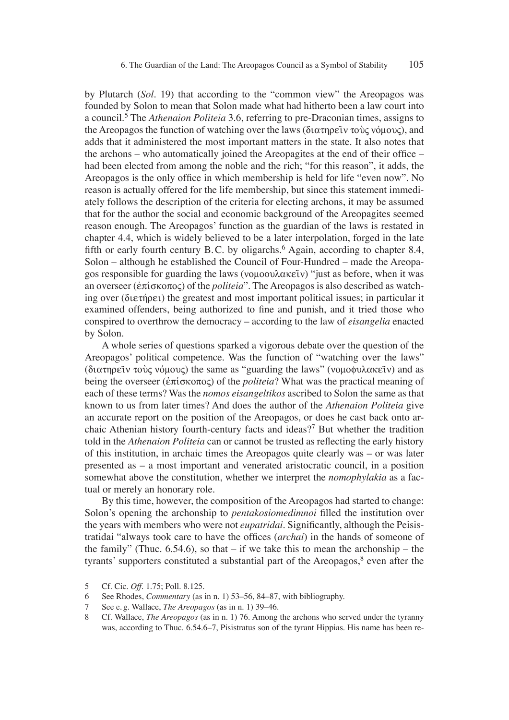by Plutarch (*Sol*. 19) that according to the "common view" the Areopagos was founded by Solon to mean that Solon made what had hitherto been a law court into a council.5 The *Athenaion Politeia* 3.6, referring to pre-Draconian times, assigns to the Areopagos the function of watching over the laws ( $\delta$ ιατηρεῖν τοὺς νόμους), and adds that it administered the most important matters in the state. It also notes that the archons – who automatically joined the Areopagites at the end of their office – had been elected from among the noble and the rich; "for this reason", it adds, the Areopagos is the only office in which membership is held for life "even now". No reason is actually offered for the life membership, but since this statement immediately follows the description of the criteria for electing archons, it may be assumed that for the author the social and economic background of the Areopagites seemed reason enough. The Areopagos' function as the guardian of the laws is restated in chapter 4.4, which is widely believed to be a later interpolation, forged in the late fifth or early fourth century B.C. by oligarchs.<sup>6</sup> Again, according to chapter 8.4, Solon – although he established the Council of Four-Hundred – made the Areopagos responsible for guarding the laws (νομοφυλακεῖν) "just as before, when it was an overseer ( $\acute{\text{e}}\pi$  is  $\alpha$ ) of the *politeia*". The Areopagos is also described as watching over ( $\delta$ ietherei) the greatest and most important political issues; in particular it examined offenders, being authorized to fine and punish, and it tried those who conspired to overthrow the democracy – according to the law of *eisangelia* enacted by Solon.

A whole series of questions sparked a vigorous debate over the question of the Areopagos' political competence. Was the function of "watching over the laws" ( $\delta$ ιατηρεῖν τοὺς νόμους) the same as "guarding the laws" (νομοφυλακεῖν) and as being the overseer ( $\epsilon \pi i \sigma \kappa \sigma \tau o$ ) of the *politeia*? What was the practical meaning of each of these terms? Was the *nomos eisangeltikos* ascribed to Solon the same as that known to us from later times? And does the author of the *Athenaion Politeia* give an accurate report on the position of the Areopagos, or does he cast back onto archaic Athenian history fourth-century facts and ideas?<sup>7</sup> But whether the tradition told in the *Athenaion Politeia* can or cannot be trusted as reflecting the early history of this institution, in archaic times the Areopagos quite clearly was – or was later presented as – a most important and venerated aristocratic council, in a position somewhat above the constitution, whether we interpret the *nomophylakia* as a factual or merely an honorary role.

By this time, however, the composition of the Areopagos had started to change: Solon's opening the archonship to *pentakosiomedimnoi* filled the institution over the years with members who were not *eupatridai*. Significantly, although the Peisistratidai "always took care to have the offices (*archai*) in the hands of someone of the family" (Thuc. 6.54.6), so that  $-$  if we take this to mean the archonship  $-$  the tyrants' supporters constituted a substantial part of the Areopagos, $\frac{8}{3}$  even after the

<sup>5</sup> Cf. Cic. *Off.* 1.75; Poll. 8.125.

<sup>6</sup> See Rhodes, *Commentary* (as in n. 1) 53–56, 84–87, with bibliography.

<sup>7</sup> See e. g. Wallace, *The Areopagos* (as in n. 1) 39–46.

<sup>8</sup> Cf. Wallace, *The Areopagos* (as in n. 1) 76. Among the archons who served under the tyranny was, according to Thuc. 6.54.6–7, Pisistratus son of the tyrant Hippias. His name has been re-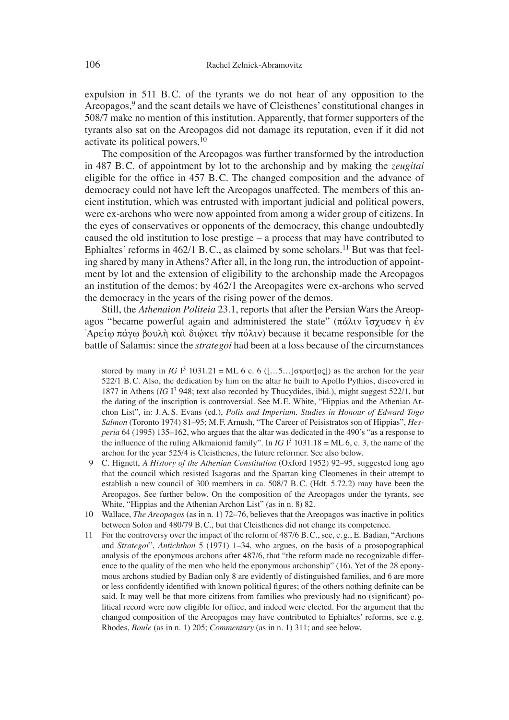expulsion in 511 B.C. of the tyrants we do not hear of any opposition to the Areopagos,<sup>9</sup> and the scant details we have of Cleisthenes' constitutional changes in 508/7 make no mention of this institution. Apparently, that former supporters of the tyrants also sat on the Areopagos did not damage its reputation, even if it did not activate its political powers.10

The composition of the Areopagos was further transformed by the introduction in 487 B. C. of appointment by lot to the archonship and by making the *zeugitai* eligible for the office in 457 B.C. The changed composition and the advance of democracy could not have left the Areopagos unaffected. The members of this ancient institution, which was entrusted with important judicial and political powers, were ex-archons who were now appointed from among a wider group of citizens. In the eyes of conservatives or opponents of the democracy, this change undoubtedly caused the old institution to lose prestige – a process that may have contributed to Ephialtes' reforms in 462/1 B.C., as claimed by some scholars.<sup>11</sup> But was that feeling shared by many in Athens? After all, in the long run, the introduction of appointment by lot and the extension of eligibility to the archonship made the Areopagos an institution of the demos: by 462/1 the Areopagites were ex-archons who served the democracy in the years of the rising power of the demos.

Still, the *Athenaion Politeia* 23.1, reports that after the Persian Wars the Areopagos "became powerful again and administered the state" ( $\pi \acute{\alpha} \lambda \nu \acute{\alpha} \gamma \gamma \acute{\alpha} \lambda \nu \acute{\gamma} \acute{\beta} \gamma$ ) ev  $\Delta \rho$  λειτάλλο τουλή και διώκει την πόλιν) because it became responsible for the battle of Salamis: since the *strategoi* had been at a loss because of the circumstances

stored by many in *IG* I<sup>3</sup> 1031.21 = ML 6 c. 6 ([...5...] $\sigma$ to $\alpha$ <sub>I</sub>( $\alpha$ <sub>C</sub>]) as the archon for the year 522/1 B. C. Also, the dedication by him on the altar he built to Apollo Pythios, discovered in 1877 in Athens (IG I<sup>3</sup> 948; text also recorded by Thucydides, ibid.), might suggest 522/1, but the dating of the inscription is controversial. See M. E. White, "Hippias and the Athenian Archon List", in: J. A. S. Evans (ed.), *Polis and Imperium. Studies in Honour of Edward Togo Salmon* (Toronto 1974) 81–95; M. F. Arnush, "The Career of Peisistratos son of Hippias", *Hesperia* 64 (1995) 135–162, who argues that the altar was dedicated in the 490's "as a response to the influence of the ruling Alkmaionid family". In *IG* I<sup>3</sup> 1031.18 = ML 6, c. 3, the name of the archon for the year 525/4 is Cleisthenes, the future reformer. See also below.

- 9 C. Hignett, *A History of the Athenian Constitution* (Oxford 1952) 92–95, suggested long ago that the council which resisted Isagoras and the Spartan king Cleomenes in their attempt to establish a new council of 300 members in ca. 508/7 B. C. (Hdt. 5.72.2) may have been the Areopagos. See further below. On the composition of the Areopagos under the tyrants, see White, "Hippias and the Athenian Archon List" (as in n. 8) 82.
- 10 Wallace, *The Areopagos* (as in n. 1) 72–76, believes that the Areopagos was inactive in politics between Solon and 480/79 B. C., but that Cleisthenes did not change its competence.
- 11 For the controversy over the impact of the reform of 487/6 B. C., see, e. g., E. Badian, "Archons and *Strategoi*", *Antichthon* 5 (1971) 1–34, who argues, on the basis of a prosopographical analysis of the eponymous archons after 487/6, that "the reform made no recognizable difference to the quality of the men who held the eponymous archonship" (16). Yet of the 28 eponymous archons studied by Badian only 8 are evidently of distinguished families, and 6 are more or less confidently identified with known political figures; of the others nothing definite can be said. It may well be that more citizens from families who previously had no (significant) political record were now eligible for office, and indeed were elected. For the argument that the changed composition of the Areopagos may have contributed to Ephialtes' reforms, see e. g. Rhodes, *Boule* (as in n. 1) 205; *Commentary* (as in n. 1) 311; and see below.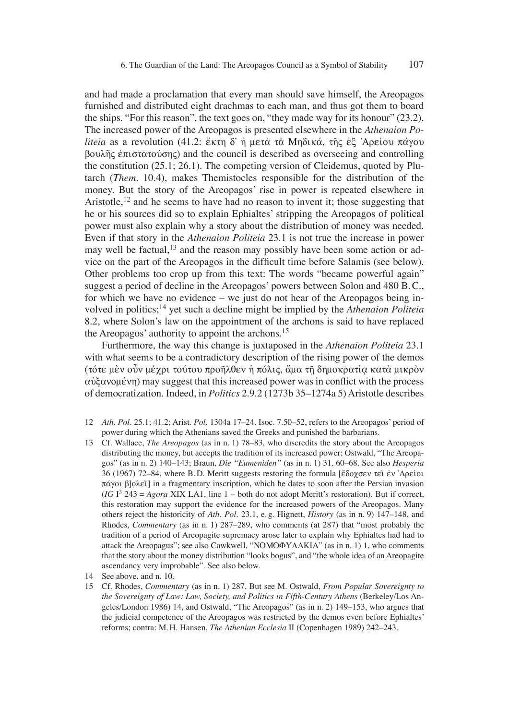and had made a proclamation that every man should save himself, the Areopagos furnished and distributed eight drachmas to each man, and thus got them to board the ships. "For this reason", the text goes on, "they made way for its honour" (23.2). The increased power of the Areopagos is presented elsewhere in the *Athenaion Politeia* as a revolution (41.2: ἕκτη δ' ή μετά τὰ Μηδικά, τῆς ἐξ Αρείου πάγου  $\beta$ ουλῆς ἐπιστατούσης) and the council is described as overseeing and controlling the constitution (25.1; 26.1). The competing version of Cleidemus, quoted by Plutarch (*Them*. 10.4), makes Themistocles responsible for the distribution of the money. But the story of the Areopagos' rise in power is repeated elsewhere in Aristotle,<sup>12</sup> and he seems to have had no reason to invent it; those suggesting that he or his sources did so to explain Ephialtes' stripping the Areopagos of political power must also explain why a story about the distribution of money was needed. Even if that story in the *Athenaion Politeia* 23.1 is not true the increase in power may well be factual,<sup>13</sup> and the reason may possibly have been some action or advice on the part of the Areopagos in the difficult time before Salamis (see below). Other problems too crop up from this text: The words "became powerful again" suggest a period of decline in the Areopagos' powers between Solon and 480 B. C., for which we have no evidence – we just do not hear of the Areopagos being involved in politics;14 yet such a decline might be implied by the *Athenaion Politeia* 8.2, where Solon's law on the appointment of the archons is said to have replaced the Areopagos' authority to appoint the archons.<sup>15</sup>

Furthermore, the way this change is juxtaposed in the *Athenaion Politeia* 23.1 with what seems to be a contradictory description of the rising power of the demos (τότε μεν οὖν μέχρι τούτου προῆλθεν ἡ πόλις, ἄμα τῆ δημοκρατία κατὰ μικρὸν  $\alpha\dot{\alpha}z\alpha$  and  $\dot{\alpha}z$  may suggest that this increased power was in conflict with the process of democratization. Indeed, in *Politics* 2.9.2 (1273b 35–1274a 5) Aristotle describes

- 12 *Ath. Pol.* 25.1; 41.2; Arist. *Pol*. 1304a 17–24. Isoc. 7.50–52, refers to the Areopagos' period of power during which the Athenians saved the Greeks and punished the barbarians.
- 13 Cf. Wallace, *The Areopagos* (as in n. 1) 78–83, who discredits the story about the Areopagos distributing the money, but accepts the tradition of its increased power; Ostwald, "The Areopagos" (as in n. 2) 140–143; Braun, *Die "Eumeniden"* (as in n. 1) 31, 60–68. See also *Hesperia* 36 (1967) 72–84, where B.D. Meritt suggests restoring the formula [ἔδοχσεν τεῖ ἐν Ἀρείοι  $\pi\acute{\alpha}$  blo $\lambda\epsilon\acute{\iota}$ ] in a fragmentary inscription, which he dates to soon after the Persian invasion  $(IGI<sup>3</sup> 243 = Agora XIX LA1, line 1 – both do not adopt Meritt's restoration). But if correct,$ this restoration may support the evidence for the increased powers of the Areopagos. Many others reject the historicity of *Ath. Pol.* 23.1, e. g. Hignett, *History* (as in n. 9) 147–148, and Rhodes, *Commentary* (as in n. 1) 287–289, who comments (at 287) that "most probably the tradition of a period of Areopagite supremacy arose later to explain why Ephialtes had had to attack the Areopagus"; see also Cawkwell, "NOMOΦYAAKIA" (as in n. 1) 1, who comments that the story about the money distribution "looks bogus", and "the whole idea of an Areopagite ascendancy very improbable". See also below.
- 14 See above, and n. 10.
- 15 Cf. Rhodes, *Commentary* (as in n. 1) 287. But see M. Ostwald, *From Popular Sovereignty to the Sovereignty of Law: Law, Society, and Politics in Fifth-Century Athens* (Berkeley/Los Angeles/London 1986) 14, and Ostwald, "The Areopagos" (as in n. 2) 149–153, who argues that the judicial competence of the Areopagos was restricted by the demos even before Ephialtes' reforms; contra: M. H. Hansen, *The Athenian Ecclesia* II (Copenhagen 1989) 242–243.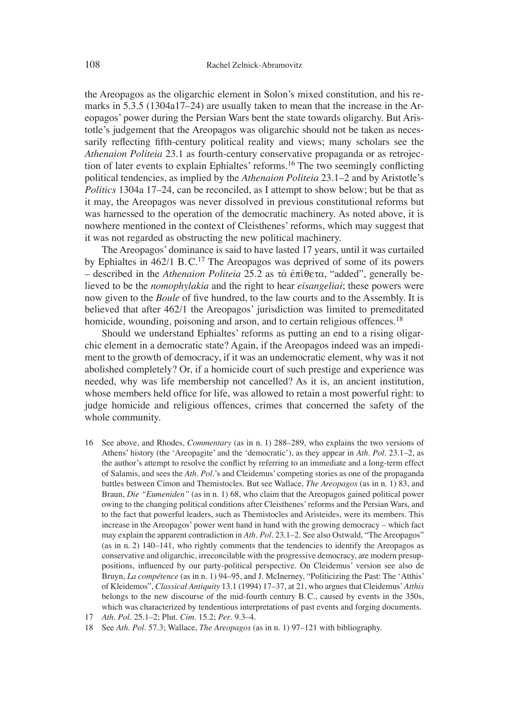the Areopagos as the oligarchic element in Solon's mixed constitution, and his remarks in 5.3.5 (1304a17–24) are usually taken to mean that the increase in the Areopagos' power during the Persian Wars bent the state towards oligarchy. But Aristotle's judgement that the Areopagos was oligarchic should not be taken as necessarily reflecting fifth-century political reality and views; many scholars see the *Athenaion Politeia* 23.1 as fourth-century conservative propaganda or as retrojection of later events to explain Ephialtes' reforms.<sup>16</sup> The two seemingly conflicting political tendencies, as implied by the *Athenaion Politeia* 23.1–2 and by Aristotle's *Politics* 1304a 17–24, can be reconciled, as I attempt to show below; but be that as it may, the Areopagos was never dissolved in previous constitutional reforms but was harnessed to the operation of the democratic machinery. As noted above, it is nowhere mentioned in the context of Cleisthenes' reforms, which may suggest that it was not regarded as obstructing the new political machinery.

The Areopagos' dominance is said to have lasted 17 years, until it was curtailed by Ephialtes in  $462/1$  B.C.<sup>17</sup> The Areopagos was deprived of some of its powers  $-$  described in the *Athenaion Politeia* 25.2 as  $\tau\dot{\alpha}$   $\dot{\epsilon}\pi\dot{\iota}\theta$ e $\tau\alpha$ , "added", generally believed to be the *nomophylakia* and the right to hear *eisangeliai*; these powers were now given to the *Boule* of five hundred, to the law courts and to the Assembly. It is believed that after 462/1 the Areopagos' jurisdiction was limited to premeditated homicide, wounding, poisoning and arson, and to certain religious offences.<sup>18</sup>

Should we understand Ephialtes' reforms as putting an end to a rising oligarchic element in a democratic state? Again, if the Areopagos indeed was an impediment to the growth of democracy, if it was an undemocratic element, why was it not abolished completely? Or, if a homicide court of such prestige and experience was needed, why was life membership not cancelled? As it is, an ancient institution, whose members held office for life, was allowed to retain a most powerful right: to judge homicide and religious offences, crimes that concerned the safety of the whole community.

16 See above, and Rhodes, *Commentary* (as in n. 1) 288–289, who explains the two versions of Athens' history (the ʻAreopagite' and the ʻdemocratic'), as they appear in *Ath. Pol*. 23.1–2, as the author's attempt to resolve the conflict by referring to an immediate and a long-term effect of Salamis, and sees the *Ath. Pol.*'s and Cleidemus' competing stories as one of the propaganda battles between Cimon and Themistocles. But see Wallace, *The Areopagos* (as in n. 1) 83, and Braun, *Die "Eumeniden"* (as in n. 1) 68, who claim that the Areopagos gained political power owing to the changing political conditions after Cleisthenes' reforms and the Persian Wars, and to the fact that powerful leaders, such as Themistocles and Aristeides, were its members. This increase in the Areopagos' power went hand in hand with the growing democracy – which fact may explain the apparent contradiction in *Ath. Pol*. 23.1–2. See also Ostwald, "The Areopagos" (as in n. 2) 140–141, who rightly comments that the tendencies to identify the Areopagos as conservative and oligarchic, irreconcilable with the progressive democracy, are modern presuppositions, influenced by our party-political perspective. On Cleidemus' version see also de Bruyn, *La compétence* (as in n. 1) 94–95, and J. McInerney, "Politicizing the Past: The ʻAtthis' of Kleidemos", *Classical Antiquity* 13.1 (1994) 17–37, at 21, who argues that Cleidemus'*Atthis* belongs to the new discourse of the mid-fourth century B. C., caused by events in the 350s, which was characterized by tendentious interpretations of past events and forging documents.

<sup>17</sup> *Ath. Pol.* 25.1–2; Plut. *Cim*. 15.2; *Per*. 9.3–4.

<sup>18</sup> See *Ath. Pol.* 57.3; Wallace, *The Areopagos* (as in n. 1) 97–121 with bibliography.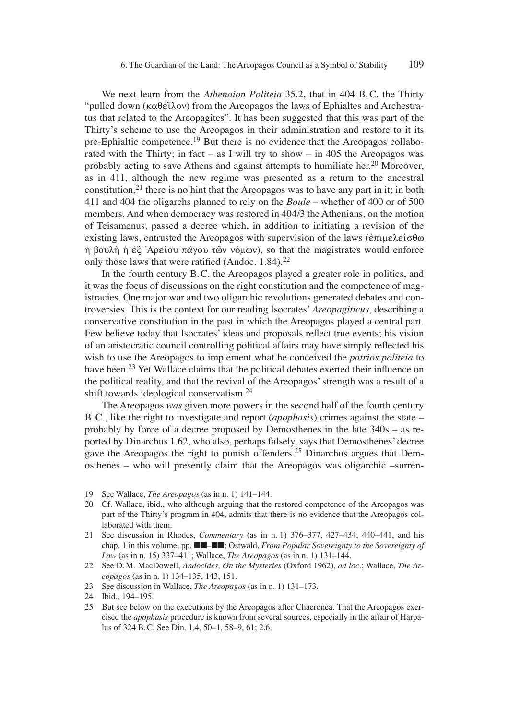We next learn from the *Athenaion Politeia* 35.2, that in 404 B. C. the Thirty "pulled down ( $\kappa \alpha \theta \tilde{\varepsilon} \lambda$ ov) from the Areopagos the laws of Ephialtes and Archestratus that related to the Areopagites". It has been suggested that this was part of the Thirty's scheme to use the Areopagos in their administration and restore to it its pre-Ephialtic competence.19 But there is no evidence that the Areopagos collaborated with the Thirty; in fact – as I will try to show – in 405 the Areopagos was probably acting to save Athens and against attempts to humiliate her.<sup>20</sup> Moreover, as in 411, although the new regime was presented as a return to the ancestral constitution,<sup>21</sup> there is no hint that the Areopagos was to have any part in it; in both 411 and 404 the oligarchs planned to rely on the *Boule* – whether of 400 or of 500 members. And when democracy was restored in 404/3 the Athenians, on the motion of Teisamenus, passed a decree which, in addition to initiating a revision of the existing laws, entrusted the Areopagos with supervision of the laws ( $\epsilon \pi \mu \epsilon \lambda \epsilon \sigma \theta \omega$ )  $\dot{\eta}$  βουλή ή έξ  $\dot{\Lambda}$ ρείου πάγου τῶν νόμων), so that the magistrates would enforce only those laws that were ratified (Andoc.  $1.84$ ).<sup>22</sup>

In the fourth century B. C. the Areopagos played a greater role in politics, and it was the focus of discussions on the right constitution and the competence of magistracies. One major war and two oligarchic revolutions generated debates and controversies. This is the context for our reading Isocrates' *Areopagiticus*, describing a conservative constitution in the past in which the Areopagos played a central part. Few believe today that Isocrates' ideas and proposals reflect true events; his vision of an aristocratic council controlling political affairs may have simply reflected his wish to use the Areopagos to implement what he conceived the *patrios politeia* to have been.<sup>23</sup> Yet Wallace claims that the political debates exerted their influence on the political reality, and that the revival of the Areopagos' strength was a result of a shift towards ideological conservatism.<sup>24</sup>

The Areopagos *was* given more powers in the second half of the fourth century B. C., like the right to investigate and report (*apophasis*) crimes against the state – probably by force of a decree proposed by Demosthenes in the late 340s – as reported by Dinarchus 1.62, who also, perhaps falsely, says that Demosthenes' decree gave the Areopagos the right to punish offenders.25 Dinarchus argues that Demosthenes – who will presently claim that the Areopagos was oligarchic –surren-

- 19 See Wallace, *The Areopagos* (as in n. 1) 141–144.
- 20 Cf. Wallace, ibid., who although arguing that the restored competence of the Areopagos was part of the Thirty's program in 404, admits that there is no evidence that the Areopagos collaborated with them.
- 21 See discussion in Rhodes, *Commentary* (as in n. 1) 376–377, 427–434, 440–441, and his chap. 1 in this volume, pp. ■■–■■; Ostwald, *From Popular Sovereignty to the Sovereignty of Law* (as in n. 15) 337–411; Wallace, *The Areopagos* (as in n. 1) 131–144.
- 22 See D. M. MacDowell, *Andocides, On the Mysteries* (Oxford 1962), *ad loc*.; Wallace, *The Areopagos* (as in n. 1) 134–135, 143, 151.
- 23 See discussion in Wallace, *The Areopagos* (as in n. 1) 131–173.

25 But see below on the executions by the Areopagos after Chaeronea. That the Areopagos exercised the *apophasis* procedure is known from several sources, especially in the affair of Harpalus of 324 B. C. See Din. 1.4, 50–1, 58–9, 61; 2.6.

<sup>24</sup> Ibid., 194–195.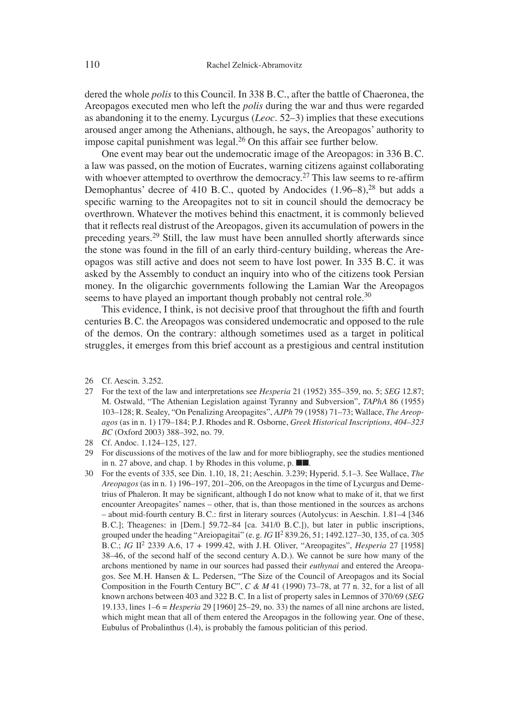dered the whole *polis* to this Council. In 338 B. C., after the battle of Chaeronea, the Areopagos executed men who left the *polis* during the war and thus were regarded as abandoning it to the enemy. Lycurgus (*Leoc.* 52–3) implies that these executions aroused anger among the Athenians, although, he says, the Areopagos' authority to impose capital punishment was legal.26 On this affair see further below.

One event may bear out the undemocratic image of the Areopagos: in 336 B. C. a law was passed, on the motion of Eucrates, warning citizens against collaborating with whoever attempted to overthrow the democracy.<sup>27</sup> This law seems to re-affirm Demophantus' decree of 410 B.C., quoted by Andocides (1.96–8),<sup>28</sup> but adds a specific warning to the Areopagites not to sit in council should the democracy be overthrown. Whatever the motives behind this enactment, it is commonly believed that it reflects real distrust of the Areopagos, given its accumulation of powers in the preceding years.29 Still, the law must have been annulled shortly afterwards since the stone was found in the fill of an early third-century building, whereas the Areopagos was still active and does not seem to have lost power. In 335 B. C. it was asked by the Assembly to conduct an inquiry into who of the citizens took Persian money. In the oligarchic governments following the Lamian War the Areopagos seems to have played an important though probably not central role.<sup>30</sup>

This evidence, I think, is not decisive proof that throughout the fifth and fourth centuries B. C. the Areopagos was considered undemocratic and opposed to the rule of the demos. On the contrary: although sometimes used as a target in political struggles, it emerges from this brief account as a prestigious and central institution

- 26 Cf. Aescin. 3.252.
- 27 For the text of the law and interpretations see *Hesperia* 21 (1952) 355–359, no. 5; *SEG* 12.87; M. Ostwald, "The Athenian Legislation against Tyranny and Subversion", *TAPhA* 86 (1955) 103–128; R. Sealey, "On Penalizing Areopagites", *AJPh* 79 (1958) 71–73; Wallace, *The Areopagos* (as in n. 1) 179–184; P. J. Rhodes and R. Osborne, *Greek Historical Inscriptions, 404–323 BC* (Oxford 2003) 388–392, no. 79.
- 28 Cf. Andoc. 1.124–125, 127.
- 29 For discussions of the motives of the law and for more bibliography, see the studies mentioned in n. 27 above, and chap. 1 by Rhodes in this volume, p. ■■.
- 30 For the events of 335, see Din. 1.10, 18, 21; Aeschin. 3.239; Hyperid. 5.1–3. See Wallace, *The Areopagos* (as in n. 1) 196–197, 201–206, on the Areopagos in the time of Lycurgus and Demetrius of Phaleron. It may be significant, although I do not know what to make of it, that we first encounter Areopagites' names – other, that is, than those mentioned in the sources as archons – about mid-fourth century B.C.: first in literary sources (Autolycus: in Aeschin. 1.81–4 [346 B. C.]; Theagenes: in [Dem.] 59.72–84 [ca. 341/0 B. C.]), but later in public inscriptions, grouped under the heading "Areiopagitai" (e. g. *IG* II2 839.26, 51; 1492.127–30, 135, of ca. 305 B. C.; *IG* II2 2339 A.6, 17 + 1999.42, with J. H. Oliver, "Areopagites", *Hesperia* 27 [1958] 38–46, of the second half of the second century A. D.). We cannot be sure how many of the archons mentioned by name in our sources had passed their *euthynai* and entered the Areopagos. See M. H. Hansen & L. Pedersen, "The Size of the Council of Areopagos and its Social Composition in the Fourth Century BC", *C & M* 41 (1990) 73–78, at 77 n. 32, for a list of all known archons between 403 and 322 B. C. In a list of property sales in Lemnos of 370/69 (*SEG* 19.133, lines 1–6 = *Hesperia* 29 [1960] 25–29, no. 33) the names of all nine archons are listed, which might mean that all of them entered the Areopagos in the following year. One of these, Eubulus of Probalinthus (l.4), is probably the famous politician of this period.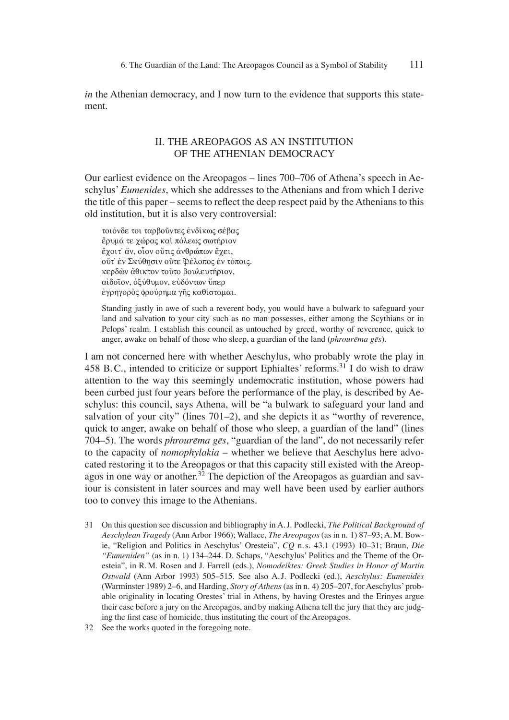*in* the Athenian democracy, and I now turn to the evidence that supports this statement.

## II. THE AREOPAGOS AS AN INSTITUTION OF THE ATHENIAN DEMOCRACY

Our earliest evidence on the Areopagos – lines 700–706 of Athena's speech in Aeschylus' *Eumenides*, which she addresses to the Athenians and from which I derive the title of this paper – seems to reflect the deep respect paid by the Athenians to this old institution, but it is also very controversial:

τοιόνδε τοι ταρβούντες ένδίκως σέβας έρυμά τε χώρας και πόλεως σωτήριον έχοιτ' ἄν, οἶον οὔτις ἀνθρώπων έχει, oύτ' έν Σκύθησιν ούτε Φέλοπος έν τόποις. κερδών άθικτον τούτο βουλευτήριον, αίδοΐον, όξύθυμον, ευδόντων ύπερ έγρηγορὸς φρούρημα γῆς καθίσταμαι.

Standing justly in awe of such a reverent body, you would have a bulwark to safeguard your land and salvation to your city such as no man possesses, either among the Scythians or in Pelops' realm. I establish this council as untouched by greed, worthy of reverence, quick to anger, awake on behalf of those who sleep, a guardian of the land (*phrourēma gēs*).

I am not concerned here with whether Aeschylus, who probably wrote the play in 458 B.C., intended to criticize or support Ephialtes' reforms.<sup>31</sup> I do wish to draw attention to the way this seemingly undemocratic institution, whose powers had been curbed just four years before the performance of the play, is described by Aeschylus: this council, says Athena, will be "a bulwark to safeguard your land and salvation of your city" (lines 701–2), and she depicts it as "worthy of reverence, quick to anger, awake on behalf of those who sleep, a guardian of the land" (lines 704–5). The words *phrourēma gēs*, "guardian of the land", do not necessarily refer to the capacity of *nomophylakia* – whether we believe that Aeschylus here advocated restoring it to the Areopagos or that this capacity still existed with the Areopagos in one way or another.<sup>32</sup> The depiction of the Areopagos as guardian and saviour is consistent in later sources and may well have been used by earlier authors too to convey this image to the Athenians.

- 31 On this question see discussion and bibliography in A. J. Podlecki, *The Political Background of Aeschylean Tragedy* (Ann Arbor 1966); Wallace, *The Areopagos* (as in n. 1) 87–93; A. M. Bowie, "Religion and Politics in Aeschylus' Oresteia", *CQ* n. s. 43.1 (1993) 10–31; Braun, *Die "Eumeniden"* (as in n. 1) 134–244. D. Schaps, "Aeschylus' Politics and the Theme of the Oresteia", in R. M. Rosen and J. Farrell (eds.), *Nomodeiktes: Greek Studies in Honor of Martin Ostwald* (Ann Arbor 1993) 505–515. See also A. J. Podlecki (ed.), *Aeschylus: Eumenides* (Warminster 1989) 2–6, and Harding, *Story of Athens* (as in n. 4) 205–207, for Aeschylus' probable originality in locating Orestes' trial in Athens, by having Orestes and the Erinyes argue their case before a jury on the Areopagos, and by making Athena tell the jury that they are judging the first case of homicide, thus instituting the court of the Areopagos.
- 32 See the works quoted in the foregoing note.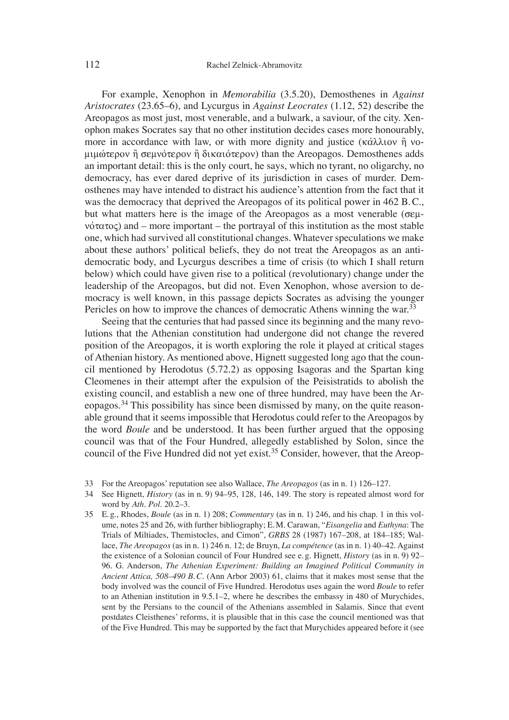For example, Xenophon in *Memorabilia* (3.5.20), Demosthenes in *Against Aristocrates* (23.65–6), and Lycurgus in *Against Leocrates* (1.12, 52) describe the Areopagos as most just, most venerable, and a bulwark, a saviour, of the city. Xenophon makes Socrates say that no other institution decides cases more honourably, more in accordance with law, or with more dignity and justice ( $\kappa \hat{\alpha} \lambda \lambda$ tov  $\hat{\eta}$  vo- $\mu\mu\omega$ τερον ή σεμνότερον ή δικαιότερον) than the Areopagos. Demosthenes adds an important detail: this is the only court, he says, which no tyrant, no oligarchy, no democracy, has ever dared deprive of its jurisdiction in cases of murder. Demosthenes may have intended to distract his audience's attention from the fact that it was the democracy that deprived the Areopagos of its political power in 462 B.C., but what matters here is the image of the Areopagos as a most venerable ( $\sigma \epsilon \mu$ - $\psi$  vó $\tau$  $\alpha$  $\tau$  $\alpha$  $\zeta$ ) and – more important – the portrayal of this institution as the most stable one, which had survived all constitutional changes. Whatever speculations we make about these authors' political beliefs, they do not treat the Areopagos as an antidemocratic body, and Lycurgus describes a time of crisis (to which I shall return below) which could have given rise to a political (revolutionary) change under the leadership of the Areopagos, but did not. Even Xenophon, whose aversion to democracy is well known, in this passage depicts Socrates as advising the younger Pericles on how to improve the chances of democratic Athens winning the war.<sup>33</sup>

Seeing that the centuries that had passed since its beginning and the many revolutions that the Athenian constitution had undergone did not change the revered position of the Areopagos, it is worth exploring the role it played at critical stages of Athenian history. As mentioned above, Hignett suggested long ago that the council mentioned by Herodotus (5.72.2) as opposing Isagoras and the Spartan king Cleomenes in their attempt after the expulsion of the Peisistratids to abolish the existing council, and establish a new one of three hundred, may have been the Areopagos.<sup>34</sup> This possibility has since been dismissed by many, on the quite reasonable ground that it seems impossible that Herodotus could refer to the Areopagos by the word *Boule* and be understood. It has been further argued that the opposing council was that of the Four Hundred, allegedly established by Solon, since the council of the Five Hundred did not yet exist.<sup>35</sup> Consider, however, that the Areop-

- 33 For the Areopagos' reputation see also Wallace, *The Areopagos* (as in n. 1) 126–127.
- 34 See Hignett, *History* (as in n. 9) 94–95, 128, 146, 149. The story is repeated almost word for word by *Ath. Pol*. 20.2–3.
- 35 E. g., Rhodes, *Boule* (as in n. 1) 208; *Commentary* (as in n. 1) 246, and his chap. 1 in this volume, notes 25 and 26, with further bibliography; E. M. Carawan, "*Eisangelia* and *Euthyna*: The Trials of Miltiades, Themistocles, and Cimon", *GRBS* 28 (1987) 167–208, at 184–185; Wallace, *The Areopagos* (as in n. 1) 246 n. 12; de Bruyn, *La compétence* (as in n. 1) 40–42. Against the existence of a Solonian council of Four Hundred see e. g. Hignett, *History* (as in n. 9) 92– 96. G. Anderson, *The Athenian Experiment: Building an Imagined Political Community in Ancient Attica, 508–490 B. C.* (Ann Arbor 2003) 61, claims that it makes most sense that the body involved was the council of Five Hundred. Herodotus uses again the word *Boule* to refer to an Athenian institution in 9.5.1–2, where he describes the embassy in 480 of Murychides, sent by the Persians to the council of the Athenians assembled in Salamis. Since that event postdates Cleisthenes' reforms, it is plausible that in this case the council mentioned was that of the Five Hundred. This may be supported by the fact that Murychides appeared before it (see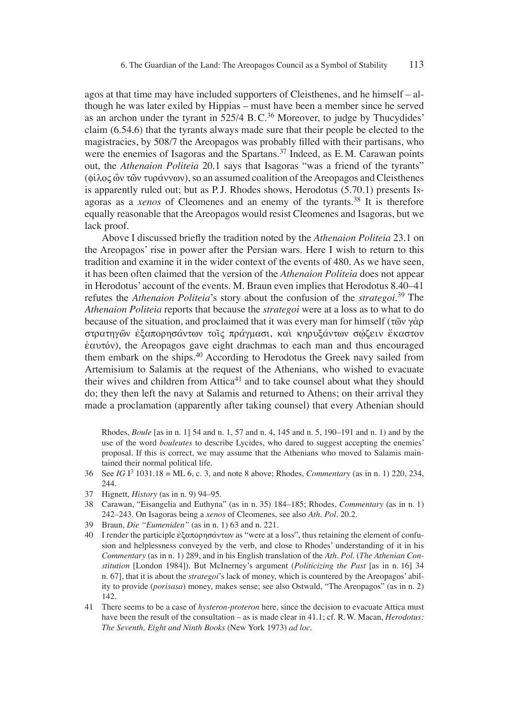agos at that time may have included supporters of Cleisthenes, and he himself – although he was later exiled by Hippias – must have been a member since he served as an archon under the tyrant in  $525/4$  B.C.<sup>36</sup> Moreover, to judge by Thucydides' claim (6.54.6) that the tyrants always made sure that their people be elected to the magistracies, by 508/7 the Areopagos was probably filled with their partisans, who were the enemies of Isagoras and the Spartans.<sup>37</sup> Indeed, as E.M. Carawan points out, the *Athenaion Politeia* 20.1 says that Isagoras "was a friend of the tyrants"  $(\phi \hat{\lambda} \circ \phi)$  two tup  $\phi$  two  $\psi$ ), so an assumed coalition of the Areopagos and Cleisthenes is apparently ruled out; but as P.J. Rhodes shows, Herodotus (5.70.1) presents Isagoras as a *xenos* of Cleomenes and an enemy of the tyrants.38 It is therefore equally reasonable that the Areopagos would resist Cleomenes and Isagoras, but we lack proof.

Above I discussed briefly the tradition noted by the *Athenaion Politeia* 23.1 on the Areopagos' rise in power after the Persian wars. Here I wish to return to this tradition and examine it in the wider context of the events of 480. As we have seen, it has been often claimed that the version of the *Athenaion Politeia* does not appear in Herodotus' account of the events. M. Braun even implies that Herodotus 8.40–41 refutes the *Athenaion Politeia*'s story about the confusion of the *strategoi*. 39 The *Athenaion Politeia* reports that because the *strategoi* were at a loss as to what to do because of the situation, and proclaimed that it was every man for himself ( $\tau$  $\tilde{\omega}$ v $\gamma$  $\alpha$  $\rho$ στρατηγῶν ἐξαπορησάντων τοις πράγμασι, και κηρυξάντων σώζειν ἕκαστον  $\dot{\epsilon}$ αυτόν), the Areopagos gave eight drachmas to each man and thus encouraged them embark on the ships.40 According to Herodotus the Greek navy sailed from Artemisium to Salamis at the request of the Athenians, who wished to evacuate their wives and children from  $Attica<sup>41</sup>$  and to take counsel about what they should do; they then left the navy at Salamis and returned to Athens; on their arrival they made a proclamation (apparently after taking counsel) that every Athenian should

Rhodes, *Boule* [as in n. 1] 54 and n. 1, 57 and n. 4, 145 and n. 5, 190–191 and n. 1) and by the use of the word *bouleutes* to describe Lycides, who dared to suggest accepting the enemies' proposal. If this is correct, we may assume that the Athenians who moved to Salamis maintained their normal political life.

- 36 See *IG* I3 1031.18 = ML 6, c. 3, and note 8 above; Rhodes, *Commentary* (as in n. 1) 220, 234, 244.
- 37 Hignett, *History* (as in n. 9) 94–95.
- 38 Carawan, "Eisangelia and Euthyna" (as in n. 35) 184–185; Rhodes, *Commentary* (as in n. 1) 242–243. On Isagoras being a *xenos* of Cleomenes, see also *Ath. Pol.* 20.2.
- 39 Braun, *Die "Eumeniden"* (as in n. 1) 63 and n. 221.
- 40 I render the participle  $\dot{\epsilon} \zeta \alpha \pi$  and  $\dot{\alpha} \alpha \nu \tau \omega$  as "were at a loss", thus retaining the element of confusion and helplessness conveyed by the verb, and close to Rhodes' understanding of it in his *Commentary* (as in n. 1) 289, and in his English translation of the *Ath. Pol.* (*The Athenian Constitution* [London 1984]). But McInerney's argument (*Politicizing the Past* [as in n. 16] 34 n. 67], that it is about the *strategoi*'s lack of money, which is countered by the Areopagos' ability to provide (*porisasa*) money, makes sense; see also Ostwald, "The Areopagos" (as in n. 2) 142.
- 41 There seems to be a case of *hysteron-proteron* here, since the decision to evacuate Attica must have been the result of the consultation – as is made clear in 41.1; cf. R. W. Macan, *Herodotus: The Seventh, Eight and Ninth Books* (New York 1973) *ad loc*.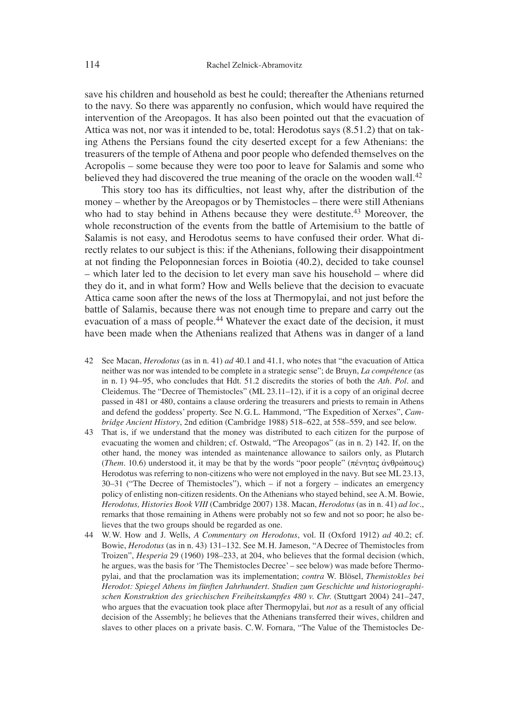save his children and household as best he could; thereafter the Athenians returned to the navy. So there was apparently no confusion, which would have required the intervention of the Areopagos. It has also been pointed out that the evacuation of Attica was not, nor was it intended to be, total: Herodotus says (8.51.2) that on taking Athens the Persians found the city deserted except for a few Athenians: the treasurers of the temple of Athena and poor people who defended themselves on the Acropolis – some because they were too poor to leave for Salamis and some who believed they had discovered the true meaning of the oracle on the wooden wall.<sup>42</sup>

This story too has its difficulties, not least why, after the distribution of the money – whether by the Areopagos or by Themistocles – there were still Athenians who had to stay behind in Athens because they were destitute.<sup>43</sup> Moreover, the whole reconstruction of the events from the battle of Artemisium to the battle of Salamis is not easy, and Herodotus seems to have confused their order. What directly relates to our subject is this: if the Athenians, following their disappointment at not finding the Peloponnesian forces in Boiotia (40.2), decided to take counsel – which later led to the decision to let every man save his household – where did they do it, and in what form? How and Wells believe that the decision to evacuate Attica came soon after the news of the loss at Thermopylai, and not just before the battle of Salamis, because there was not enough time to prepare and carry out the evacuation of a mass of people.<sup>44</sup> Whatever the exact date of the decision, it must have been made when the Athenians realized that Athens was in danger of a land

- 42 See Macan, *Herodotus* (as in n. 41) *ad* 40.1 and 41.1, who notes that "the evacuation of Attica neither was nor was intended to be complete in a strategic sense"; de Bruyn, *La compétence* (as in n. 1) 94–95, who concludes that Hdt. 51.2 discredits the stories of both the *Ath. Pol*. and Cleidemus. The "Decree of Themistocles" (ML 23.11–12), if it is a copy of an original decree passed in 481 or 480, contains a clause ordering the treasurers and priests to remain in Athens and defend the goddess' property. See N. G. L. Hammond, "The Expedition of Xerxes", *Cambridge Ancient History*, 2nd edition (Cambridge 1988) 518–622, at 558–559, and see below.
- 43 That is, if we understand that the money was distributed to each citizen for the purpose of evacuating the women and children; cf. Ostwald, "The Areopagos" (as in n. 2) 142. If, on the other hand, the money was intended as maintenance allowance to sailors only, as Plutarch (*Them.* 10.6) understood it, it may be that by the words "poor people" (πένητας άνθρώπους) Herodotus was referring to non-citizens who were not employed in the navy. But see ML 23.13, 30–31 ("The Decree of Themistocles"), which – if not a forgery – indicates an emergency policy of enlisting non-citizen residents. On the Athenians who stayed behind, see A. M. Bowie, *Herodotus, Histories Book VIII* (Cambridge 2007) 138. Macan, *Herodotus* (as in n. 41) *ad loc*., remarks that those remaining in Athens were probably not so few and not so poor; he also believes that the two groups should be regarded as one.
- 44 W. W. How and J. Wells, *A Commentary on Herodotus*, vol. II (Oxford 1912) *ad* 40.2; cf. Bowie, *Herodotus* (as in n. 43) 131–132. See M. H. Jameson, "A Decree of Themistocles from Troizen", *Hesperia* 29 (1960) 198–233, at 204, who believes that the formal decision (which, he argues, was the basis for ʻThe Themistocles Decree' – see below) was made before Thermopylai, and that the proclamation was its implementation; *contra* W. Blösel, *Themistokles bei Herodot: Spiegel Athens im fünften Jahrhundert. Studien zum Geschichte und historiographischen Konstruktion des griechischen Freiheitskampfes 480 v. Chr.* (Stuttgart 2004) 241–247, who argues that the evacuation took place after Thermopylai, but *not* as a result of any official decision of the Assembly; he believes that the Athenians transferred their wives, children and slaves to other places on a private basis. C. W. Fornara, "The Value of the Themistocles De-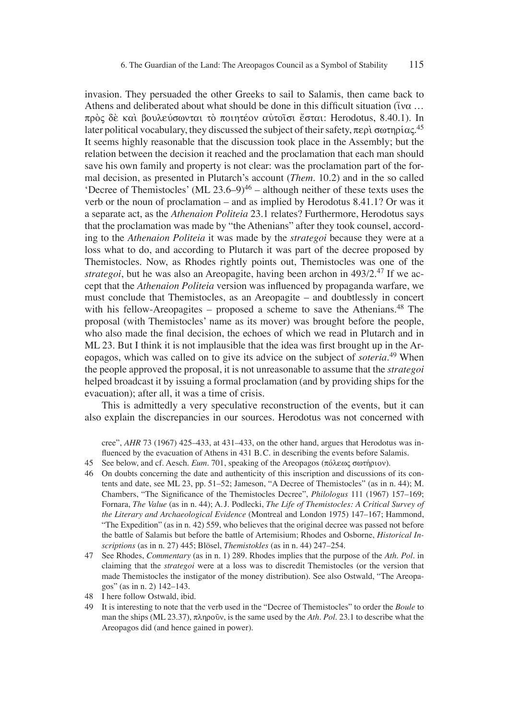invasion. They persuaded the other Greeks to sail to Salamis, then came back to Athens and deliberated about what should be done in this difficult situation ( $\tilde{i}$  wa ... πρός δέ και βουλεύσωνται το ποιητέον αυτοΐσι έσται: Herodotus, 8.40.1). In later political vocabulary, they discussed the subject of their safety,  $\pi$ ερὶ σωτηρίας. $^{45}$ It seems highly reasonable that the discussion took place in the Assembly; but the relation between the decision it reached and the proclamation that each man should save his own family and property is not clear: was the proclamation part of the formal decision, as presented in Plutarch's account (*Them.* 10.2) and in the so called  $'$ Decree of Themistocles' (ML 23.6–9)<sup>46</sup> – although neither of these texts uses the verb or the noun of proclamation – and as implied by Herodotus 8.41.1? Or was it a separate act, as the *Athenaion Politeia* 23.1 relates? Furthermore, Herodotus says that the proclamation was made by "the Athenians" after they took counsel, according to the *Athenaion Politeia* it was made by the *strategoi* because they were at a loss what to do, and according to Plutarch it was part of the decree proposed by Themistocles. Now, as Rhodes rightly points out, Themistocles was one of the *strategoi*, but he was also an Areopagite, having been archon in 493/2.47 If we accept that the *Athenaion Politeia* version was influenced by propaganda warfare, we must conclude that Themistocles, as an Areopagite – and doubtlessly in concert with his fellow-Areopagites – proposed a scheme to save the Athenians.<sup>48</sup> The proposal (with Themistocles' name as its mover) was brought before the people, who also made the final decision, the echoes of which we read in Plutarch and in ML 23. But I think it is not implausible that the idea was first brought up in the Areopagos, which was called on to give its advice on the subject of *soteria*. 49 When the people approved the proposal, it is not unreasonable to assume that the *strategoi* helped broadcast it by issuing a formal proclamation (and by providing ships for the evacuation); after all, it was a time of crisis.

This is admittedly a very speculative reconstruction of the events, but it can also explain the discrepancies in our sources. Herodotus was not concerned with

cree", *AHR* 73 (1967) 425–433, at 431–433, on the other hand, argues that Herodotus was influenced by the evacuation of Athens in 431 B.C. in describing the events before Salamis.

- 45 See below, and cf. Aesch. *Eum.* 701, speaking of the Areopagos (πόλεως σωτήριον).
- 46 On doubts concerning the date and authenticity of this inscription and discussions of its contents and date, see ML 23, pp. 51–52; Jameson, "A Decree of Themistocles" (as in n. 44); M. Chambers, "The Significance of the Themistocles Decree", *Philologus* 111 (1967) 157–169; Fornara, *The Value* (as in n. 44); A. J. Podlecki, *The Life of Themistocles: A Critical Survey of the Literary and Archaeological Evidence* (Montreal and London 1975) 147–167; Hammond, "The Expedition" (as in n. 42) 559, who believes that the original decree was passed not before the battle of Salamis but before the battle of Artemisium; Rhodes and Osborne, *Historical Inscriptions* (as in n. 27) 445; Blösel, *Themistokles* (as in n. 44) 247–254.
- 47 See Rhodes, *Commentary* (as in n. 1) 289. Rhodes implies that the purpose of the *Ath. Pol*. in claiming that the *strategoi* were at a loss was to discredit Themistocles (or the version that made Themistocles the instigator of the money distribution). See also Ostwald, "The Areopagos" (as in n. 2) 142–143.
- 48 I here follow Ostwald, ibid.
- 49 It is interesting to note that the verb used in the "Decree of Themistocles" to order the *Boule* to man the ships (ML 23.37),  $\pi \lambda n \rho o \tilde{\nu}$ , is the same used by the *Ath. Pol.* 23.1 to describe what the Areopagos did (and hence gained in power).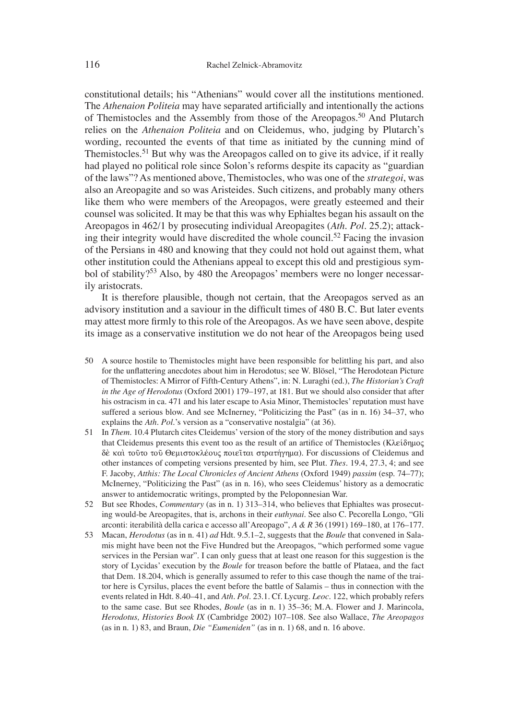constitutional details; his "Athenians" would cover all the institutions mentioned. The *Athenaion Politeia* may have separated artificially and intentionally the actions of Themistocles and the Assembly from those of the Areopagos.<sup>50</sup> And Plutarch relies on the *Athenaion Politeia* and on Cleidemus, who, judging by Plutarch's wording, recounted the events of that time as initiated by the cunning mind of Themistocles.<sup>51</sup> But why was the Areopagos called on to give its advice, if it really had played no political role since Solon's reforms despite its capacity as "guardian of the laws"? As mentioned above, Themistocles, who was one of the *strategoi*, was also an Areopagite and so was Aristeides. Such citizens, and probably many others like them who were members of the Areopagos, were greatly esteemed and their counsel was solicited. It may be that this was why Ephialtes began his assault on the Areopagos in 462/1 by prosecuting individual Areopagites (*Ath. Pol.* 25.2); attacking their integrity would have discredited the whole council.<sup>52</sup> Facing the invasion of the Persians in 480 and knowing that they could not hold out against them, what other institution could the Athenians appeal to except this old and prestigious symbol of stability?<sup>53</sup> Also, by 480 the Areopagos' members were no longer necessarily aristocrats.

It is therefore plausible, though not certain, that the Areopagos served as an advisory institution and a saviour in the difficult times of 480 B.C. But later events may attest more firmly to this role of the Areopagos. As we have seen above, despite its image as a conservative institution we do not hear of the Areopagos being used

- 50 A source hostile to Themistocles might have been responsible for belittling his part, and also for the unflattering anecdotes about him in Herodotus; see W. Blösel, "The Herodotean Picture" of Themistocles: A Mirror of Fifth-Century Athens", in: N. Luraghi (ed.), *The Historian's Craft in the Age of Herodotus* (Oxford 2001) 179–197, at 181. But we should also consider that after his ostracism in ca. 471 and his later escape to Asia Minor, Themistocles' reputation must have suffered a serious blow. And see McInerney, "Politicizing the Past" (as in n. 16) 34–37, who explains the *Ath. Pol*.'s version as a "conservative nostalgia" (at 36).
- 51 In *Them*. 10.4 Plutarch cites Cleidemus' version of the story of the money distribution and says that Cleidemus presents this event too as the result of an artifice of Themistocles (Κλείδημος δέ και τούτο του Θεμιστοκλέους ποιείται στρατήγημα). For discussions of Cleidemus and other instances of competing versions presented by him, see Plut. *Thes*. 19.4, 27.3, 4; and see F. Jacoby, *Atthis: The Local Chronicles of Ancient Athens* (Oxford 1949) *passim* (esp. 74–77); McInerney, "Politicizing the Past" (as in n. 16), who sees Cleidemus' history as a democratic answer to antidemocratic writings, prompted by the Peloponnesian War.
- 52 But see Rhodes, *Commentary* (as in n. 1) 313–314, who believes that Ephialtes was prosecuting would-be Areopagites, that is, archons in their *euthynai*. See also C. Pecorella Longo, "Gli arconti: iterabilità della carica e accesso all'Areopago", *A & R* 36 (1991) 169–180, at 176–177.
- 53 Macan, *Herodotus* (as in n. 41) *ad* Hdt. 9.5.1–2, suggests that the *Boule* that convened in Salamis might have been not the Five Hundred but the Areopagos, "which performed some vague services in the Persian war". I can only guess that at least one reason for this suggestion is the story of Lycidas' execution by the *Boule* for treason before the battle of Plataea, and the fact that Dem. 18.204, which is generally assumed to refer to this case though the name of the traitor here is Cyrsilus, places the event before the battle of Salamis – thus in connection with the events related in Hdt. 8.40–41, and *Ath. Pol*. 23.1. Cf. Lycurg. *Leoc.* 122, which probably refers to the same case. But see Rhodes, *Boule* (as in n. 1) 35–36; M. A. Flower and J. Marincola, *Herodotus, Histories Book IX* (Cambridge 2002) 107–108. See also Wallace, *The Areopagos* (as in n. 1) 83, and Braun, *Die "Eumeniden"* (as in n. 1) 68, and n. 16 above.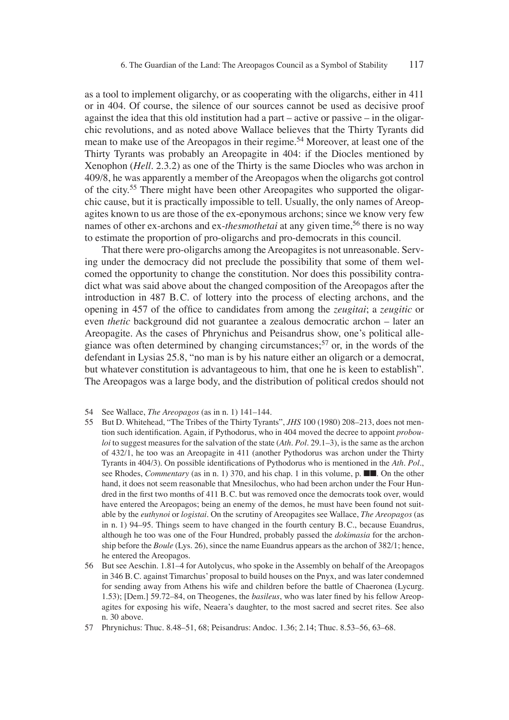as a tool to implement oligarchy, or as cooperating with the oligarchs, either in 411 or in 404. Of course, the silence of our sources cannot be used as decisive proof against the idea that this old institution had a part – active or passive – in the oligarchic revolutions, and as noted above Wallace believes that the Thirty Tyrants did mean to make use of the Areopagos in their regime.54 Moreover, at least one of the Thirty Tyrants was probably an Areopagite in 404: if the Diocles mentioned by Xenophon (*Hell*. 2.3.2) as one of the Thirty is the same Diocles who was archon in 409/8, he was apparently a member of the Areopagos when the oligarchs got control of the city.55 There might have been other Areopagites who supported the oligarchic cause, but it is practically impossible to tell. Usually, the only names of Areopagites known to us are those of the ex-eponymous archons; since we know very few names of other ex-archons and ex-*thesmothetai* at any given time,<sup>56</sup> there is no way to estimate the proportion of pro-oligarchs and pro-democrats in this council.

That there were pro-oligarchs among the Areopagites is not unreasonable. Serving under the democracy did not preclude the possibility that some of them welcomed the opportunity to change the constitution. Nor does this possibility contradict what was said above about the changed composition of the Areopagos after the introduction in 487 B.C. of lottery into the process of electing archons, and the opening in 457 of the office to candidates from among the *zeugitai*; a *zeugitic* or even *thetic* background did not guarantee a zealous democratic archon – later an Areopagite. As the cases of Phrynichus and Peisandrus show, one's political allegiance was often determined by changing circumstances;<sup>57</sup> or, in the words of the defendant in Lysias 25.8, "no man is by his nature either an oligarch or a democrat, but whatever constitution is advantageous to him, that one he is keen to establish". The Areopagos was a large body, and the distribution of political credos should not

- 54 See Wallace, *The Areopagos* (as in n. 1) 141–144.
- 55 But D. Whitehead, "The Tribes of the Thirty Tyrants", *JHS* 100 (1980) 208–213, does not mention such identification. Again, if Pythodorus, who in 404 moved the decree to appoint *probouloi* to suggest measures for the salvation of the state (*Ath. Pol*. 29.1–3), is the same as the archon of 432/1, he too was an Areopagite in 411 (another Pythodorus was archon under the Thirty Tyrants in 404/3). On possible identifications of Pythodorus who is mentioned in the *Ath. Pol.*, see Rhodes, *Commentary* (as in n. 1) 370, and his chap. 1 in this volume, p. ■■. On the other hand, it does not seem reasonable that Mnesilochus, who had been archon under the Four Hundred in the first two months of 411 B.C. but was removed once the democrats took over, would have entered the Areopagos; being an enemy of the demos, he must have been found not suitable by the *euthynoi* or *logistai*. On the scrutiny of Areopagites see Wallace, *The Areopagos* (as in n. 1) 94–95. Things seem to have changed in the fourth century B. C., because Euandrus, although he too was one of the Four Hundred, probably passed the *dokimasia* for the archonship before the *Boule* (Lys. 26), since the name Euandrus appears as the archon of 382/1; hence, he entered the Areopagos.
- 56 But see Aeschin. 1.81–4 for Autolycus, who spoke in the Assembly on behalf of the Areopagos in 346 B. C. against Timarchus' proposal to build houses on the Pnyx, and was later condemned for sending away from Athens his wife and children before the battle of Chaeronea (Lycurg. 1.53); [Dem.] 59.72–84, on Theogenes, the *basileus*, who was later fined by his fellow Areopagites for exposing his wife, Neaera's daughter, to the most sacred and secret rites. See also n. 30 above.

57 Phrynichus: Thuc. 8.48–51, 68; Peisandrus: Andoc. 1.36; 2.14; Thuc. 8.53–56, 63–68.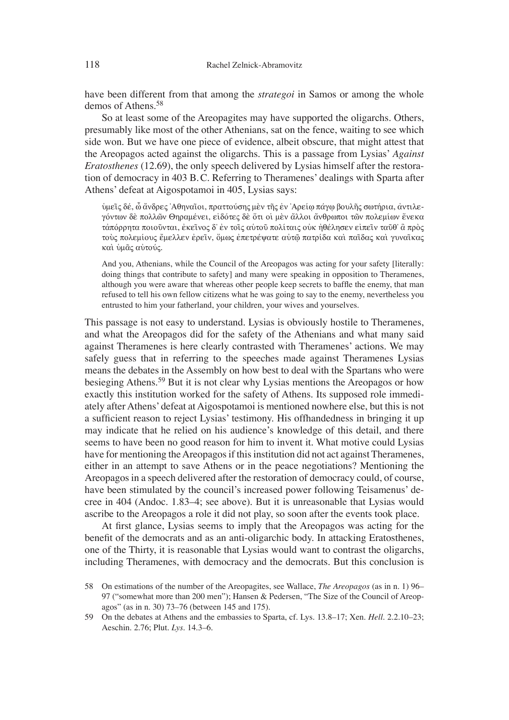have been different from that among the *strategoi* in Samos or among the whole demos of Athens.<sup>58</sup>

So at least some of the Areopagites may have supported the oligarchs. Others, presumably like most of the other Athenians, sat on the fence, waiting to see which side won. But we have one piece of evidence, albeit obscure, that might attest that the Areopagos acted against the oligarchs. This is a passage from Lysias' *Against Eratosthenes* (12.69), the only speech delivered by Lysias himself after the restoration of democracy in 403 B. C. Referring to Theramenes' dealings with Sparta after Athens' defeat at Aigospotamoi in 405, Lysias says:

ύμεῖς δέ, ὦ ἄνδρες 'Αθηναῖοι, πραττούσης μὲν τῆς ἐν 'Αρείφ πάγφ βουλῆς σωτήρια, ἀντιλεγόντων δὲ πολλῶν Θηραμένει, εἰδότες δὲ ὅτι οἱ μὲν ἄλλοι ἄνθρωποι τῶν πολεμίων ἕνεκα τἀπόρρητα ποιοῦνται, ἐκεῖνος δ' ἐν τοῖς αὐτοῦ πολίταις οὐκ ἠθέλησεν εἰπεῖν ταῦθ' ἃ πρὸς τούς πολεμίους έμελλεν έρεῖν, ὅμως ἐπετρέψατε αὐτῷ πατρίδα καὶ παῖδας καὶ γυναῖκας και υμας αυτούς.

And you, Athenians, while the Council of the Areopagos was acting for your safety [literally: doing things that contribute to safety] and many were speaking in opposition to Theramenes, although you were aware that whereas other people keep secrets to baffle the enemy, that man refused to tell his own fellow citizens what he was going to say to the enemy, nevertheless you entrusted to him your fatherland, your children, your wives and yourselves.

This passage is not easy to understand. Lysias is obviously hostile to Theramenes, and what the Areopagos did for the safety of the Athenians and what many said against Theramenes is here clearly contrasted with Theramenes' actions. We may safely guess that in referring to the speeches made against Theramenes Lysias means the debates in the Assembly on how best to deal with the Spartans who were besieging Athens.<sup>59</sup> But it is not clear why Lysias mentions the Areopagos or how exactly this institution worked for the safety of Athens. Its supposed role immediately after Athens' defeat at Aigospotamoi is mentioned nowhere else, but this is not a sufficient reason to reject Lysias' testimony. His offhandedness in bringing it up may indicate that he relied on his audience's knowledge of this detail, and there seems to have been no good reason for him to invent it. What motive could Lysias have for mentioning the Areopagos if this institution did not act against Theramenes, either in an attempt to save Athens or in the peace negotiations? Mentioning the Areopagos in a speech delivered after the restoration of democracy could, of course, have been stimulated by the council's increased power following Teisamenus' decree in 404 (Andoc. 1.83–4; see above). But it is unreasonable that Lysias would ascribe to the Areopagos a role it did not play, so soon after the events took place.

At first glance, Lysias seems to imply that the Areopagos was acting for the benefit of the democrats and as an anti-oligarchic body. In attacking Eratosthenes, one of the Thirty, it is reasonable that Lysias would want to contrast the oligarchs, including Theramenes, with democracy and the democrats. But this conclusion is

<sup>58</sup> On estimations of the number of the Areopagites, see Wallace, *The Areopagos* (as in n. 1) 96– 97 ("somewhat more than 200 men"); Hansen & Pedersen, "The Size of the Council of Areopagos" (as in n. 30) 73–76 (between 145 and 175).

<sup>59</sup> On the debates at Athens and the embassies to Sparta, cf. Lys. 13.8–17; Xen. *Hell*. 2.2.10–23; Aeschin. 2.76; Plut. *Lys*. 14.3–6.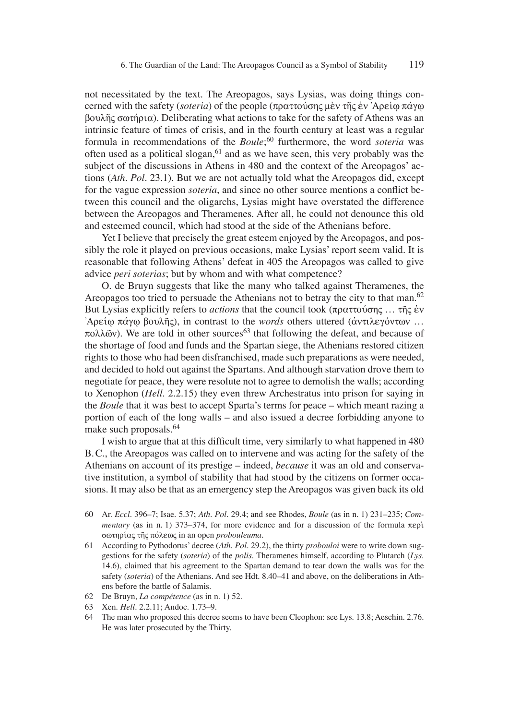not necessitated by the text. The Areopagos, says Lysias, was doing things concerned with the safety (*soteria*) of the people (πραττούσης μεν της εν 'Αρείω πάγω  $\beta$ ou $\lambda$ ης σωτήρια). Deliberating what actions to take for the safety of Athens was an intrinsic feature of times of crisis, and in the fourth century at least was a regular formula in recommendations of the *Boule*; 60 furthermore, the word *soteria* was often used as a political slogan,<sup>61</sup> and as we have seen, this very probably was the subject of the discussions in Athens in 480 and the context of the Areopagos' actions (*Ath. Pol.* 23.1). But we are not actually told what the Areopagos did, except for the vague expression *soteria*, and since no other source mentions a conflict between this council and the oligarchs, Lysias might have overstated the difference between the Areopagos and Theramenes. After all, he could not denounce this old and esteemed council, which had stood at the side of the Athenians before.

Yet I believe that precisely the great esteem enjoyed by the Areopagos, and possibly the role it played on previous occasions, make Lysias' report seem valid. It is reasonable that following Athens' defeat in 405 the Areopagos was called to give advice *peri soterias*; but by whom and with what competence?

O. de Bruyn suggests that like the many who talked against Theramenes, the Areopagos too tried to persuade the Athenians not to betray the city to that man.<sup>62</sup> But Lysias explicitly refers to *actions* that the council took ( $\pi$ *pa* $\tau$ *to*  $\gamma$ *o* $\gamma$ *co*<sub> $\gamma$ </sub>  $\gamma$ <sup>*c*</sup> $\gamma$ *év*  $\Delta \rho$  *λοείω πάγω βουλής*), in contrast to the *words* others uttered (αντιλεγόντων ...  $\pi$ o $\lambda \tilde{\omega}$  w). We are told in other sources<sup>63</sup> that following the defeat, and because of the shortage of food and funds and the Spartan siege, the Athenians restored citizen rights to those who had been disfranchised, made such preparations as were needed, and decided to hold out against the Spartans. And although starvation drove them to negotiate for peace, they were resolute not to agree to demolish the walls; according to Xenophon (*Hell*. 2.2.15) they even threw Archestratus into prison for saying in the *Boule* that it was best to accept Sparta's terms for peace – which meant razing a portion of each of the long walls – and also issued a decree forbidding anyone to make such proposals.<sup>64</sup>

I wish to argue that at this difficult time, very similarly to what happened in 480 B. C., the Areopagos was called on to intervene and was acting for the safety of the Athenians on account of its prestige – indeed, *because* it was an old and conservative institution, a symbol of stability that had stood by the citizens on former occasions. It may also be that as an emergency step the Areopagos was given back its old

- 60 Ar. *Eccl*. 396–7; Isae. 5.37; *Ath. Pol*. 29.4; and see Rhodes, *Boule* (as in n. 1) 231–235; *Commentary* (as in n. 1) 373–374, for more evidence and for a discussion of the formula  $\pi \epsilon \rho \dot{\rho}$ swthriva~ th'~ povlew~ in an open *probouleuma*.
- 61 According to Pythodorus' decree (*Ath. Pol.* 29.2), the thirty *probouloi* were to write down suggestions for the safety (*soteria*) of the *polis*. Theramenes himself, according to Plutarch (*Lys*. 14.6), claimed that his agreement to the Spartan demand to tear down the walls was for the safety (*soteria*) of the Athenians. And see Hdt. 8.40–41 and above, on the deliberations in Athens before the battle of Salamis.
- 62 De Bruyn, *La compétence* (as in n. 1) 52.
- 63 Xen. *Hell*. 2.2.11; Andoc. 1.73–9.
- 64 The man who proposed this decree seems to have been Cleophon: see Lys. 13.8; Aeschin. 2.76. He was later prosecuted by the Thirty.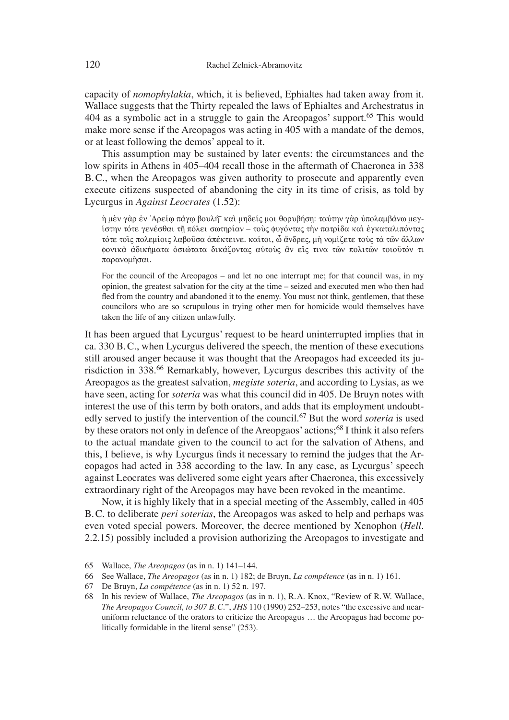capacity of *nomophylakia*, which, it is believed, Ephialtes had taken away from it. Wallace suggests that the Thirty repealed the laws of Ephialtes and Archestratus in 404 as a symbolic act in a struggle to gain the Areopagos' support.<sup>65</sup> This would make more sense if the Areopagos was acting in 405 with a mandate of the demos, or at least following the demos' appeal to it.

This assumption may be sustained by later events: the circumstances and the low spirits in Athens in 405–404 recall those in the aftermath of Chaeronea in 338 B. C., when the Areopagos was given authority to prosecute and apparently even execute citizens suspected of abandoning the city in its time of crisis, as told by Lycurgus in *Against Leocrates* (1.52):

ή μὲν γὰρ ἐν Ἀρείω πάγω βουλή~ καὶ μηδείς μοι θορυβήση: ταύτην γὰρ ὑπολαμβάνω μεγiστην τότε γενέσθαι τῆ πόλει σωτηρίαν – τοὺς φυγόντας τὴν πατρίδα καὶ ἐγκαταλιπόντας τότε τοῖς πολεμίοις λαβοῦσα ἀπέκτεινε. καίτοι, ὦ ἄνδρες, μὴ νομίζετε τοὺς τὰ τῶν ἄλλων φονικὰ ἀδικήματα ὁσιώτατα δικάζοντας αὐτοὺς ἂν εἴς τινα τῶν πολιτῶν τοιοῦτόν τι  $\pi$ aoavouñoai.

For the council of the Areopagos – and let no one interrupt me; for that council was, in my opinion, the greatest salvation for the city at the time – seized and executed men who then had fled from the country and abandoned it to the enemy. You must not think, gentlemen, that these councilors who are so scrupulous in trying other men for homicide would themselves have taken the life of any citizen unlawfully.

It has been argued that Lycurgus' request to be heard uninterrupted implies that in ca. 330 B. C., when Lycurgus delivered the speech, the mention of these executions still aroused anger because it was thought that the Areopagos had exceeded its jurisdiction in 338.66 Remarkably, however, Lycurgus describes this activity of the Areopagos as the greatest salvation, *megiste soteria*, and according to Lysias, as we have seen, acting for *soteria* was what this council did in 405. De Bruyn notes with interest the use of this term by both orators, and adds that its employment undoubtedly served to justify the intervention of the council.<sup>67</sup> But the word *soteria* is used by these orators not only in defence of the Areopgaos' actions;<sup>68</sup> I think it also refers to the actual mandate given to the council to act for the salvation of Athens, and this, I believe, is why Lycurgus finds it necessary to remind the judges that the Areopagos had acted in 338 according to the law. In any case, as Lycurgus' speech against Leocrates was delivered some eight years after Chaeronea, this excessively extraordinary right of the Areopagos may have been revoked in the meantime.

Now, it is highly likely that in a special meeting of the Assembly, called in 405 B. C. to deliberate *peri soterias*, the Areopagos was asked to help and perhaps was even voted special powers. Moreover, the decree mentioned by Xenophon (*Hell*. 2.2.15) possibly included a provision authorizing the Areopagos to investigate and

<sup>65</sup> Wallace, *The Areopagos* (as in n. 1) 141–144.

<sup>66</sup> See Wallace, *The Areopagos* (as in n. 1) 182; de Bruyn, *La compétence* (as in n. 1) 161.

<sup>67</sup> De Bruyn, *La compétence* (as in n. 1) 52 n. 197.

<sup>68</sup> In his review of Wallace, *The Areopagos* (as in n. 1), R. A. Knox, "Review of R. W. Wallace, *The Areopagos Council, to 307 B. C.*", *JHS* 110 (1990) 252–253, notes "the excessive and nearuniform reluctance of the orators to criticize the Areopagus … the Areopagus had become politically formidable in the literal sense" (253).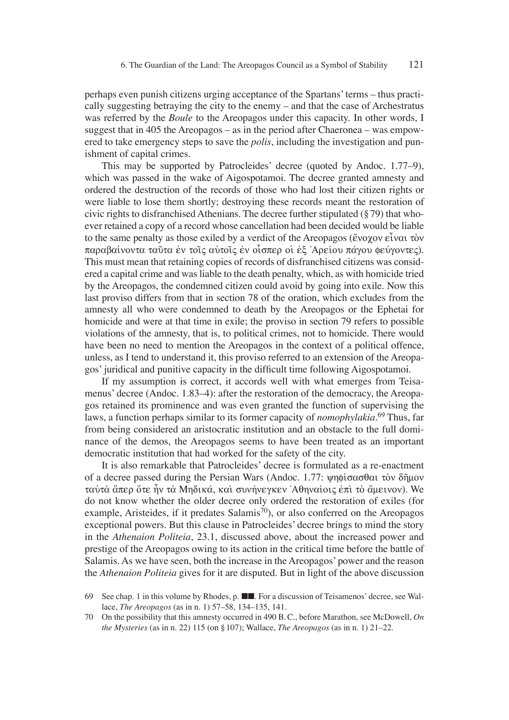perhaps even punish citizens urging acceptance of the Spartans' terms – thus practically suggesting betraying the city to the enemy – and that the case of Archestratus was referred by the *Boule* to the Areopagos under this capacity. In other words, I suggest that in 405 the Areopagos – as in the period after Chaeronea – was empowered to take emergency steps to save the *polis*, including the investigation and punishment of capital crimes.

This may be supported by Patrocleides' decree (quoted by Andoc. 1.77–9), which was passed in the wake of Aigospotamoi. The decree granted amnesty and ordered the destruction of the records of those who had lost their citizen rights or were liable to lose them shortly; destroying these records meant the restoration of civic rights to disfranchised Athenians. The decree further stipulated  $(\frac{8}{9})$  that whoever retained a copy of a record whose cancellation had been decided would be liable to the same penalty as those exiled by a verdict of the Areopagos ( $\epsilon v_{\alpha}$   $\epsilon v_{\alpha}$   $\epsilon v_{\alpha}$   $\epsilon v_{\alpha}$ παραβαίνοντα ταῦτα ἐν τοῖς αὐτοῖς ἐν οἶσπερ οἱ ἐξ 'Αρείου πάγου φεύγοντες). This must mean that retaining copies of records of disfranchised citizens was considered a capital crime and was liable to the death penalty, which, as with homicide tried by the Areopagos, the condemned citizen could avoid by going into exile. Now this last proviso differs from that in section 78 of the oration, which excludes from the amnesty all who were condemned to death by the Areopagos or the Ephetai for homicide and were at that time in exile; the proviso in section 79 refers to possible violations of the amnesty, that is, to political crimes, not to homicide. There would have been no need to mention the Areopagos in the context of a political offence, unless, as I tend to understand it, this proviso referred to an extension of the Areopagos' juridical and punitive capacity in the difficult time following Aigospotamoi.

If my assumption is correct, it accords well with what emerges from Teisamenus' decree (Andoc. 1.83–4): after the restoration of the democracy, the Areopagos retained its prominence and was even granted the function of supervising the laws, a function perhaps similar to its former capacity of *nomophylakia*. 69 Thus, far from being considered an aristocratic institution and an obstacle to the full dominance of the demos, the Areopagos seems to have been treated as an important democratic institution that had worked for the safety of the city.

It is also remarkable that Patrocleides' decree is formulated as a re-enactment of a decree passed during the Persian Wars (Andoc. 1.77:  $\psi \eta \phi$ ίσασθαι τον δήμον ταύτὰ ἄπερ ὅτε ἦν τὰ Μηδικά, και συνήνεγκεν Ἀθηναίοις ἐπι τὸ ἄμεινον). We do not know whether the older decree only ordered the restoration of exiles (for example, Aristeides, if it predates Salamis<sup>70</sup>), or also conferred on the Areopagos exceptional powers. But this clause in Patrocleides' decree brings to mind the story in the *Athenaion Politeia*, 23.1, discussed above, about the increased power and prestige of the Areopagos owing to its action in the critical time before the battle of Salamis. As we have seen, both the increase in the Areopagos' power and the reason the *Athenaion Politeia* gives for it are disputed. But in light of the above discussion

<sup>69</sup> See chap. 1 in this volume by Rhodes, p. ■■. For a discussion of Teisamenos' decree, see Wallace, *The Areopagos* (as in n. 1) 57–58, 134–135, 141.

<sup>70</sup> On the possibility that this amnesty occurred in 490 B. C., before Marathon, see McDowell, *On the Mysteries* (as in n. 22) 115 (on § 107); Wallace, *The Areopagos* (as in n. 1) 21–22.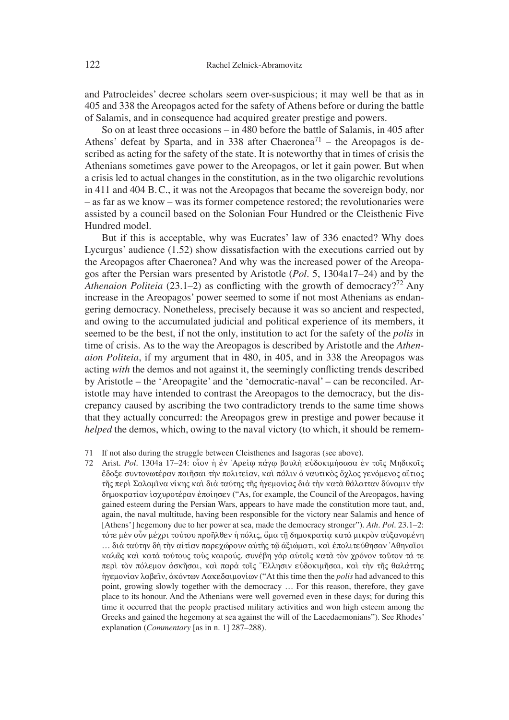and Patrocleides' decree scholars seem over-suspicious; it may well be that as in 405 and 338 the Areopagos acted for the safety of Athens before or during the battle of Salamis, and in consequence had acquired greater prestige and powers.

So on at least three occasions – in 480 before the battle of Salamis, in 405 after Athens' defeat by Sparta, and in 338 after Chaeronea<sup>71</sup> – the Areopagos is described as acting for the safety of the state. It is noteworthy that in times of crisis the Athenians sometimes gave power to the Areopagos, or let it gain power. But when a crisis led to actual changes in the constitution, as in the two oligarchic revolutions in 411 and 404 B. C., it was not the Areopagos that became the sovereign body, nor – as far as we know – was its former competence restored; the revolutionaries were assisted by a council based on the Solonian Four Hundred or the Cleisthenic Five Hundred model.

But if this is acceptable, why was Eucrates' law of 336 enacted? Why does Lycurgus' audience (1.52) show dissatisfaction with the executions carried out by the Areopagos after Chaeronea? And why was the increased power of the Areopagos after the Persian wars presented by Aristotle (*Pol*. 5, 1304a17–24) and by the *Athenaion Politeia* (23.1–2) as conflicting with the growth of democracy?<sup>72</sup> Any increase in the Areopagos' power seemed to some if not most Athenians as endangering democracy. Nonetheless, precisely because it was so ancient and respected, and owing to the accumulated judicial and political experience of its members, it seemed to be the best, if not the only, institution to act for the safety of the *polis* in time of crisis. As to the way the Areopagos is described by Aristotle and the *Athenaion Politeia*, if my argument that in 480, in 405, and in 338 the Areopagos was acting *with* the demos and not against it, the seemingly conflicting trends described by Aristotle – the ʻAreopagite' and the ʻdemocratic-naval' – can be reconciled. Aristotle may have intended to contrast the Areopagos to the democracy, but the discrepancy caused by ascribing the two contradictory trends to the same time shows that they actually concurred: the Areopagos grew in prestige and power because it *helped* the demos, which, owing to the naval victory (to which, it should be remem-

- 71 If not also during the struggle between Cleisthenes and Isagoras (see above).
- 72 Arist. Pol. 1304a 17–24: οἶον ή ἐν Ἀρείω πάγω βουλή εὐδοκιμήσασα ἐν τοῖς Μηδικοῖς έδοξε συντονωτέραν ποιῆσαι τὴν πολιτείαν, καὶ πάλιν ὁ ναυτικὸς ὄχλος γενόμενος αἴτιος τῆς περὶ Σαλαμῖνα νίκης καὶ διὰ ταύτης τῆς ἡγεμονίας διὰ τὴν κατὰ θάλατταν δύναμιν τὴν  $\delta$ ημοκρατίαν ισχυροτέραν εποίησεν ("As, for example, the Council of the Areopagos, having gained esteem during the Persian Wars, appears to have made the constitution more taut, and, again, the naval multitude, having been responsible for the victory near Salamis and hence of [Athens'] hegemony due to her power at sea, made the democracy stronger"). *Ath. Pol*. 23.1–2: τότε μὲν οὗν μέχρι τούτου προῆλθεν ἡ πόλις, ἄμα τῆ δημοκρατία κατὰ μικρὸν αὐξανομένη … διὰ ταύτην δὴ τὴν αἰτίαν παρεχώρουν αὐτῆς τῷ ἀξιώματι, καὶ ἐπολιτεύθησαν 'Αθηναῖοι καλῶς και κατα τούτους τους καιρούς. συνέβη γαρ αυτοϊς κατα τον χρόνον τοῦτον τά τε περὶ τὸν πόλεμον ἀσκῆσαι, καὶ παρὰ τοῖς "Ελλησιν εὐδοκιμῆσαι, καὶ τὴν τῆς θαλάττης hγεμονίαν λαβεῖν, ἀκόντων Λακεδαιμονίων ("At this time then the *polis* had advanced to this point, growing slowly together with the democracy … For this reason, therefore, they gave place to its honour. And the Athenians were well governed even in these days; for during this time it occurred that the people practised military activities and won high esteem among the Greeks and gained the hegemony at sea against the will of the Lacedaemonians"). See Rhodes' explanation (*Commentary* [as in n. 1] 287–288).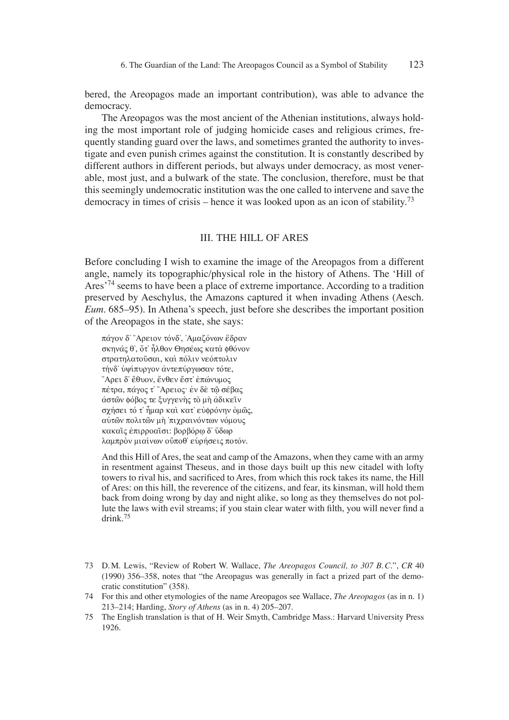bered, the Areopagos made an important contribution), was able to advance the democracy.

The Areopagos was the most ancient of the Athenian institutions, always holding the most important role of judging homicide cases and religious crimes, frequently standing guard over the laws, and sometimes granted the authority to investigate and even punish crimes against the constitution. It is constantly described by different authors in different periods, but always under democracy, as most venerable, most just, and a bulwark of the state. The conclusion, therefore, must be that this seemingly undemocratic institution was the one called to intervene and save the democracy in times of crisis – hence it was looked upon as an icon of stability.<sup>73</sup>

#### III. THE HILL OF ARES

Before concluding I wish to examine the image of the Areopagos from a different angle, namely its topographic/physical role in the history of Athens. The ʻHill of Ares<sup>'74</sup> seems to have been a place of extreme importance. According to a tradition preserved by Aeschylus, the Amazons captured it when invading Athens (Aesch. *Eum*. 685–95). In Athena's speech, just before she describes the important position of the Areopagos in the state, she says:

πάγον δ<sup>2</sup> "Αρειον τόνδ', 'Αμαζόνων έδραν σκηνάς θ', ὄτ' ἦλθον Θησέως κατα φθόνον στρατηλατούσαι, και πόλιν νεόπτολιν τήνδ' υψίπυργον αντεπύργωσαν τότε, "Αρει δ' έθυον, ένθεν έστ' επώνυμος πέτρα, πάγος τ<sup>™</sup>Αρειος· έν δε τῷ σέβας άστῶν φόβος τε ξυγγενής τὸ μή άδικεῖν σχήσει τό τ' ήμαρ και κατ' ευφρόνην ομώς, αύτῶν πολιτῶν μὴ 'πιχραινόντων νόμους κακαίς έπιρροαίσι: βορβόρω δ' ύδωρ λαμπρὸν μιαίνων οὔποθ' ευρήσεις ποτόν.

And this Hill of Ares, the seat and camp of the Amazons, when they came with an army in resentment against Theseus, and in those days built up this new citadel with lofty towers to rival his, and sacrificed to Ares, from which this rock takes its name, the Hill of Ares: on this hill, the reverence of the citizens, and fear, its kinsman, will hold them back from doing wrong by day and night alike, so long as they themselves do not pollute the laws with evil streams; if you stain clear water with filth, you will never find a drink.75

- 73 D. M. Lewis, "Review of Robert W. Wallace, *The Areopagos Council, to 307 B. C.*", *CR* 40 (1990) 356–358, notes that "the Areopagus was generally in fact a prized part of the democratic constitution" (358).
- 74 For this and other etymologies of the name Areopagos see Wallace, *The Areopagos* (as in n. 1) 213–214; Harding, *Story of Athens* (as in n. 4) 205–207.
- 75 The English translation is that of H. Weir Smyth, Cambridge Mass.: Harvard University Press 1926.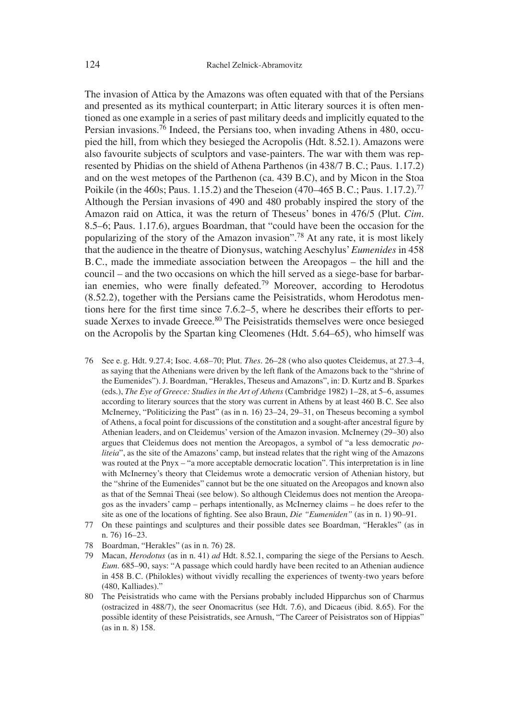The invasion of Attica by the Amazons was often equated with that of the Persians and presented as its mythical counterpart; in Attic literary sources it is often mentioned as one example in a series of past military deeds and implicitly equated to the Persian invasions.76 Indeed, the Persians too, when invading Athens in 480, occupied the hill, from which they besieged the Acropolis (Hdt. 8.52.1). Amazons were also favourite subjects of sculptors and vase-painters. The war with them was represented by Phidias on the shield of Athena Parthenos (in 438/7 B. C.; Paus. 1.17.2) and on the west metopes of the Parthenon (ca. 439 B.C), and by Micon in the Stoa Poikile (in the 460s; Paus. 1.15.2) and the Theseion (470–465 B.C.; Paus. 1.17.2).<sup>77</sup> Although the Persian invasions of 490 and 480 probably inspired the story of the Amazon raid on Attica, it was the return of Theseus' bones in 476/5 (Plut. *Cim*. 8.5–6; Paus. 1.17.6), argues Boardman, that "could have been the occasion for the popularizing of the story of the Amazon invasion".78 At any rate, it is most likely that the audience in the theatre of Dionysus, watching Aeschylus'*Eumenides* in 458 B. C., made the immediate association between the Areopagos – the hill and the council – and the two occasions on which the hill served as a siege-base for barbarian enemies, who were finally defeated.<sup>79</sup> Moreover, according to Herodotus (8.52.2), together with the Persians came the Peisistratids, whom Herodotus mentions here for the first time since  $7.6.2-5$ , where he describes their efforts to persuade Xerxes to invade Greece.<sup>80</sup> The Peisistratids themselves were once besieged on the Acropolis by the Spartan king Cleomenes (Hdt. 5.64–65), who himself was

- 76 See e. g. Hdt. 9.27.4; Isoc. 4.68–70; Plut. *Thes*. 26–28 (who also quotes Cleidemus, at 27.3–4, as saying that the Athenians were driven by the left flank of the Amazons back to the "shrine of the Eumenides"). J. Boardman, "Herakles, Theseus and Amazons", in: D. Kurtz and B. Sparkes (eds.), *The Eye of Greece: Studies in the Art of Athens* (Cambridge 1982) 1–28, at 5–6, assumes according to literary sources that the story was current in Athens by at least 460 B. C. See also McInerney, "Politicizing the Past" (as in n. 16) 23–24, 29–31, on Theseus becoming a symbol of Athens, a focal point for discussions of the constitution and a sought-after ancestral figure by Athenian leaders, and on Cleidemus' version of the Amazon invasion. McInerney (29–30) also argues that Cleidemus does not mention the Areopagos, a symbol of "a less democratic *politeia*", as the site of the Amazons' camp, but instead relates that the right wing of the Amazons was routed at the Pnyx – "a more acceptable democratic location". This interpretation is in line with McInerney's theory that Cleidemus wrote a democratic version of Athenian history, but the "shrine of the Eumenides" cannot but be the one situated on the Areopagos and known also as that of the Semnai Theai (see below). So although Cleidemus does not mention the Areopagos as the invaders' camp – perhaps intentionally, as McInerney claims – he does refer to the site as one of the locations of fighting. See also Braun, *Die "Eumeniden"* (as in n. 1) 90–91.
- 77 On these paintings and sculptures and their possible dates see Boardman, "Herakles" (as in n. 76) 16–23.
- 78 Boardman, "Herakles" (as in n. 76) 28.
- 79 Macan, *Herodotus* (as in n. 41) *ad* Hdt. 8.52.1, comparing the siege of the Persians to Aesch. *Eum*. 685–90, says: "A passage which could hardly have been recited to an Athenian audience in 458 B. C. (Philokles) without vividly recalling the experiences of twenty-two years before (480, Kalliades)."
- 80 The Peisistratids who came with the Persians probably included Hipparchus son of Charmus (ostracized in 488/7), the seer Onomacritus (see Hdt. 7.6), and Dicaeus (ibid. 8.65). For the possible identity of these Peisistratids, see Arnush, "The Career of Peisistratos son of Hippias" (as in n. 8) 158.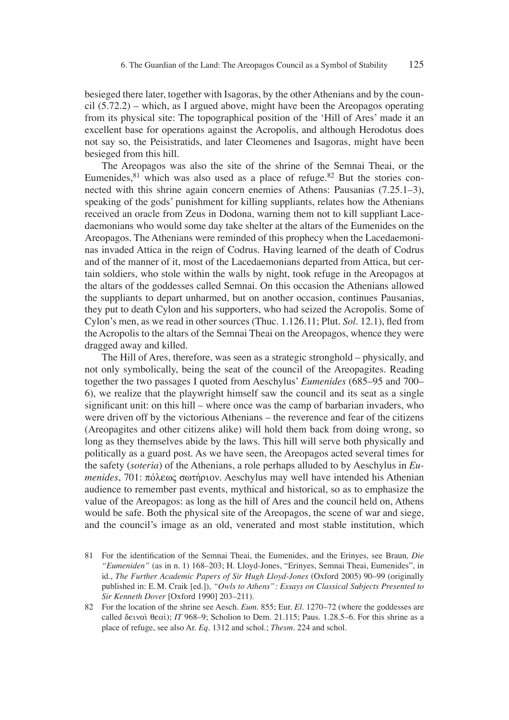besieged there later, together with Isagoras, by the other Athenians and by the council (5.72.2) – which, as I argued above, might have been the Areopagos operating from its physical site: The topographical position of the ʻHill of Ares' made it an excellent base for operations against the Acropolis, and although Herodotus does not say so, the Peisistratids, and later Cleomenes and Isagoras, might have been besieged from this hill.

The Areopagos was also the site of the shrine of the Semnai Theai, or the Eumenides, $81$  which was also used as a place of refuge. $82$  But the stories connected with this shrine again concern enemies of Athens: Pausanias (7.25.1–3), speaking of the gods' punishment for killing suppliants, relates how the Athenians received an oracle from Zeus in Dodona, warning them not to kill suppliant Lacedaemonians who would some day take shelter at the altars of the Eumenides on the Areopagos. The Athenians were reminded of this prophecy when the Lacedaemoninas invaded Attica in the reign of Codrus. Having learned of the death of Codrus and of the manner of it, most of the Lacedaemonians departed from Attica, but certain soldiers, who stole within the walls by night, took refuge in the Areopagos at the altars of the goddesses called Semnai. On this occasion the Athenians allowed the suppliants to depart unharmed, but on another occasion, continues Pausanias, they put to death Cylon and his supporters, who had seized the Acropolis. Some of Cylon's men, as we read in other sources (Thuc. 1.126.11; Plut. *Sol.* 12.1), fled from the Acropolis to the altars of the Semnai Theai on the Areopagos, whence they were dragged away and killed.

The Hill of Ares, therefore, was seen as a strategic stronghold – physically, and not only symbolically, being the seat of the council of the Areopagites. Reading together the two passages I quoted from Aeschylus' *Eumenides* (685–95 and 700– 6), we realize that the playwright himself saw the council and its seat as a single significant unit: on this hill – where once was the camp of barbarian invaders, who were driven off by the victorious Athenians – the reverence and fear of the citizens (Areopagites and other citizens alike) will hold them back from doing wrong, so long as they themselves abide by the laws. This hill will serve both physically and politically as a guard post. As we have seen, the Areopagos acted several times for the safety (*soteria*) of the Athenians, a role perhaps alluded to by Aeschylus in *Eumenides*, 701: πόλεως σωτήριον. Aeschylus may well have intended his Athenian audience to remember past events, mythical and historical, so as to emphasize the value of the Areopagos: as long as the hill of Ares and the council held on, Athens would be safe. Both the physical site of the Areopagos, the scene of war and siege, and the council's image as an old, venerated and most stable institution, which

<sup>81</sup> For the identification of the Semnai Theai, the Eumenides, and the Erinyes, see Braun, Die *"Eumeniden"* (as in n. 1) 168–203; H. Lloyd-Jones, "Erinyes, Semnai Theai, Eumenides", in id., *The Further Academic Papers of Sir Hugh Lloyd-Jones* (Oxford 2005) 90–99 (originally published in: E. M. Craik [ed.]), *"Owls to Athens": Essays on Classical Subjects Presented to Sir Kenneth Dover* [Oxford 1990] 203–211).

<sup>82</sup> For the location of the shrine see Aesch. *Eum*. 855; Eur. *El*. 1270–72 (where the goddesses are called  $\delta$ *evoù*  $\theta$ *eoú*); *IT* 968–9; Scholion to Dem. 21.115; Paus. 1.28.5–6. For this shrine as a place of refuge, see also Ar. *Eq.* 1312 and schol.; *Thesm*. 224 and schol.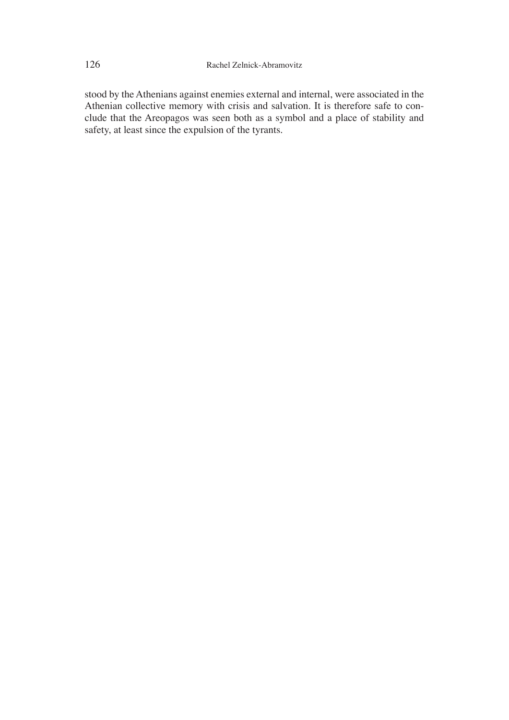stood by the Athenians against enemies external and internal, were associated in the Athenian collective memory with crisis and salvation. It is therefore safe to conclude that the Areopagos was seen both as a symbol and a place of stability and safety, at least since the expulsion of the tyrants.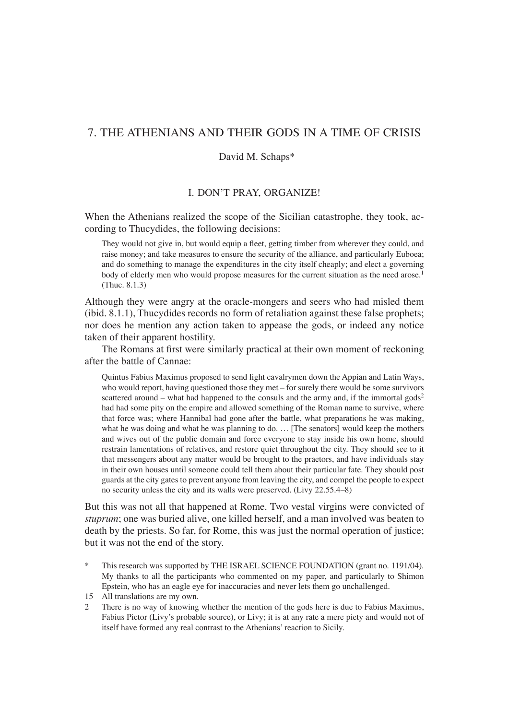# 7. THE ATHENIANS AND THEIR GODS IN A TIME OF CRISIS

## David M. Schaps\*

## I. DON'T PRAY, ORGANIZE!

When the Athenians realized the scope of the Sicilian catastrophe, they took, according to Thucydides, the following decisions:

They would not give in, but would equip a fleet, getting timber from wherever they could, and raise money; and take measures to ensure the security of the alliance, and particularly Euboea; and do something to manage the expenditures in the city itself cheaply; and elect a governing body of elderly men who would propose measures for the current situation as the need arose.<sup>1</sup> (Thuc. 8.1.3)

Although they were angry at the oracle-mongers and seers who had misled them (ibid. 8.1.1), Thucydides records no form of retaliation against these false prophets; nor does he mention any action taken to appease the gods, or indeed any notice taken of their apparent hostility.

The Romans at first were similarly practical at their own moment of reckoning after the battle of Cannae:

Quintus Fabius Maximus proposed to send light cavalrymen down the Appian and Latin Ways, who would report, having questioned those they met  $-$  for surely there would be some survivors scattered around – what had happened to the consuls and the army and, if the immortal gods<sup>2</sup> had had some pity on the empire and allowed something of the Roman name to survive, where that force was; where Hannibal had gone after the battle, what preparations he was making, what he was doing and what he was planning to do. ... [The senators] would keep the mothers and wives out of the public domain and force everyone to stay inside his own home, should restrain lamentations of relatives, and restore quiet throughout the city. They should see to it that messengers about any matter would be brought to the praetors, and have individuals stay in their own houses until someone could tell them about their particular fate. They should post guards at the city gates to prevent anyone from leaving the city, and compel the people to expect no security unless the city and its walls were preserved. (Livy 22.55.4–8)

But this was not all that happened at Rome. Two vestal virgins were convicted of *stuprum*; one was buried alive, one killed herself, and a man involved was beaten to death by the priests. So far, for Rome, this was just the normal operation of justice; but it was not the end of the story.

This research was supported by THE ISRAEL SCIENCE FOUNDATION (grant no. 1191/04). My thanks to all the participants who commented on my paper, and particularly to Shimon Epstein, who has an eagle eye for inaccuracies and never lets them go unchallenged.

2 There is no way of knowing whether the mention of the gods here is due to Fabius Maximus, Fabius Pictor (Livy's probable source), or Livy; it is at any rate a mere piety and would not of itself have formed any real contrast to the Athenians' reaction to Sicily.

<sup>15</sup> All translations are my own.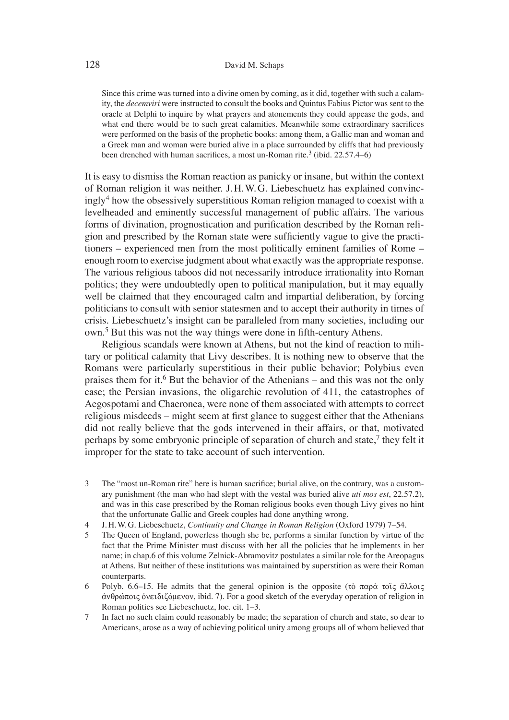#### 128 David M. Schaps

Since this crime was turned into a divine omen by coming, as it did, together with such a calamity, the *decemviri* were instructed to consult the books and Quintus Fabius Pictor was sent to the oracle at Delphi to inquire by what prayers and atonements they could appease the gods, and what end there would be to such great calamities. Meanwhile some extraordinary sacrifices were performed on the basis of the prophetic books: among them, a Gallic man and woman and a Greek man and woman were buried alive in a place surrounded by cliffs that had previously been drenched with human sacrifices, a most un-Roman rite.<sup>3</sup> (ibid.  $22.57.4-6$ )

It is easy to dismiss the Roman reaction as panicky or insane, but within the context of Roman religion it was neither. J. H. W. G. Liebeschuetz has explained convincingly<sup>4</sup> how the obsessively superstitious Roman religion managed to coexist with a levelheaded and eminently successful management of public affairs. The various forms of divination, prognostication and purification described by the Roman religion and prescribed by the Roman state were sufficiently vague to give the practitioners – experienced men from the most politically eminent families of Rome – enough room to exercise judgment about what exactly was the appropriate response. The various religious taboos did not necessarily introduce irrationality into Roman politics; they were undoubtedly open to political manipulation, but it may equally well be claimed that they encouraged calm and impartial deliberation, by forcing politicians to consult with senior statesmen and to accept their authority in times of crisis. Liebeschuetz's insight can be paralleled from many societies, including our own.<sup>5</sup> But this was not the way things were done in fifth-century Athens.

Religious scandals were known at Athens, but not the kind of reaction to military or political calamity that Livy describes. It is nothing new to observe that the Romans were particularly superstitious in their public behavior; Polybius even praises them for it.<sup>6</sup> But the behavior of the Athenians – and this was not the only case; the Persian invasions, the oligarchic revolution of 411, the catastrophes of Aegospotami and Chaeronea, were none of them associated with attempts to correct religious misdeeds – might seem at first glance to suggest either that the Athenians did not really believe that the gods intervened in their affairs, or that, motivated perhaps by some embryonic principle of separation of church and state,<sup>7</sup> they felt it improper for the state to take account of such intervention.

- 3 The "most un-Roman rite" here is human sacrifice; burial alive, on the contrary, was a customary punishment (the man who had slept with the vestal was buried alive *uti mos est*, 22.57.2), and was in this case prescribed by the Roman religious books even though Livy gives no hint that the unfortunate Gallic and Greek couples had done anything wrong.
- 4 J. H. W. G. Liebeschuetz, *Continuity and Change in Roman Religion* (Oxford 1979) 7–54.
- 5 The Queen of England, powerless though she be, performs a similar function by virtue of the fact that the Prime Minister must discuss with her all the policies that he implements in her name; in chap.6 of this volume Zelnick-Abramovitz postulates a similar role for the Areopagus at Athens. But neither of these institutions was maintained by superstition as were their Roman counterparts.
- 6 Polyb. 6.6–15. He admits that the general opinion is the opposite (τὸ παρὰ τοῖς ἄλλοις άνθρώποις όνειδιζόμενον, ibid. 7). For a good sketch of the everyday operation of religion in Roman politics see Liebeschuetz, loc. cit. 1–3.
- 7 In fact no such claim could reasonably be made; the separation of church and state, so dear to Americans, arose as a way of achieving political unity among groups all of whom believed that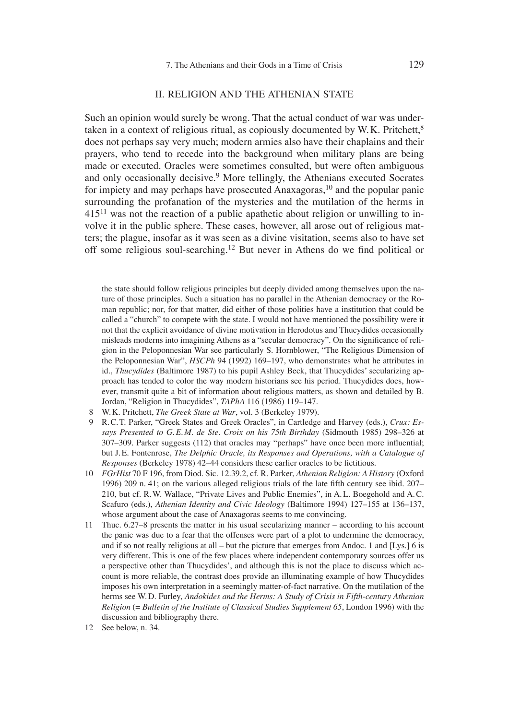#### II. RELIGION AND THE ATHENIAN STATE

Such an opinion would surely be wrong. That the actual conduct of war was undertaken in a context of religious ritual, as copiously documented by W.K. Pritchett,<sup>8</sup> does not perhaps say very much; modern armies also have their chaplains and their prayers, who tend to recede into the background when military plans are being made or executed. Oracles were sometimes consulted, but were often ambiguous and only occasionally decisive.<sup>9</sup> More tellingly, the Athenians executed Socrates for impiety and may perhaps have prosecuted Anaxagoras,  $10$  and the popular panic surrounding the profanation of the mysteries and the mutilation of the herms in 41511 was not the reaction of a public apathetic about religion or unwilling to involve it in the public sphere. These cases, however, all arose out of religious matters; the plague, insofar as it was seen as a divine visitation, seems also to have set off some religious soul-searching.<sup>12</sup> But never in Athens do we find political or

the state should follow religious principles but deeply divided among themselves upon the nature of those principles. Such a situation has no parallel in the Athenian democracy or the Roman republic; nor, for that matter, did either of those polities have a institution that could be called a "church" to compete with the state. I would not have mentioned the possibility were it not that the explicit avoidance of divine motivation in Herodotus and Thucydides occasionally misleads moderns into imagining Athens as a "secular democracy". On the significance of religion in the Peloponnesian War see particularly S. Hornblower, "The Religious Dimension of the Peloponnesian War", *HSCPh* 94 (1992) 169–197, who demonstrates what he attributes in id., *Thucydides* (Baltimore 1987) to his pupil Ashley Beck, that Thucydides' secularizing approach has tended to color the way modern historians see his period. Thucydides does, however, transmit quite a bit of information about religious matters, as shown and detailed by B. Jordan, "Religion in Thucydides", *TAPhA* 116 (1986) 119–147.

- 8 W. K. Pritchett, *The Greek State at War*, vol. 3 (Berkeley 1979).
- 9 R. C. T. Parker, "Greek States and Greek Oracles", in Cartledge and Harvey (eds.), *Crux: Essays Presented to G. E. M. de Ste. Croix on his 75th Birthday* (Sidmouth 1985) 298–326 at 307–309. Parker suggests (112) that oracles may "perhaps" have once been more influential; but J.E. Fontenrose, *The Delphic Oracle, its Responses and Operations, with a Catalogue of Responses* (Berkeley 1978) 42–44 considers these earlier oracles to be fictitious.
- 10 *FGrHist* 70 F 196, from Diod. Sic. 12.39.2, cf. R. Parker, *Athenian Religion: A History* (Oxford 1996) 209 n. 41; on the various alleged religious trials of the late fifth century see ibid.  $207-$ 210, but cf. R. W. Wallace, "Private Lives and Public Enemies", in A. L. Boegehold and A. C. Scafuro (eds.), *Athenian Identity and Civic Ideology* (Baltimore 1994) 127–155 at 136–137, whose argument about the case of Anaxagoras seems to me convincing.
- 11 Thuc. 6.27–8 presents the matter in his usual secularizing manner according to his account the panic was due to a fear that the offenses were part of a plot to undermine the democracy, and if so not really religious at all – but the picture that emerges from Andoc. 1 and [Lys.] 6 is very different. This is one of the few places where independent contemporary sources offer us a perspective other than Thucydides', and although this is not the place to discuss which account is more reliable, the contrast does provide an illuminating example of how Thucydides imposes his own interpretation in a seemingly matter-of-fact narrative. On the mutilation of the herms see W. D. Furley, *Andokides and the Herms: A Study of Crisis in Fifth-century Athenian Religion* (= *Bulletin of the Institute of Classical Studies Supplement 65*, London 1996) with the discussion and bibliography there.
- 12 See below, n. 34.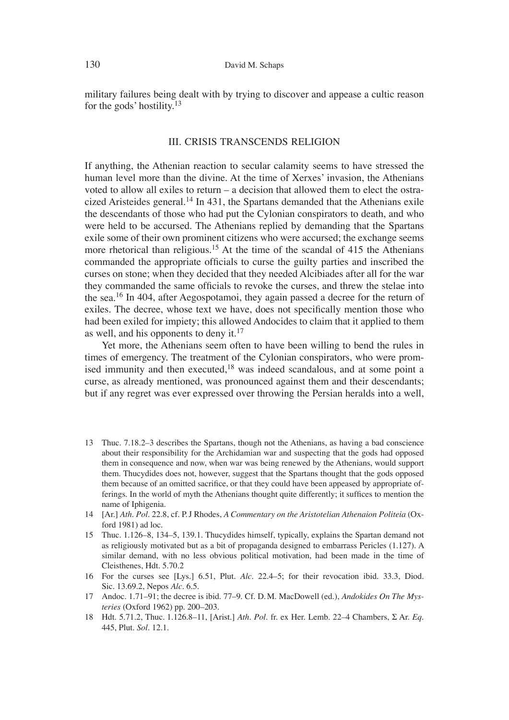military failures being dealt with by trying to discover and appease a cultic reason for the gods' hostility.13

### III. CRISIS TRANSCENDS RELIGION

If anything, the Athenian reaction to secular calamity seems to have stressed the human level more than the divine. At the time of Xerxes' invasion, the Athenians voted to allow all exiles to return – a decision that allowed them to elect the ostracized Aristeides general.<sup>14</sup> In 431, the Spartans demanded that the Athenians exile the descendants of those who had put the Cylonian conspirators to death, and who were held to be accursed. The Athenians replied by demanding that the Spartans exile some of their own prominent citizens who were accursed; the exchange seems more rhetorical than religious.<sup>15</sup> At the time of the scandal of 415 the Athenians commanded the appropriate officials to curse the guilty parties and inscribed the curses on stone; when they decided that they needed Alcibiades after all for the war they commanded the same officials to revoke the curses, and threw the stelae into the sea.16 In 404, after Aegospotamoi, they again passed a decree for the return of exiles. The decree, whose text we have, does not specifically mention those who had been exiled for impiety; this allowed Andocides to claim that it applied to them as well, and his opponents to deny it. $17$ 

Yet more, the Athenians seem often to have been willing to bend the rules in times of emergency. The treatment of the Cylonian conspirators, who were promised immunity and then executed, $18$  was indeed scandalous, and at some point a curse, as already mentioned, was pronounced against them and their descendants; but if any regret was ever expressed over throwing the Persian heralds into a well,

- 13 Thuc. 7.18.2–3 describes the Spartans, though not the Athenians, as having a bad conscience about their responsibility for the Archidamian war and suspecting that the gods had opposed them in consequence and now, when war was being renewed by the Athenians, would support them. Thucydides does not, however, suggest that the Spartans thought that the gods opposed them because of an omitted sacrifice, or that they could have been appeased by appropriate offerings. In the world of myth the Athenians thought quite differently; it suffices to mention the name of Iphigenia.
- 14 [Ar.] *Ath. Pol.* 22.8, cf. P. J Rhodes, *A Commentary on the Aristotelian Athenaion Politeia* (Oxford 1981) ad loc.
- 15 Thuc. 1.126–8, 134–5, 139.1. Thucydides himself, typically, explains the Spartan demand not as religiously motivated but as a bit of propaganda designed to embarrass Pericles (1.127). A similar demand, with no less obvious political motivation, had been made in the time of Cleisthenes, Hdt. 5.70.2
- 16 For the curses see [Lys.] 6.51, Plut. *Alc.* 22.4–5; for their revocation ibid. 33.3, Diod. Sic. 13.69.2, Nepos *Alc.* 6.5.
- 17 Andoc. 1.71–91; the decree is ibid. 77–9. Cf. D. M. MacDowell (ed.), *Andokides On The Mysteries* (Oxford 1962) pp. 200–203.
- 18 Hdt. 5.71.2, Thuc. 1.126.8–11, [Arist.] *Ath. Pol.* fr. ex Her. Lemb. 22–4 Chambers, S Ar. *Eq.* 445, Plut. *Sol*. 12.1.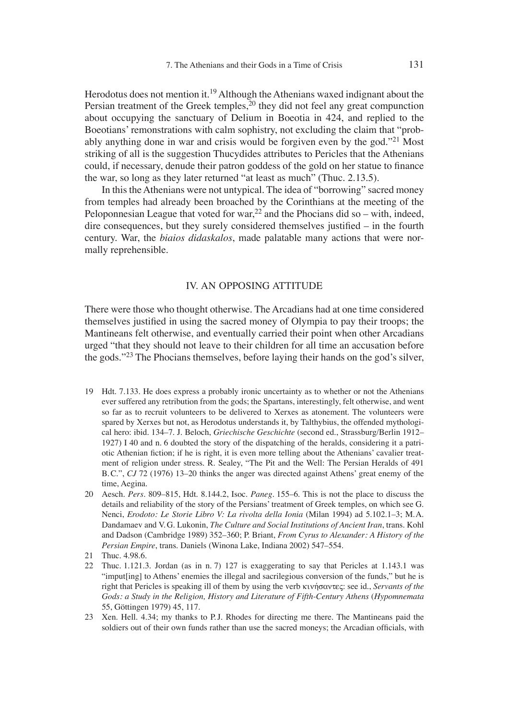Herodotus does not mention it.<sup>19</sup> Although the Athenians waxed indignant about the Persian treatment of the Greek temples, $20$  they did not feel any great compunction about occupying the sanctuary of Delium in Boeotia in 424, and replied to the Boeotians' remonstrations with calm sophistry, not excluding the claim that "probably anything done in war and crisis would be forgiven even by the god."21 Most striking of all is the suggestion Thucydides attributes to Pericles that the Athenians could, if necessary, denude their patron goddess of the gold on her statue to finance the war, so long as they later returned "at least as much" (Thuc. 2.13.5).

In this the Athenians were not untypical. The idea of "borrowing" sacred money from temples had already been broached by the Corinthians at the meeting of the Peloponnesian League that voted for war,<sup>22</sup> and the Phocians did so – with, indeed, dire consequences, but they surely considered themselves justified  $-$  in the fourth century. War, the *biaios didaskalos*, made palatable many actions that were normally reprehensible.

### IV. AN OPPOSING ATTITUDE

There were those who thought otherwise. The Arcadians had at one time considered themselves justified in using the sacred money of Olympia to pay their troops; the Mantineans felt otherwise, and eventually carried their point when other Arcadians urged "that they should not leave to their children for all time an accusation before the gods."23 The Phocians themselves, before laying their hands on the god's silver,

- 19 Hdt. 7.133. He does express a probably ironic uncertainty as to whether or not the Athenians ever suffered any retribution from the gods; the Spartans, interestingly, felt otherwise, and went so far as to recruit volunteers to be delivered to Xerxes as atonement. The volunteers were spared by Xerxes but not, as Herodotus understands it, by Talthybius, the offended mythological hero: ibid. 134–7. J. Beloch, *Griechische Geschichte* (second ed., Strassburg/Berlin 1912– 1927) I 40 and n. 6 doubted the story of the dispatching of the heralds, considering it a patriotic Athenian fiction; if he is right, it is even more telling about the Athenians' cavalier treatment of religion under stress. R. Sealey, "The Pit and the Well: The Persian Heralds of 491 B. C.", *CJ* 72 (1976) 13–20 thinks the anger was directed against Athens' great enemy of the time, Aegina.
- 20 Aesch. *Pers.* 809–815, Hdt. 8.144.2, Isoc. *Paneg.* 155–6. This is not the place to discuss the details and reliability of the story of the Persians' treatment of Greek temples, on which see G. Nenci, *Erodoto: Le Storie Libro V: La rivolta della Ionia* (Milan 1994) ad 5.102.1–3; M. A. Dandamaev and V. G. Lukonin, *The Culture and Social Institutions of Ancient Iran*, trans. Kohl and Dadson (Cambridge 1989) 352–360; P. Briant, *From Cyrus to Alexander: A History of the Persian Empire*, trans. Daniels (Winona Lake, Indiana 2002) 547–554.
- 21 Thuc. 4.98.6.
- 22 Thuc. 1.121.3. Jordan (as in n. 7) 127 is exaggerating to say that Pericles at 1.143.1 was "imput[ing] to Athens' enemies the illegal and sacrilegious conversion of the funds," but he is right that Pericles is speaking ill of them by using the verb κινήσαντες: see id., *Servants of the Gods: a Study in the Religion, History and Literature of Fifth-Century Athens* (*Hypomnemata* 55, Göttingen 1979) 45, 117.
- 23 Xen. Hell. 4.34; my thanks to P. J. Rhodes for directing me there. The Mantineans paid the soldiers out of their own funds rather than use the sacred moneys; the Arcadian officials, with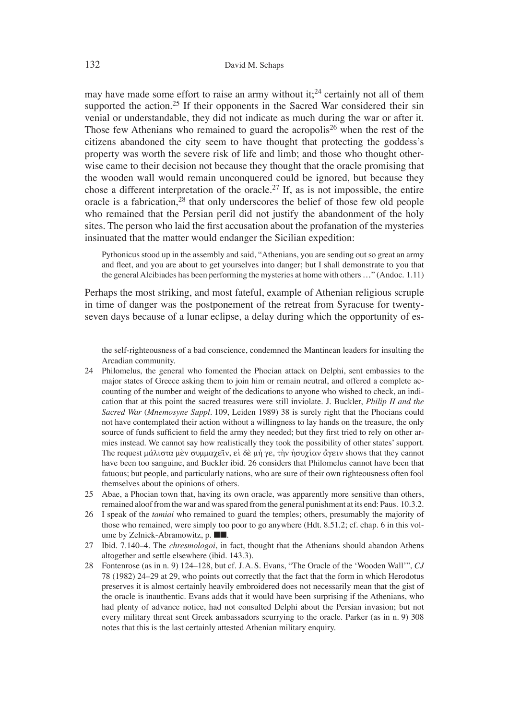may have made some effort to raise an army without it;<sup>24</sup> certainly not all of them supported the action.<sup>25</sup> If their opponents in the Sacred War considered their sin venial or understandable, they did not indicate as much during the war or after it. Those few Athenians who remained to guard the acropolis<sup>26</sup> when the rest of the citizens abandoned the city seem to have thought that protecting the goddess's property was worth the severe risk of life and limb; and those who thought otherwise came to their decision not because they thought that the oracle promising that the wooden wall would remain unconquered could be ignored, but because they chose a different interpretation of the oracle.<sup>27</sup> If, as is not impossible, the entire oracle is a fabrication, $28$  that only underscores the belief of those few old people who remained that the Persian peril did not justify the abandonment of the holy sites. The person who laid the first accusation about the profanation of the mysteries insinuated that the matter would endanger the Sicilian expedition:

Pythonicus stood up in the assembly and said, "Athenians, you are sending out so great an army and fleet, and you are about to get yourselves into danger; but I shall demonstrate to you that the general Alcibiades has been performing the mysteries at home with others …" (Andoc. 1.11)

Perhaps the most striking, and most fateful, example of Athenian religious scruple in time of danger was the postponement of the retreat from Syracuse for twentyseven days because of a lunar eclipse, a delay during which the opportunity of es-

the self-righteousness of a bad conscience, condemned the Mantinean leaders for insulting the Arcadian community.

- 24 Philomelus, the general who fomented the Phocian attack on Delphi, sent embassies to the major states of Greece asking them to join him or remain neutral, and offered a complete accounting of the number and weight of the dedications to anyone who wished to check, an indication that at this point the sacred treasures were still inviolate. J. Buckler, *Philip II and the Sacred War* (*Mnemosyne Suppl.* 109, Leiden 1989) 38 is surely right that the Phocians could not have contemplated their action without a willingness to lay hands on the treasure, the only source of funds sufficient to field the army they needed; but they first tried to rely on other armies instead. We cannot say how realistically they took the possibility of other states' support. The request μάλιστα μεν συμμαχεῖν, εἰ δε μή γε, τὴν ἡσυχίαν ἄγειν shows that they cannot have been too sanguine, and Buckler ibid. 26 considers that Philomelus cannot have been that fatuous; but people, and particularly nations, who are sure of their own righteousness often fool themselves about the opinions of others.
- 25 Abae, a Phocian town that, having its own oracle, was apparently more sensitive than others, remained aloof from the war and was spared from the general punishment at its end: Paus. 10.3.2.
- 26 I speak of the *tamiai* who remained to guard the temples; others, presumably the majority of those who remained, were simply too poor to go anywhere (Hdt. 8.51.2; cf. chap. 6 in this volume by Zelnick-Abramowitz, p. ■■.
- 27 Ibid. 7.140–4. The *chresmologoi*, in fact, thought that the Athenians should abandon Athens altogether and settle elsewhere (ibid. 143.3).
- 28 Fontenrose (as in n. 9) 124–128, but cf. J. A. S. Evans, "The Oracle of the ʻWooden Wall'", *CJ* 78 (1982) 24–29 at 29, who points out correctly that the fact that the form in which Herodotus preserves it is almost certainly heavily embroidered does not necessarily mean that the gist of the oracle is inauthentic. Evans adds that it would have been surprising if the Athenians, who had plenty of advance notice, had not consulted Delphi about the Persian invasion; but not every military threat sent Greek ambassadors scurrying to the oracle. Parker (as in n. 9) 308 notes that this is the last certainly attested Athenian military enquiry.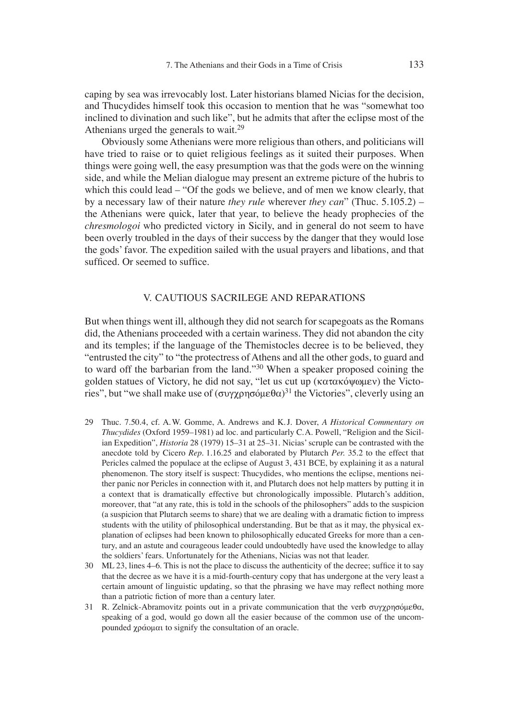caping by sea was irrevocably lost. Later historians blamed Nicias for the decision, and Thucydides himself took this occasion to mention that he was "somewhat too inclined to divination and such like", but he admits that after the eclipse most of the Athenians urged the generals to wait.<sup>29</sup>

Obviously some Athenians were more religious than others, and politicians will have tried to raise or to quiet religious feelings as it suited their purposes. When things were going well, the easy presumption was that the gods were on the winning side, and while the Melian dialogue may present an extreme picture of the hubris to which this could lead – "Of the gods we believe, and of men we know clearly, that by a necessary law of their nature *they rule* wherever *they can*" (Thuc. 5.105.2) – the Athenians were quick, later that year, to believe the heady prophecies of the *chresmologoi* who predicted victory in Sicily, and in general do not seem to have been overly troubled in the days of their success by the danger that they would lose the gods' favor. The expedition sailed with the usual prayers and libations, and that sufficed. Or seemed to suffice.

## V. CAUTIOUS SACRILEGE AND REPARATIONS

But when things went ill, although they did not search for scapegoats as the Romans did, the Athenians proceeded with a certain wariness. They did not abandon the city and its temples; if the language of the Themistocles decree is to be believed, they "entrusted the city" to "the protectress of Athens and all the other gods, to guard and to ward off the barbarian from the land."30 When a speaker proposed coining the golden statues of Victory, he did not say, "let us cut up ( $\kappa \alpha \tau \alpha \kappa \omega$  ( $\kappa \alpha \tau \alpha \kappa \omega$ ) the Victories", but "we shall make use of  $(\sigma \nu \gamma \chi \rho \eta \sigma \delta \mu \epsilon \theta \alpha)^{31}$  the Victories", cleverly using an

- 29 Thuc. 7.50.4, cf. A. W. Gomme, A. Andrews and K. J. Dover, *A Historical Commentary on Thucydides* (Oxford 1959–1981) ad loc. and particularly C. A. Powell, "Religion and the Sicilian Expedition", *Historia* 28 (1979) 15–31 at 25–31. Nicias' scruple can be contrasted with the anecdote told by Cicero *Rep.* 1.16.25 and elaborated by Plutarch *Per.* 35.2 to the effect that Pericles calmed the populace at the eclipse of August 3, 431 BCE, by explaining it as a natural phenomenon. The story itself is suspect: Thucydides, who mentions the eclipse, mentions neither panic nor Pericles in connection with it, and Plutarch does not help matters by putting it in a context that is dramatically effective but chronologically impossible. Plutarch's addition, moreover, that "at any rate, this is told in the schools of the philosophers" adds to the suspicion (a suspicion that Plutarch seems to share) that we are dealing with a dramatic fiction to impress students with the utility of philosophical understanding. But be that as it may, the physical explanation of eclipses had been known to philosophically educated Greeks for more than a century, and an astute and courageous leader could undoubtedly have used the knowledge to allay the soldiers' fears. Unfortunately for the Athenians, Nicias was not that leader.
- 30 ML 23, lines 4–6. This is not the place to discuss the authenticity of the decree; suffice it to say that the decree as we have it is a mid-fourth-century copy that has undergone at the very least a certain amount of linguistic updating, so that the phrasing we have may reflect nothing more than a patriotic fiction of more than a century later.
- 31 R. Zelnick-Abramovitz points out in a private communication that the verb  $\sigma v \gamma \gamma \gamma \gamma \sigma \delta u \epsilon \theta \alpha$ , speaking of a god, would go down all the easier because of the common use of the uncompounded  $\chi$   $\rho$ ά  $\alpha$   $\alpha$  to signify the consultation of an oracle.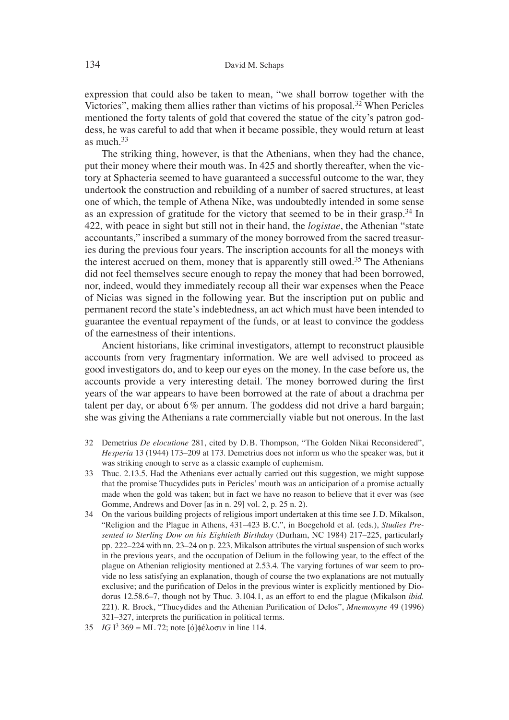expression that could also be taken to mean, "we shall borrow together with the Victories", making them allies rather than victims of his proposal.32 When Pericles mentioned the forty talents of gold that covered the statue of the city's patron goddess, he was careful to add that when it became possible, they would return at least as much.33

The striking thing, however, is that the Athenians, when they had the chance, put their money where their mouth was. In 425 and shortly thereafter, when the victory at Sphacteria seemed to have guaranteed a successful outcome to the war, they undertook the construction and rebuilding of a number of sacred structures, at least one of which, the temple of Athena Nike, was undoubtedly intended in some sense as an expression of gratitude for the victory that seemed to be in their grasp.34 In 422, with peace in sight but still not in their hand, the *l ogistae*, the Athenian "state accountants," inscribed a summary of the money borrowed from the sacred treasuries during the previous four years. The inscription accounts for all the moneys with the interest accrued on them, money that is apparently still owed.<sup>35</sup> The Athenians did not feel themselves secure enough to repay the money that had been borrowed, nor, indeed, would they immediately recoup all their war expenses when the Peace of Nicias was signed in the following year. But the inscription put on public and permanent record the state's indebtedness, an act which must have been intended to guarantee the eventual repayment of the funds, or at least to convince the goddess of the earnestness of their intentions.

Ancient historians, like criminal investigators, attempt to reconstruct plausible accounts from very fragmentary information. We are well advised to proceed as good investigators do, and to keep our eyes on the money. In the case before us, the accounts provide a very interesting detail. The money borrowed during the first years of the war appears to have been borrowed at the rate of about a drachma per talent per day, or about  $6\%$  per annum. The goddess did not drive a hard bargain; she was giving the Athenians a rate commercially viable but not onerous. In the last

- 32 Demetrius *De elocutione* 281, cited by D. B. Thompson, "The Golden Nikai Reconsidered", *Hesperia* 13 (1944) 173–209 at 173. Demetrius does not inform us who the speaker was, but it was striking enough to serve as a classic example of euphemism.
- 33 Thuc. 2.13.5. Had the Athenians ever actually carried out this suggestion, we might suppose that the promise Thucydides puts in Pericles' mouth was an anticipation of a promise actually made when the gold was taken; but in fact we have no reason to believe that it ever was (see Gomme, Andrews and Dover [as in n. 29] vol. 2, p. 25 n. 2).
- 34 On the various building projects of religious import undertaken at this time see J. D. Mikalson, "Religion and the Plague in Athens, 431–423 B. C.", in Boegehold et al. (eds.), *Studies Presented to Sterling Dow on his Eightieth Birthday* (Durham, NC 1984) 217–225, particularly pp. 222–224 with nn. 23–24 on p. 223. Mikalson attributes the virtual suspension of such works in the previous years, and the occupation of Delium in the following year, to the effect of the plague on Athenian religiosity mentioned at 2.53.4. The varying fortunes of war seem to provide no less satisfying an explanation, though of course the two explanations are not mutually exclusive; and the purification of Delos in the previous winter is explicitly mentioned by Diodorus 12.58.6–7, though not by Thuc. 3.104.1, as an effort to end the plague (Mikalson *ibid*. 221). R. Brock, "Thucydides and the Athenian Purification of Delos", *Mnemosyne* 49 (1996) 321–327, interprets the purification in political terms.
- 35 *IG* I<sup>3</sup> 369 = ML 72; note  $\lceil \frac{\dot{o}}{\dot{o}} \rceil \phi \leq \lambda$  or  $\frac{\dot{o}}{\dot{o}} \ln \ln 114$ .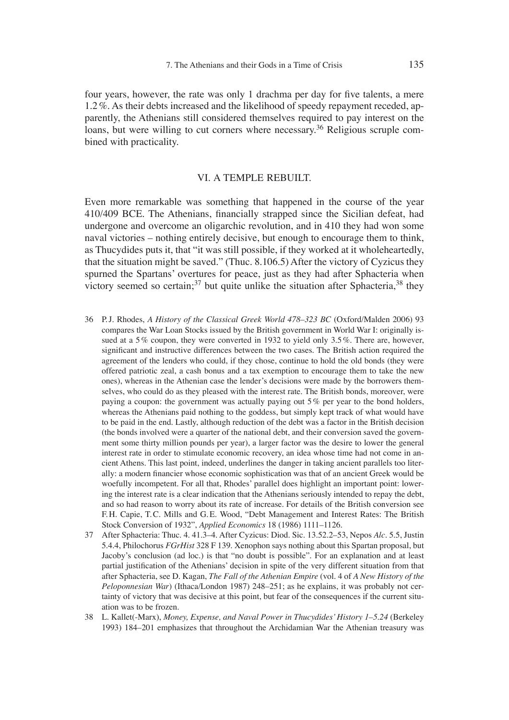four years, however, the rate was only 1 drachma per day for five talents, a mere 1.2 %. As their debts increased and the likelihood of speedy repayment receded, apparently, the Athenians still considered themselves required to pay interest on the loans, but were willing to cut corners where necessary.<sup>36</sup> Religious scruple combined with practicality.

## VI. A TEMPLE REBUILT.

Even more remarkable was something that happened in the course of the year 410/409 BCE. The Athenians, financially strapped since the Sicilian defeat, had undergone and overcome an oligarchic revolution, and in 410 they had won some naval victories – nothing entirely decisive, but enough to encourage them to think, as Thucydides puts it, that "it was still possible, if they worked at it wholeheartedly, that the situation might be saved." (Thuc. 8.106.5) After the victory of Cyzicus they spurned the Spartans' overtures for peace, just as they had after Sphacteria when victory seemed so certain;<sup>37</sup> but quite unlike the situation after Sphacteria,<sup>38</sup> they

- 36 P.J. Rhodes, *A History of the Classical Greek World 478–323 BC* (Oxford/Malden 2006) 93 compares the War Loan Stocks issued by the British government in World War I: originally issued at a 5% coupon, they were converted in 1932 to yield only 3.5%. There are, however, significant and instructive differences between the two cases. The British action required the agreement of the lenders who could, if they chose, continue to hold the old bonds (they were offered patriotic zeal, a cash bonus and a tax exemption to encourage them to take the new ones), whereas in the Athenian case the lender's decisions were made by the borrowers themselves, who could do as they pleased with the interest rate. The British bonds, moreover, were paying a coupon: the government was actually paying out  $5\%$  per year to the bond holders, whereas the Athenians paid nothing to the goddess, but simply kept track of what would have to be paid in the end. Lastly, although reduction of the debt was a factor in the British decision (the bonds involved were a quarter of the national debt, and their conversion saved the government some thirty million pounds per year), a larger factor was the desire to lower the general interest rate in order to stimulate economic recovery, an idea whose time had not come in ancient Athens. This last point, indeed, underlines the danger in taking ancient parallels too literally: a modern financier whose economic sophistication was that of an ancient Greek would be woefully incompetent. For all that, Rhodes' parallel does highlight an important point: lowering the interest rate is a clear indication that the Athenians seriously intended to repay the debt, and so had reason to worry about its rate of increase. For details of the British conversion see F. H. Capie, T. C. Mills and G. E. Wood, "Debt Management and Interest Rates: The British Stock Conversion of 1932", *Applied Economics* 18 (1986) 1111–1126.
- 37 After Sphacteria: Thuc. 4. 41.3–4. After Cyzicus: Diod. Sic. 13.52.2–53, Nepos *Alc.* 5.5, Justin 5.4.4, Philochorus *FGrHist* 328 F 139. Xenophon says nothing about this Spartan proposal, but Jacoby's conclusion (ad loc.) is that "no doubt is possible". For an explanation and at least partial justification of the Athenians' decision in spite of the very different situation from that after Sphacteria, see D. Kagan, *The Fall of the Athenian Empire* (vol. 4 of *A New History of the Peloponnesian War*) (Ithaca/London 1987) 248–251; as he explains, it was probably not certainty of victory that was decisive at this point, but fear of the consequences if the current situation was to be frozen.
- 38 L. Kallet(-Marx), *Money, Expense, and Naval Power in Thucydides' History 1–5.24* (Berkeley 1993) 184–201 emphasizes that throughout the Archidamian War the Athenian treasury was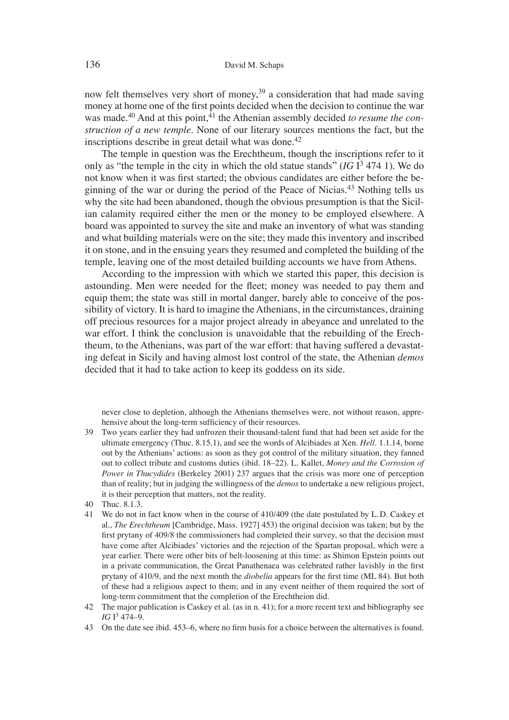now felt themselves very short of money,  $39$  a consideration that had made saving money at home one of the first points decided when the decision to continue the war was made.<sup>40</sup> And at this point.<sup>41</sup> the Athenian assembly decided *to resume the construction of a new temple*. None of our literary sources mentions the fact, but the inscriptions describe in great detail what was done.<sup>42</sup>

The temple in question was the Erechtheum, though the inscriptions refer to it only as "the temple in the city in which the old statue stands"  $(IGI<sup>3</sup> 474 1)$ . We do not know when it was first started; the obvious candidates are either before the beginning of the war or during the period of the Peace of Nicias.43 Nothing tells us why the site had been abandoned, though the obvious presumption is that the Sicilian calamity required either the men or the money to be employed elsewhere. A board was appointed to survey the site and make an inventory of what was standing and what building materials were on the site; they made this inventory and inscribed it on stone, and in the ensuing years they resumed and completed the building of the temple, leaving one of the most detailed building accounts we have from Athens.

According to the impression with which we started this paper, this decision is astounding. Men were needed for the fleet; money was needed to pay them and equip them; the state was still in mortal danger, barely able to conceive of the possibility of victory. It is hard to imagine the Athenians, in the circumstances, draining off precious resources for a major project already in abeyance and unrelated to the war effort. I think the conclusion is unavoidable that the rebuilding of the Erechtheum, to the Athenians, was part of the war effort: that having suffered a devastating defeat in Sicily and having almost lost control of the state, the Athenian *demos* decided that it had to take action to keep its goddess on its side.

never close to depletion, although the Athenians themselves were, not without reason, apprehensive about the long-term sufficiency of their resources.

- 39 Two years earlier they had unfrozen their thousand-talent fund that had been set aside for the ultimate emergency (Thuc. 8.15.1), and see the words of Alcibiades at Xen. *Hell.* 1.1.14, borne out by the Athenians' actions: as soon as they got control of the military situation, they fanned out to collect tribute and customs duties (ibid. 18–22). L. Kallet, *Money and the Corrosion of Power in Thucydides* (Berkeley 2001) 237 argues that the crisis was more one of perception than of reality; but in judging the willingness of the *demos* to undertake a new religious project, it is their perception that matters, not the reality.
- 40 Thuc. 8.1.3.
- 41 We do not in fact know when in the course of 410/409 (the date postulated by L. D. Caskey et al., *The Erechtheum* [Cambridge, Mass. 1927] 453) the original decision was taken; but by the first prytany of 409/8 the commissioners had completed their survey, so that the decision must have come after Alcibiades' victories and the rejection of the Spartan proposal, which were a year earlier. There were other bits of belt-loosening at this time: as Shimon Epstein points out in a private communication, the Great Panathenaea was celebrated rather lavishly in the first prytany of 410/9, and the next month the *diobelia* appears for the first time (ML 84). But both of these had a religious aspect to them; and in any event neither of them required the sort of long-term commitment that the completion of the Erechtheion did.
- 42 The major publication is Caskey et al. (as in n. 41); for a more recent text and bibliography see *IG*  $I^3$  474–9.
- 43 On the date see ibid. 453–6, where no firm basis for a choice between the alternatives is found.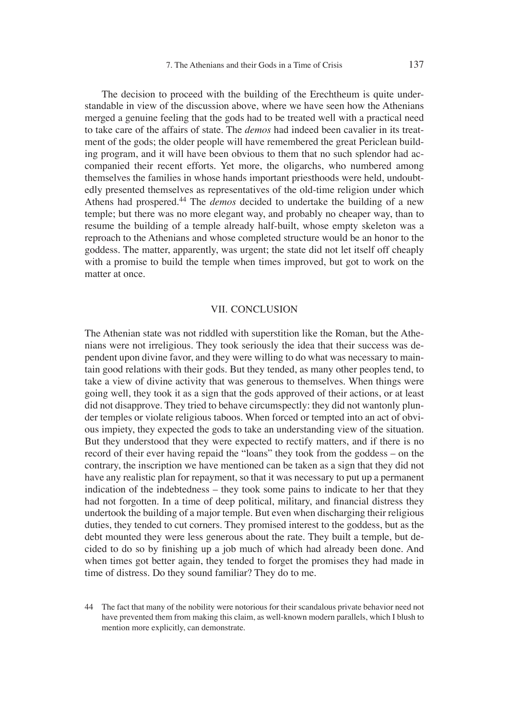The decision to proceed with the building of the Erechtheum is quite understandable in view of the discussion above, where we have seen how the Athenians merged a genuine feeling that the gods had to be treated well with a practical need to take care of the affairs of state. The *demos* had indeed been cavalier in its treatment of the gods; the older people will have remembered the great Periclean building program, and it will have been obvious to them that no such splendor had accompanied their recent efforts. Yet more, the oligarchs, who numbered among themselves the families in whose hands important priesthoods were held, undoubtedly presented themselves as representatives of the old-time religion under which Athens had prospered.44 The *demos* decided to undertake the building of a new temple; but there was no more elegant way, and probably no cheaper way, than to resume the building of a temple already half-built, whose empty skeleton was a reproach to the Athenians and whose completed structure would be an honor to the goddess. The matter, apparently, was urgent; the state did not let itself off cheaply with a promise to build the temple when times improved, but got to work on the matter at once.

#### VII. CONCLUSION

The Athenian state was not riddled with superstition like the Roman, but the Athenians were not irreligious. They took seriously the idea that their success was dependent upon divine favor, and they were willing to do what was necessary to maintain good relations with their gods. But they tended, as many other peoples tend, to take a view of divine activity that was generous to themselves. When things were going well, they took it as a sign that the gods approved of their actions, or at least did not disapprove. They tried to behave circumspectly: they did not wantonly plunder temples or violate religious taboos. When forced or tempted into an act of obvious impiety, they expected the gods to take an understanding view of the situation. But they understood that they were expected to rectify matters, and if there is no record of their ever having repaid the "loans" they took from the goddess – on the contrary, the inscription we have mentioned can be taken as a sign that they did not have any realistic plan for repayment, so that it was necessary to put up a permanent indication of the indebtedness – they took some pains to indicate to her that they had not forgotten. In a time of deep political, military, and financial distress they undertook the building of a major temple. But even when discharging their religious duties, they tended to cut corners. They promised interest to the goddess, but as the debt mounted they were less generous about the rate. They built a temple, but decided to do so by finishing up a job much of which had already been done. And when times got better again, they tended to forget the promises they had made in time of distress. Do they sound familiar? They do to me.

<sup>44</sup> The fact that many of the nobility were notorious for their scandalous private behavior need not have prevented them from making this claim, as well-known modern parallels, which I blush to mention more explicitly, can demonstrate.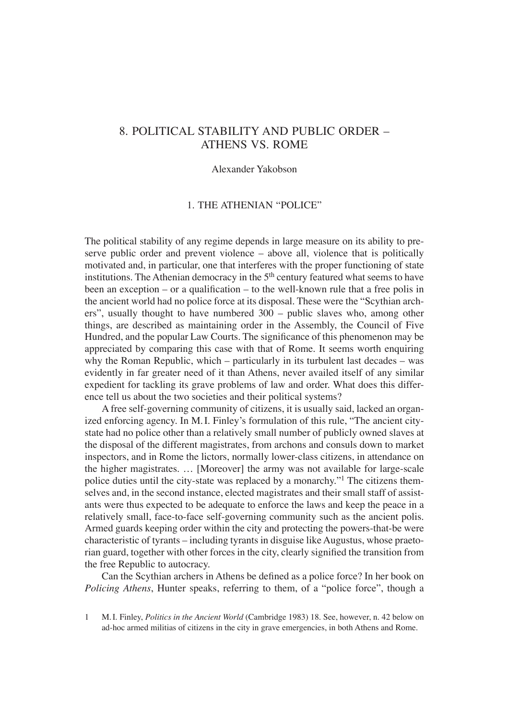# 8. POLITICAL STABILITY AND PUBLIC ORDER – ATHENS VS. ROME

#### Alexander Yakobson

## 1. THE ATHENIAN "POLICE"

The political stability of any regime depends in large measure on its ability to preserve public order and prevent violence – above all, violence that is politically motivated and, in particular, one that interferes with the proper functioning of state institutions. The Athenian democracy in the  $5<sup>th</sup>$  century featured what seems to have been an exception – or a qualification – to the well-known rule that a free polis in the ancient world had no police force at its disposal. These were the "Scythian archers", usually thought to have numbered 300 – public slaves who, among other things, are described as maintaining order in the Assembly, the Council of Five Hundred, and the popular Law Courts. The significance of this phenomenon may be appreciated by comparing this case with that of Rome. It seems worth enquiring why the Roman Republic, which – particularly in its turbulent last decades – was evidently in far greater need of it than Athens, never availed itself of any similar expedient for tackling its grave problems of law and order. What does this difference tell us about the two societies and their political systems?

A free self-governing community of citizens, it is usually said, lacked an organized enforcing agency. In M. I. Finley's formulation of this rule, "The ancient citystate had no police other than a relatively small number of publicly owned slaves at the disposal of the different magistrates, from archons and consuls down to market inspectors, and in Rome the lictors, normally lower-class citizens, in attendance on the higher magistrates. … [Moreover] the army was not available for large-scale police duties until the city-state was replaced by a monarchy."1 The citizens themselves and, in the second instance, elected magistrates and their small staff of assistants were thus expected to be adequate to enforce the laws and keep the peace in a relatively small, face-to-face self-governing community such as the ancient polis. Armed guards keeping order within the city and protecting the powers-that-be were characteristic of tyrants – including tyrants in disguise like Augustus, whose praetorian guard, together with other forces in the city, clearly signified the transition from the free Republic to autocracy.

Can the Scythian archers in Athens be defined as a police force? In her book on *Policing Athens*, Hunter speaks, referring to them, of a "police force", though a

<sup>1</sup> M. I. Finley, *Politics in the Ancient World* (Cambridge 1983) 18. See, however, n. 42 below on ad-hoc armed militias of citizens in the city in grave emergencies, in both Athens and Rome.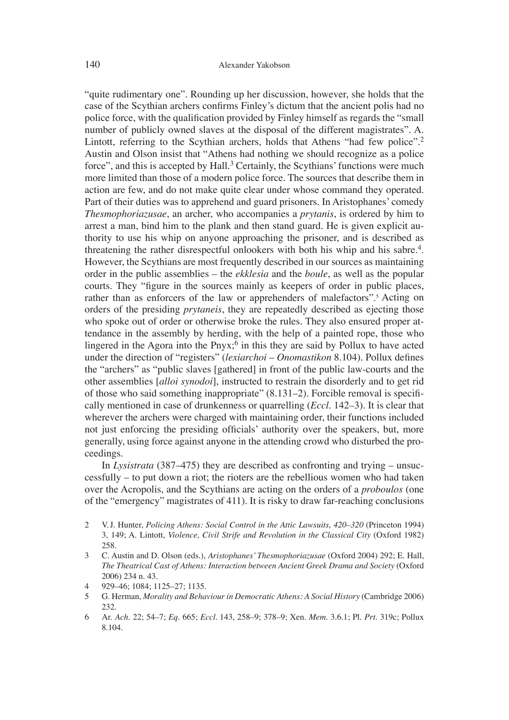"quite rudimentary one". Rounding up her discussion, however, she holds that the case of the Scythian archers confirms Finley's dictum that the ancient polis had no police force, with the qualification provided by Finley himself as regards the "small" number of publicly owned slaves at the disposal of the different magistrates". A. Lintott, referring to the Scythian archers, holds that Athens "had few police".<sup>2</sup> Austin and Olson insist that "Athens had nothing we should recognize as a police force", and this is accepted by Hall.<sup>3</sup> Certainly, the Scythians' functions were much more limited than those of a modern police force. The sources that describe them in action are few, and do not make quite clear under whose command they operated. Part of their duties was to apprehend and guard prisoners. In Aristophanes' comedy *Thesmophoriazusae*, an archer, who accompanies a *prytanis*, is ordered by him to arrest a man, bind him to the plank and then stand guard. He is given explicit authority to use his whip on anyone approaching the prisoner, and is described as threatening the rather disrespectful onlookers with both his whip and his sabre.<sup>4</sup>. However, the Scythians are most frequently described in our sources as maintaining order in the public assemblies – the *ekklesia* and the *boule*, as well as the popular courts. They "figure in the sources mainly as keepers of order in public places, rather than as enforcers of the law or apprehenders of malefactors".<sup>5</sup> Acting on orders of the presiding *prytaneis*, they are repeatedly described as ejecting those who spoke out of order or otherwise broke the rules. They also ensured proper attendance in the assembly by herding, with the help of a painted rope, those who lingered in the Agora into the Pnyx;<sup>6</sup> in this they are said by Pollux to have acted under the direction of "registers" (*lexiarchoi – Onomastikon* 8.104). Pollux defines the "archers" as "public slaves [gathered] in front of the public law-courts and the other assemblies [*alloi synodoi*], instructed to restrain the disorderly and to get rid of those who said something inappropriate" (8.131–2). Forcible removal is specifi cally mentioned in case of drunkenness or quarrelling (*Eccl*. 142–3). It is clear that wherever the archers were charged with maintaining order, their functions included not just enforcing the presiding officials' authority over the speakers, but, more generally, using force against anyone in the attending crowd who disturbed the proceedings.

In *Lysistrata* (387–475) they are described as confronting and trying – unsuccessfully – to put down a riot; the rioters are the rebellious women who had taken over the Acropolis, and the Scythians are acting on the orders of a *proboulos* (one of the "emergency" magistrates of 411). It is risky to draw far-reaching conclusions

- 2 V. J. Hunter, *Policing Athens: Social Control in the Attic Lawsuits, 420–320* (Princeton 1994) 3, 149; A. Lintott, *Violence, Civil Strife and Revolution in the Classical City* (Oxford 1982) 258.
- 3 C. Austin and D. Olson (eds.), *Aristophanes' Thesmophoriazusae* (Oxford 2004) 292; E. Hall, *The Theatrical Cast of Athens: Interaction between Ancient Greek Drama and Society* (Oxford 2006) 234 n. 43.
- 4 929–46; 1084; 1125–27; 1135.
- 5 G. Herman, *Morality and Behaviour in Democratic Athens: A Social History* (Cambridge 2006) 232.
- 6 Ar. *Ach*. 22; 54–7; *Eq*. 665; *Eccl*. 143, 258–9; 378–9; Xen. *Mem*. 3.6.1; Pl. *Prt*. 319c; Pollux 8.104.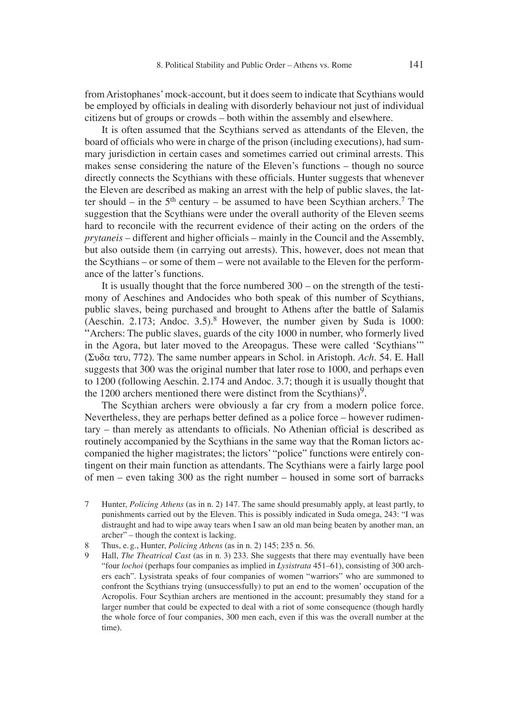from Aristophanes' mock-account, but it does seem to indicate that Scythians would be employed by officials in dealing with disorderly behaviour not just of individual citizens but of groups or crowds – both within the assembly and elsewhere.

It is often assumed that the Scythians served as attendants of the Eleven, the board of officials who were in charge of the prison (including executions), had summary jurisdiction in certain cases and sometimes carried out criminal arrests. This makes sense considering the nature of the Eleven's functions – though no source directly connects the Scythians with these officials. Hunter suggests that whenever the Eleven are described as making an arrest with the help of public slaves, the latter should – in the  $5<sup>th</sup>$  century – be assumed to have been Scythian archers.<sup>7</sup> The suggestion that the Scythians were under the overall authority of the Eleven seems hard to reconcile with the recurrent evidence of their acting on the orders of the *prytaneis* – different and higher officials – mainly in the Council and the Assembly, but also outside them (in carrying out arrests). This, however, does not mean that the Scythians – or some of them – were not available to the Eleven for the performance of the latter's functions.

It is usually thought that the force numbered 300 – on the strength of the testimony of Aeschines and Andocides who both speak of this number of Scythians, public slaves, being purchased and brought to Athens after the battle of Salamis (Aeschin. 2.173; Andoc. 3.5).<sup>8</sup> However, the number given by Suda is 1000: "Archers: The public slaves, guards of the city 1000 in number, who formerly lived in the Agora, but later moved to the Areopagus. These were called ʻScythians'"  $(\Sigma \nu \delta \alpha \tau \alpha \nu, 772)$ . The same number appears in Schol. in Aristoph. *Ach.* 54. E. Hall suggests that 300 was the original number that later rose to 1000, and perhaps even to 1200 (following Aeschin. 2.174 and Andoc. 3.7; though it is usually thought that the 1200 archers mentioned there were distinct from the Scythians $)^9$ .

The Scythian archers were obviously a far cry from a modern police force. Nevertheless, they are perhaps better defined as a police force – however rudimen $tary - than merely as attendants to officials. No Athenian official is described as$ routinely accompanied by the Scythians in the same way that the Roman lictors accompanied the higher magistrates; the lictors' "police" functions were entirely contingent on their main function as attendants. The Scythians were a fairly large pool of men – even taking 300 as the right number – housed in some sort of barracks

- 7 Hunter, *Policing Athens* (as in n. 2) 147. The same should presumably apply, at least partly, to punishments carried out by the Eleven. This is possibly indicated in Suda omega, 243: "I was distraught and had to wipe away tears when I saw an old man being beaten by another man, an archer" – though the context is lacking.
- 8 Thus, e. g., Hunter, *Policing Athens* (as in n. 2) 145; 235 n. 56.
- 9 Hall, *The Theatrical Cast* (as in n. 3) 233. She suggests that there may eventually have been "four *lochoi* (perhaps four companies as implied in *Lysistrata* 451–61), consisting of 300 archers each". Lysistrata speaks of four companies of women "warriors" who are summoned to confront the Scythians trying (unsuccessfully) to put an end to the women' occupation of the Acropolis. Four Scythian archers are mentioned in the account; presumably they stand for a larger number that could be expected to deal with a riot of some consequence (though hardly the whole force of four companies, 300 men each, even if this was the overall number at the time).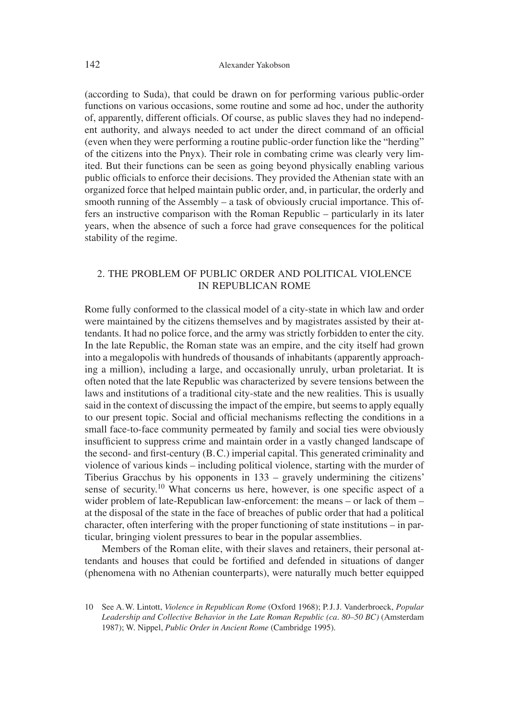(according to Suda), that could be drawn on for performing various public-order functions on various occasions, some routine and some ad hoc, under the authority of, apparently, different officials. Of course, as public slaves they had no independent authority, and always needed to act under the direct command of an official (even when they were performing a routine public-order function like the "herding" of the citizens into the Pnyx). Their role in combating crime was clearly very limited. But their functions can be seen as going beyond physically enabling various public officials to enforce their decisions. They provided the Athenian state with an organized force that helped maintain public order, and, in particular, the orderly and smooth running of the Assembly – a task of obviously crucial importance. This offers an instructive comparison with the Roman Republic – particularly in its later years, when the absence of such a force had grave consequences for the political stability of the regime.

## 2. THE PROBLEM OF PUBLIC ORDER AND POLITICAL VIOLENCE IN REPUBLICAN ROME

Rome fully conformed to the classical model of a city-state in which law and order were maintained by the citizens themselves and by magistrates assisted by their attendants. It had no police force, and the army was strictly forbidden to enter the city. In the late Republic, the Roman state was an empire, and the city itself had grown into a megalopolis with hundreds of thousands of inhabitants (apparently approaching a million), including a large, and occasionally unruly, urban proletariat. It is often noted that the late Republic was characterized by severe tensions between the laws and institutions of a traditional city-state and the new realities. This is usually said in the context of discussing the impact of the empire, but seems to apply equally to our present topic. Social and official mechanisms reflecting the conditions in a small face-to-face community permeated by family and social ties were obviously insufficient to suppress crime and maintain order in a vastly changed landscape of the second- and first-century (B.C.) imperial capital. This generated criminality and violence of various kinds – including political violence, starting with the murder of Tiberius Gracchus by his opponents in 133 – gravely undermining the citizens' sense of security.<sup>10</sup> What concerns us here, however, is one specific aspect of a wider problem of late-Republican law-enforcement: the means – or lack of them – at the disposal of the state in the face of breaches of public order that had a political character, often interfering with the proper functioning of state institutions – in particular, bringing violent pressures to bear in the popular assemblies.

Members of the Roman elite, with their slaves and retainers, their personal attendants and houses that could be fortified and defended in situations of danger (phenomena with no Athenian counterparts), were naturally much better equipped

<sup>10</sup> See A. W. Lintott, *Violence in Republican Rome* (Oxford 1968); P. J. J. Vanderbroeck, *Popular Leadership and Collective Behavior in the Late Roman Republic (ca. 80–50 BC)* (Amsterdam 1987); W. Nippel, *Public Order in Ancient Rome* (Cambridge 1995).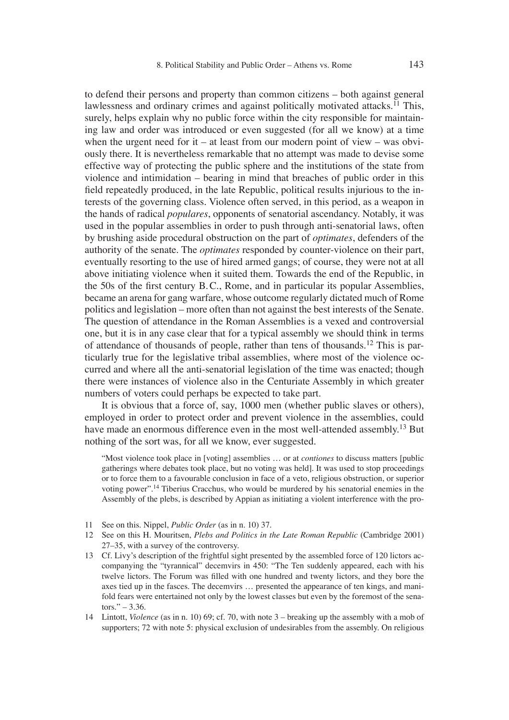to defend their persons and property than common citizens – both against general lawlessness and ordinary crimes and against politically motivated attacks.<sup> $11$ </sup> This, surely, helps explain why no public force within the city responsible for maintaining law and order was introduced or even suggested (for all we know) at a time when the urgent need for it – at least from our modern point of view – was obviously there. It is nevertheless remarkable that no attempt was made to devise some effective way of protecting the public sphere and the institutions of the state from violence and intimidation – bearing in mind that breaches of public order in this field repeatedly produced, in the late Republic, political results injurious to the interests of the governing class. Violence often served, in this period, as a weapon in the hands of radical *populares*, opponents of senatorial ascendancy. Notably, it was used in the popular assemblies in order to push through anti-senatorial laws, often by brushing aside procedural obstruction on the part of *optimates*, defenders of the authority of the senate. The *optimates* responded by counter-violence on their part, eventually resorting to the use of hired armed gangs; of course, they were not at all above initiating violence when it suited them. Towards the end of the Republic, in the 50s of the first century B.C., Rome, and in particular its popular Assemblies, became an arena for gang warfare, whose outcome regularly dictated much of Rome politics and legislation – more often than not against the best interests of the Senate. The question of attendance in the Roman Assemblies is a vexed and controversial one, but it is in any case clear that for a typical assembly we should think in terms of attendance of thousands of people, rather than tens of thousands.12 This is particularly true for the legislative tribal assemblies, where most of the violence occurred and where all the anti-senatorial legislation of the time was enacted; though there were instances of violence also in the Centuriate Assembly in which greater numbers of voters could perhaps be expected to take part.

It is obvious that a force of, say, 1000 men (whether public slaves or others), employed in order to protect order and prevent violence in the assemblies, could have made an enormous difference even in the most well-attended assembly.<sup>13</sup> But nothing of the sort was, for all we know, ever suggested.

"Most violence took place in [voting] assemblies … or at *contiones* to discuss matters [public gatherings where debates took place, but no voting was held]. It was used to stop proceedings or to force them to a favourable conclusion in face of a veto, religious obstruction, or superior voting power".14 Tiberius Cracchus, who would be murdered by his senatorial enemies in the Assembly of the plebs, is described by Appian as initiating a violent interference with the pro-

- 11 See on this. Nippel, *Public Order* (as in n. 10) 37.
- 12 See on this H. Mouritsen, *Plebs and Politics in the Late Roman Republic* (Cambridge 2001) 27–35, with a survey of the controversy.
- 13 Cf. Livy's description of the frightful sight presented by the assembled force of 120 lictors accompanying the "tyrannical" decemvirs in 450: "The Ten suddenly appeared, each with his twelve lictors. The Forum was filled with one hundred and twenty lictors, and they bore the axes tied up in the fasces. The decemvirs … presented the appearance of ten kings, and manifold fears were entertained not only by the lowest classes but even by the foremost of the senators." $-3.36$ .
- 14 Lintott, *Violence* (as in n. 10) 69; cf. 70, with note 3 breaking up the assembly with a mob of supporters; 72 with note 5: physical exclusion of undesirables from the assembly. On religious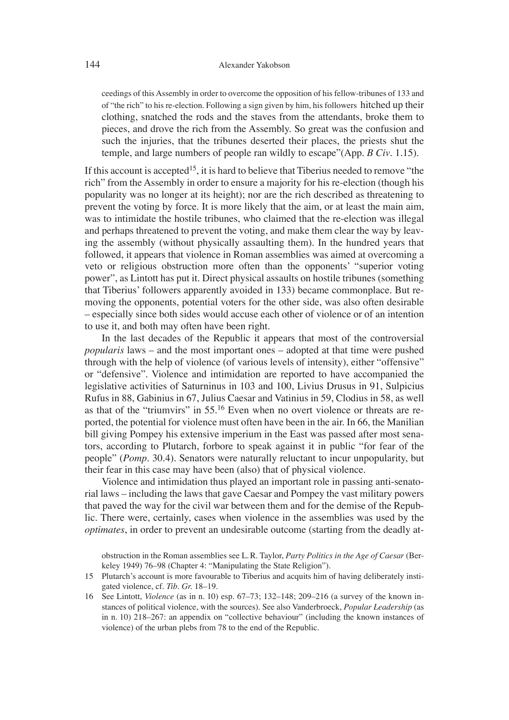ceedings of this Assembly in order to overcome the opposition of his fellow-tribunes of 133 and of "the rich" to his re-election. Following a sign given by him, his followers hitched up their clothing, snatched the rods and the staves from the attendants, broke them to pieces, and drove the rich from the Assembly. So great was the confusion and such the injuries, that the tribunes deserted their places, the priests shut the temple, and large numbers of people ran wildly to escape"(App. *B Civ*. 1.15).

If this account is accepted<sup>15</sup>, it is hard to believe that Tiberius needed to remove "the rich" from the Assembly in order to ensure a majority for his re-election (though his popularity was no longer at its height); nor are the rich described as threatening to prevent the voting by force. It is more likely that the aim, or at least the main aim, was to intimidate the hostile tribunes, who claimed that the re-election was illegal and perhaps threatened to prevent the voting, and make them clear the way by leaving the assembly (without physically assaulting them). In the hundred years that followed, it appears that violence in Roman assemblies was aimed at overcoming a veto or religious obstruction more often than the opponents' "superior voting power", as Lintott has put it. Direct physical assaults on hostile tribunes (something that Tiberius' followers apparently avoided in 133) became commonplace. But removing the opponents, potential voters for the other side, was also often desirable – especially since both sides would accuse each other of violence or of an intention to use it, and both may often have been right.

In the last decades of the Republic it appears that most of the controversial *popularis* laws – and the most important ones – adopted at that time were pushed through with the help of violence (of various levels of intensity), either "offensive" or "defensive". Violence and intimidation are reported to have accompanied the legislative activities of Saturninus in 103 and 100, Livius Drusus in 91, Sulpicius Rufus in 88, Gabinius in 67, Julius Caesar and Vatinius in 59, Clodius in 58, as well as that of the "triumvirs" in  $55<sup>16</sup>$  Even when no overt violence or threats are reported, the potential for violence must often have been in the air. In 66, the Manilian bill giving Pompey his extensive imperium in the East was passed after most senators, according to Plutarch, forbore to speak against it in public "for fear of the people" (*Pomp*. 30.4). Senators were naturally reluctant to incur unpopularity, but their fear in this case may have been (also) that of physical violence.

Violence and intimidation thus played an important role in passing anti-senatorial laws – including the laws that gave Caesar and Pompey the vast military powers that paved the way for the civil war between them and for the demise of the Republic. There were, certainly, cases when violence in the assemblies was used by the *optimates*, in order to prevent an undesirable outcome (starting from the deadly at-

obstruction in the Roman assemblies see L. R. Taylor, *Party Politics in the Age of Caesar* (Berkeley 1949) 76–98 (Chapter 4: "Manipulating the State Religion").

- 15 Plutarch's account is more favourable to Tiberius and acquits him of having deliberately instigated violence, cf. *Tib. Gr.* 18–19.
- 16 See Lintott, *Violence* (as in n. 10) esp. 67–73; 132–148; 209–216 (a survey of the known instances of political violence, with the sources). See also Vanderbroeck, *Popular Leadership* (as in n. 10) 218–267: an appendix on "collective behaviour" (including the known instances of violence) of the urban plebs from 78 to the end of the Republic.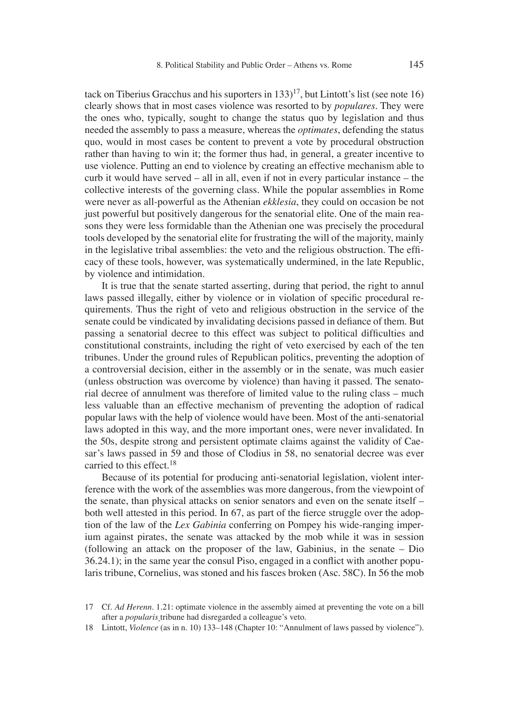tack on Tiberius Gracchus and his suporters in  $133$ <sup> $17$ </sup>, but Lintott's list (see note 16) clearly shows that in most cases violence was resorted to by *populares.* They were the ones who, typically, sought to change the status quo by legislation and thus needed the assembly to pass a measure, whereas the *optimates*, defending the status quo, would in most cases be content to prevent a vote by procedural obstruction rather than having to win it; the former thus had, in general, a greater incentive to use violence. Putting an end to violence by creating an effective mechanism able to curb it would have served – all in all, even if not in every particular instance – the collective interests of the governing class. While the popular assemblies in Rome were never as all-powerful as the Athenian *ekklesia*, they could on occasion be not just powerful but positively dangerous for the senatorial elite. One of the main reasons they were less formidable than the Athenian one was precisely the procedural tools developed by the senatorial elite for frustrating the will of the majority, mainly in the legislative tribal assemblies: the veto and the religious obstruction. The efficacy of these tools, however, was systematically undermined, in the late Republic, by violence and intimidation.

It is true that the senate started asserting, during that period, the right to annul laws passed illegally, either by violence or in violation of specific procedural requirements. Thus the right of veto and religious obstruction in the service of the senate could be vindicated by invalidating decisions passed in defiance of them. But passing a senatorial decree to this effect was subject to political difficulties and constitutional constraints, including the right of veto exercised by each of the ten tribunes. Under the ground rules of Republican politics, preventing the adoption of a controversial decision, either in the assembly or in the senate, was much easier (unless obstruction was overcome by violence) than having it passed. The senatorial decree of annulment was therefore of limited value to the ruling class – much less valuable than an effective mechanism of preventing the adoption of radical popular laws with the help of violence would have been. Most of the anti-senatorial laws adopted in this way, and the more important ones, were never invalidated. In the 50s, despite strong and persistent optimate claims against the validity of Caesar's laws passed in 59 and those of Clodius in 58, no senatorial decree was ever carried to this effect.<sup>18</sup>

Because of its potential for producing anti-senatorial legislation, violent interference with the work of the assemblies was more dangerous, from the viewpoint of the senate, than physical attacks on senior senators and even on the senate itself – both well attested in this period. In 67, as part of the fierce struggle over the adoption of the law of the *Lex Gabinia* conferring on Pompey his wide-ranging imperium against pirates, the senate was attacked by the mob while it was in session (following an attack on the proposer of the law, Gabinius, in the senate – Dio  $36.24.1$ ; in the same year the consul Piso, engaged in a conflict with another popularis tribune, Cornelius, was stoned and his fasces broken (Asc. 58C). In 56 the mob

<sup>17</sup> Cf. *Ad Herenn*. 1.21: optimate violence in the assembly aimed at preventing the vote on a bill after a *popularis* tribune had disregarded a colleague's veto.

<sup>18</sup> Lintott, *Violence* (as in n. 10) 133–148 (Chapter 10: "Annulment of laws passed by violence").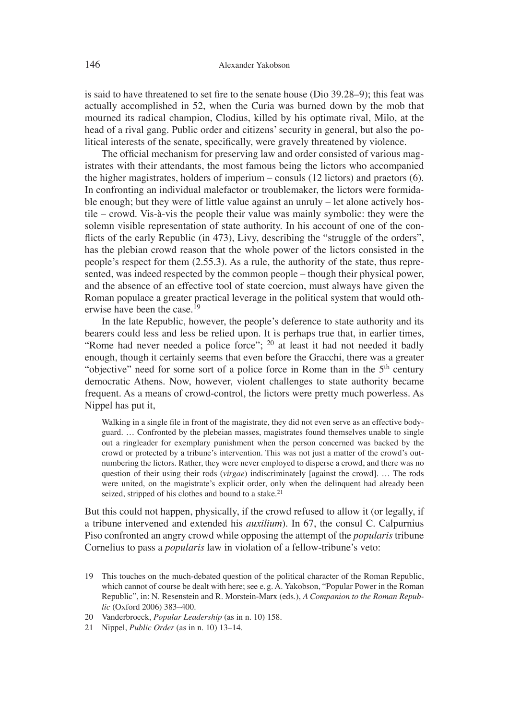is said to have threatened to set fire to the senate house (Dio  $39.28-9$ ); this feat was actually accomplished in 52, when the Curia was burned down by the mob that mourned its radical champion, Clodius, killed by his optimate rival, Milo, at the head of a rival gang. Public order and citizens' security in general, but also the political interests of the senate, specifically, were gravely threatened by violence.

The official mechanism for preserving law and order consisted of various magistrates with their attendants, the most famous being the lictors who accompanied the higher magistrates, holders of imperium – consuls (12 lictors) and praetors (6). In confronting an individual malefactor or troublemaker, the lictors were formidable enough; but they were of little value against an unruly – let alone actively hostile – crowd. Vis-à-vis the people their value was mainly symbolic: they were the solemn visible representation of state authority. In his account of one of the conflicts of the early Republic (in 473), Livy, describing the "struggle of the orders", has the plebian crowd reason that the whole power of the lictors consisted in the people's respect for them (2.55.3). As a rule, the authority of the state, thus represented, was indeed respected by the common people – though their physical power, and the absence of an effective tool of state coercion, must always have given the Roman populace a greater practical leverage in the political system that would otherwise have been the case.<sup>19</sup>

In the late Republic, however, the people's deference to state authority and its bearers could less and less be relied upon. It is perhaps true that, in earlier times, "Rome had never needed a police force"; <sup>20</sup> at least it had not needed it badly enough, though it certainly seems that even before the Gracchi, there was a greater "objective" need for some sort of a police force in Rome than in the  $5<sup>th</sup>$  century democratic Athens. Now, however, violent challenges to state authority became frequent. As a means of crowd-control, the lictors were pretty much powerless. As Nippel has put it,

Walking in a single file in front of the magistrate, they did not even serve as an effective bodyguard. … Confronted by the plebeian masses, magistrates found themselves unable to single out a ringleader for exemplary punishment when the person concerned was backed by the crowd or protected by a tribune's intervention. This was not just a matter of the crowd's outnumbering the lictors. Rather, they were never employed to disperse a crowd, and there was no question of their using their rods (*virgae*) indiscriminately [against the crowd]. … The rods were united, on the magistrate's explicit order, only when the delinquent had already been seized, stripped of his clothes and bound to a stake.<sup>21</sup>

But this could not happen, physically, if the crowd refused to allow it (or legally, if a tribune intervened and extended his *auxilium*). In 67, the consul C. Calpurnius Piso confronted an angry crowd while opposing the attempt of the *popularis* tribune Cornelius to pass a *popularis* law in violation of a fellow-tribune's veto:

19 This touches on the much-debated question of the political character of the Roman Republic, which cannot of course be dealt with here; see e.g. A. Yakobson, "Popular Power in the Roman Republic", in: N. Resenstein and R. Morstein-Marx (eds.), *A Companion to the Roman Republic* (Oxford 2006) 383–400.

<sup>20</sup> Vanderbroeck, *Popular Leadership* (as in n. 10) 158.

<sup>21</sup> Nippel, *Public Order* (as in n. 10) 13–14.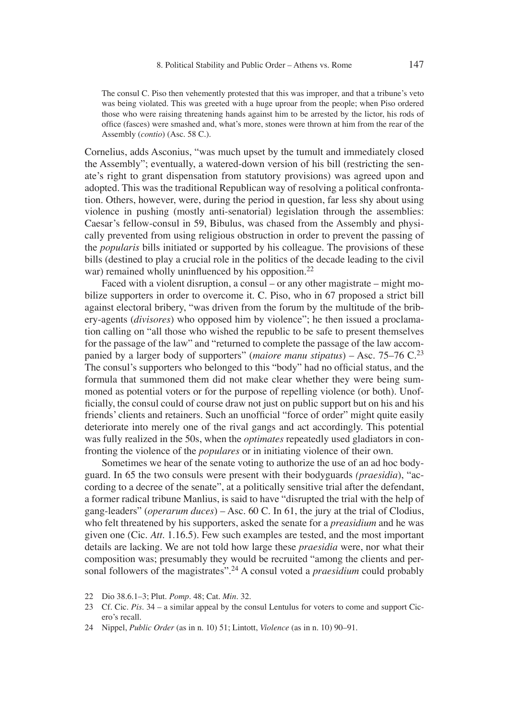The consul C. Piso then vehemently protested that this was improper, and that a tribune's veto was being violated. This was greeted with a huge uproar from the people; when Piso ordered those who were raising threatening hands against him to be arrested by the lictor, his rods of office (fasces) were smashed and, what's more, stones were thrown at him from the rear of the Assembly (*contio*) (Asc. 58 C.).

Cornelius, adds Asconius, "was much upset by the tumult and immediately closed the Assembly"; eventually, a watered-down version of his bill (restricting the senate's right to grant dispensation from statutory provisions) was agreed upon and adopted. This was the traditional Republican way of resolving a political confrontation. Others, however, were, during the period in question, far less shy about using violence in pushing (mostly anti-senatorial) legislation through the assemblies: Caesar's fellow-consul in 59, Bibulus, was chased from the Assembly and physically prevented from using religious obstruction in order to prevent the passing of the *popularis* bills initiated or supported by his colleague. The provisions of these bills (destined to play a crucial role in the politics of the decade leading to the civil war) remained wholly uninfluenced by his opposition.<sup>22</sup>

Faced with a violent disruption, a consul – or any other magistrate – might mobilize supporters in order to overcome it. C. Piso, who in 67 proposed a strict bill against electoral bribery, "was driven from the forum by the multitude of the bribery-agents (*divisores*) who opposed him by violence"; he then issued a proclamation calling on "all those who wished the republic to be safe to present themselves for the passage of the law" and "returned to complete the passage of the law accompanied by a larger body of supporters" (*maiore manu stipatus*) – Asc. 75–76 C.<sup>23</sup> The consul's supporters who belonged to this "body" had no official status, and the formula that summoned them did not make clear whether they were being summoned as potential voters or for the purpose of repelling violence (or both). Unofficially, the consul could of course draw not just on public support but on his and his friends' clients and retainers. Such an unofficial "force of order" might quite easily deteriorate into merely one of the rival gangs and act accordingly. This potential was fully realized in the 50s, when the *optimates* repeatedly used gladiators in confronting the violence of the *populares* or in initiating violence of their own.

Sometimes we hear of the senate voting to authorize the use of an ad hoc bodyguard. In 65 the two consuls were present with their bodyguards *(praesidia*), "according to a decree of the senate", at a politically sensitive trial after the defendant, a former radical tribune Manlius, is said to have "disrupted the trial with the help of gang-leaders" (*operarum duces*) – Asc. 60 C. In 61, the jury at the trial of Clodius, who felt threatened by his supporters, asked the senate for a *preasidium* and he was given one (Cic. *Att*. 1.16.5). Few such examples are tested, and the most important details are lacking. We are not told how large these *praesidia* were, nor what their composition was; presumably they would be recruited "among the clients and personal followers of the magistrates".24 A consul voted a *praesidium* could probably

24 Nippel, *Public Order* (as in n. 10) 51; Lintott, *Violence* (as in n. 10) 90–91.

<sup>22</sup> Dio 38.6.1–3; Plut. *Pomp*. 48; Cat. *Min*. 32.

<sup>23</sup> Cf. Cic. *Pis*. 34 – a similar appeal by the consul Lentulus for voters to come and support Cicero's recall.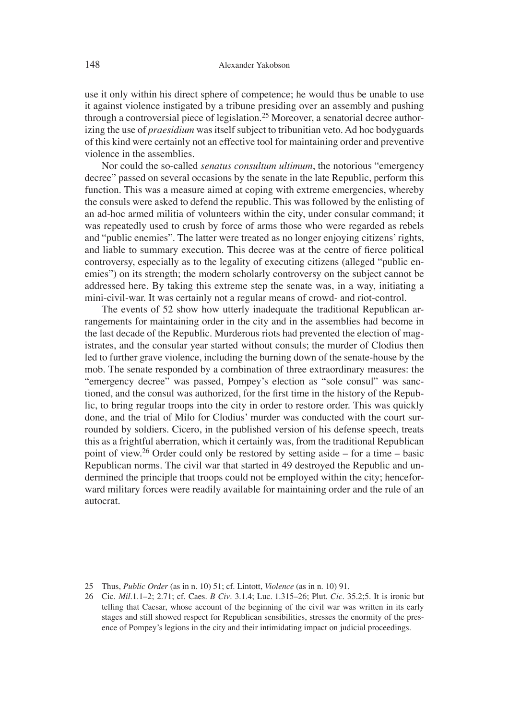use it only within his direct sphere of competence; he would thus be unable to use it against violence instigated by a tribune presiding over an assembly and pushing through a controversial piece of legislation.<sup>25</sup> Moreover, a senatorial decree authorizing the use of *praesidium* was itself subject to tribunitian veto. Ad hoc bodyguards of this kind were certainly not an effective tool for maintaining order and preventive violence in the assemblies.

Nor could the so-called *senatus consultum ultimum*, the notorious "emergency decree" passed on several occasions by the senate in the late Republic, perform this function. This was a measure aimed at coping with extreme emergencies, whereby the consuls were asked to defend the republic. This was followed by the enlisting of an ad-hoc armed militia of volunteers within the city, under consular command; it was repeatedly used to crush by force of arms those who were regarded as rebels and "public enemies". The latter were treated as no longer enjoying citizens' rights, and liable to summary execution. This decree was at the centre of fierce political controversy, especially as to the legality of executing citizens (alleged "public enemies") on its strength; the modern scholarly controversy on the subject cannot be addressed here. By taking this extreme step the senate was, in a way, initiating a mini-civil-war. It was certainly not a regular means of crowd- and riot-control.

The events of 52 show how utterly inadequate the traditional Republican arrangements for maintaining order in the city and in the assemblies had become in the last decade of the Republic. Murderous riots had prevented the election of magistrates, and the consular year started without consuls; the murder of Clodius then led to further grave violence, including the burning down of the senate-house by the mob. The senate responded by a combination of three extraordinary measures: the "emergency decree" was passed, Pompey's election as "sole consul" was sanctioned, and the consul was authorized, for the first time in the history of the Republic, to bring regular troops into the city in order to restore order. This was quickly done, and the trial of Milo for Clodius' murder was conducted with the court surrounded by soldiers. Cicero, in the published version of his defense speech, treats this as a frightful aberration, which it certainly was, from the traditional Republican point of view.26 Order could only be restored by setting aside – for a time – basic Republican norms. The civil war that started in 49 destroyed the Republic and undermined the principle that troops could not be employed within the city; henceforward military forces were readily available for maintaining order and the rule of an autocrat.

<sup>25</sup> Thus, *Public Order* (as in n. 10) 51; cf. Lintott, *Violence* (as in n. 10) 91.

<sup>26</sup> Cic. *Mil*.1.1–2; 2.71; cf. Caes. *B Civ*. 3.1.4; Luc. 1.315–26; Plut. *Cic*. 35.2;5. It is ironic but telling that Caesar, whose account of the beginning of the civil war was written in its early stages and still showed respect for Republican sensibilities, stresses the enormity of the presence of Pompey's legions in the city and their intimidating impact on judicial proceedings.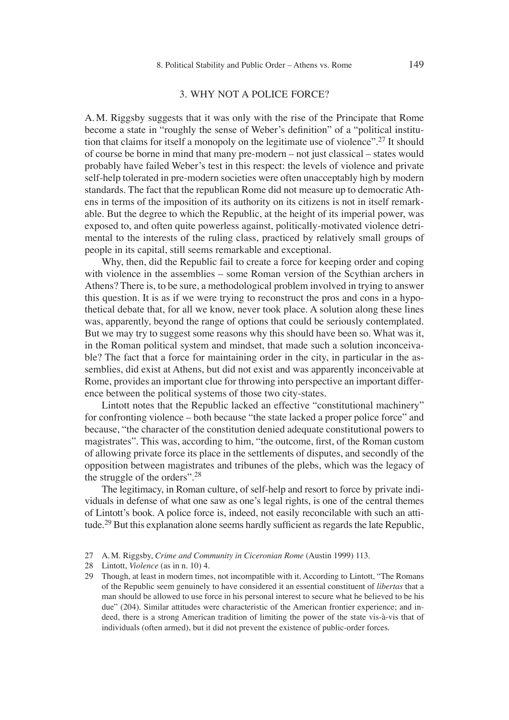## 3. WHY NOT A POLICE FORCE?

A. M. Riggsby suggests that it was only with the rise of the Principate that Rome become a state in "roughly the sense of Weber's definition" of a "political institution that claims for itself a monopoly on the legitimate use of violence".27 It should of course be borne in mind that many pre-modern – not just classical – states would probably have failed Weber's test in this respect: the levels of violence and private self-help tolerated in pre-modern societies were often unacceptably high by modern standards. The fact that the republican Rome did not measure up to democratic Athens in terms of the imposition of its authority on its citizens is not in itself remarkable. But the degree to which the Republic, at the height of its imperial power, was exposed to, and often quite powerless against, politically-motivated violence detrimental to the interests of the ruling class, practiced by relatively small groups of people in its capital, still seems remarkable and exceptional.

Why, then, did the Republic fail to create a force for keeping order and coping with violence in the assemblies – some Roman version of the Scythian archers in Athens? There is, to be sure, a methodological problem involved in trying to answer this question. It is as if we were trying to reconstruct the pros and cons in a hypothetical debate that, for all we know, never took place. A solution along these lines was, apparently, beyond the range of options that could be seriously contemplated. But we may try to suggest some reasons why this should have been so. What was it, in the Roman political system and mindset, that made such a solution inconceivable? The fact that a force for maintaining order in the city, in particular in the assemblies, did exist at Athens, but did not exist and was apparently inconceivable at Rome, provides an important clue for throwing into perspective an important difference between the political systems of those two city-states.

Lintott notes that the Republic lacked an effective "constitutional machinery" for confronting violence – both because "the state lacked a proper police force" and because, "the character of the constitution denied adequate constitutional powers to magistrates". This was, according to him, "the outcome, first, of the Roman custom of allowing private force its place in the settlements of disputes, and secondly of the opposition between magistrates and tribunes of the plebs, which was the legacy of the struggle of the orders".28

The legitimacy, in Roman culture, of self-help and resort to force by private individuals in defense of what one saw as one's legal rights, is one of the central themes of Lintott's book. A police force is, indeed, not easily reconcilable with such an attitude.<sup>29</sup> But this explanation alone seems hardly sufficient as regards the late Republic,

<sup>27</sup> A. M. Riggsby, *Crime and Community in Ciceronian Rome* (Austin 1999) 113.

<sup>28</sup> Lintott, *Violence* (as in n. 10) 4.

<sup>29</sup> Though, at least in modern times, not incompatible with it. According to Lintott, "The Romans of the Republic seem genuinely to have considered it an essential constituent of *libertas* that a man should be allowed to use force in his personal interest to secure what he believed to be his due" (204). Similar attitudes were characteristic of the American frontier experience; and indeed, there is a strong American tradition of limiting the power of the state vis-à-vis that of individuals (often armed), but it did not prevent the existence of public-order forces.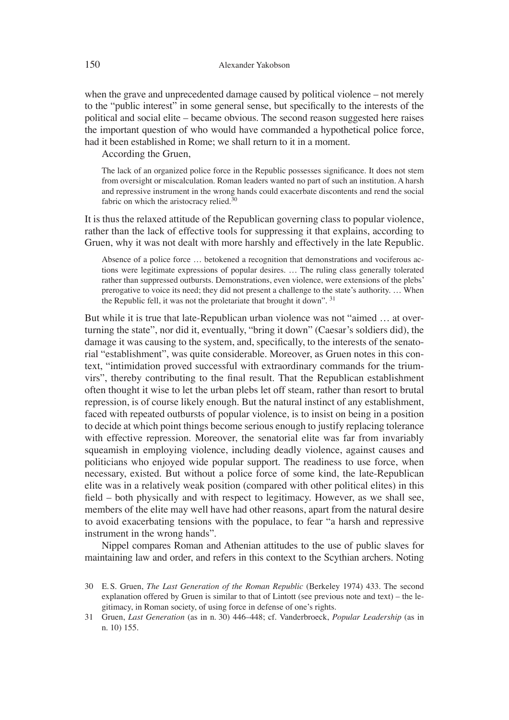when the grave and unprecedented damage caused by political violence – not merely to the "public interest" in some general sense, but specifically to the interests of the political and social elite – became obvious. The second reason suggested here raises the important question of who would have commanded a hypothetical police force, had it been established in Rome; we shall return to it in a moment.

According the Gruen,

The lack of an organized police force in the Republic possesses significance. It does not stem from oversight or miscalculation. Roman leaders wanted no part of such an institution. A harsh and repressive instrument in the wrong hands could exacerbate discontents and rend the social fabric on which the aristocracy relied.<sup>30</sup>

It is thus the relaxed attitude of the Republican governing class to popular violence, rather than the lack of effective tools for suppressing it that explains, according to Gruen, why it was not dealt with more harshly and effectively in the late Republic.

Absence of a police force … betokened a recognition that demonstrations and vociferous actions were legitimate expressions of popular desires. … The ruling class generally tolerated rather than suppressed outbursts. Demonstrations, even violence, were extensions of the plebs' prerogative to voice its need; they did not present a challenge to the state's authority. … When the Republic fell, it was not the proletariate that brought it down". 31

But while it is true that late-Republican urban violence was not "aimed … at overturning the state", nor did it, eventually, "bring it down" (Caesar's soldiers did), the damage it was causing to the system, and, specifically, to the interests of the senatorial "establishment", was quite considerable. Moreover, as Gruen notes in this context, "intimidation proved successful with extraordinary commands for the triumvirs", thereby contributing to the final result. That the Republican establishment often thought it wise to let the urban plebs let off steam, rather than resort to brutal repression, is of course likely enough. But the natural instinct of any establishment, faced with repeated outbursts of popular violence, is to insist on being in a position to decide at which point things become serious enough to justify replacing tolerance with effective repression. Moreover, the senatorial elite was far from invariably squeamish in employing violence, including deadly violence, against causes and politicians who enjoyed wide popular support. The readiness to use force, when necessary, existed. But without a police force of some kind, the late-Republican elite was in a relatively weak position (compared with other political elites) in this field – both physically and with respect to legitimacy. However, as we shall see, members of the elite may well have had other reasons, apart from the natural desire to avoid exacerbating tensions with the populace, to fear "a harsh and repressive instrument in the wrong hands".

Nippel compares Roman and Athenian attitudes to the use of public slaves for maintaining law and order, and refers in this context to the Scythian archers. Noting

<sup>30</sup> E. S. Gruen, *The Last Generation of the Roman Republic* (Berkeley 1974) 433. The second explanation offered by Gruen is similar to that of Lintott (see previous note and text) – the legitimacy, in Roman society, of using force in defense of one's rights.

<sup>31</sup> Gruen, *Last Generation* (as in n. 30) 446–448; cf. Vanderbroeck, *Popular Leadership* (as in n. 10) 155.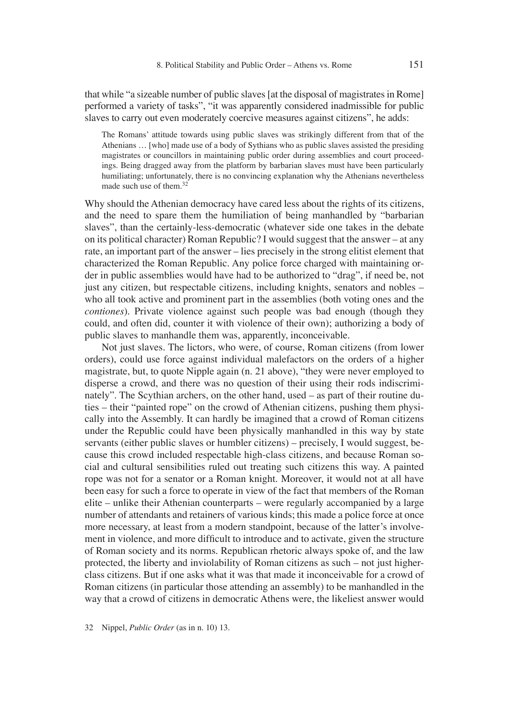that while "a sizeable number of public slaves [at the disposal of magistrates in Rome] performed a variety of tasks", "it was apparently considered inadmissible for public slaves to carry out even moderately coercive measures against citizens", he adds:

The Romans' attitude towards using public slaves was strikingly different from that of the Athenians … [who] made use of a body of Sythians who as public slaves assisted the presiding magistrates or councillors in maintaining public order during assemblies and court proceedings. Being dragged away from the platform by barbarian slaves must have been particularly humiliating; unfortunately, there is no convincing explanation why the Athenians nevertheless made such use of them.32

Why should the Athenian democracy have cared less about the rights of its citizens, and the need to spare them the humiliation of being manhandled by "barbarian slaves", than the certainly-less-democratic (whatever side one takes in the debate on its political character) Roman Republic? I would suggest that the answer – at any rate, an important part of the answer – lies precisely in the strong elitist element that characterized the Roman Republic. Any police force charged with maintaining order in public assemblies would have had to be authorized to "drag", if need be, not just any citizen, but respectable citizens, including knights, senators and nobles – who all took active and prominent part in the assemblies (both voting ones and the *contiones*). Private violence against such people was bad enough (though they could, and often did, counter it with violence of their own); authorizing a body of public slaves to manhandle them was, apparently, inconceivable.

Not just slaves. The lictors, who were, of course, Roman citizens (from lower orders), could use force against individual malefactors on the orders of a higher magistrate, but, to quote Nipple again (n. 21 above), "they were never employed to disperse a crowd, and there was no question of their using their rods indiscriminately". The Scythian archers, on the other hand, used – as part of their routine duties – their "painted rope" on the crowd of Athenian citizens, pushing them physically into the Assembly. It can hardly be imagined that a crowd of Roman citizens under the Republic could have been physically manhandled in this way by state servants (either public slaves or humbler citizens) – precisely, I would suggest, because this crowd included respectable high-class citizens, and because Roman social and cultural sensibilities ruled out treating such citizens this way. A painted rope was not for a senator or a Roman knight. Moreover, it would not at all have been easy for such a force to operate in view of the fact that members of the Roman elite – unlike their Athenian counterparts – were regularly accompanied by a large number of attendants and retainers of various kinds; this made a police force at once more necessary, at least from a modern standpoint, because of the latter's involvement in violence, and more difficult to introduce and to activate, given the structure of Roman society and its norms. Republican rhetoric always spoke of, and the law protected, the liberty and inviolability of Roman citizens as such – not just higherclass citizens. But if one asks what it was that made it inconceivable for a crowd of Roman citizens (in particular those attending an assembly) to be manhandled in the way that a crowd of citizens in democratic Athens were, the likeliest answer would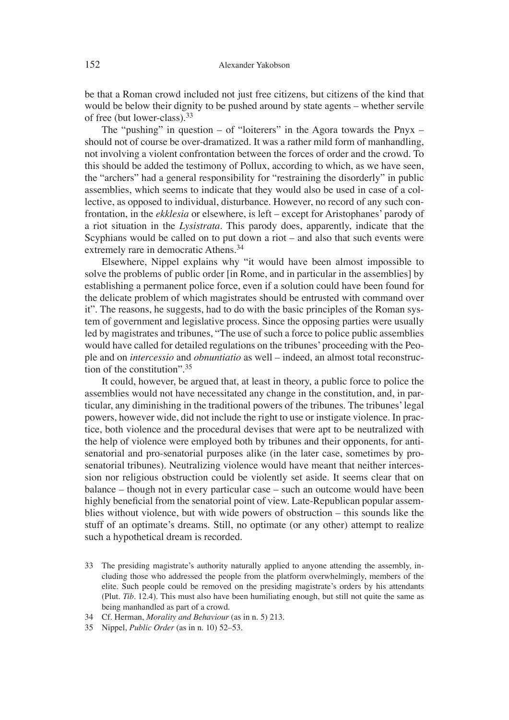be that a Roman crowd included not just free citizens, but citizens of the kind that would be below their dignity to be pushed around by state agents – whether servile of free (but lower-class).33

The "pushing" in question – of "loiterers" in the Agora towards the Pnyx – should not of course be over-dramatized. It was a rather mild form of manhandling, not involving a violent confrontation between the forces of order and the crowd. To this should be added the testimony of Pollux, according to which, as we have seen, the "archers" had a general responsibility for "restraining the disorderly" in public assemblies, which seems to indicate that they would also be used in case of a collective, as opposed to individual, disturbance. However, no record of any such confrontation, in the *ekklesia* or elsewhere, is left – except for Aristophanes' parody of a riot situation in the *Lysistrata*. This parody does, apparently, indicate that the Scyphians would be called on to put down a riot – and also that such events were extremely rare in democratic Athens.<sup>34</sup>

Elsewhere, Nippel explains why "it would have been almost impossible to solve the problems of public order [in Rome, and in particular in the assemblies] by establishing a permanent police force, even if a solution could have been found for the delicate problem of which magistrates should be entrusted with command over it". The reasons, he suggests, had to do with the basic principles of the Roman system of government and legislative process. Since the opposing parties were usually led by magistrates and tribunes, "The use of such a force to police public assemblies would have called for detailed regulations on the tribunes' proceeding with the People and on *intercessio* and *obnuntiatio* as well – indeed, an almost total reconstruction of the constitution".35

It could, however, be argued that, at least in theory, a public force to police the assemblies would not have necessitated any change in the constitution, and, in particular, any diminishing in the traditional powers of the tribunes. The tribunes' legal powers, however wide, did not include the right to use or instigate violence. In practice, both violence and the procedural devises that were apt to be neutralized with the help of violence were employed both by tribunes and their opponents, for antisenatorial and pro-senatorial purposes alike (in the later case, sometimes by prosenatorial tribunes). Neutralizing violence would have meant that neither intercession nor religious obstruction could be violently set aside. It seems clear that on balance – though not in every particular case – such an outcome would have been highly beneficial from the senatorial point of view. Late-Republican popular assemblies without violence, but with wide powers of obstruction – this sounds like the stuff of an optimate's dreams. Still, no optimate (or any other) attempt to realize such a hypothetical dream is recorded.

- 33 The presiding magistrate's authority naturally applied to anyone attending the assembly, including those who addressed the people from the platform overwhelmingly, members of the elite. Such people could be removed on the presiding magistrate's orders by his attendants (Plut. *Tib*. 12.4). This must also have been humiliating enough, but still not quite the same as being manhandled as part of a crowd.
- 34 Cf. Herman, *Morality and Behaviour* (as in n. 5) 213.
- 35 Nippel, *Public Order* (as in n. 10) 52–53.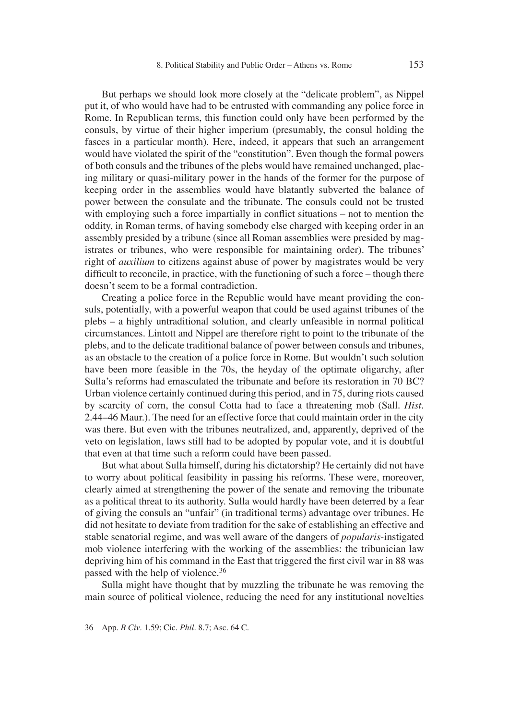But perhaps we should look more closely at the "delicate problem", as Nippel put it, of who would have had to be entrusted with commanding any police force in Rome. In Republican terms, this function could only have been performed by the consuls, by virtue of their higher imperium (presumably, the consul holding the fasces in a particular month). Here, indeed, it appears that such an arrangement would have violated the spirit of the "constitution". Even though the formal powers of both consuls and the tribunes of the plebs would have remained unchanged, placing military or quasi-military power in the hands of the former for the purpose of keeping order in the assemblies would have blatantly subverted the balance of power between the consulate and the tribunate. The consuls could not be trusted with employing such a force impartially in conflict situations  $-$  not to mention the oddity, in Roman terms, of having somebody else charged with keeping order in an assembly presided by a tribune (since all Roman assemblies were presided by magistrates or tribunes, who were responsible for maintaining order). The tribunes' right of *auxilium* to citizens against abuse of power by magistrates would be very difficult to reconcile, in practice, with the functioning of such a force  $-$  though there doesn't seem to be a formal contradiction.

Creating a police force in the Republic would have meant providing the consuls, potentially, with a powerful weapon that could be used against tribunes of the plebs – a highly untraditional solution, and clearly unfeasible in normal political circumstances. Lintott and Nippel are therefore right to point to the tribunate of the plebs, and to the delicate traditional balance of power between consuls and tribunes, as an obstacle to the creation of a police force in Rome. But wouldn't such solution have been more feasible in the 70s, the heyday of the optimate oligarchy, after Sulla's reforms had emasculated the tribunate and before its restoration in 70 BC? Urban violence certainly continued during this period, and in 75, during riots caused by scarcity of corn, the consul Cotta had to face a threatening mob (Sall. *Hist*. 2.44–46 Maur.). The need for an effective force that could maintain order in the city was there. But even with the tribunes neutralized, and, apparently, deprived of the veto on legislation, laws still had to be adopted by popular vote, and it is doubtful that even at that time such a reform could have been passed.

But what about Sulla himself, during his dictatorship? He certainly did not have to worry about political feasibility in passing his reforms. These were, moreover, clearly aimed at strengthening the power of the senate and removing the tribunate as a political threat to its authority. Sulla would hardly have been deterred by a fear of giving the consuls an "unfair" (in traditional terms) advantage over tribunes. He did not hesitate to deviate from tradition for the sake of establishing an effective and stable senatorial regime, and was well aware of the dangers of *popularis*-instigated mob violence interfering with the working of the assemblies: the tribunician law depriving him of his command in the East that triggered the first civil war in 88 was passed with the help of violence.<sup>36</sup>

Sulla might have thought that by muzzling the tribunate he was removing the main source of political violence, reducing the need for any institutional novelties

36 App. *B Civ*. 1.59; Cic. *Phil*. 8.7; Asc. 64 C.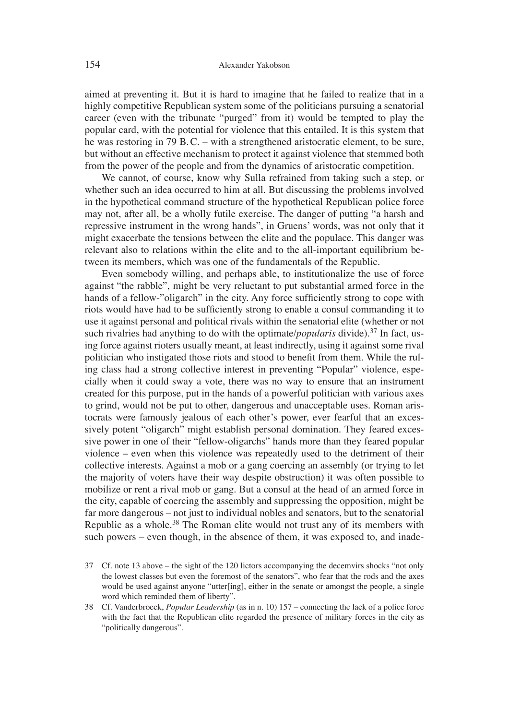aimed at preventing it. But it is hard to imagine that he failed to realize that in a highly competitive Republican system some of the politicians pursuing a senatorial career (even with the tribunate "purged" from it) would be tempted to play the popular card, with the potential for violence that this entailed. It is this system that he was restoring in 79 B. C. – with a strengthened aristocratic element, to be sure, but without an effective mechanism to protect it against violence that stemmed both from the power of the people and from the dynamics of aristocratic competition.

We cannot, of course, know why Sulla refrained from taking such a step, or whether such an idea occurred to him at all. But discussing the problems involved in the hypothetical command structure of the hypothetical Republican police force may not, after all, be a wholly futile exercise. The danger of putting "a harsh and repressive instrument in the wrong hands", in Gruens' words, was not only that it might exacerbate the tensions between the elite and the populace. This danger was relevant also to relations within the elite and to the all-important equilibrium between its members, which was one of the fundamentals of the Republic.

Even somebody willing, and perhaps able, to institutionalize the use of force against "the rabble", might be very reluctant to put substantial armed force in the hands of a fellow-"oligarch" in the city. Any force sufficiently strong to cope with riots would have had to be sufficiently strong to enable a consul commanding it to use it against personal and political rivals within the senatorial elite (whether or not such rivalries had anything to do with the optimate/*popularis* divide).<sup>37</sup> In fact, using force against rioters usually meant, at least indirectly, using it against some rival politician who instigated those riots and stood to benefi t from them. While the ruling class had a strong collective interest in preventing "Popular" violence, especially when it could sway a vote, there was no way to ensure that an instrument created for this purpose, put in the hands of a powerful politician with various axes to grind, would not be put to other, dangerous and unacceptable uses. Roman aristocrats were famously jealous of each other's power, ever fearful that an excessively potent "oligarch" might establish personal domination. They feared excessive power in one of their "fellow-oligarchs" hands more than they feared popular violence – even when this violence was repeatedly used to the detriment of their collective interests. Against a mob or a gang coercing an assembly (or trying to let the majority of voters have their way despite obstruction) it was often possible to mobilize or rent a rival mob or gang. But a consul at the head of an armed force in the city, capable of coercing the assembly and suppressing the opposition, might be far more dangerous – not just to individual nobles and senators, but to the senatorial Republic as a whole.<sup>38</sup> The Roman elite would not trust any of its members with such powers – even though, in the absence of them, it was exposed to, and inade-

- 37 Cf. note 13 above the sight of the 120 lictors accompanying the decemvirs shocks "not only the lowest classes but even the foremost of the senators", who fear that the rods and the axes would be used against anyone "utter[ing], either in the senate or amongst the people, a single word which reminded them of liberty".
- 38 Cf. Vanderbroeck, *Popular Leadership* (as in n. 10) 157 connecting the lack of a police force with the fact that the Republican elite regarded the presence of military forces in the city as "politically dangerous".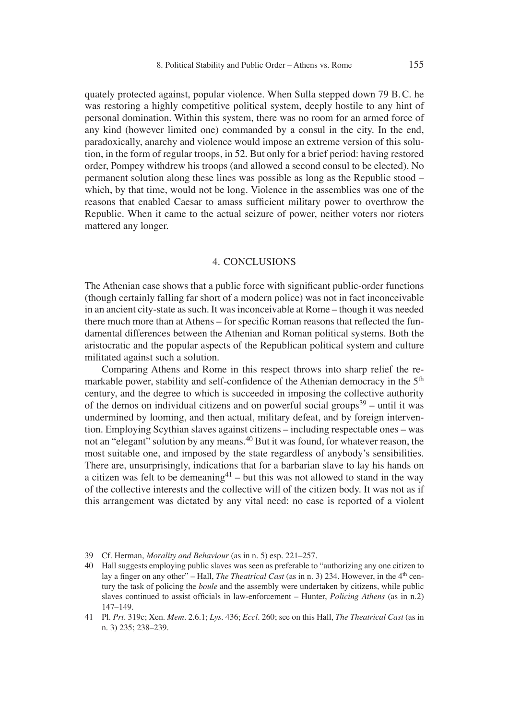quately protected against, popular violence. When Sulla stepped down 79 B. C. he was restoring a highly competitive political system, deeply hostile to any hint of personal domination. Within this system, there was no room for an armed force of any kind (however limited one) commanded by a consul in the city. In the end, paradoxically, anarchy and violence would impose an extreme version of this solution, in the form of regular troops, in 52. But only for a brief period: having restored order, Pompey withdrew his troops (and allowed a second consul to be elected). No permanent solution along these lines was possible as long as the Republic stood – which, by that time, would not be long. Violence in the assemblies was one of the reasons that enabled Caesar to amass sufficient military power to overthrow the Republic. When it came to the actual seizure of power, neither voters nor rioters mattered any longer.

## 4. CONCLUSIONS

The Athenian case shows that a public force with significant public-order functions (though certainly falling far short of a modern police) was not in fact inconceivable in an ancient city-state as such. It was inconceivable at Rome – though it was needed there much more than at Athens – for specific Roman reasons that reflected the fundamental differences between the Athenian and Roman political systems. Both the aristocratic and the popular aspects of the Republican political system and culture militated against such a solution.

Comparing Athens and Rome in this respect throws into sharp relief the remarkable power, stability and self-confidence of the Athenian democracy in the 5<sup>th</sup> century, and the degree to which is succeeded in imposing the collective authority of the demos on individual citizens and on powerful social groups<sup>39</sup> – until it was undermined by looming, and then actual, military defeat, and by foreign intervention. Employing Scythian slaves against citizens – including respectable ones – was not an "elegant" solution by any means.<sup>40</sup> But it was found, for whatever reason, the most suitable one, and imposed by the state regardless of anybody's sensibilities. There are, unsurprisingly, indications that for a barbarian slave to lay his hands on a citizen was felt to be demeaning<sup>41</sup> – but this was not allowed to stand in the way of the collective interests and the collective will of the citizen body. It was not as if this arrangement was dictated by any vital need: no case is reported of a violent

<sup>39</sup> Cf. Herman, *Morality and Behaviour* (as in n. 5) esp. 221–257.

<sup>40</sup> Hall suggests employing public slaves was seen as preferable to "authorizing any one citizen to lay a finger on any other" – Hall, *The Theatrical Cast* (as in n. 3) 234. However, in the 4<sup>th</sup> century the task of policing the *boule* and the assembly were undertaken by citizens, while public slaves continued to assist officials in law-enforcement – Hunter, *Policing Athens* (as in n.2) 147–149.

<sup>41</sup> Pl. *Prt*. 319c; Xen. *Mem*. 2.6.1; *Lys*. 436; *Eccl*. 260; see on this Hall, *The Theatrical Cast* (as in n. 3) 235; 238–239.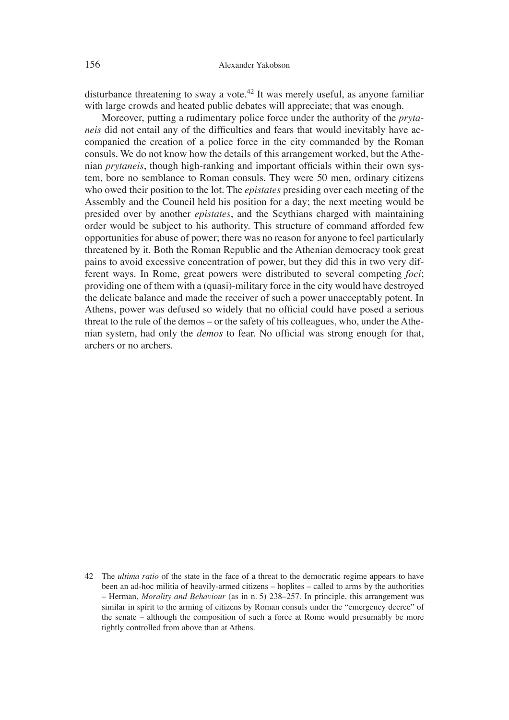disturbance threatening to sway a vote.<sup>42</sup> It was merely useful, as anyone familiar with large crowds and heated public debates will appreciate; that was enough.

Moreover, putting a rudimentary police force under the authority of the *prytaneis* did not entail any of the difficulties and fears that would inevitably have accompanied the creation of a police force in the city commanded by the Roman consuls. We do not know how the details of this arrangement worked, but the Athenian *prytaneis*, though high-ranking and important officials within their own system, bore no semblance to Roman consuls. They were 50 men, ordinary citizens who owed their position to the lot. The *epistates* presiding over each meeting of the Assembly and the Council held his position for a day; the next meeting would be presided over by another *epistates*, and the Scythians charged with maintaining order would be subject to his authority. This structure of command afforded few opportunities for abuse of power; there was no reason for anyone to feel particularly threatened by it. Both the Roman Republic and the Athenian democracy took great pains to avoid excessive concentration of power, but they did this in two very different ways. In Rome, great powers were distributed to several competing *foci*; providing one of them with a (quasi)-military force in the city would have destroyed the delicate balance and made the receiver of such a power unacceptably potent. In Athens, power was defused so widely that no official could have posed a serious threat to the rule of the demos – or the safety of his colleagues, who, under the Athenian system, had only the *demos* to fear. No official was strong enough for that, archers or no archers.

<sup>42</sup> The *ultima ratio* of the state in the face of a threat to the democratic regime appears to have been an ad-hoc militia of heavily-armed citizens – hoplites – called to arms by the authorities – Herman, *Morality and Behaviour* (as in n. 5) 238–257. In principle, this arrangement was similar in spirit to the arming of citizens by Roman consuls under the "emergency decree" of the senate – although the composition of such a force at Rome would presumably be more tightly controlled from above than at Athens.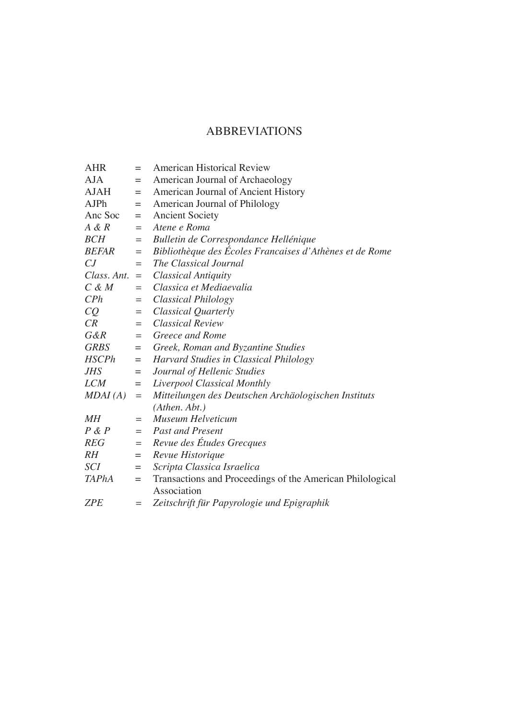## ABBREVIATIONS

| <b>AHR</b>      | $=$       | <b>American Historical Review</b>                         |
|-----------------|-----------|-----------------------------------------------------------|
| <b>AJA</b>      | $=$       | American Journal of Archaeology                           |
| <b>AJAH</b>     | $=$       | American Journal of Ancient History                       |
| <b>AJPh</b>     | $=$       | American Journal of Philology                             |
| Anc Soc         | $=$       | <b>Ancient Society</b>                                    |
| A & R           | $=$       | Atene e Roma                                              |
| <b>BCH</b>      | $=$       | Bulletin de Correspondance Hellénique                     |
| <b>BEFAR</b>    | $\quad =$ | Bibliothèque des Écoles Francaises d'Athènes et de Rome   |
| CJ              | $=$       | The Classical Journal                                     |
| $Class. Ant. =$ |           | <b>Classical Antiquity</b>                                |
| $C \& M$        | $=$       | Classica et Mediaevalia                                   |
| CPh             | $=$       | Classical Philology                                       |
| CQ              | $=$       | Classical Quarterly                                       |
| CR              | $=$ $-$   | <b>Classical Review</b>                                   |
| $G\&R$          | $=$       | <b>Greece and Rome</b>                                    |
| <b>GRBS</b>     |           | $=$ Greek, Roman and Byzantine Studies                    |
| <b>HSCPh</b>    | $=$       | Harvard Studies in Classical Philology                    |
| <b>JHS</b>      | $=$       | Journal of Hellenic Studies                               |
| <b>LCM</b>      | $=$       | Liverpool Classical Monthly                               |
| MDAI(A)         | $=$       | Mitteilungen des Deutschen Archäologischen Instituts      |
|                 |           | (Athen. Abt.)                                             |
| MН              | $=$       | Museum Helveticum                                         |
| P & P           |           | $=$ Past and Present                                      |
| <b>REG</b>      | $=$       | Revue des Études Grecques                                 |
| $R$ $H$         | $=$       | Revue Historique                                          |
| <b>SCI</b>      | $=$       | Scripta Classica Israelica                                |
| <b>TAPhA</b>    | $=$       | Transactions and Proceedings of the American Philological |
|                 |           | Association                                               |
| <b>ZPE</b>      | $=$       | Zeitschrift für Papyrologie und Epigraphik                |
|                 |           |                                                           |